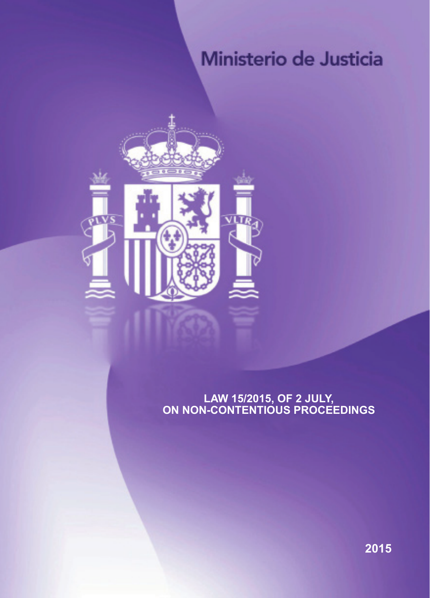# Ministerio de Justicia



## **Law 15/2015, of 2 July, on non-contentious proceedings**

**2015**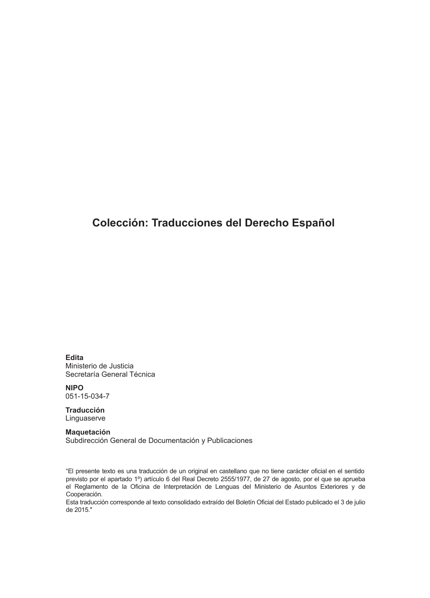# **Colección: Traducciones del Derecho Español**

**edita** Ministerio de Justicia Secretaría General Técnica

**nipo** 051-15-034-7

**traducción** Linguaserve

**Maquetación**  Subdirección General de Documentación y Publicaciones

"El presente texto es una traducción de un original en castellano que no tiene carácter oficial en el sentido previsto por el apartado 1º) artículo 6 del Real Decreto 2555/1977, de 27 de agosto, por el que se aprueba el Reglamento de la Oficina de Interpretación de Lenguas del Ministerio de Asuntos Exteriores y de Cooperación.

Esta traducción corresponde al texto consolidado extraído del Boletín Oficial del Estado publicado el 3 de julio de 2015."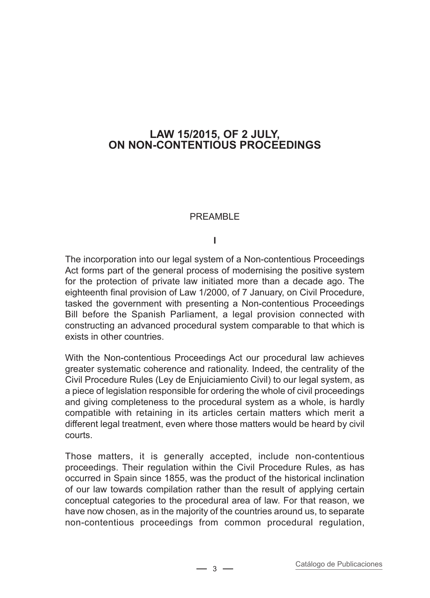## **Law 15/2015, of 2 July, on non-contentious proceedings**

#### PREAMBLE

#### **I**

The incorporation into our legal system of a Non-contentious Proceedings Act forms part of the general process of modernising the positive system for the protection of private law initiated more than a decade ago. The eighteenth final provision of Law 1/2000, of 7 January, on Civil Procedure, tasked the government with presenting a Non-contentious Proceedings Bill before the Spanish Parliament, a legal provision connected with constructing an advanced procedural system comparable to that which is exists in other countries.

With the Non-contentious Proceedings Act our procedural law achieves greater systematic coherence and rationality. Indeed, the centrality of the Civil Procedure Rules (Ley de Enjuiciamiento Civil) to our legal system, as a piece of legislation responsible for ordering the whole of civil proceedings and giving completeness to the procedural system as a whole, is hardly compatible with retaining in its articles certain matters which merit a different legal treatment, even where those matters would be heard by civil courts.

Those matters, it is generally accepted, include non-contentious proceedings. Their regulation within the Civil Procedure Rules, as has occurred in Spain since 1855, was the product of the historical inclination of our law towards compilation rather than the result of applying certain conceptual categories to the procedural area of law. For that reason, we have now chosen, as in the majority of the countries around us, to separate non-contentious proceedings from common procedural regulation,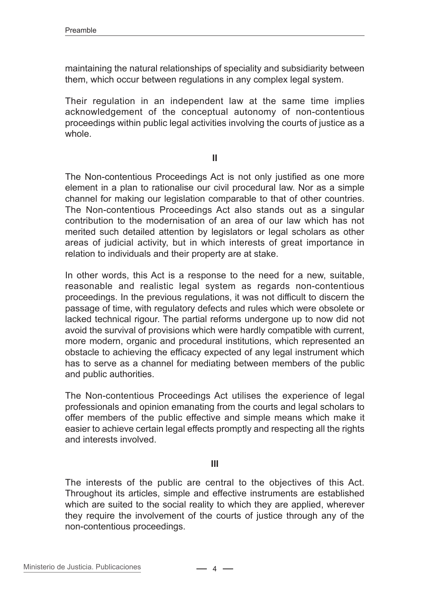maintaining the natural relationships of speciality and subsidiarity between them, which occur between regulations in any complex legal system.

Their regulation in an independent law at the same time implies acknowledgement of the conceptual autonomy of non-contentious proceedings within public legal activities involving the courts of justice as a .<br>wh∩le

**II**

The Non-contentious Proceedings Act is not only justified as one more element in a plan to rationalise our civil procedural law. Nor as a simple channel for making our legislation comparable to that of other countries. The Non-contentious Proceedings Act also stands out as a singular contribution to the modernisation of an area of our law which has not merited such detailed attention by legislators or legal scholars as other areas of judicial activity, but in which interests of great importance in relation to individuals and their property are at stake.

In other words, this Act is a response to the need for a new, suitable, reasonable and realistic legal system as regards non-contentious proceedings. In the previous regulations, it was not difficult to discern the passage of time, with regulatory defects and rules which were obsolete or lacked technical rigour. The partial reforms undergone up to now did not avoid the survival of provisions which were hardly compatible with current, more modern, organic and procedural institutions, which represented an obstacle to achieving the efficacy expected of any legal instrument which has to serve as a channel for mediating between members of the public and public authorities.

The Non-contentious Proceedings Act utilises the experience of legal professionals and opinion emanating from the courts and legal scholars to offer members of the public effective and simple means which make it easier to achieve certain legal effects promptly and respecting all the rights and interests involved.

#### **III**

The interests of the public are central to the objectives of this Act. Throughout its articles, simple and effective instruments are established which are suited to the social reality to which they are applied, wherever they require the involvement of the courts of justice through any of the non-contentious proceedings.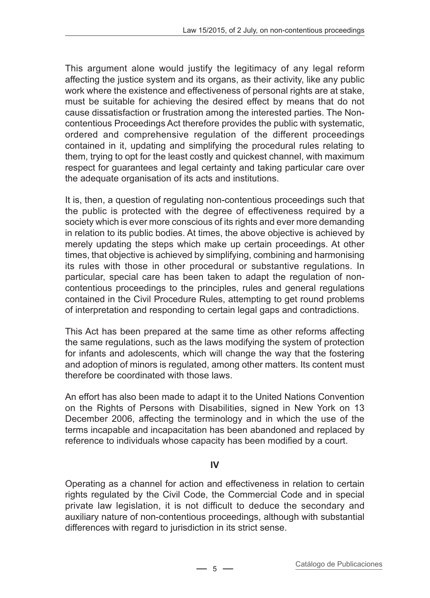This argument alone would justify the legitimacy of any legal reform affecting the justice system and its organs, as their activity, like any public work where the existence and effectiveness of personal rights are at stake, must be suitable for achieving the desired effect by means that do not cause dissatisfaction or frustration among the interested parties. The Noncontentious Proceedings Act therefore provides the public with systematic, ordered and comprehensive regulation of the different proceedings contained in it, updating and simplifying the procedural rules relating to them, trying to opt for the least costly and quickest channel, with maximum respect for guarantees and legal certainty and taking particular care over the adequate organisation of its acts and institutions.

It is, then, a question of regulating non-contentious proceedings such that the public is protected with the degree of effectiveness required by a society which is ever more conscious of its rights and ever more demanding in relation to its public bodies. At times, the above objective is achieved by merely updating the steps which make up certain proceedings. At other times, that objective is achieved by simplifying, combining and harmonising its rules with those in other procedural or substantive regulations. In particular, special care has been taken to adapt the regulation of noncontentious proceedings to the principles, rules and general regulations contained in the Civil Procedure Rules, attempting to get round problems of interpretation and responding to certain legal gaps and contradictions.

This Act has been prepared at the same time as other reforms affecting the same regulations, such as the laws modifying the system of protection for infants and adolescents, which will change the way that the fostering and adoption of minors is regulated, among other matters. Its content must therefore be coordinated with those laws.

An effort has also been made to adapt it to the United Nations Convention on the Rights of Persons with Disabilities, signed in New York on 13 December 2006, affecting the terminology and in which the use of the terms incapable and incapacitation has been abandoned and replaced by reference to individuals whose capacity has been modified by a court.

#### **IV**

Operating as a channel for action and effectiveness in relation to certain rights regulated by the Civil Code, the Commercial Code and in special private law legislation, it is not difficult to deduce the secondary and auxiliary nature of non-contentious proceedings, although with substantial differences with regard to jurisdiction in its strict sense.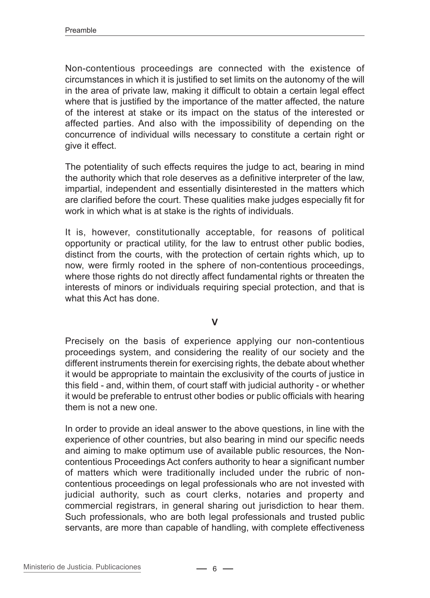Non-contentious proceedings are connected with the existence of circumstances in which it is justified to set limits on the autonomy of the will in the area of private law, making it difficult to obtain a certain legal effect where that is justified by the importance of the matter affected, the nature of the interest at stake or its impact on the status of the interested or affected parties. And also with the impossibility of depending on the concurrence of individual wills necessary to constitute a certain right or give it effect.

The potentiality of such effects requires the judge to act, bearing in mind the authority which that role deserves as a definitive interpreter of the law, impartial, independent and essentially disinterested in the matters which are clarified before the court. These qualities make judges especially fit for work in which what is at stake is the rights of individuals.

It is, however, constitutionally acceptable, for reasons of political opportunity or practical utility, for the law to entrust other public bodies, distinct from the courts, with the protection of certain rights which, up to now, were firmly rooted in the sphere of non-contentious proceedings, where those rights do not directly affect fundamental rights or threaten the interests of minors or individuals requiring special protection, and that is what this Act has done.

**V**

Precisely on the basis of experience applying our non-contentious proceedings system, and considering the reality of our society and the different instruments therein for exercising rights, the debate about whether it would be appropriate to maintain the exclusivity of the courts of justice in this field - and, within them, of court staff with judicial authority - or whether it would be preferable to entrust other bodies or public officials with hearing them is not a new one.

In order to provide an ideal answer to the above questions, in line with the experience of other countries, but also bearing in mind our specific needs and aiming to make optimum use of available public resources, the Noncontentious Proceedings Act confers authority to hear a significant number of matters which were traditionally included under the rubric of noncontentious proceedings on legal professionals who are not invested with judicial authority, such as court clerks, notaries and property and commercial registrars, in general sharing out jurisdiction to hear them. Such professionals, who are both legal professionals and trusted public servants, are more than capable of handling, with complete effectiveness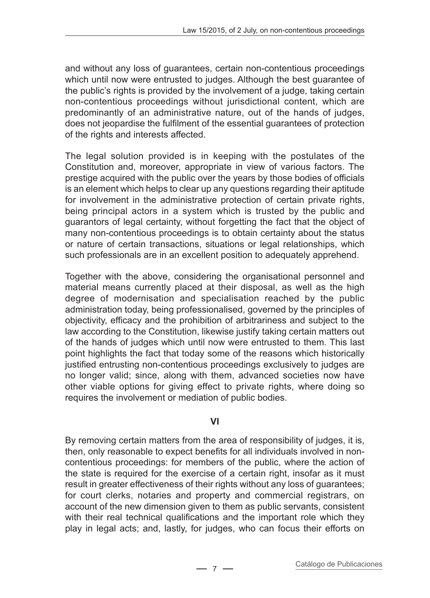and without any loss of guarantees, certain non-contentious proceedings which until now were entrusted to judges. Although the best guarantee of the public's rights is provided by the involvement of a judge, taking certain non-contentious proceedings without jurisdictional content, which are predominantly of an administrative nature, out of the hands of judges, does not jeopardise the fulfilment of the essential guarantees of protection of the rights and interests affected.

The legal solution provided is in keeping with the postulates of the Constitution and, moreover, appropriate in view of various factors. The prestige acquired with the public over the years by those bodies of officials is an element which helps to clear up any questions regarding their aptitude for involvement in the administrative protection of certain private rights, being principal actors in a system which is trusted by the public and guarantors of legal certainty, without forgetting the fact that the object of many non-contentious proceedings is to obtain certainty about the status or nature of certain transactions, situations or legal relationships, which such professionals are in an excellent position to adequately apprehend.

Together with the above, considering the organisational personnel and material means currently placed at their disposal, as well as the high degree of modernisation and specialisation reached by the public administration today, being professionalised, governed by the principles of objectivity, efficacy and the prohibition of arbitrariness and subject to the law according to the Constitution, likewise justify taking certain matters out of the hands of judges which until now were entrusted to them. This last point highlights the fact that today some of the reasons which historically justified entrusting non-contentious proceedings exclusively to judges are no longer valid; since, along with them, advanced societies now have other viable options for giving effect to private rights, where doing so requires the involvement or mediation of public bodies.

#### **VI**

By removing certain matters from the area of responsibility of judges, it is, then, only reasonable to expect benefits for all individuals involved in noncontentious proceedings: for members of the public, where the action of the state is required for the exercise of a certain right, insofar as it must result in greater effectiveness of their rights without any loss of guarantees; for court clerks, notaries and property and commercial registrars, on account of the new dimension given to them as public servants, consistent with their real technical qualifications and the important role which they play in legal acts; and, lastly, for judges, who can focus their efforts on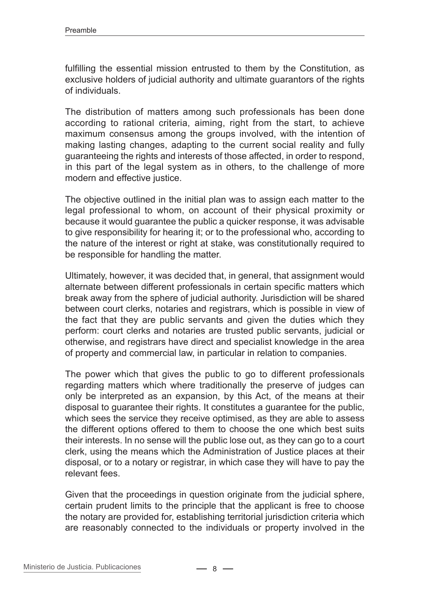fulfilling the essential mission entrusted to them by the Constitution, as exclusive holders of judicial authority and ultimate guarantors of the rights of individuals.

The distribution of matters among such professionals has been done according to rational criteria, aiming, right from the start, to achieve maximum consensus among the groups involved, with the intention of making lasting changes, adapting to the current social reality and fully guaranteeing the rights and interests of those affected, in order to respond, in this part of the legal system as in others, to the challenge of more modern and effective justice.

The objective outlined in the initial plan was to assign each matter to the legal professional to whom, on account of their physical proximity or because it would guarantee the public a quicker response, it was advisable to give responsibility for hearing it; or to the professional who, according to the nature of the interest or right at stake, was constitutionally required to be responsible for handling the matter.

Ultimately, however, it was decided that, in general, that assignment would alternate between different professionals in certain specific matters which break away from the sphere of judicial authority. Jurisdiction will be shared between court clerks, notaries and registrars, which is possible in view of the fact that they are public servants and given the duties which they perform: court clerks and notaries are trusted public servants, judicial or otherwise, and registrars have direct and specialist knowledge in the area of property and commercial law, in particular in relation to companies.

The power which that gives the public to go to different professionals regarding matters which where traditionally the preserve of judges can only be interpreted as an expansion, by this Act, of the means at their disposal to guarantee their rights. It constitutes a guarantee for the public, which sees the service they receive optimised, as they are able to assess the different options offered to them to choose the one which best suits their interests. In no sense will the public lose out, as they can go to a court clerk, using the means which the Administration of Justice places at their disposal, or to a notary or registrar, in which case they will have to pay the relevant fees.

Given that the proceedings in question originate from the judicial sphere, certain prudent limits to the principle that the applicant is free to choose the notary are provided for, establishing territorial jurisdiction criteria which are reasonably connected to the individuals or property involved in the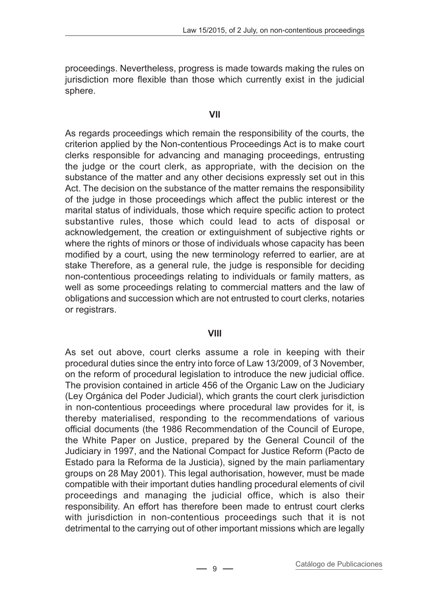proceedings. Nevertheless, progress is made towards making the rules on jurisdiction more flexible than those which currently exist in the judicial sphere.

#### **VII**

As regards proceedings which remain the responsibility of the courts, the criterion applied by the Non-contentious Proceedings Act is to make court clerks responsible for advancing and managing proceedings, entrusting the judge or the court clerk, as appropriate, with the decision on the substance of the matter and any other decisions expressly set out in this Act. The decision on the substance of the matter remains the responsibility of the judge in those proceedings which affect the public interest or the marital status of individuals, those which require specific action to protect substantive rules, those which could lead to acts of disposal or acknowledgement, the creation or extinguishment of subjective rights or where the rights of minors or those of individuals whose capacity has been modified by a court, using the new terminology referred to earlier, are at stake Therefore, as a general rule, the judge is responsible for deciding non-contentious proceedings relating to individuals or family matters, as well as some proceedings relating to commercial matters and the law of obligations and succession which are not entrusted to court clerks, notaries or registrars.

#### **VIII**

As set out above, court clerks assume a role in keeping with their procedural duties since the entry into force of Law 13/2009, of 3 November, on the reform of procedural legislation to introduce the new judicial office. The provision contained in article 456 of the Organic Law on the Judiciary (Ley Orgánica del Poder Judicial), which grants the court clerk jurisdiction in non-contentious proceedings where procedural law provides for it, is thereby materialised, responding to the recommendations of various official documents (the 1986 Recommendation of the Council of Europe, the White Paper on Justice, prepared by the General Council of the Judiciary in 1997, and the National Compact for Justice Reform (Pacto de Estado para la Reforma de la Justicia), signed by the main parliamentary groups on 28 May 2001). This legal authorisation, however, must be made compatible with their important duties handling procedural elements of civil proceedings and managing the judicial office, which is also their responsibility. An effort has therefore been made to entrust court clerks with jurisdiction in non-contentious proceedings such that it is not detrimental to the carrying out of other important missions which are legally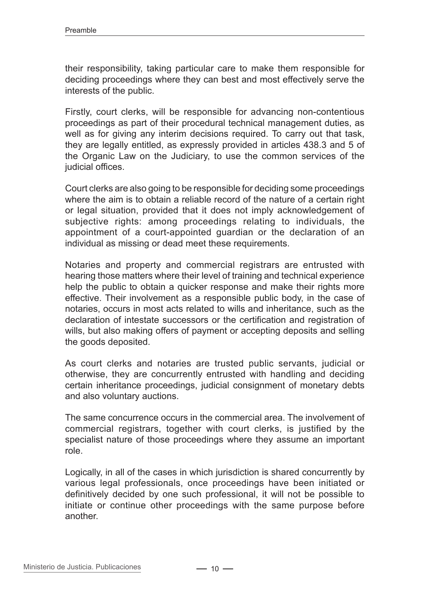their responsibility, taking particular care to make them responsible for deciding proceedings where they can best and most effectively serve the interests of the public.

Firstly, court clerks, will be responsible for advancing non-contentious proceedings as part of their procedural technical management duties, as well as for giving any interim decisions required. To carry out that task, they are legally entitled, as expressly provided in articles 438.3 and 5 of the Organic Law on the Judiciary, to use the common services of the judicial offices.

Court clerks are also going to be responsible for deciding some proceedings where the aim is to obtain a reliable record of the nature of a certain right or legal situation, provided that it does not imply acknowledgement of subjective rights: among proceedings relating to individuals, the appointment of a court-appointed guardian or the declaration of an individual as missing or dead meet these requirements.

Notaries and property and commercial registrars are entrusted with hearing those matters where their level of training and technical experience help the public to obtain a quicker response and make their rights more effective. Their involvement as a responsible public body, in the case of notaries, occurs in most acts related to wills and inheritance, such as the declaration of intestate successors or the certification and registration of wills, but also making offers of payment or accepting deposits and selling the goods deposited.

As court clerks and notaries are trusted public servants, judicial or otherwise, they are concurrently entrusted with handling and deciding certain inheritance proceedings, judicial consignment of monetary debts and also voluntary auctions.

The same concurrence occurs in the commercial area. The involvement of commercial registrars, together with court clerks, is justified by the specialist nature of those proceedings where they assume an important role.

Logically, in all of the cases in which jurisdiction is shared concurrently by various legal professionals, once proceedings have been initiated or definitively decided by one such professional, it will not be possible to initiate or continue other proceedings with the same purpose before another.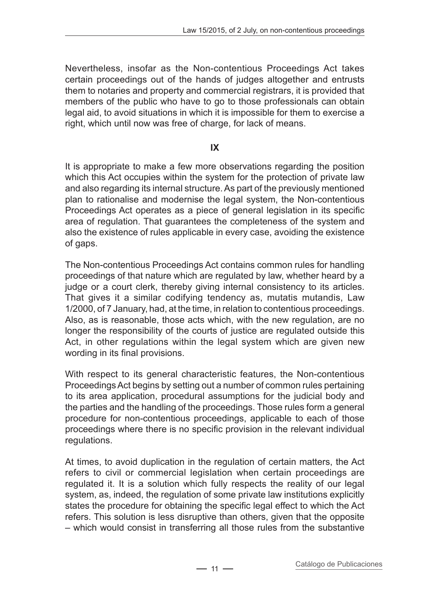Nevertheless, insofar as the Non-contentious Proceedings Act takes certain proceedings out of the hands of judges altogether and entrusts them to notaries and property and commercial registrars, it is provided that members of the public who have to go to those professionals can obtain legal aid, to avoid situations in which it is impossible for them to exercise a right, which until now was free of charge, for lack of means.

**IX**

It is appropriate to make a few more observations regarding the position which this Act occupies within the system for the protection of private law and also regarding its internal structure. As part of the previously mentioned plan to rationalise and modernise the legal system, the Non-contentious Proceedings Act operates as a piece of general legislation in its specific area of regulation. That guarantees the completeness of the system and also the existence of rules applicable in every case, avoiding the existence of gaps.

The Non-contentious Proceedings Act contains common rules for handling proceedings of that nature which are regulated by law, whether heard by a judge or a court clerk, thereby giving internal consistency to its articles. That gives it a similar codifying tendency as, mutatis mutandis, Law 1/2000, of 7 January, had, at the time, in relation to contentious proceedings. Also, as is reasonable, those acts which, with the new regulation, are no longer the responsibility of the courts of justice are regulated outside this Act, in other regulations within the legal system which are given new wording in its final provisions.

With respect to its general characteristic features, the Non-contentious Proceedings Act begins by setting out a number of common rules pertaining to its area application, procedural assumptions for the judicial body and the parties and the handling of the proceedings. Those rules form a general procedure for non-contentious proceedings, applicable to each of those proceedings where there is no specific provision in the relevant individual regulations.

At times, to avoid duplication in the regulation of certain matters, the Act refers to civil or commercial legislation when certain proceedings are regulated it. It is a solution which fully respects the reality of our legal system, as, indeed, the regulation of some private law institutions explicitly states the procedure for obtaining the specific legal effect to which the Act refers. This solution is less disruptive than others, given that the opposite – which would consist in transferring all those rules from the substantive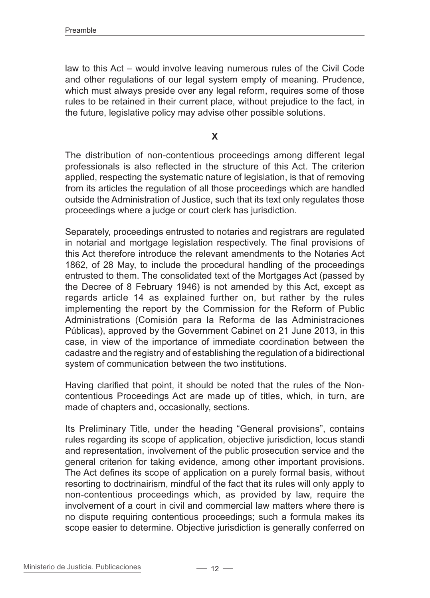law to this Act – would involve leaving numerous rules of the Civil Code and other regulations of our legal system empty of meaning. Prudence, which must always preside over any legal reform, requires some of those rules to be retained in their current place, without prejudice to the fact, in the future, legislative policy may advise other possible solutions.

**X**

The distribution of non-contentious proceedings among different legal professionals is also reflected in the structure of this Act. The criterion applied, respecting the systematic nature of legislation, is that of removing from its articles the regulation of all those proceedings which are handled outside the Administration of Justice, such that its text only regulates those proceedings where a judge or court clerk has jurisdiction.

Separately, proceedings entrusted to notaries and registrars are regulated in notarial and mortgage legislation respectively. The final provisions of this Act therefore introduce the relevant amendments to the Notaries Act 1862, of 28 May, to include the procedural handling of the proceedings entrusted to them. The consolidated text of the Mortgages Act (passed by the Decree of 8 February 1946) is not amended by this Act, except as regards article 14 as explained further on, but rather by the rules implementing the report by the Commission for the Reform of Public Administrations (Comisión para la Reforma de las Administraciones Públicas), approved by the Government Cabinet on 21 June 2013, in this case, in view of the importance of immediate coordination between the cadastre and the registry and of establishing the regulation of a bidirectional system of communication between the two institutions.

Having clarified that point, it should be noted that the rules of the Noncontentious Proceedings Act are made up of titles, which, in turn, are made of chapters and, occasionally, sections.

Its Preliminary Title, under the heading "General provisions", contains rules regarding its scope of application, objective jurisdiction, locus standi and representation, involvement of the public prosecution service and the general criterion for taking evidence, among other important provisions. The Act defines its scope of application on a purely formal basis, without resorting to doctrinairism, mindful of the fact that its rules will only apply to non-contentious proceedings which, as provided by law, require the involvement of a court in civil and commercial law matters where there is no dispute requiring contentious proceedings; such a formula makes its scope easier to determine. Objective jurisdiction is generally conferred on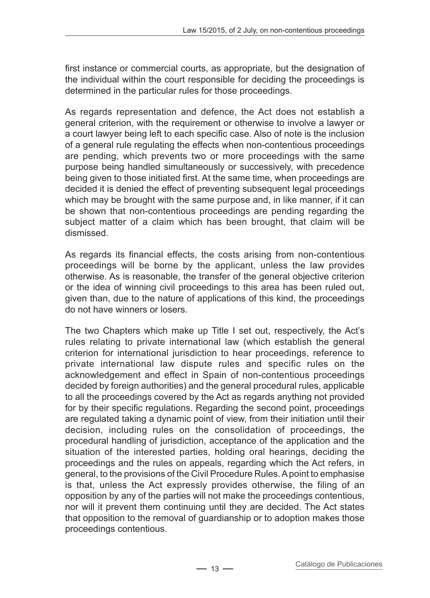first instance or commercial courts, as appropriate, but the designation of the individual within the court responsible for deciding the proceedings is determined in the particular rules for those proceedings.

As regards representation and defence, the Act does not establish a general criterion, with the requirement or otherwise to involve a lawyer or a court lawyer being left to each specific case. Also of note is the inclusion of a general rule regulating the effects when non-contentious proceedings are pending, which prevents two or more proceedings with the same purpose being handled simultaneously or successively, with precedence being given to those initiated first. At the same time, when proceedings are decided it is denied the effect of preventing subsequent legal proceedings which may be brought with the same purpose and, in like manner, if it can be shown that non-contentious proceedings are pending regarding the subject matter of a claim which has been brought, that claim will be dismissed.

As regards its financial effects, the costs arising from non-contentious proceedings will be borne by the applicant, unless the law provides otherwise. As is reasonable, the transfer of the general objective criterion or the idea of winning civil proceedings to this area has been ruled out, given than, due to the nature of applications of this kind, the proceedings do not have winners or losers.

The two Chapters which make up Title I set out, respectively, the Act's rules relating to private international law (which establish the general criterion for international jurisdiction to hear proceedings, reference to private international law dispute rules and specific rules on the acknowledgement and effect in Spain of non-contentious proceedings decided by foreign authorities) and the general procedural rules, applicable to all the proceedings covered by the Act as regards anything not provided for by their specific regulations. Regarding the second point, proceedings are regulated taking a dynamic point of view, from their initiation until their decision, including rules on the consolidation of proceedings, the procedural handling of jurisdiction, acceptance of the application and the situation of the interested parties, holding oral hearings, deciding the proceedings and the rules on appeals, regarding which the Act refers, in general, to the provisions of the Civil Procedure Rules. A point to emphasise is that, unless the Act expressly provides otherwise, the filing of an opposition by any of the parties will not make the proceedings contentious, nor will it prevent them continuing until they are decided. The Act states that opposition to the removal of guardianship or to adoption makes those proceedings contentious.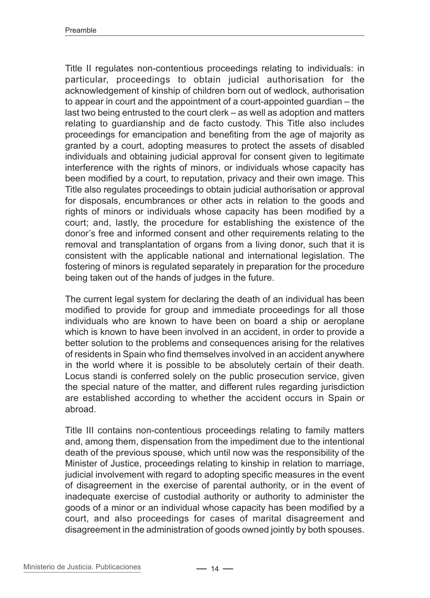Title II regulates non-contentious proceedings relating to individuals: in particular, proceedings to obtain judicial authorisation for the acknowledgement of kinship of children born out of wedlock, authorisation to appear in court and the appointment of a court-appointed guardian – the last two being entrusted to the court clerk – as well as adoption and matters relating to guardianship and de facto custody. This Title also includes proceedings for emancipation and benefiting from the age of majority as granted by a court, adopting measures to protect the assets of disabled individuals and obtaining judicial approval for consent given to legitimate interference with the rights of minors, or individuals whose capacity has been modified by a court, to reputation, privacy and their own image. This Title also regulates proceedings to obtain judicial authorisation or approval for disposals, encumbrances or other acts in relation to the goods and rights of minors or individuals whose capacity has been modified by a court; and, lastly, the procedure for establishing the existence of the donor's free and informed consent and other requirements relating to the removal and transplantation of organs from a living donor, such that it is consistent with the applicable national and international legislation. The fostering of minors is regulated separately in preparation for the procedure being taken out of the hands of judges in the future.

The current legal system for declaring the death of an individual has been modified to provide for group and immediate proceedings for all those individuals who are known to have been on board a ship or aeroplane which is known to have been involved in an accident, in order to provide a better solution to the problems and consequences arising for the relatives of residents in Spain who find themselves involved in an accident anywhere in the world where it is possible to be absolutely certain of their death. Locus standi is conferred solely on the public prosecution service, given the special nature of the matter, and different rules regarding jurisdiction are established according to whether the accident occurs in Spain or abroad.

Title III contains non-contentious proceedings relating to family matters and, among them, dispensation from the impediment due to the intentional death of the previous spouse, which until now was the responsibility of the Minister of Justice, proceedings relating to kinship in relation to marriage, judicial involvement with regard to adopting specific measures in the event of disagreement in the exercise of parental authority, or in the event of inadequate exercise of custodial authority or authority to administer the goods of a minor or an individual whose capacity has been modified by a court, and also proceedings for cases of marital disagreement and disagreement in the administration of goods owned jointly by both spouses.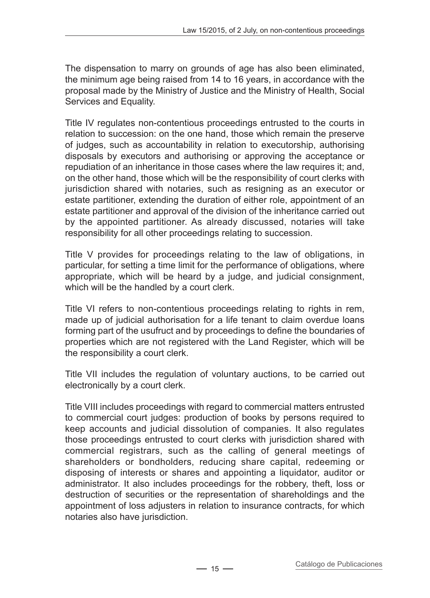The dispensation to marry on grounds of age has also been eliminated, the minimum age being raised from 14 to 16 years, in accordance with the proposal made by the Ministry of Justice and the Ministry of Health, Social Services and Equality.

Title IV regulates non-contentious proceedings entrusted to the courts in relation to succession: on the one hand, those which remain the preserve of judges, such as accountability in relation to executorship, authorising disposals by executors and authorising or approving the acceptance or repudiation of an inheritance in those cases where the law requires it; and, on the other hand, those which will be the responsibility of court clerks with jurisdiction shared with notaries, such as resigning as an executor or estate partitioner, extending the duration of either role, appointment of an estate partitioner and approval of the division of the inheritance carried out by the appointed partitioner. As already discussed, notaries will take responsibility for all other proceedings relating to succession.

Title V provides for proceedings relating to the law of obligations, in particular, for setting a time limit for the performance of obligations, where appropriate, which will be heard by a judge, and judicial consignment, which will be the handled by a court clerk.

Title VI refers to non-contentious proceedings relating to rights in rem, made up of judicial authorisation for a life tenant to claim overdue loans forming part of the usufruct and by proceedings to define the boundaries of properties which are not registered with the Land Register, which will be the responsibility a court clerk.

Title VII includes the regulation of voluntary auctions, to be carried out electronically by a court clerk.

Title VIII includes proceedings with regard to commercial matters entrusted to commercial court judges: production of books by persons required to keep accounts and judicial dissolution of companies. It also regulates those proceedings entrusted to court clerks with jurisdiction shared with commercial registrars, such as the calling of general meetings of shareholders or bondholders, reducing share capital, redeeming or disposing of interests or shares and appointing a liquidator, auditor or administrator. It also includes proceedings for the robbery, theft, loss or destruction of securities or the representation of shareholdings and the appointment of loss adjusters in relation to insurance contracts, for which notaries also have jurisdiction.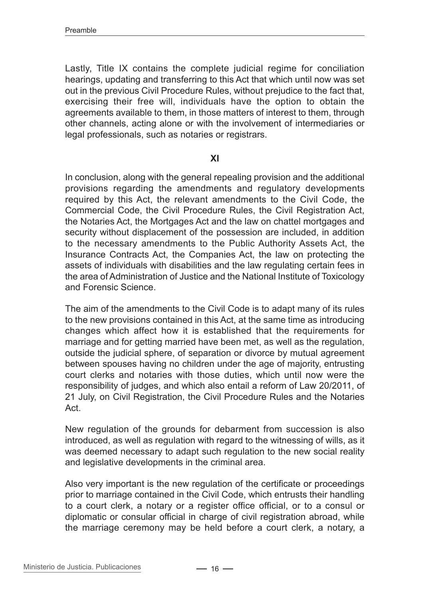Lastly, Title IX contains the complete judicial regime for conciliation hearings, updating and transferring to this Act that which until now was set out in the previous Civil Procedure Rules, without prejudice to the fact that, exercising their free will, individuals have the option to obtain the agreements available to them, in those matters of interest to them, through other channels, acting alone or with the involvement of intermediaries or legal professionals, such as notaries or registrars.

#### **XI**

In conclusion, along with the general repealing provision and the additional provisions regarding the amendments and regulatory developments required by this Act, the relevant amendments to the Civil Code, the Commercial Code, the Civil Procedure Rules, the Civil Registration Act, the Notaries Act, the Mortgages Act and the law on chattel mortgages and security without displacement of the possession are included, in addition to the necessary amendments to the Public Authority Assets Act, the Insurance Contracts Act, the Companies Act, the law on protecting the assets of individuals with disabilities and the law regulating certain fees in the area of Administration of Justice and the National Institute of Toxicology and Forensic Science.

The aim of the amendments to the Civil Code is to adapt many of its rules to the new provisions contained in this Act, at the same time as introducing changes which affect how it is established that the requirements for marriage and for getting married have been met, as well as the regulation, outside the judicial sphere, of separation or divorce by mutual agreement between spouses having no children under the age of majority, entrusting court clerks and notaries with those duties, which until now were the responsibility of judges, and which also entail a reform of Law 20/2011, of 21 July, on Civil Registration, the Civil Procedure Rules and the Notaries Act.

New regulation of the grounds for debarment from succession is also introduced, as well as regulation with regard to the witnessing of wills, as it was deemed necessary to adapt such regulation to the new social reality and legislative developments in the criminal area.

Also very important is the new regulation of the certificate or proceedings prior to marriage contained in the Civil Code, which entrusts their handling to a court clerk, a notary or a register office official, or to a consul or diplomatic or consular official in charge of civil registration abroad, while the marriage ceremony may be held before a court clerk, a notary, a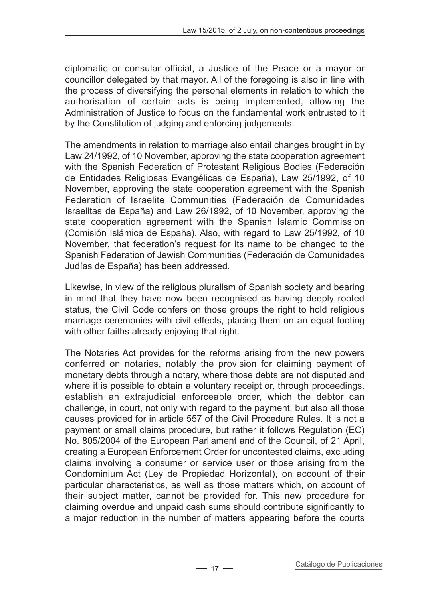diplomatic or consular official, a Justice of the Peace or a mayor or councillor delegated by that mayor. All of the foregoing is also in line with the process of diversifying the personal elements in relation to which the authorisation of certain acts is being implemented, allowing the Administration of Justice to focus on the fundamental work entrusted to it by the Constitution of judging and enforcing judgements.

The amendments in relation to marriage also entail changes brought in by Law 24/1992, of 10 November, approving the state cooperation agreement with the Spanish Federation of Protestant Religious Bodies (Federación de Entidades Religiosas Evangélicas de España), Law 25/1992, of 10 November, approving the state cooperation agreement with the Spanish Federation of Israelite Communities (Federación de Comunidades Israelitas de España) and Law 26/1992, of 10 November, approving the state cooperation agreement with the Spanish Islamic Commission (Comisión Islámica de España). Also, with regard to Law 25/1992, of 10 November, that federation's request for its name to be changed to the Spanish Federation of Jewish Communities (Federación de Comunidades Judías de España) has been addressed.

Likewise, in view of the religious pluralism of Spanish society and bearing in mind that they have now been recognised as having deeply rooted status, the Civil Code confers on those groups the right to hold religious marriage ceremonies with civil effects, placing them on an equal footing with other faiths already enjoying that right.

The Notaries Act provides for the reforms arising from the new powers conferred on notaries, notably the provision for claiming payment of monetary debts through a notary, where those debts are not disputed and where it is possible to obtain a voluntary receipt or, through proceedings, establish an extrajudicial enforceable order, which the debtor can challenge, in court, not only with regard to the payment, but also all those causes provided for in article 557 of the Civil Procedure Rules. It is not a payment or small claims procedure, but rather it follows Regulation (EC) No. 805/2004 of the European Parliament and of the Council, of 21 April, creating a European Enforcement Order for uncontested claims, excluding claims involving a consumer or service user or those arising from the Condominium Act (Ley de Propiedad Horizontal), on account of their particular characteristics, as well as those matters which, on account of their subject matter, cannot be provided for. This new procedure for claiming overdue and unpaid cash sums should contribute significantly to a major reduction in the number of matters appearing before the courts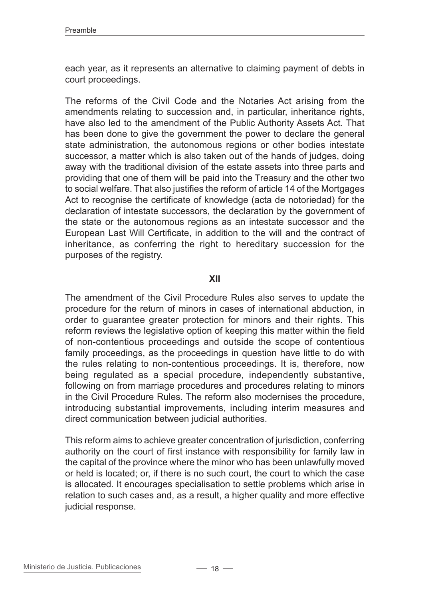each year, as it represents an alternative to claiming payment of debts in court proceedings.

The reforms of the Civil Code and the Notaries Act arising from the amendments relating to succession and, in particular, inheritance rights, have also led to the amendment of the Public Authority Assets Act. That has been done to give the government the power to declare the general state administration, the autonomous regions or other bodies intestate successor, a matter which is also taken out of the hands of judges, doing away with the traditional division of the estate assets into three parts and providing that one of them will be paid into the Treasury and the other two to social welfare. That also justifies the reform of article 14 of the Mortgages Act to recognise the certificate of knowledge (acta de notoriedad) for the declaration of intestate successors, the declaration by the government of the state or the autonomous regions as an intestate successor and the European Last Will Certificate, in addition to the will and the contract of inheritance, as conferring the right to hereditary succession for the purposes of the registry.

#### **XII**

The amendment of the Civil Procedure Rules also serves to update the procedure for the return of minors in cases of international abduction, in order to guarantee greater protection for minors and their rights. This reform reviews the legislative option of keeping this matter within the field of non-contentious proceedings and outside the scope of contentious family proceedings, as the proceedings in question have little to do with the rules relating to non-contentious proceedings. It is, therefore, now being regulated as a special procedure, independently substantive, following on from marriage procedures and procedures relating to minors in the Civil Procedure Rules. The reform also modernises the procedure, introducing substantial improvements, including interim measures and direct communication between judicial authorities.

This reform aims to achieve greater concentration of jurisdiction, conferring authority on the court of first instance with responsibility for family law in the capital of the province where the minor who has been unlawfully moved or held is located; or, if there is no such court, the court to which the case is allocated. It encourages specialisation to settle problems which arise in relation to such cases and, as a result, a higher quality and more effective judicial response.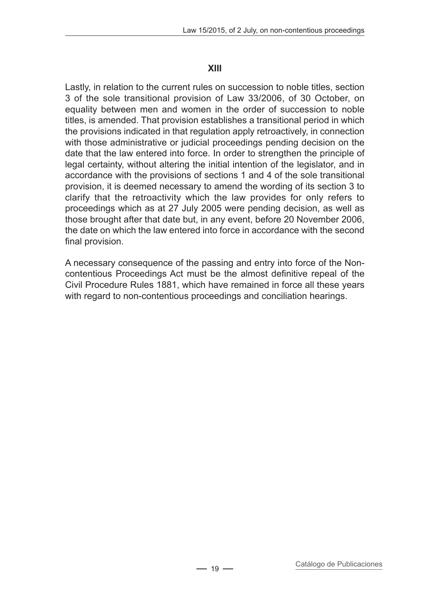#### **XIII**

Lastly, in relation to the current rules on succession to noble titles, section 3 of the sole transitional provision of Law 33/2006, of 30 October, on equality between men and women in the order of succession to noble titles, is amended. That provision establishes a transitional period in which the provisions indicated in that regulation apply retroactively, in connection with those administrative or judicial proceedings pending decision on the date that the law entered into force. In order to strengthen the principle of legal certainty, without altering the initial intention of the legislator, and in accordance with the provisions of sections 1 and 4 of the sole transitional provision, it is deemed necessary to amend the wording of its section 3 to clarify that the retroactivity which the law provides for only refers to proceedings which as at 27 July 2005 were pending decision, as well as those brought after that date but, in any event, before 20 November 2006, the date on which the law entered into force in accordance with the second final provision.

A necessary consequence of the passing and entry into force of the Noncontentious Proceedings Act must be the almost definitive repeal of the Civil Procedure Rules 1881, which have remained in force all these years with regard to non-contentious proceedings and conciliation hearings.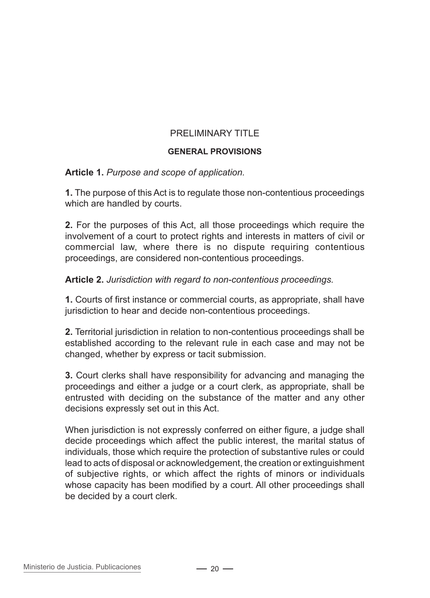## PRELIMINARY TITLE

#### **General provisions**

#### **Article 1.** *Purpose and scope of application.*

**1.** The purpose of this Act is to regulate those non-contentious proceedings which are handled by courts.

**2.** For the purposes of this Act, all those proceedings which require the involvement of a court to protect rights and interests in matters of civil or commercial law, where there is no dispute requiring contentious proceedings, are considered non-contentious proceedings.

#### **Article 2.** *Jurisdiction with regard to non-contentious proceedings.*

**1.** Courts of first instance or commercial courts, as appropriate, shall have jurisdiction to hear and decide non-contentious proceedings.

**2.** Territorial jurisdiction in relation to non-contentious proceedings shall be established according to the relevant rule in each case and may not be changed, whether by express or tacit submission.

**3.** Court clerks shall have responsibility for advancing and managing the proceedings and either a judge or a court clerk, as appropriate, shall be entrusted with deciding on the substance of the matter and any other decisions expressly set out in this Act.

When jurisdiction is not expressly conferred on either figure, a judge shall decide proceedings which affect the public interest, the marital status of individuals, those which require the protection of substantive rules or could lead to acts of disposal or acknowledgement, the creation or extinguishment of subjective rights, or which affect the rights of minors or individuals whose capacity has been modified by a court. All other proceedings shall be decided by a court clerk.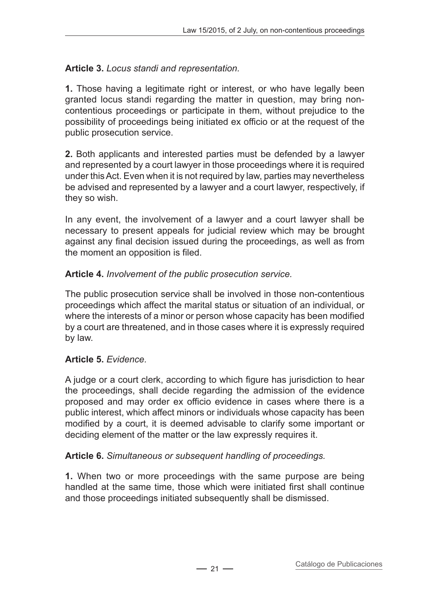## **Article 3.** *Locus standi and representation.*

**1.** Those having a legitimate right or interest, or who have legally been granted locus standi regarding the matter in question, may bring noncontentious proceedings or participate in them, without prejudice to the possibility of proceedings being initiated ex officio or at the request of the public prosecution service.

**2.** Both applicants and interested parties must be defended by a lawyer and represented by a court lawyer in those proceedings where it is required under this Act. Even when it is not required by law, parties may nevertheless be advised and represented by a lawyer and a court lawyer, respectively, if they so wish.

In any event, the involvement of a lawyer and a court lawyer shall be necessary to present appeals for judicial review which may be brought against any final decision issued during the proceedings, as well as from the moment an opposition is filed.

## **Article 4.** *Involvement of the public prosecution service.*

The public prosecution service shall be involved in those non-contentious proceedings which affect the marital status or situation of an individual, or where the interests of a minor or person whose capacity has been modified by a court are threatened, and in those cases where it is expressly required by law.

## **Article 5.** *Evidence.*

A judge or a court clerk, according to which figure has jurisdiction to hear the proceedings, shall decide regarding the admission of the evidence proposed and may order ex officio evidence in cases where there is a public interest, which affect minors or individuals whose capacity has been modified by a court, it is deemed advisable to clarify some important or deciding element of the matter or the law expressly requires it.

## **Article 6.** *Simultaneous or subsequent handling of proceedings.*

**1.** When two or more proceedings with the same purpose are being handled at the same time, those which were initiated first shall continue and those proceedings initiated subsequently shall be dismissed.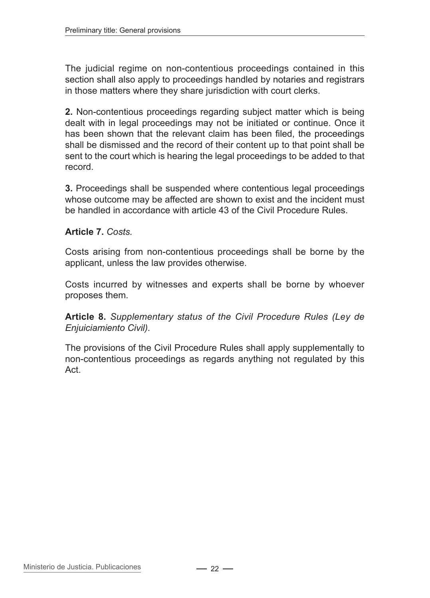The judicial regime on non-contentious proceedings contained in this section shall also apply to proceedings handled by notaries and registrars in those matters where they share jurisdiction with court clerks.

**2.** Non-contentious proceedings regarding subject matter which is being dealt with in legal proceedings may not be initiated or continue. Once it has been shown that the relevant claim has been filed, the proceedings shall be dismissed and the record of their content up to that point shall be sent to the court which is hearing the legal proceedings to be added to that record.

**3.** Proceedings shall be suspended where contentious legal proceedings whose outcome may be affected are shown to exist and the incident must be handled in accordance with article 43 of the Civil Procedure Rules.

## **Article 7.** *Costs.*

Costs arising from non-contentious proceedings shall be borne by the applicant, unless the law provides otherwise.

Costs incurred by witnesses and experts shall be borne by whoever proposes them.

**Article 8.** *Supplementary status of the Civil Procedure Rules (Ley de Enjuiciamiento Civil).*

The provisions of the Civil Procedure Rules shall apply supplementally to non-contentious proceedings as regards anything not regulated by this Act.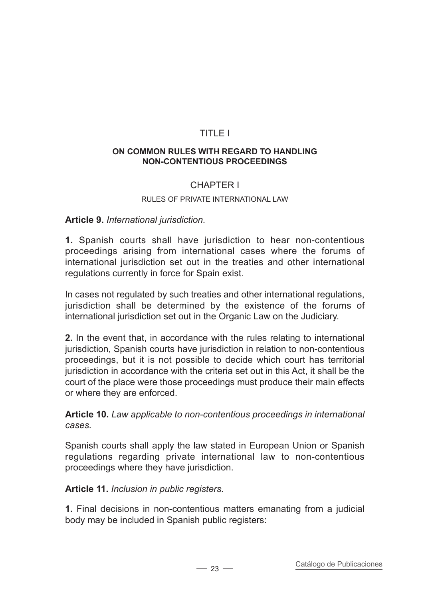## TITLE I

#### **On common rules with regard to handling non-contentious proceedings**

## CHAPTER I

#### Rules of private international law

#### **Article 9.** *International jurisdiction.*

**1.** Spanish courts shall have jurisdiction to hear non-contentious proceedings arising from international cases where the forums of international jurisdiction set out in the treaties and other international regulations currently in force for Spain exist.

In cases not regulated by such treaties and other international regulations, jurisdiction shall be determined by the existence of the forums of international jurisdiction set out in the Organic Law on the Judiciary.

**2.** In the event that, in accordance with the rules relating to international jurisdiction, Spanish courts have jurisdiction in relation to non-contentious proceedings, but it is not possible to decide which court has territorial jurisdiction in accordance with the criteria set out in this Act, it shall be the court of the place were those proceedings must produce their main effects or where they are enforced.

**Article 10.** *Law applicable to non-contentious proceedings in international cases.*

Spanish courts shall apply the law stated in European Union or Spanish regulations regarding private international law to non-contentious proceedings where they have jurisdiction.

#### **Article 11.** *Inclusion in public registers.*

**1.** Final decisions in non-contentious matters emanating from a judicial body may be included in Spanish public registers: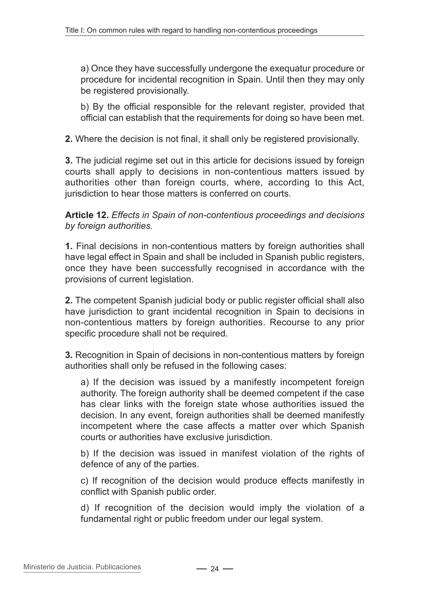a) Once they have successfully undergone the exequatur procedure or procedure for incidental recognition in Spain. Until then they may only be registered provisionally.

b) By the official responsible for the relevant register, provided that official can establish that the requirements for doing so have been met.

**2.** Where the decision is not final, it shall only be registered provisionally.

**3.** The judicial regime set out in this article for decisions issued by foreign courts shall apply to decisions in non-contentious matters issued by authorities other than foreign courts, where, according to this Act, jurisdiction to hear those matters is conferred on courts.

**Article 12.** *Effects in Spain of non-contentious proceedings and decisions by foreign authorities.*

**1.** Final decisions in non-contentious matters by foreign authorities shall have legal effect in Spain and shall be included in Spanish public registers, once they have been successfully recognised in accordance with the provisions of current legislation.

**2.** The competent Spanish judicial body or public register official shall also have jurisdiction to grant incidental recognition in Spain to decisions in non-contentious matters by foreign authorities. Recourse to any prior specific procedure shall not be required.

**3.** Recognition in Spain of decisions in non-contentious matters by foreign authorities shall only be refused in the following cases:

a) If the decision was issued by a manifestly incompetent foreign authority. The foreign authority shall be deemed competent if the case has clear links with the foreign state whose authorities issued the decision. In any event, foreign authorities shall be deemed manifestly incompetent where the case affects a matter over which Spanish courts or authorities have exclusive jurisdiction.

b) If the decision was issued in manifest violation of the rights of defence of any of the parties.

c) If recognition of the decision would produce effects manifestly in conflict with Spanish public order.

d) If recognition of the decision would imply the violation of a fundamental right or public freedom under our legal system.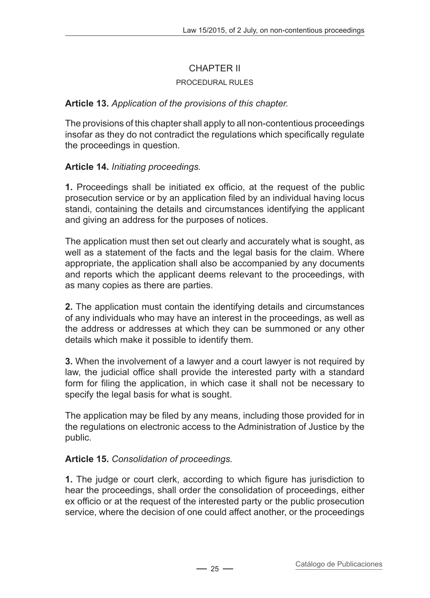## CHAPTER II

#### Procedural rules

## **Article 13.** *Application of the provisions of this chapter.*

The provisions of this chapter shall apply to all non-contentious proceedings insofar as they do not contradict the regulations which specifically regulate the proceedings in question.

## **Article 14.** *Initiating proceedings.*

**1.** Proceedings shall be initiated ex officio, at the request of the public prosecution service or by an application filed by an individual having locus standi, containing the details and circumstances identifying the applicant and giving an address for the purposes of notices.

The application must then set out clearly and accurately what is sought, as well as a statement of the facts and the legal basis for the claim. Where appropriate, the application shall also be accompanied by any documents and reports which the applicant deems relevant to the proceedings, with as many copies as there are parties.

**2.** The application must contain the identifying details and circumstances of any individuals who may have an interest in the proceedings, as well as the address or addresses at which they can be summoned or any other details which make it possible to identify them.

**3.** When the involvement of a lawyer and a court lawyer is not required by law, the judicial office shall provide the interested party with a standard form for filing the application, in which case it shall not be necessary to specify the legal basis for what is sought.

The application may be filed by any means, including those provided for in the regulations on electronic access to the Administration of Justice by the public.

## **Article 15.** *Consolidation of proceedings.*

**1.** The judge or court clerk, according to which figure has jurisdiction to hear the proceedings, shall order the consolidation of proceedings, either ex officio or at the request of the interested party or the public prosecution service, where the decision of one could affect another, or the proceedings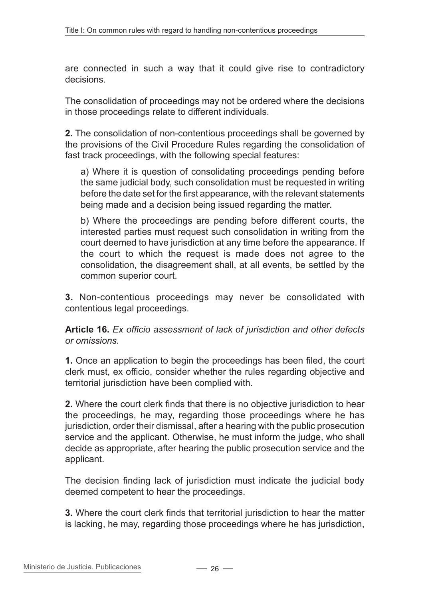are connected in such a way that it could give rise to contradictory decisions.

The consolidation of proceedings may not be ordered where the decisions in those proceedings relate to different individuals.

**2.** The consolidation of non-contentious proceedings shall be governed by the provisions of the Civil Procedure Rules regarding the consolidation of fast track proceedings, with the following special features:

a) Where it is question of consolidating proceedings pending before the same judicial body, such consolidation must be requested in writing before the date set for the first appearance, with the relevant statements being made and a decision being issued regarding the matter.

b) Where the proceedings are pending before different courts, the interested parties must request such consolidation in writing from the court deemed to have jurisdiction at any time before the appearance. If the court to which the request is made does not agree to the consolidation, the disagreement shall, at all events, be settled by the common superior court.

**3.** Non-contentious proceedings may never be consolidated with contentious legal proceedings.

**Article 16.** *Ex officio assessment of lack of jurisdiction and other defects or omissions.*

**1.** Once an application to begin the proceedings has been filed, the court clerk must, ex officio, consider whether the rules regarding objective and territorial jurisdiction have been complied with.

**2.** Where the court clerk finds that there is no objective jurisdiction to hear the proceedings, he may, regarding those proceedings where he has jurisdiction, order their dismissal, after a hearing with the public prosecution service and the applicant. Otherwise, he must inform the judge, who shall decide as appropriate, after hearing the public prosecution service and the applicant.

The decision finding lack of jurisdiction must indicate the judicial body deemed competent to hear the proceedings.

**3.** Where the court clerk finds that territorial jurisdiction to hear the matter is lacking, he may, regarding those proceedings where he has jurisdiction,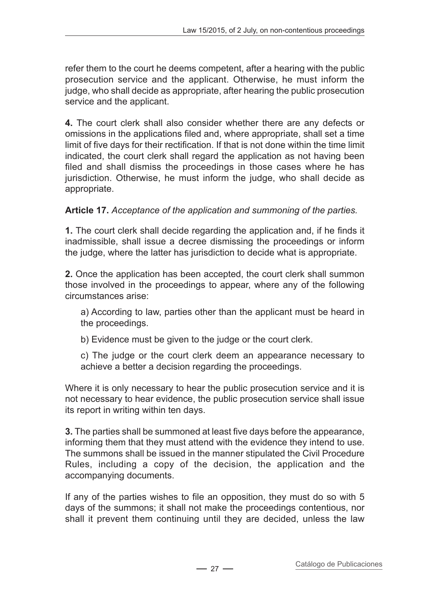refer them to the court he deems competent, after a hearing with the public prosecution service and the applicant. Otherwise, he must inform the judge, who shall decide as appropriate, after hearing the public prosecution service and the applicant.

**4.** The court clerk shall also consider whether there are any defects or omissions in the applications filed and, where appropriate, shall set a time limit of five days for their rectification. If that is not done within the time limit indicated, the court clerk shall regard the application as not having been filed and shall dismiss the proceedings in those cases where he has jurisdiction. Otherwise, he must inform the judge, who shall decide as appropriate.

## **Article 17.** *Acceptance of the application and summoning of the parties.*

**1.** The court clerk shall decide regarding the application and, if he finds it inadmissible, shall issue a decree dismissing the proceedings or inform the judge, where the latter has jurisdiction to decide what is appropriate.

**2.** Once the application has been accepted, the court clerk shall summon those involved in the proceedings to appear, where any of the following circumstances arise:

a) According to law, parties other than the applicant must be heard in the proceedings.

b) Evidence must be given to the judge or the court clerk.

c) The judge or the court clerk deem an appearance necessary to achieve a better a decision regarding the proceedings.

Where it is only necessary to hear the public prosecution service and it is not necessary to hear evidence, the public prosecution service shall issue its report in writing within ten days.

**3.** The parties shall be summoned at least five days before the appearance, informing them that they must attend with the evidence they intend to use. The summons shall be issued in the manner stipulated the Civil Procedure Rules, including a copy of the decision, the application and the accompanying documents.

If any of the parties wishes to file an opposition, they must do so with 5 days of the summons; it shall not make the proceedings contentious, nor shall it prevent them continuing until they are decided, unless the law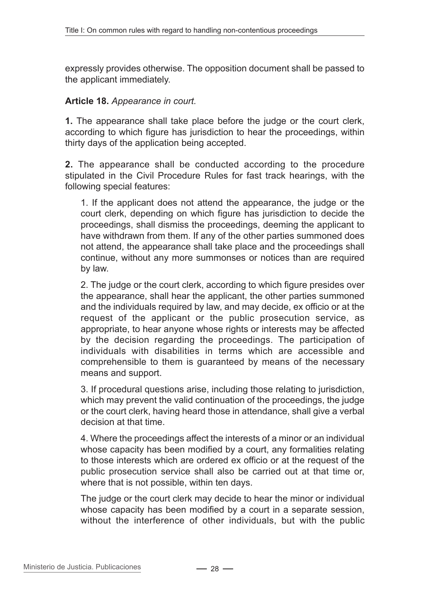expressly provides otherwise. The opposition document shall be passed to the applicant immediately.

#### **Article 18.** *Appearance in court.*

**1.** The appearance shall take place before the judge or the court clerk, according to which figure has jurisdiction to hear the proceedings, within thirty days of the application being accepted.

**2.** The appearance shall be conducted according to the procedure stipulated in the Civil Procedure Rules for fast track hearings, with the following special features:

1. If the applicant does not attend the appearance, the judge or the court clerk, depending on which figure has jurisdiction to decide the proceedings, shall dismiss the proceedings, deeming the applicant to have withdrawn from them. If any of the other parties summoned does not attend, the appearance shall take place and the proceedings shall continue, without any more summonses or notices than are required by law.

2. The judge or the court clerk, according to which figure presides over the appearance, shall hear the applicant, the other parties summoned and the individuals required by law, and may decide, ex officio or at the request of the applicant or the public prosecution service, as appropriate, to hear anyone whose rights or interests may be affected by the decision regarding the proceedings. The participation of individuals with disabilities in terms which are accessible and comprehensible to them is guaranteed by means of the necessary means and support.

3. If procedural questions arise, including those relating to jurisdiction, which may prevent the valid continuation of the proceedings, the judge or the court clerk, having heard those in attendance, shall give a verbal decision at that time.

4. Where the proceedings affect the interests of a minor or an individual whose capacity has been modified by a court, any formalities relating to those interests which are ordered ex officio or at the request of the public prosecution service shall also be carried out at that time or, where that is not possible, within ten days.

The judge or the court clerk may decide to hear the minor or individual whose capacity has been modified by a court in a separate session, without the interference of other individuals, but with the public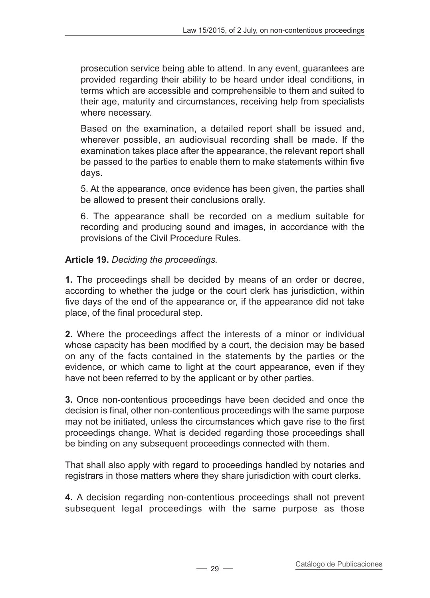prosecution service being able to attend. In any event, guarantees are provided regarding their ability to be heard under ideal conditions, in terms which are accessible and comprehensible to them and suited to their age, maturity and circumstances, receiving help from specialists where necessary.

Based on the examination, a detailed report shall be issued and, wherever possible, an audiovisual recording shall be made. If the examination takes place after the appearance, the relevant report shall be passed to the parties to enable them to make statements within five days.

5. At the appearance, once evidence has been given, the parties shall be allowed to present their conclusions orally.

6. The appearance shall be recorded on a medium suitable for recording and producing sound and images, in accordance with the provisions of the Civil Procedure Rules.

## **Article 19.** *Deciding the proceedings.*

**1.** The proceedings shall be decided by means of an order or decree, according to whether the judge or the court clerk has jurisdiction, within five days of the end of the appearance or, if the appearance did not take place, of the final procedural step.

**2.** Where the proceedings affect the interests of a minor or individual whose capacity has been modified by a court, the decision may be based on any of the facts contained in the statements by the parties or the evidence, or which came to light at the court appearance, even if they have not been referred to by the applicant or by other parties.

**3.** Once non-contentious proceedings have been decided and once the decision is final, other non-contentious proceedings with the same purpose may not be initiated, unless the circumstances which gave rise to the first proceedings change. What is decided regarding those proceedings shall be binding on any subsequent proceedings connected with them.

That shall also apply with regard to proceedings handled by notaries and registrars in those matters where they share jurisdiction with court clerks.

**4.** A decision regarding non-contentious proceedings shall not prevent subsequent legal proceedings with the same purpose as those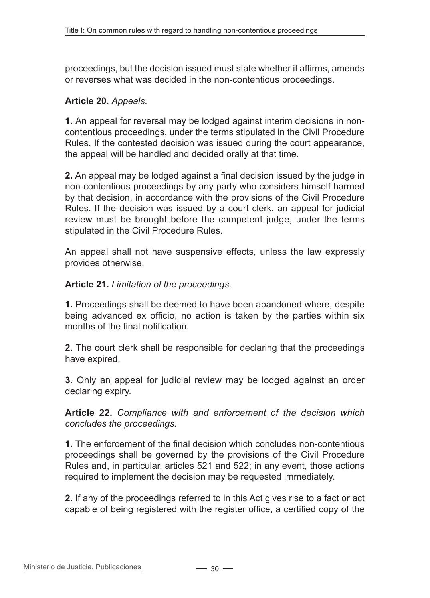proceedings, but the decision issued must state whether it affirms, amends or reverses what was decided in the non-contentious proceedings.

#### **Article 20.** *Appeals.*

**1.** An appeal for reversal may be lodged against interim decisions in noncontentious proceedings, under the terms stipulated in the Civil Procedure Rules. If the contested decision was issued during the court appearance, the appeal will be handled and decided orally at that time.

**2.** An appeal may be lodged against a final decision issued by the judge in non-contentious proceedings by any party who considers himself harmed by that decision, in accordance with the provisions of the Civil Procedure Rules. If the decision was issued by a court clerk, an appeal for judicial review must be brought before the competent judge, under the terms stipulated in the Civil Procedure Rules.

An appeal shall not have suspensive effects, unless the law expressly provides otherwise.

#### **Article 21.** *Limitation of the proceedings.*

**1.** Proceedings shall be deemed to have been abandoned where, despite being advanced ex officio, no action is taken by the parties within six months of the final notification.

**2.** The court clerk shall be responsible for declaring that the proceedings have expired.

**3.** Only an appeal for judicial review may be lodged against an order declaring expiry.

**Article 22.** *Compliance with and enforcement of the decision which concludes the proceedings.*

**1.** The enforcement of the final decision which concludes non-contentious proceedings shall be governed by the provisions of the Civil Procedure Rules and, in particular, articles 521 and 522; in any event, those actions required to implement the decision may be requested immediately.

**2.** If any of the proceedings referred to in this Act gives rise to a fact or act capable of being registered with the register office, a certified copy of the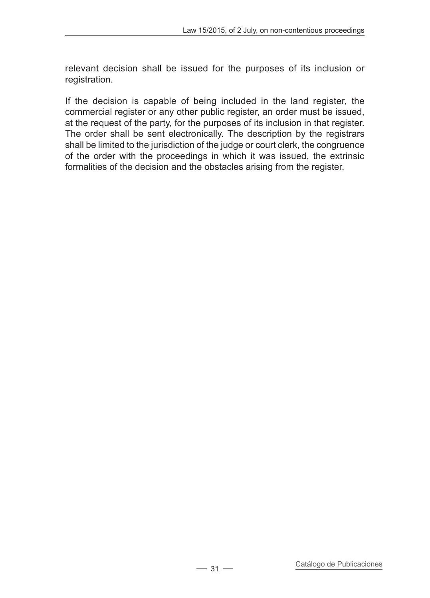relevant decision shall be issued for the purposes of its inclusion or registration.

If the decision is capable of being included in the land register, the commercial register or any other public register, an order must be issued. at the request of the party, for the purposes of its inclusion in that register. The order shall be sent electronically. The description by the registrars shall be limited to the jurisdiction of the judge or court clerk, the congruence of the order with the proceedings in which it was issued, the extrinsic formalities of the decision and the obstacles arising from the register.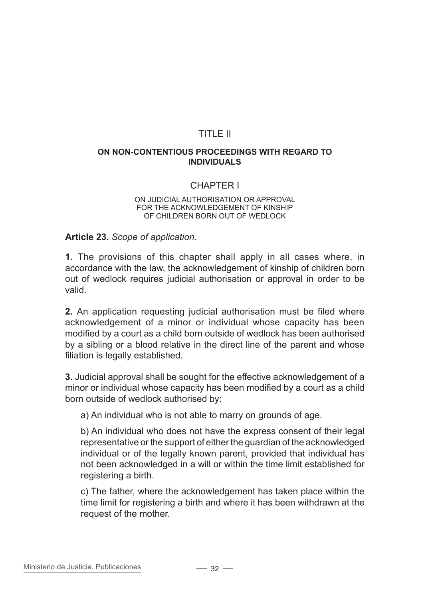## TITLE II

#### **On non-contentious proceedings with regard to individuals**

## CHAPTER I

#### On judicial authorisation or approval for the acknowledgement of kinship of children born out of wedlock

**Article 23.** *Scope of application.*

**1.** The provisions of this chapter shall apply in all cases where, in accordance with the law, the acknowledgement of kinship of children born out of wedlock requires judicial authorisation or approval in order to be valid.

**2.** An application requesting judicial authorisation must be filed where acknowledgement of a minor or individual whose capacity has been modified by a court as a child born outside of wedlock has been authorised by a sibling or a blood relative in the direct line of the parent and whose filiation is legally established.

**3.** Judicial approval shall be sought for the effective acknowledgement of a minor or individual whose capacity has been modified by a court as a child born outside of wedlock authorised by:

a) An individual who is not able to marry on grounds of age.

b) An individual who does not have the express consent of their legal representative or the support of either the guardian of the acknowledged individual or of the legally known parent, provided that individual has not been acknowledged in a will or within the time limit established for registering a birth.

c) The father, where the acknowledgement has taken place within the time limit for registering a birth and where it has been withdrawn at the request of the mother.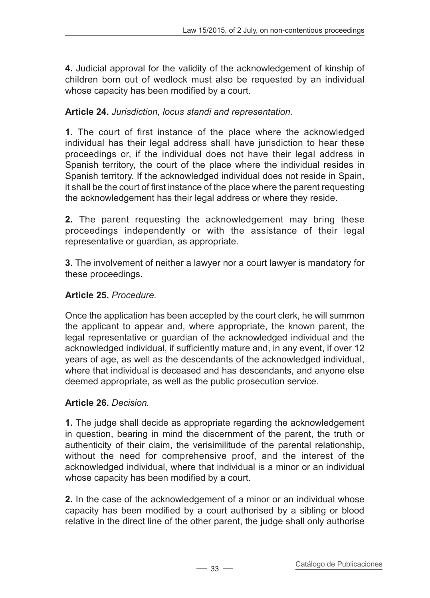**4.** Judicial approval for the validity of the acknowledgement of kinship of children born out of wedlock must also be requested by an individual whose capacity has been modified by a court.

## **Article 24.** *Jurisdiction, locus standi and representation.*

**1.** The court of first instance of the place where the acknowledged individual has their legal address shall have jurisdiction to hear these proceedings or, if the individual does not have their legal address in Spanish territory, the court of the place where the individual resides in Spanish territory. If the acknowledged individual does not reside in Spain, it shall be the court of first instance of the place where the parent requesting the acknowledgement has their legal address or where they reside.

**2.** The parent requesting the acknowledgement may bring these proceedings independently or with the assistance of their legal representative or guardian, as appropriate.

**3.** The involvement of neither a lawyer nor a court lawyer is mandatory for these proceedings.

## **Article 25.** *Procedure.*

Once the application has been accepted by the court clerk, he will summon the applicant to appear and, where appropriate, the known parent, the legal representative or guardian of the acknowledged individual and the acknowledged individual, if sufficiently mature and, in any event, if over 12 years of age, as well as the descendants of the acknowledged individual, where that individual is deceased and has descendants, and anyone else deemed appropriate, as well as the public prosecution service.

## **Article 26.** *Decision.*

**1.** The judge shall decide as appropriate regarding the acknowledgement in question, bearing in mind the discernment of the parent, the truth or authenticity of their claim, the verisimilitude of the parental relationship, without the need for comprehensive proof, and the interest of the acknowledged individual, where that individual is a minor or an individual whose capacity has been modified by a court.

**2.** In the case of the acknowledgement of a minor or an individual whose capacity has been modified by a court authorised by a sibling or blood relative in the direct line of the other parent, the judge shall only authorise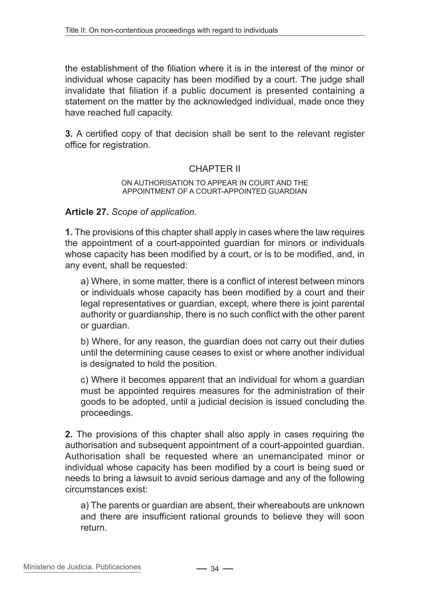the establishment of the filiation where it is in the interest of the minor or individual whose capacity has been modified by a court. The judge shall invalidate that filiation if a public document is presented containing a statement on the matter by the acknowledged individual, made once they have reached full capacity.

**3.** A certified copy of that decision shall be sent to the relevant register office for registration.

## CHAPTER II

#### On authorisation to appear in court and the appointment of a court-appointed guardian

#### **Article 27.** *Scope of application.*

**1.** The provisions of this chapter shall apply in cases where the law requires the appointment of a court-appointed guardian for minors or individuals whose capacity has been modified by a court, or is to be modified, and, in any event, shall be requested:

a) Where, in some matter, there is a conflict of interest between minors or individuals whose capacity has been modified by a court and their legal representatives or guardian, except, where there is joint parental authority or guardianship, there is no such conflict with the other parent or guardian.

b) Where, for any reason, the guardian does not carry out their duties until the determining cause ceases to exist or where another individual is designated to hold the position.

c) Where it becomes apparent that an individual for whom a guardian must be appointed requires measures for the administration of their goods to be adopted, until a judicial decision is issued concluding the proceedings.

**2.** The provisions of this chapter shall also apply in cases requiring the authorisation and subsequent appointment of a court-appointed guardian. Authorisation shall be requested where an unemancipated minor or individual whose capacity has been modified by a court is being sued or needs to bring a lawsuit to avoid serious damage and any of the following circumstances exist:

a) The parents or guardian are absent, their whereabouts are unknown and there are insufficient rational grounds to believe they will soon return.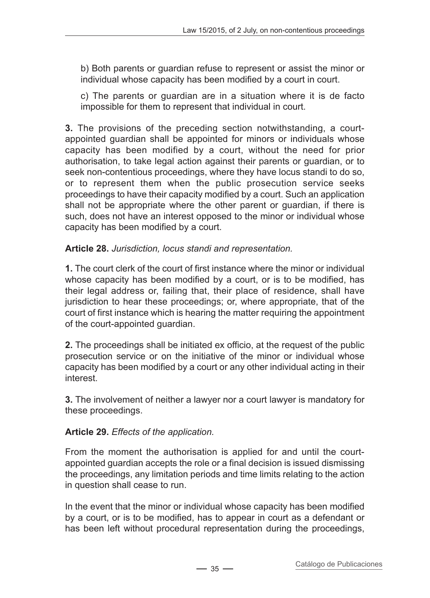b) Both parents or guardian refuse to represent or assist the minor or individual whose capacity has been modified by a court in court.

c) The parents or guardian are in a situation where it is de facto impossible for them to represent that individual in court.

**3.** The provisions of the preceding section notwithstanding, a courtappointed guardian shall be appointed for minors or individuals whose capacity has been modified by a court, without the need for prior authorisation, to take legal action against their parents or guardian, or to seek non-contentious proceedings, where they have locus standi to do so, or to represent them when the public prosecution service seeks proceedings to have their capacity modified by a court. Such an application shall not be appropriate where the other parent or guardian, if there is such, does not have an interest opposed to the minor or individual whose capacity has been modified by a court.

## **Article 28.** *Jurisdiction, locus standi and representation.*

**1.** The court clerk of the court of first instance where the minor or individual whose capacity has been modified by a court, or is to be modified, has their legal address or, failing that, their place of residence, shall have jurisdiction to hear these proceedings; or, where appropriate, that of the court of first instance which is hearing the matter requiring the appointment of the court-appointed guardian.

**2.** The proceedings shall be initiated ex officio, at the request of the public prosecution service or on the initiative of the minor or individual whose capacity has been modified by a court or any other individual acting in their interest.

**3.** The involvement of neither a lawyer nor a court lawyer is mandatory for these proceedings.

## **Article 29.** *Effects of the application.*

From the moment the authorisation is applied for and until the courtappointed guardian accepts the role or a final decision is issued dismissing the proceedings, any limitation periods and time limits relating to the action in question shall cease to run.

In the event that the minor or individual whose capacity has been modified by a court, or is to be modified, has to appear in court as a defendant or has been left without procedural representation during the proceedings,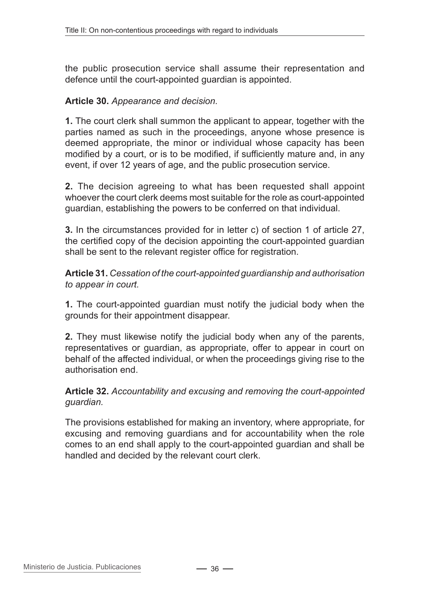the public prosecution service shall assume their representation and defence until the court-appointed guardian is appointed.

#### **Article 30.** *Appearance and decision.*

**1.** The court clerk shall summon the applicant to appear, together with the parties named as such in the proceedings, anyone whose presence is deemed appropriate, the minor or individual whose capacity has been modified by a court, or is to be modified, if sufficiently mature and, in any event, if over 12 years of age, and the public prosecution service.

**2.** The decision agreeing to what has been requested shall appoint whoever the court clerk deems most suitable for the role as court-appointed guardian, establishing the powers to be conferred on that individual.

**3.** In the circumstances provided for in letter c) of section 1 of article 27, the certified copy of the decision appointing the court-appointed guardian shall be sent to the relevant register office for registration.

**Article 31.** *Cessation of the court-appointed guardianship and authorisation to appear in court.*

**1.** The court-appointed guardian must notify the judicial body when the grounds for their appointment disappear.

**2.** They must likewise notify the judicial body when any of the parents, representatives or guardian, as appropriate, offer to appear in court on behalf of the affected individual, or when the proceedings giving rise to the authorisation end.

**Article 32.** *Accountability and excusing and removing the court-appointed guardian.*

The provisions established for making an inventory, where appropriate, for excusing and removing guardians and for accountability when the role comes to an end shall apply to the court-appointed guardian and shall be handled and decided by the relevant court clerk.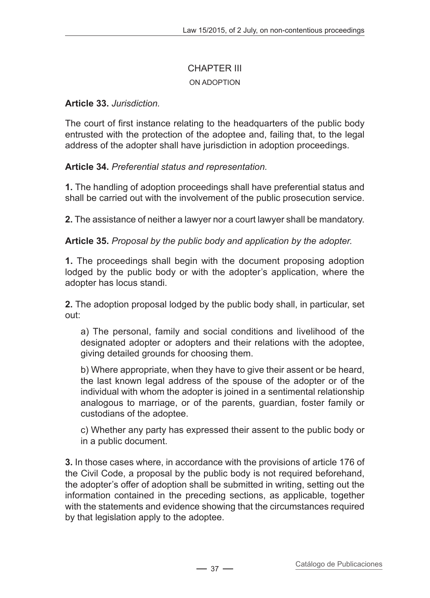# CHAPTER III

### On adoption

### **Article 33.** *Jurisdiction.*

The court of first instance relating to the headquarters of the public body entrusted with the protection of the adoptee and, failing that, to the legal address of the adopter shall have jurisdiction in adoption proceedings.

**Article 34.** *Preferential status and representation.*

**1.** The handling of adoption proceedings shall have preferential status and shall be carried out with the involvement of the public prosecution service.

**2.** The assistance of neither a lawyer nor a court lawyer shall be mandatory.

**Article 35.** *Proposal by the public body and application by the adopter.*

**1.** The proceedings shall begin with the document proposing adoption lodged by the public body or with the adopter's application, where the adopter has locus standi.

**2.** The adoption proposal lodged by the public body shall, in particular, set out:

a) The personal, family and social conditions and livelihood of the designated adopter or adopters and their relations with the adoptee, giving detailed grounds for choosing them.

b) Where appropriate, when they have to give their assent or be heard, the last known legal address of the spouse of the adopter or of the individual with whom the adopter is joined in a sentimental relationship analogous to marriage, or of the parents, guardian, foster family or custodians of the adoptee.

c) Whether any party has expressed their assent to the public body or in a public document.

**3.** In those cases where, in accordance with the provisions of article 176 of the Civil Code, a proposal by the public body is not required beforehand, the adopter's offer of adoption shall be submitted in writing, setting out the information contained in the preceding sections, as applicable, together with the statements and evidence showing that the circumstances required by that legislation apply to the adoptee.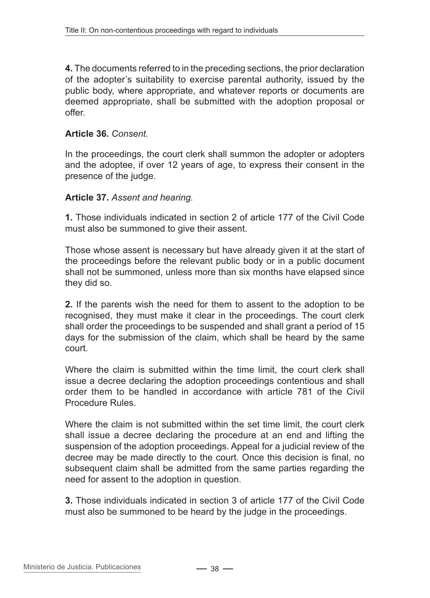**4.** The documents referred to in the preceding sections, the prior declaration of the adopter's suitability to exercise parental authority, issued by the public body, where appropriate, and whatever reports or documents are deemed appropriate, shall be submitted with the adoption proposal or offer.

### **Article 36.** *Consent.*

In the proceedings, the court clerk shall summon the adopter or adopters and the adoptee, if over 12 years of age, to express their consent in the presence of the judge.

### **Article 37.** *Assent and hearing.*

**1.** Those individuals indicated in section 2 of article 177 of the Civil Code must also be summoned to give their assent.

Those whose assent is necessary but have already given it at the start of the proceedings before the relevant public body or in a public document shall not be summoned, unless more than six months have elapsed since they did so.

**2.** If the parents wish the need for them to assent to the adoption to be recognised, they must make it clear in the proceedings. The court clerk shall order the proceedings to be suspended and shall grant a period of 15 days for the submission of the claim, which shall be heard by the same court.

Where the claim is submitted within the time limit, the court clerk shall issue a decree declaring the adoption proceedings contentious and shall order them to be handled in accordance with article 781 of the Civil Procedure Rules.

Where the claim is not submitted within the set time limit, the court clerk shall issue a decree declaring the procedure at an end and lifting the suspension of the adoption proceedings. Appeal for a judicial review of the decree may be made directly to the court. Once this decision is final, no subsequent claim shall be admitted from the same parties regarding the need for assent to the adoption in question.

**3.** Those individuals indicated in section 3 of article 177 of the Civil Code must also be summoned to be heard by the judge in the proceedings.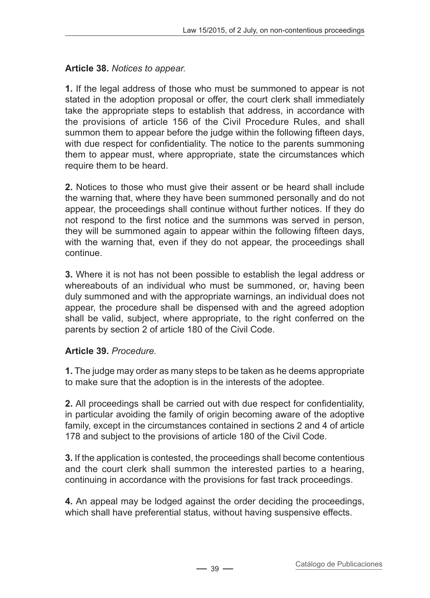### **Article 38.** *Notices to appear.*

**1.** If the legal address of those who must be summoned to appear is not stated in the adoption proposal or offer, the court clerk shall immediately take the appropriate steps to establish that address, in accordance with the provisions of article 156 of the Civil Procedure Rules, and shall summon them to appear before the judge within the following fifteen days, with due respect for confidentiality. The notice to the parents summoning them to appear must, where appropriate, state the circumstances which require them to be heard.

**2.** Notices to those who must give their assent or be heard shall include the warning that, where they have been summoned personally and do not appear, the proceedings shall continue without further notices. If they do not respond to the first notice and the summons was served in person, they will be summoned again to appear within the following fifteen days, with the warning that, even if they do not appear, the proceedings shall continue.

**3.** Where it is not has not been possible to establish the legal address or whereabouts of an individual who must be summoned, or, having been duly summoned and with the appropriate warnings, an individual does not appear, the procedure shall be dispensed with and the agreed adoption shall be valid, subject, where appropriate, to the right conferred on the parents by section 2 of article 180 of the Civil Code.

# **Article 39.** *Procedure.*

**1.** The judge may order as many steps to be taken as he deems appropriate to make sure that the adoption is in the interests of the adoptee.

**2.** All proceedings shall be carried out with due respect for confidentiality, in particular avoiding the family of origin becoming aware of the adoptive family, except in the circumstances contained in sections 2 and 4 of article 178 and subject to the provisions of article 180 of the Civil Code.

**3.** If the application is contested, the proceedings shall become contentious and the court clerk shall summon the interested parties to a hearing, continuing in accordance with the provisions for fast track proceedings.

**4.** An appeal may be lodged against the order deciding the proceedings, which shall have preferential status, without having suspensive effects.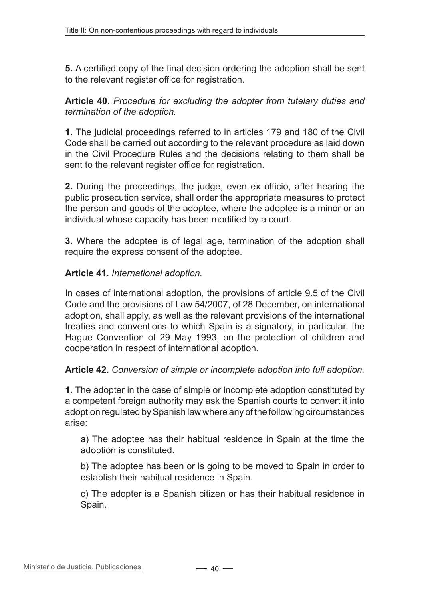**5.** A certified copy of the final decision ordering the adoption shall be sent to the relevant register office for registration.

**Article 40.** *Procedure for excluding the adopter from tutelary duties and termination of the adoption.*

**1.** The judicial proceedings referred to in articles 179 and 180 of the Civil Code shall be carried out according to the relevant procedure as laid down in the Civil Procedure Rules and the decisions relating to them shall be sent to the relevant register office for registration.

**2.** During the proceedings, the judge, even ex officio, after hearing the public prosecution service, shall order the appropriate measures to protect the person and goods of the adoptee, where the adoptee is a minor or an individual whose capacity has been modified by a court.

**3.** Where the adoptee is of legal age, termination of the adoption shall require the express consent of the adoptee.

### **Article 41.** *International adoption.*

In cases of international adoption, the provisions of article 9.5 of the Civil Code and the provisions of Law 54/2007, of 28 December, on international adoption, shall apply, as well as the relevant provisions of the international treaties and conventions to which Spain is a signatory, in particular, the Hague Convention of 29 May 1993, on the protection of children and cooperation in respect of international adoption.

#### **Article 42.** *Conversion of simple or incomplete adoption into full adoption.*

**1.** The adopter in the case of simple or incomplete adoption constituted by a competent foreign authority may ask the Spanish courts to convert it into adoption regulated by Spanish law where any of the following circumstances arise:

a) The adoptee has their habitual residence in Spain at the time the adoption is constituted.

b) The adoptee has been or is going to be moved to Spain in order to establish their habitual residence in Spain.

c) The adopter is a Spanish citizen or has their habitual residence in Spain.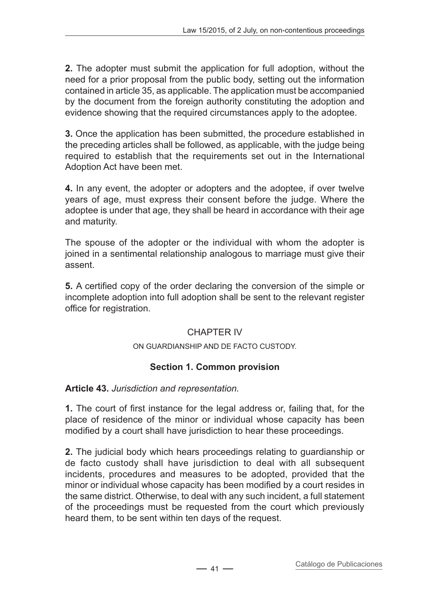**2.** The adopter must submit the application for full adoption, without the need for a prior proposal from the public body, setting out the information contained in article 35, as applicable. The application must be accompanied by the document from the foreign authority constituting the adoption and evidence showing that the required circumstances apply to the adoptee.

**3.** Once the application has been submitted, the procedure established in the preceding articles shall be followed, as applicable, with the judge being required to establish that the requirements set out in the International Adoption Act have been met.

**4.** In any event, the adopter or adopters and the adoptee, if over twelve years of age, must express their consent before the judge. Where the adoptee is under that age, they shall be heard in accordance with their age and maturity.

The spouse of the adopter or the individual with whom the adopter is joined in a sentimental relationship analogous to marriage must give their assent.

**5.** A certified copy of the order declaring the conversion of the simple or incomplete adoption into full adoption shall be sent to the relevant register office for registration.

# CHAPTER IV

#### On guardianship and de facto custody.

# **Section 1. Common provision**

**Article 43.** *Jurisdiction and representation.*

**1.** The court of first instance for the legal address or, failing that, for the place of residence of the minor or individual whose capacity has been modified by a court shall have jurisdiction to hear these proceedings.

**2.** The judicial body which hears proceedings relating to guardianship or de facto custody shall have jurisdiction to deal with all subsequent incidents, procedures and measures to be adopted, provided that the minor or individual whose capacity has been modified by a court resides in the same district. Otherwise, to deal with any such incident, a full statement of the proceedings must be requested from the court which previously heard them, to be sent within ten days of the request.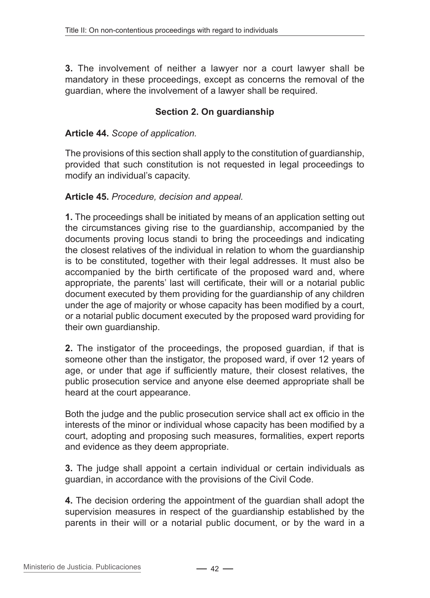**3.** The involvement of neither a lawyer nor a court lawyer shall be mandatory in these proceedings, except as concerns the removal of the guardian, where the involvement of a lawyer shall be required.

### **Section 2. On guardianship**

#### **Article 44.** *Scope of application.*

The provisions of this section shall apply to the constitution of guardianship, provided that such constitution is not requested in legal proceedings to modify an individual's capacity.

#### **Article 45.** *Procedure, decision and appeal.*

**1.** The proceedings shall be initiated by means of an application setting out the circumstances giving rise to the guardianship, accompanied by the documents proving locus standi to bring the proceedings and indicating the closest relatives of the individual in relation to whom the guardianship is to be constituted, together with their legal addresses. It must also be accompanied by the birth certificate of the proposed ward and, where appropriate, the parents' last will certificate, their will or a notarial public document executed by them providing for the guardianship of any children under the age of majority or whose capacity has been modified by a court, or a notarial public document executed by the proposed ward providing for their own guardianship.

**2.** The instigator of the proceedings, the proposed guardian, if that is someone other than the instigator, the proposed ward, if over 12 years of age, or under that age if sufficiently mature, their closest relatives, the public prosecution service and anyone else deemed appropriate shall be heard at the court appearance.

Both the judge and the public prosecution service shall act ex officio in the interests of the minor or individual whose capacity has been modified by a court, adopting and proposing such measures, formalities, expert reports and evidence as they deem appropriate.

**3.** The judge shall appoint a certain individual or certain individuals as guardian, in accordance with the provisions of the Civil Code.

**4.** The decision ordering the appointment of the guardian shall adopt the supervision measures in respect of the guardianship established by the parents in their will or a notarial public document, or by the ward in a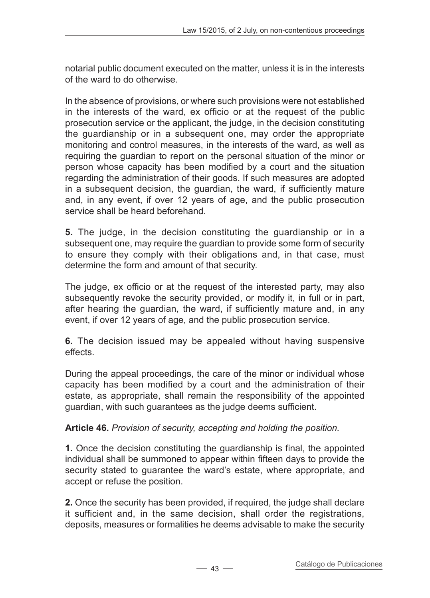notarial public document executed on the matter, unless it is in the interests of the ward to do otherwise.

In the absence of provisions, or where such provisions were not established in the interests of the ward, ex officio or at the request of the public prosecution service or the applicant, the judge, in the decision constituting the guardianship or in a subsequent one, may order the appropriate monitoring and control measures, in the interests of the ward, as well as requiring the guardian to report on the personal situation of the minor or person whose capacity has been modified by a court and the situation regarding the administration of their goods. If such measures are adopted in a subsequent decision, the guardian, the ward, if sufficiently mature and, in any event, if over 12 years of age, and the public prosecution service shall be heard beforehand.

**5.** The judge, in the decision constituting the guardianship or in a subsequent one, may require the guardian to provide some form of security to ensure they comply with their obligations and, in that case, must determine the form and amount of that security.

The judge, ex officio or at the request of the interested party, may also subsequently revoke the security provided, or modify it, in full or in part, after hearing the guardian, the ward, if sufficiently mature and, in any event, if over 12 years of age, and the public prosecution service.

**6.** The decision issued may be appealed without having suspensive effects.

During the appeal proceedings, the care of the minor or individual whose capacity has been modified by a court and the administration of their estate, as appropriate, shall remain the responsibility of the appointed guardian, with such guarantees as the judge deems sufficient.

**Article 46.** *Provision of security, accepting and holding the position.*

**1.** Once the decision constituting the guardianship is final, the appointed individual shall be summoned to appear within fifteen days to provide the security stated to guarantee the ward's estate, where appropriate, and accept or refuse the position.

**2.** Once the security has been provided, if required, the judge shall declare it sufficient and, in the same decision, shall order the registrations, deposits, measures or formalities he deems advisable to make the security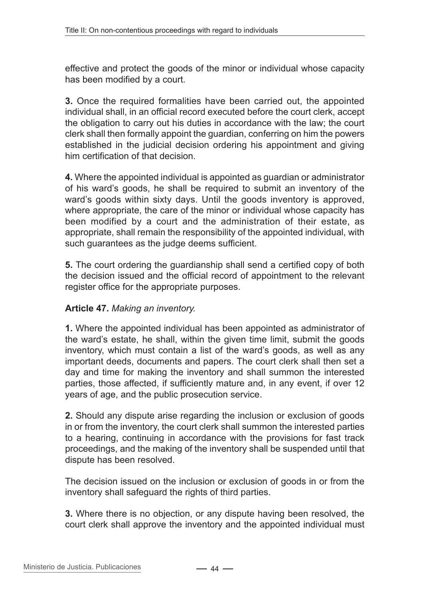effective and protect the goods of the minor or individual whose capacity has been modified by a court.

**3.** Once the required formalities have been carried out, the appointed individual shall, in an official record executed before the court clerk, accept the obligation to carry out his duties in accordance with the law; the court clerk shall then formally appoint the guardian, conferring on him the powers established in the judicial decision ordering his appointment and giving him certification of that decision.

**4.** Where the appointed individual is appointed as guardian or administrator of his ward's goods, he shall be required to submit an inventory of the ward's goods within sixty days. Until the goods inventory is approved, where appropriate, the care of the minor or individual whose capacity has been modified by a court and the administration of their estate, as appropriate, shall remain the responsibility of the appointed individual, with such guarantees as the judge deems sufficient.

**5.** The court ordering the guardianship shall send a certified copy of both the decision issued and the official record of appointment to the relevant register office for the appropriate purposes.

### **Article 47.** *Making an inventory.*

**1.** Where the appointed individual has been appointed as administrator of the ward's estate, he shall, within the given time limit, submit the goods inventory, which must contain a list of the ward's goods, as well as any important deeds, documents and papers. The court clerk shall then set a day and time for making the inventory and shall summon the interested parties, those affected, if sufficiently mature and, in any event, if over 12 years of age, and the public prosecution service.

**2.** Should any dispute arise regarding the inclusion or exclusion of goods in or from the inventory, the court clerk shall summon the interested parties to a hearing, continuing in accordance with the provisions for fast track proceedings, and the making of the inventory shall be suspended until that dispute has been resolved.

The decision issued on the inclusion or exclusion of goods in or from the inventory shall safeguard the rights of third parties.

**3.** Where there is no objection, or any dispute having been resolved, the court clerk shall approve the inventory and the appointed individual must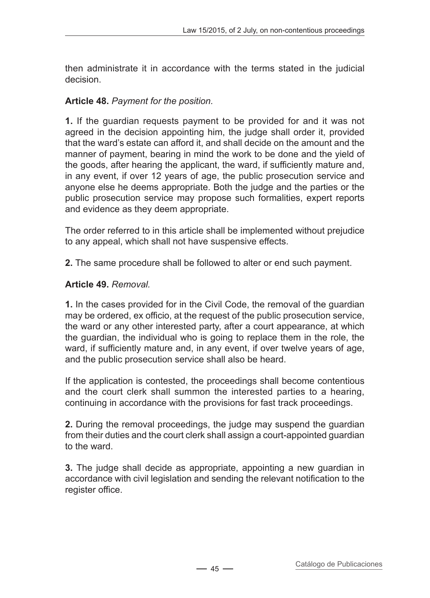then administrate it in accordance with the terms stated in the judicial decision.

### **Article 48.** *Payment for the position.*

**1.** If the guardian requests payment to be provided for and it was not agreed in the decision appointing him, the judge shall order it, provided that the ward's estate can afford it, and shall decide on the amount and the manner of payment, bearing in mind the work to be done and the yield of the goods, after hearing the applicant, the ward, if sufficiently mature and, in any event, if over 12 years of age, the public prosecution service and anyone else he deems appropriate. Both the judge and the parties or the public prosecution service may propose such formalities, expert reports and evidence as they deem appropriate.

The order referred to in this article shall be implemented without prejudice to any appeal, which shall not have suspensive effects.

**2.** The same procedure shall be followed to alter or end such payment.

### **Article 49.** *Removal.*

**1.** In the cases provided for in the Civil Code, the removal of the guardian may be ordered, ex officio, at the request of the public prosecution service, the ward or any other interested party, after a court appearance, at which the guardian, the individual who is going to replace them in the role, the ward, if sufficiently mature and, in any event, if over twelve years of age, and the public prosecution service shall also be heard.

If the application is contested, the proceedings shall become contentious and the court clerk shall summon the interested parties to a hearing, continuing in accordance with the provisions for fast track proceedings.

**2.** During the removal proceedings, the judge may suspend the guardian from their duties and the court clerk shall assign a court-appointed guardian to the ward.

**3.** The judge shall decide as appropriate, appointing a new guardian in accordance with civil legislation and sending the relevant notification to the register office.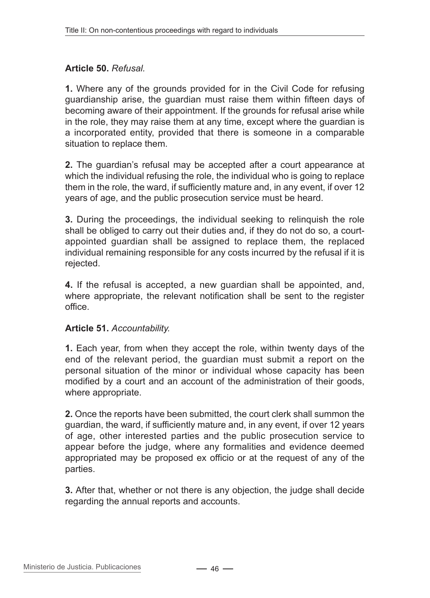### **Article 50.** *Refusal.*

**1.** Where any of the grounds provided for in the Civil Code for refusing guardianship arise, the guardian must raise them within fifteen days of becoming aware of their appointment. If the grounds for refusal arise while in the role, they may raise them at any time, except where the guardian is a incorporated entity, provided that there is someone in a comparable situation to replace them.

**2.** The guardian's refusal may be accepted after a court appearance at which the individual refusing the role, the individual who is going to replace them in the role, the ward, if sufficiently mature and, in any event, if over 12 years of age, and the public prosecution service must be heard.

**3.** During the proceedings, the individual seeking to relinquish the role shall be obliged to carry out their duties and, if they do not do so, a courtappointed guardian shall be assigned to replace them, the replaced individual remaining responsible for any costs incurred by the refusal if it is rejected.

**4.** If the refusal is accepted, a new guardian shall be appointed, and, where appropriate, the relevant notification shall be sent to the register office.

### **Article 51.** *Accountability.*

**1.** Each year, from when they accept the role, within twenty days of the end of the relevant period, the guardian must submit a report on the personal situation of the minor or individual whose capacity has been modified by a court and an account of the administration of their goods, where appropriate.

**2.** Once the reports have been submitted, the court clerk shall summon the guardian, the ward, if sufficiently mature and, in any event, if over 12 years of age, other interested parties and the public prosecution service to appear before the judge, where any formalities and evidence deemed appropriated may be proposed ex officio or at the request of any of the parties.

**3.** After that, whether or not there is any objection, the judge shall decide regarding the annual reports and accounts.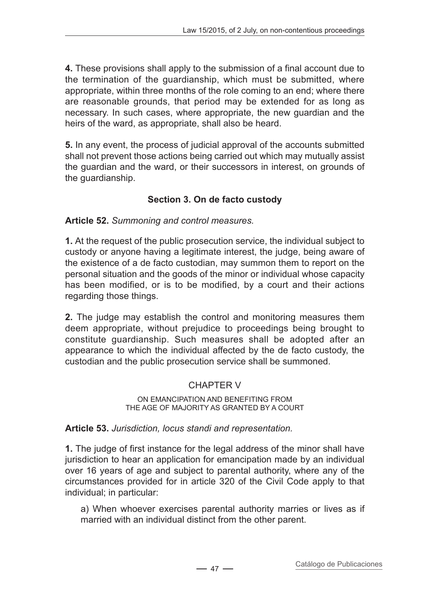**4.** These provisions shall apply to the submission of a final account due to the termination of the guardianship, which must be submitted, where appropriate, within three months of the role coming to an end; where there are reasonable grounds, that period may be extended for as long as necessary. In such cases, where appropriate, the new guardian and the heirs of the ward, as appropriate, shall also be heard.

**5.** In any event, the process of judicial approval of the accounts submitted shall not prevent those actions being carried out which may mutually assist the guardian and the ward, or their successors in interest, on grounds of the guardianship.

# **Section 3. On de facto custody**

**Article 52.** *Summoning and control measures.*

**1.** At the request of the public prosecution service, the individual subject to custody or anyone having a legitimate interest, the judge, being aware of the existence of a de facto custodian, may summon them to report on the personal situation and the goods of the minor or individual whose capacity has been modified, or is to be modified, by a court and their actions regarding those things.

**2.** The judge may establish the control and monitoring measures them deem appropriate, without prejudice to proceedings being brought to constitute guardianship. Such measures shall be adopted after an appearance to which the individual affected by the de facto custody, the custodian and the public prosecution service shall be summoned.

# CHAPTER V

#### On emancipation and benefiting from the age of majority as granted by a court

### **Article 53.** *Jurisdiction, locus standi and representation.*

**1.** The judge of first instance for the legal address of the minor shall have jurisdiction to hear an application for emancipation made by an individual over 16 years of age and subject to parental authority, where any of the circumstances provided for in article 320 of the Civil Code apply to that individual; in particular:

a) When whoever exercises parental authority marries or lives as if married with an individual distinct from the other parent.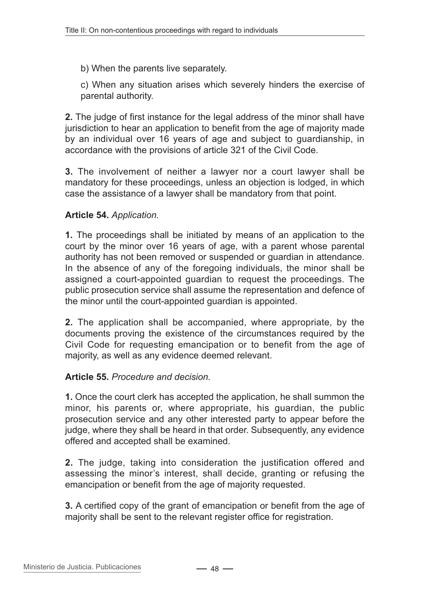b) When the parents live separately.

c) When any situation arises which severely hinders the exercise of parental authority.

**2.** The judge of first instance for the legal address of the minor shall have jurisdiction to hear an application to benefit from the age of majority made by an individual over 16 years of age and subject to guardianship, in accordance with the provisions of article 321 of the Civil Code.

**3.** The involvement of neither a lawyer nor a court lawyer shall be mandatory for these proceedings, unless an objection is lodged, in which case the assistance of a lawyer shall be mandatory from that point.

### **Article 54.** *Application.*

**1.** The proceedings shall be initiated by means of an application to the court by the minor over 16 years of age, with a parent whose parental authority has not been removed or suspended or guardian in attendance. In the absence of any of the foregoing individuals, the minor shall be assigned a court-appointed guardian to request the proceedings. The public prosecution service shall assume the representation and defence of the minor until the court-appointed guardian is appointed.

**2.** The application shall be accompanied, where appropriate, by the documents proving the existence of the circumstances required by the Civil Code for requesting emancipation or to benefit from the age of majority, as well as any evidence deemed relevant.

#### **Article 55.** *Procedure and decision.*

**1.** Once the court clerk has accepted the application, he shall summon the minor, his parents or, where appropriate, his guardian, the public prosecution service and any other interested party to appear before the judge, where they shall be heard in that order. Subsequently, any evidence offered and accepted shall be examined.

**2.** The judge, taking into consideration the justification offered and assessing the minor's interest, shall decide, granting or refusing the emancipation or benefit from the age of majority requested.

**3.** A certified copy of the grant of emancipation or benefit from the age of majority shall be sent to the relevant register office for registration.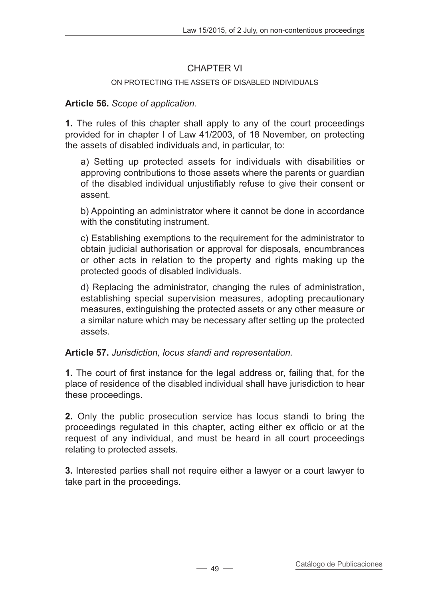### CHAPTER VI

### ON PROTECTING THE ASSETS OF DISABLED INDIVIDUALS.

### **Article 56.** *Scope of application.*

**1.** The rules of this chapter shall apply to any of the court proceedings provided for in chapter I of Law 41/2003, of 18 November, on protecting the assets of disabled individuals and, in particular, to:

a) Setting up protected assets for individuals with disabilities or approving contributions to those assets where the parents or guardian of the disabled individual unjustifiably refuse to give their consent or assent.

b) Appointing an administrator where it cannot be done in accordance with the constituting instrument.

c) Establishing exemptions to the requirement for the administrator to obtain judicial authorisation or approval for disposals, encumbrances or other acts in relation to the property and rights making up the protected goods of disabled individuals.

d) Replacing the administrator, changing the rules of administration, establishing special supervision measures, adopting precautionary measures, extinguishing the protected assets or any other measure or a similar nature which may be necessary after setting up the protected assets.

### **Article 57.** *Jurisdiction, locus standi and representation.*

**1.** The court of first instance for the legal address or, failing that, for the place of residence of the disabled individual shall have jurisdiction to hear these proceedings.

**2.** Only the public prosecution service has locus standi to bring the proceedings regulated in this chapter, acting either ex officio or at the request of any individual, and must be heard in all court proceedings relating to protected assets.

**3.** Interested parties shall not require either a lawyer or a court lawyer to take part in the proceedings.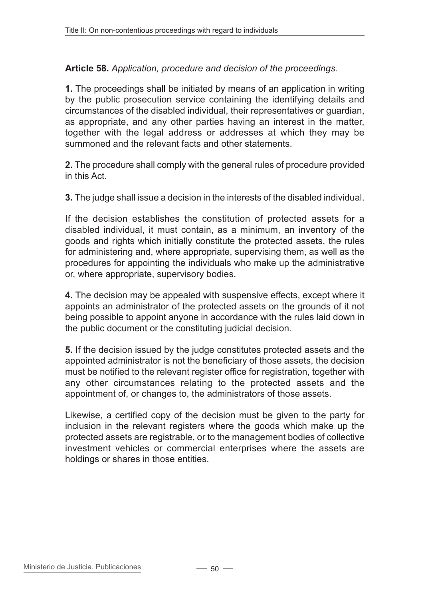### **Article 58.** *Application, procedure and decision of the proceedings.*

**1.** The proceedings shall be initiated by means of an application in writing by the public prosecution service containing the identifying details and circumstances of the disabled individual, their representatives or guardian, as appropriate, and any other parties having an interest in the matter, together with the legal address or addresses at which they may be summoned and the relevant facts and other statements.

**2.** The procedure shall comply with the general rules of procedure provided in this Act.

**3.** The judge shall issue a decision in the interests of the disabled individual.

If the decision establishes the constitution of protected assets for a disabled individual, it must contain, as a minimum, an inventory of the goods and rights which initially constitute the protected assets, the rules for administering and, where appropriate, supervising them, as well as the procedures for appointing the individuals who make up the administrative or, where appropriate, supervisory bodies.

**4.** The decision may be appealed with suspensive effects, except where it appoints an administrator of the protected assets on the grounds of it not being possible to appoint anyone in accordance with the rules laid down in the public document or the constituting judicial decision.

**5.** If the decision issued by the judge constitutes protected assets and the appointed administrator is not the beneficiary of those assets, the decision must be notified to the relevant register office for registration, together with any other circumstances relating to the protected assets and the appointment of, or changes to, the administrators of those assets.

Likewise, a certified copy of the decision must be given to the party for inclusion in the relevant registers where the goods which make up the protected assets are registrable, or to the management bodies of collective investment vehicles or commercial enterprises where the assets are holdings or shares in those entities.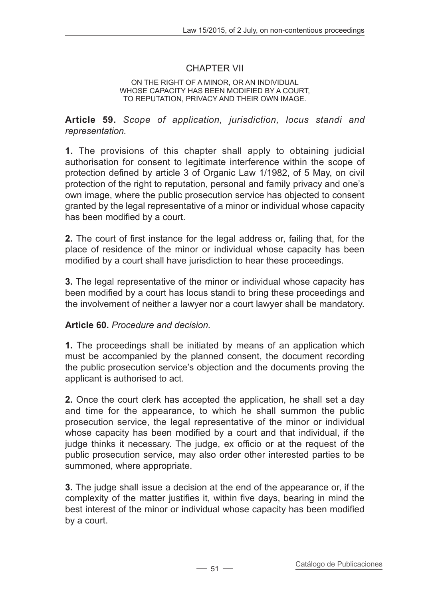### CHAPTER VII

#### On the right of a minor, or an individual whose capacity has been modified by a court, to reputation, privacy and their own image.

**Article 59.** *Scope of application, jurisdiction, locus standi and representation.*

**1.** The provisions of this chapter shall apply to obtaining judicial authorisation for consent to legitimate interference within the scope of protection defined by article 3 of Organic Law 1/1982, of 5 May, on civil protection of the right to reputation, personal and family privacy and one's own image, where the public prosecution service has objected to consent granted by the legal representative of a minor or individual whose capacity has been modified by a court.

**2.** The court of first instance for the legal address or, failing that, for the place of residence of the minor or individual whose capacity has been modified by a court shall have jurisdiction to hear these proceedings.

**3.** The legal representative of the minor or individual whose capacity has been modified by a court has locus standi to bring these proceedings and the involvement of neither a lawyer nor a court lawyer shall be mandatory.

#### **Article 60.** *Procedure and decision.*

**1.** The proceedings shall be initiated by means of an application which must be accompanied by the planned consent, the document recording the public prosecution service's objection and the documents proving the applicant is authorised to act.

**2.** Once the court clerk has accepted the application, he shall set a day and time for the appearance, to which he shall summon the public prosecution service, the legal representative of the minor or individual whose capacity has been modified by a court and that individual, if the judge thinks it necessary. The judge, ex officio or at the request of the public prosecution service, may also order other interested parties to be summoned, where appropriate.

**3.** The judge shall issue a decision at the end of the appearance or, if the complexity of the matter justifies it, within five days, bearing in mind the best interest of the minor or individual whose capacity has been modified by a court.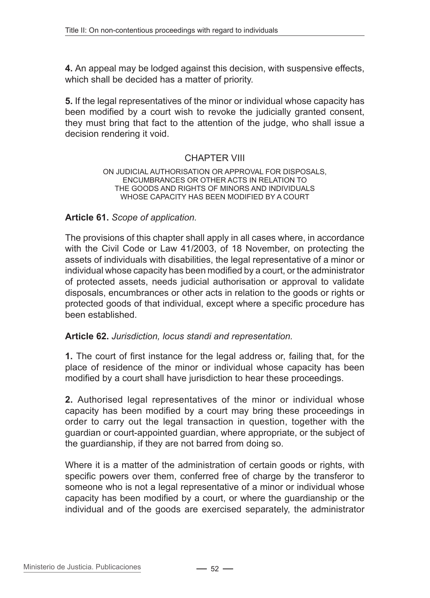**4.** An appeal may be lodged against this decision, with suspensive effects, which shall be decided has a matter of priority.

**5.** If the legal representatives of the minor or individual whose capacity has been modified by a court wish to revoke the judicially granted consent, they must bring that fact to the attention of the judge, who shall issue a decision rendering it void.

### CHAPTER VIII

#### On judicial authorisation or approval for disposals, encumbrances or other acts in relation to the goods and rights of minors and individuals whose capacity has been modified by a court

#### **Article 61.** *Scope of application.*

The provisions of this chapter shall apply in all cases where, in accordance with the Civil Code or Law 41/2003, of 18 November, on protecting the assets of individuals with disabilities, the legal representative of a minor or individual whose capacity has been modified by a court, or the administrator of protected assets, needs judicial authorisation or approval to validate disposals, encumbrances or other acts in relation to the goods or rights or protected goods of that individual, except where a specific procedure has been established.

#### **Article 62.** *Jurisdiction, locus standi and representation.*

**1.** The court of first instance for the legal address or, failing that, for the place of residence of the minor or individual whose capacity has been modified by a court shall have jurisdiction to hear these proceedings.

**2.** Authorised legal representatives of the minor or individual whose capacity has been modified by a court may bring these proceedings in order to carry out the legal transaction in question, together with the guardian or court-appointed guardian, where appropriate, or the subject of the guardianship, if they are not barred from doing so.

Where it is a matter of the administration of certain goods or rights, with specific powers over them, conferred free of charge by the transferor to someone who is not a legal representative of a minor or individual whose capacity has been modified by a court, or where the guardianship or the individual and of the goods are exercised separately, the administrator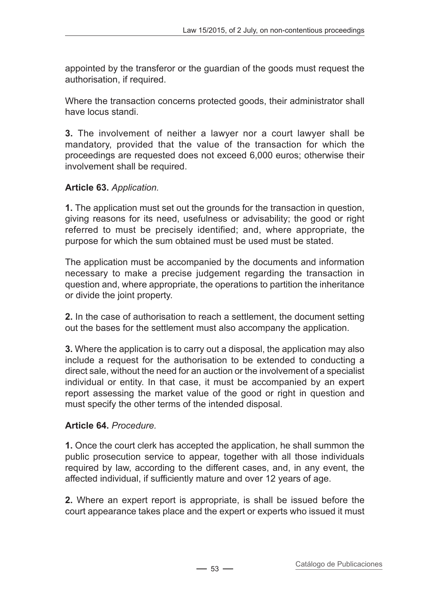appointed by the transferor or the guardian of the goods must request the authorisation, if required.

Where the transaction concerns protected goods, their administrator shall have locus standi.

**3.** The involvement of neither a lawyer nor a court lawyer shall be mandatory, provided that the value of the transaction for which the proceedings are requested does not exceed 6,000 euros; otherwise their involvement shall be required.

# **Article 63.** *Application.*

**1.** The application must set out the grounds for the transaction in question, giving reasons for its need, usefulness or advisability; the good or right referred to must be precisely identified; and, where appropriate, the purpose for which the sum obtained must be used must be stated.

The application must be accompanied by the documents and information necessary to make a precise judgement regarding the transaction in question and, where appropriate, the operations to partition the inheritance or divide the joint property.

**2.** In the case of authorisation to reach a settlement, the document setting out the bases for the settlement must also accompany the application.

**3.** Where the application is to carry out a disposal, the application may also include a request for the authorisation to be extended to conducting a direct sale, without the need for an auction or the involvement of a specialist individual or entity. In that case, it must be accompanied by an expert report assessing the market value of the good or right in question and must specify the other terms of the intended disposal.

# **Article 64.** *Procedure.*

**1.** Once the court clerk has accepted the application, he shall summon the public prosecution service to appear, together with all those individuals required by law, according to the different cases, and, in any event, the affected individual, if sufficiently mature and over 12 years of age.

**2.** Where an expert report is appropriate, is shall be issued before the court appearance takes place and the expert or experts who issued it must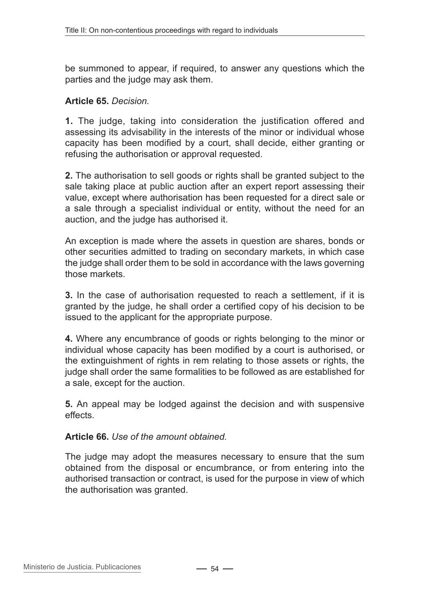be summoned to appear, if required, to answer any questions which the parties and the judge may ask them.

### **Article 65.** *Decision.*

**1.** The judge, taking into consideration the justification offered and assessing its advisability in the interests of the minor or individual whose capacity has been modified by a court, shall decide, either granting or refusing the authorisation or approval requested.

**2.** The authorisation to sell goods or rights shall be granted subject to the sale taking place at public auction after an expert report assessing their value, except where authorisation has been requested for a direct sale or a sale through a specialist individual or entity, without the need for an auction, and the judge has authorised it.

An exception is made where the assets in question are shares, bonds or other securities admitted to trading on secondary markets, in which case the judge shall order them to be sold in accordance with the laws governing those markets.

**3.** In the case of authorisation requested to reach a settlement, if it is granted by the judge, he shall order a certified copy of his decision to be issued to the applicant for the appropriate purpose.

**4.** Where any encumbrance of goods or rights belonging to the minor or individual whose capacity has been modified by a court is authorised, or the extinguishment of rights in rem relating to those assets or rights, the judge shall order the same formalities to be followed as are established for a sale, except for the auction.

**5.** An appeal may be lodged against the decision and with suspensive effects.

**Article 66.** *Use of the amount obtained.*

The judge may adopt the measures necessary to ensure that the sum obtained from the disposal or encumbrance, or from entering into the authorised transaction or contract, is used for the purpose in view of which the authorisation was granted.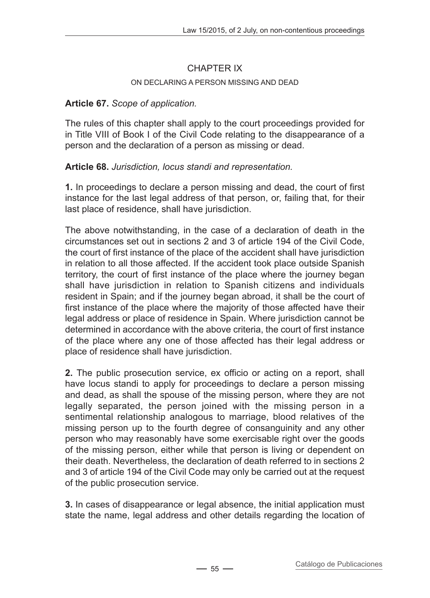# CHAPTER IX

#### ON DECLARING A PERSON MISSING AND DEAD

### **Article 67.** *Scope of application.*

The rules of this chapter shall apply to the court proceedings provided for in Title VIII of Book I of the Civil Code relating to the disappearance of a person and the declaration of a person as missing or dead.

### **Article 68.** *Jurisdiction, locus standi and representation.*

**1.** In proceedings to declare a person missing and dead, the court of first instance for the last legal address of that person, or, failing that, for their last place of residence, shall have jurisdiction.

The above notwithstanding, in the case of a declaration of death in the circumstances set out in sections 2 and 3 of article 194 of the Civil Code, the court of first instance of the place of the accident shall have jurisdiction in relation to all those affected. If the accident took place outside Spanish territory, the court of first instance of the place where the journey began shall have jurisdiction in relation to Spanish citizens and individuals resident in Spain; and if the journey began abroad, it shall be the court of first instance of the place where the majority of those affected have their legal address or place of residence in Spain. Where jurisdiction cannot be determined in accordance with the above criteria, the court of first instance of the place where any one of those affected has their legal address or place of residence shall have jurisdiction.

**2.** The public prosecution service, ex officio or acting on a report, shall have locus standi to apply for proceedings to declare a person missing and dead, as shall the spouse of the missing person, where they are not legally separated, the person joined with the missing person in a sentimental relationship analogous to marriage, blood relatives of the missing person up to the fourth degree of consanguinity and any other person who may reasonably have some exercisable right over the goods of the missing person, either while that person is living or dependent on their death. Nevertheless, the declaration of death referred to in sections 2 and 3 of article 194 of the Civil Code may only be carried out at the request of the public prosecution service.

**3.** In cases of disappearance or legal absence, the initial application must state the name, legal address and other details regarding the location of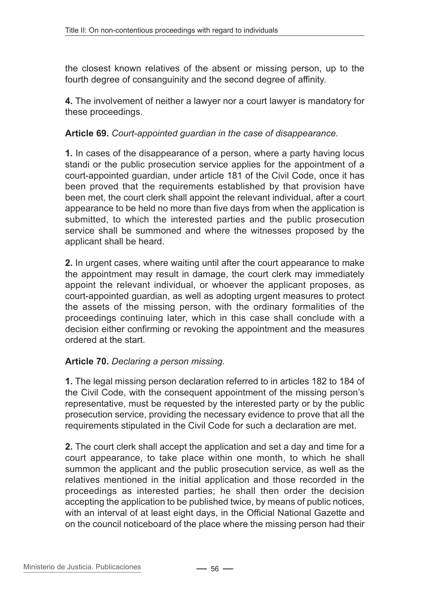the closest known relatives of the absent or missing person, up to the fourth degree of consanguinity and the second degree of affinity.

**4.** The involvement of neither a lawyer nor a court lawyer is mandatory for these proceedings.

### **Article 69.** *Court-appointed guardian in the case of disappearance.*

**1.** In cases of the disappearance of a person, where a party having locus standi or the public prosecution service applies for the appointment of a court-appointed guardian, under article 181 of the Civil Code, once it has been proved that the requirements established by that provision have been met, the court clerk shall appoint the relevant individual, after a court appearance to be held no more than five days from when the application is submitted, to which the interested parties and the public prosecution service shall be summoned and where the witnesses proposed by the applicant shall be heard.

**2.** In urgent cases, where waiting until after the court appearance to make the appointment may result in damage, the court clerk may immediately appoint the relevant individual, or whoever the applicant proposes, as court-appointed guardian, as well as adopting urgent measures to protect the assets of the missing person, with the ordinary formalities of the proceedings continuing later, which in this case shall conclude with a decision either confirming or revoking the appointment and the measures ordered at the start.

### **Article 70.** *Declaring a person missing.*

**1.** The legal missing person declaration referred to in articles 182 to 184 of the Civil Code, with the consequent appointment of the missing person's representative, must be requested by the interested party or by the public prosecution service, providing the necessary evidence to prove that all the requirements stipulated in the Civil Code for such a declaration are met.

**2.** The court clerk shall accept the application and set a day and time for a court appearance, to take place within one month, to which he shall summon the applicant and the public prosecution service, as well as the relatives mentioned in the initial application and those recorded in the proceedings as interested parties; he shall then order the decision accepting the application to be published twice, by means of public notices, with an interval of at least eight days, in the Official National Gazette and on the council noticeboard of the place where the missing person had their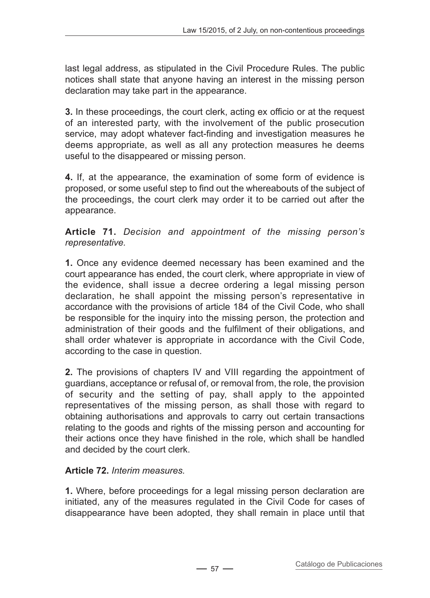last legal address, as stipulated in the Civil Procedure Rules. The public notices shall state that anyone having an interest in the missing person declaration may take part in the appearance.

**3.** In these proceedings, the court clerk, acting ex officio or at the request of an interested party, with the involvement of the public prosecution service, may adopt whatever fact-finding and investigation measures he deems appropriate, as well as all any protection measures he deems useful to the disappeared or missing person.

**4.** If, at the appearance, the examination of some form of evidence is proposed, or some useful step to find out the whereabouts of the subject of the proceedings, the court clerk may order it to be carried out after the appearance.

**Article 71.** *Decision and appointment of the missing person's representative.*

**1.** Once any evidence deemed necessary has been examined and the court appearance has ended, the court clerk, where appropriate in view of the evidence, shall issue a decree ordering a legal missing person declaration, he shall appoint the missing person's representative in accordance with the provisions of article 184 of the Civil Code, who shall be responsible for the inquiry into the missing person, the protection and administration of their goods and the fulfilment of their obligations, and shall order whatever is appropriate in accordance with the Civil Code, according to the case in question.

**2.** The provisions of chapters IV and VIII regarding the appointment of guardians, acceptance or refusal of, or removal from, the role, the provision of security and the setting of pay, shall apply to the appointed representatives of the missing person, as shall those with regard to obtaining authorisations and approvals to carry out certain transactions relating to the goods and rights of the missing person and accounting for their actions once they have finished in the role, which shall be handled and decided by the court clerk.

# **Article 72.** *Interim measures.*

**1.** Where, before proceedings for a legal missing person declaration are initiated, any of the measures regulated in the Civil Code for cases of disappearance have been adopted, they shall remain in place until that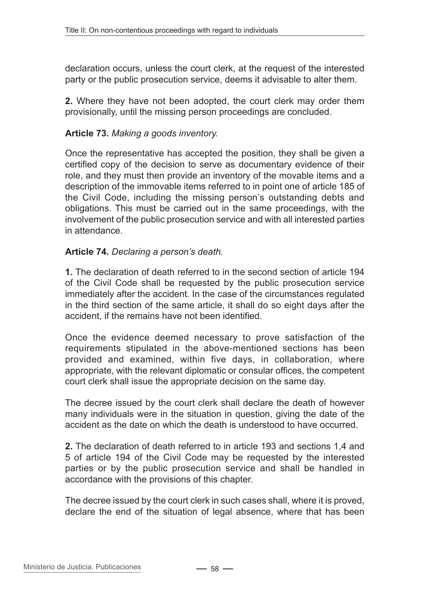declaration occurs, unless the court clerk, at the request of the interested party or the public prosecution service, deems it advisable to alter them.

**2.** Where they have not been adopted, the court clerk may order them provisionally, until the missing person proceedings are concluded.

### **Article 73.** *Making a goods inventory.*

Once the representative has accepted the position, they shall be given a certified copy of the decision to serve as documentary evidence of their role, and they must then provide an inventory of the movable items and a description of the immovable items referred to in point one of article 185 of the Civil Code, including the missing person's outstanding debts and obligations. This must be carried out in the same proceedings, with the involvement of the public prosecution service and with all interested parties in attendance.

#### **Article 74.** *Declaring a person's death.*

**1.** The declaration of death referred to in the second section of article 194 of the Civil Code shall be requested by the public prosecution service immediately after the accident. In the case of the circumstances regulated in the third section of the same article, it shall do so eight days after the accident, if the remains have not been identified.

Once the evidence deemed necessary to prove satisfaction of the requirements stipulated in the above-mentioned sections has been provided and examined, within five days, in collaboration, where appropriate, with the relevant diplomatic or consular offices, the competent court clerk shall issue the appropriate decision on the same day.

The decree issued by the court clerk shall declare the death of however many individuals were in the situation in question, giving the date of the accident as the date on which the death is understood to have occurred.

**2.** The declaration of death referred to in article 193 and sections 1,4 and 5 of article 194 of the Civil Code may be requested by the interested parties or by the public prosecution service and shall be handled in accordance with the provisions of this chapter.

The decree issued by the court clerk in such cases shall, where it is proved, declare the end of the situation of legal absence, where that has been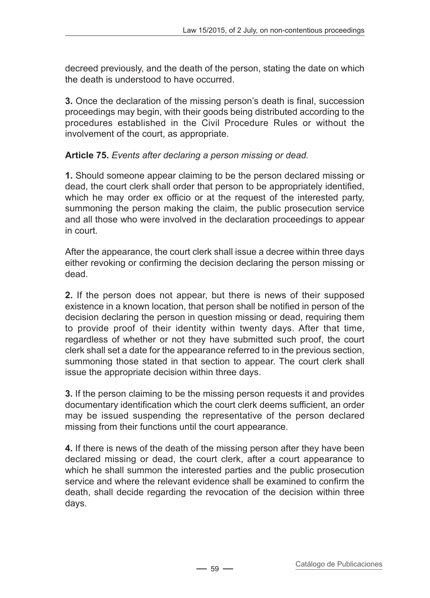decreed previously, and the death of the person, stating the date on which the death is understood to have occurred.

**3.** Once the declaration of the missing person's death is final, succession proceedings may begin, with their goods being distributed according to the procedures established in the Civil Procedure Rules or without the involvement of the court, as appropriate.

# **Article 75.** *Events after declaring a person missing or dead.*

**1.** Should someone appear claiming to be the person declared missing or dead, the court clerk shall order that person to be appropriately identified, which he may order ex officio or at the request of the interested party, summoning the person making the claim, the public prosecution service and all those who were involved in the declaration proceedings to appear in court.

After the appearance, the court clerk shall issue a decree within three days either revoking or confirming the decision declaring the person missing or dead.

**2.** If the person does not appear, but there is news of their supposed existence in a known location, that person shall be notified in person of the decision declaring the person in question missing or dead, requiring them to provide proof of their identity within twenty days. After that time, regardless of whether or not they have submitted such proof, the court clerk shall set a date for the appearance referred to in the previous section, summoning those stated in that section to appear. The court clerk shall issue the appropriate decision within three days.

**3.** If the person claiming to be the missing person requests it and provides documentary identification which the court clerk deems sufficient, an order may be issued suspending the representative of the person declared missing from their functions until the court appearance.

**4.** If there is news of the death of the missing person after they have been declared missing or dead, the court clerk, after a court appearance to which he shall summon the interested parties and the public prosecution service and where the relevant evidence shall be examined to confirm the death, shall decide regarding the revocation of the decision within three days.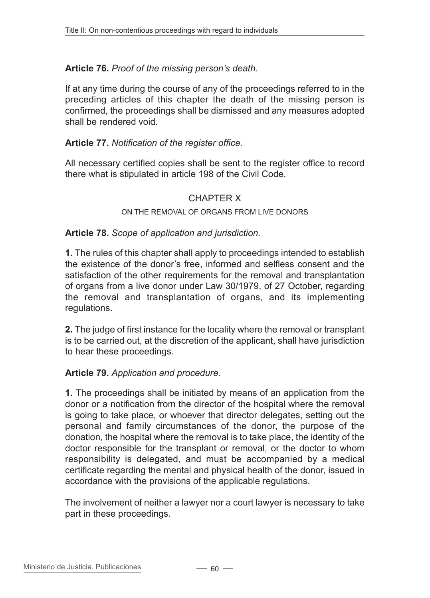### **Article 76.** *Proof of the missing person's death.*

If at any time during the course of any of the proceedings referred to in the preceding articles of this chapter the death of the missing person is confirmed, the proceedings shall be dismissed and any measures adopted shall be rendered void.

### **Article 77.** *Notification of the register office.*

All necessary certified copies shall be sent to the register office to record there what is stipulated in article 198 of the Civil Code.

### CHAPTER X

#### On the removal of organs from live donors

#### **Article 78.** *Scope of application and jurisdiction.*

**1.** The rules of this chapter shall apply to proceedings intended to establish the existence of the donor's free, informed and selfless consent and the satisfaction of the other requirements for the removal and transplantation of organs from a live donor under Law 30/1979, of 27 October, regarding the removal and transplantation of organs, and its implementing regulations.

**2.** The judge of first instance for the locality where the removal or transplant is to be carried out, at the discretion of the applicant, shall have jurisdiction to hear these proceedings.

#### **Article 79.** *Application and procedure.*

**1.** The proceedings shall be initiated by means of an application from the donor or a notification from the director of the hospital where the removal is going to take place, or whoever that director delegates, setting out the personal and family circumstances of the donor, the purpose of the donation, the hospital where the removal is to take place, the identity of the doctor responsible for the transplant or removal, or the doctor to whom responsibility is delegated, and must be accompanied by a medical certificate regarding the mental and physical health of the donor, issued in accordance with the provisions of the applicable regulations.

The involvement of neither a lawyer nor a court lawyer is necessary to take part in these proceedings.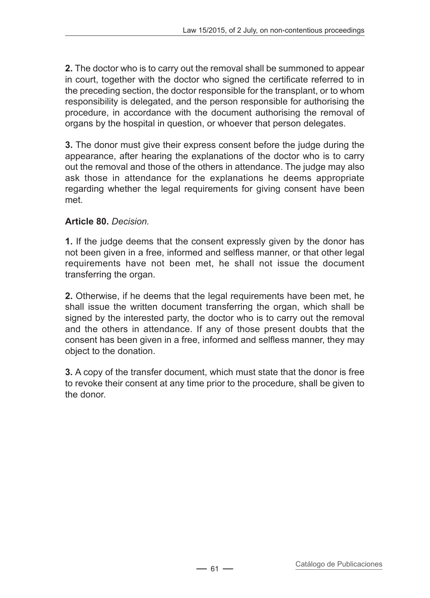**2.** The doctor who is to carry out the removal shall be summoned to appear in court, together with the doctor who signed the certificate referred to in the preceding section, the doctor responsible for the transplant, or to whom responsibility is delegated, and the person responsible for authorising the procedure, in accordance with the document authorising the removal of organs by the hospital in question, or whoever that person delegates.

**3.** The donor must give their express consent before the judge during the appearance, after hearing the explanations of the doctor who is to carry out the removal and those of the others in attendance. The judge may also ask those in attendance for the explanations he deems appropriate regarding whether the legal requirements for giving consent have been met.

### **Article 80.** *Decision.*

**1.** If the judge deems that the consent expressly given by the donor has not been given in a free, informed and selfless manner, or that other legal requirements have not been met, he shall not issue the document transferring the organ.

**2.** Otherwise, if he deems that the legal requirements have been met, he shall issue the written document transferring the organ, which shall be signed by the interested party, the doctor who is to carry out the removal and the others in attendance. If any of those present doubts that the consent has been given in a free, informed and selfless manner, they may object to the donation.

**3.** A copy of the transfer document, which must state that the donor is free to revoke their consent at any time prior to the procedure, shall be given to the donor.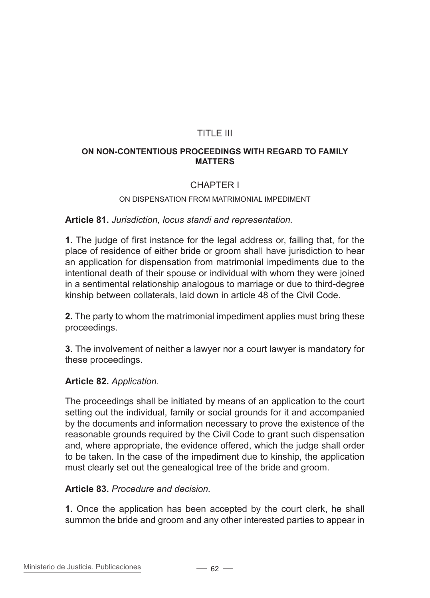# TITLE III

#### **On non-contentious proceedings with regard to family matters**

### CHAPTER I

#### On dispensation from matrimonial impediment

#### **Article 81.** *Jurisdiction, locus standi and representation.*

**1.** The judge of first instance for the legal address or, failing that, for the place of residence of either bride or groom shall have jurisdiction to hear an application for dispensation from matrimonial impediments due to the intentional death of their spouse or individual with whom they were joined in a sentimental relationship analogous to marriage or due to third-degree kinship between collaterals, laid down in article 48 of the Civil Code.

**2.** The party to whom the matrimonial impediment applies must bring these proceedings.

**3.** The involvement of neither a lawyer nor a court lawyer is mandatory for these proceedings.

#### **Article 82.** *Application.*

The proceedings shall be initiated by means of an application to the court setting out the individual, family or social grounds for it and accompanied by the documents and information necessary to prove the existence of the reasonable grounds required by the Civil Code to grant such dispensation and, where appropriate, the evidence offered, which the judge shall order to be taken. In the case of the impediment due to kinship, the application must clearly set out the genealogical tree of the bride and groom.

#### **Article 83.** *Procedure and decision.*

**1.** Once the application has been accepted by the court clerk, he shall summon the bride and groom and any other interested parties to appear in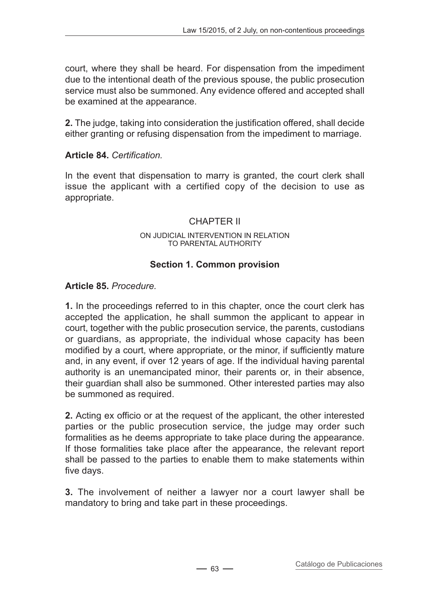court, where they shall be heard. For dispensation from the impediment due to the intentional death of the previous spouse, the public prosecution service must also be summoned. Any evidence offered and accepted shall be examined at the appearance.

**2.** The judge, taking into consideration the justification offered, shall decide either granting or refusing dispensation from the impediment to marriage.

### **Article 84.** *Certification.*

In the event that dispensation to marry is granted, the court clerk shall issue the applicant with a certified copy of the decision to use as appropriate.

### CHAPTER II

#### On judicial intervention in relation to parental authority

### **Section 1. Common provision**

### **Article 85.** *Procedure.*

**1.** In the proceedings referred to in this chapter, once the court clerk has accepted the application, he shall summon the applicant to appear in court, together with the public prosecution service, the parents, custodians or guardians, as appropriate, the individual whose capacity has been modified by a court, where appropriate, or the minor, if sufficiently mature and, in any event, if over 12 years of age. If the individual having parental authority is an unemancipated minor, their parents or, in their absence, their guardian shall also be summoned. Other interested parties may also be summoned as required.

**2.** Acting ex officio or at the request of the applicant, the other interested parties or the public prosecution service, the judge may order such formalities as he deems appropriate to take place during the appearance. If those formalities take place after the appearance, the relevant report shall be passed to the parties to enable them to make statements within five days.

**3.** The involvement of neither a lawyer nor a court lawyer shall be mandatory to bring and take part in these proceedings.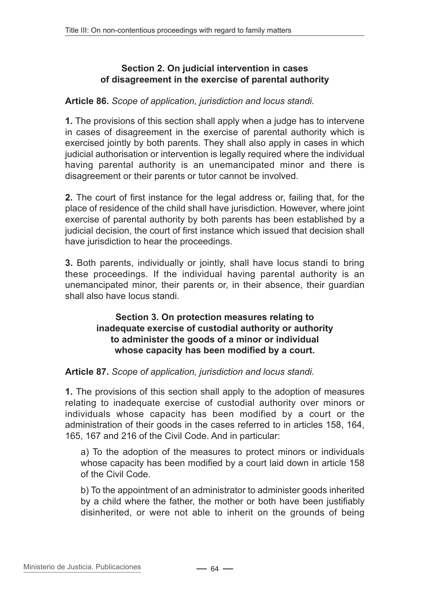### **Section 2. On judicial intervention in cases of disagreement in the exercise of parental authority**

### **Article 86.** *Scope of application, jurisdiction and locus standi.*

**1.** The provisions of this section shall apply when a judge has to intervene in cases of disagreement in the exercise of parental authority which is exercised jointly by both parents. They shall also apply in cases in which judicial authorisation or intervention is legally required where the individual having parental authority is an unemancipated minor and there is disagreement or their parents or tutor cannot be involved.

**2.** The court of first instance for the legal address or, failing that, for the place of residence of the child shall have jurisdiction. However, where joint exercise of parental authority by both parents has been established by a judicial decision, the court of first instance which issued that decision shall have jurisdiction to hear the proceedings.

**3.** Both parents, individually or jointly, shall have locus standi to bring these proceedings. If the individual having parental authority is an unemancipated minor, their parents or, in their absence, their guardian shall also have locus standi.

### **Section 3. On protection measures relating to inadequate exercise of custodial authority or authority to administer the goods of a minor or individual whose capacity has been modified by a court.**

### **Article 87.** *Scope of application, jurisdiction and locus standi.*

**1.** The provisions of this section shall apply to the adoption of measures relating to inadequate exercise of custodial authority over minors or individuals whose capacity has been modified by a court or the administration of their goods in the cases referred to in articles 158, 164, 165, 167 and 216 of the Civil Code. And in particular:

a) To the adoption of the measures to protect minors or individuals whose capacity has been modified by a court laid down in article 158 of the Civil Code.

b) To the appointment of an administrator to administer goods inherited by a child where the father, the mother or both have been justifiably disinherited, or were not able to inherit on the grounds of being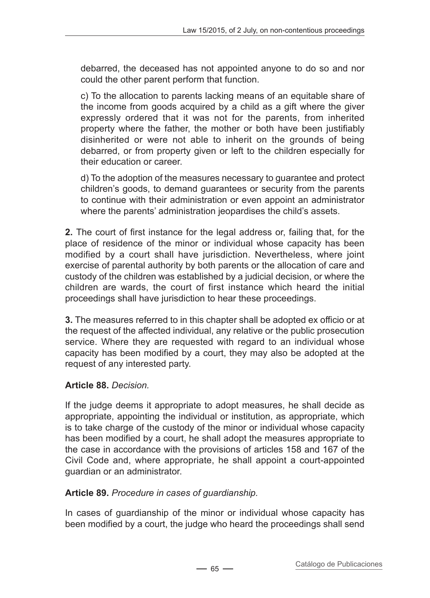debarred, the deceased has not appointed anyone to do so and nor could the other parent perform that function.

c) To the allocation to parents lacking means of an equitable share of the income from goods acquired by a child as a gift where the giver expressly ordered that it was not for the parents, from inherited property where the father, the mother or both have been justifiably disinherited or were not able to inherit on the grounds of being debarred, or from property given or left to the children especially for their education or career.

d) To the adoption of the measures necessary to guarantee and protect children's goods, to demand guarantees or security from the parents to continue with their administration or even appoint an administrator where the parents' administration jeopardises the child's assets.

**2.** The court of first instance for the legal address or, failing that, for the place of residence of the minor or individual whose capacity has been modified by a court shall have jurisdiction. Nevertheless, where joint exercise of parental authority by both parents or the allocation of care and custody of the children was established by a judicial decision, or where the children are wards, the court of first instance which heard the initial proceedings shall have jurisdiction to hear these proceedings.

**3.** The measures referred to in this chapter shall be adopted ex officio or at the request of the affected individual, any relative or the public prosecution service. Where they are requested with regard to an individual whose capacity has been modified by a court, they may also be adopted at the request of any interested party.

# **Article 88.** *Decision.*

If the judge deems it appropriate to adopt measures, he shall decide as appropriate, appointing the individual or institution, as appropriate, which is to take charge of the custody of the minor or individual whose capacity has been modified by a court, he shall adopt the measures appropriate to the case in accordance with the provisions of articles 158 and 167 of the Civil Code and, where appropriate, he shall appoint a court-appointed guardian or an administrator.

### **Article 89.** *Procedure in cases of guardianship.*

In cases of guardianship of the minor or individual whose capacity has been modified by a court, the judge who heard the proceedings shall send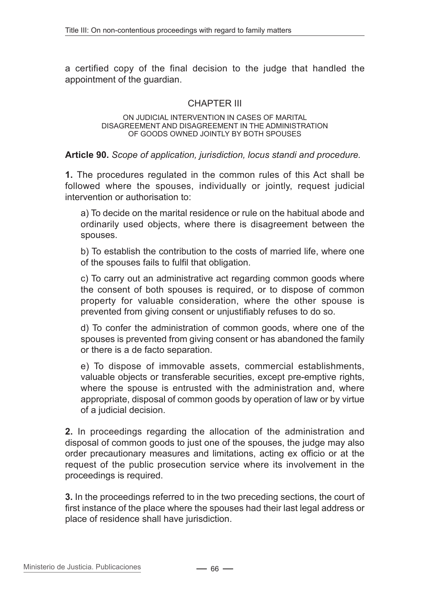a certified copy of the final decision to the judge that handled the appointment of the guardian.

### CHAPTER III

#### On judicial intervention in cases of marital disagreement and disagreement in the administration of goods owned jointly by both spouses

### **Article 90.** *Scope of application, jurisdiction, locus standi and procedure.*

**1.** The procedures regulated in the common rules of this Act shall be followed where the spouses, individually or jointly, request judicial intervention or authorisation to:

a) To decide on the marital residence or rule on the habitual abode and ordinarily used objects, where there is disagreement between the spouses.

b) To establish the contribution to the costs of married life, where one of the spouses fails to fulfil that obligation.

c) To carry out an administrative act regarding common goods where the consent of both spouses is required, or to dispose of common property for valuable consideration, where the other spouse is prevented from giving consent or unjustifiably refuses to do so.

d) To confer the administration of common goods, where one of the spouses is prevented from giving consent or has abandoned the family or there is a de facto separation.

e) To dispose of immovable assets, commercial establishments, valuable objects or transferable securities, except pre-emptive rights, where the spouse is entrusted with the administration and, where appropriate, disposal of common goods by operation of law or by virtue of a judicial decision.

**2.** In proceedings regarding the allocation of the administration and disposal of common goods to just one of the spouses, the judge may also order precautionary measures and limitations, acting ex officio or at the request of the public prosecution service where its involvement in the proceedings is required.

**3.** In the proceedings referred to in the two preceding sections, the court of first instance of the place where the spouses had their last legal address or place of residence shall have jurisdiction.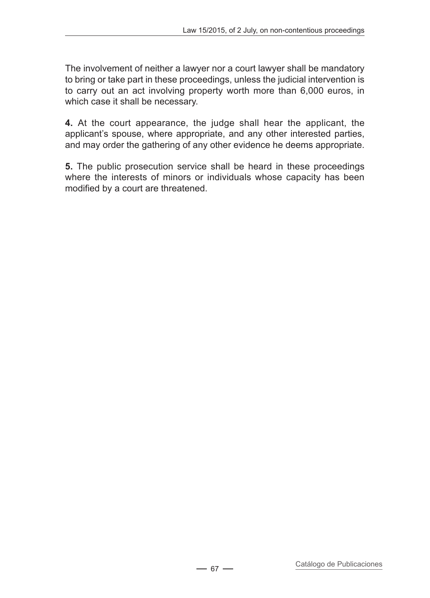The involvement of neither a lawyer nor a court lawyer shall be mandatory to bring or take part in these proceedings, unless the judicial intervention is to carry out an act involving property worth more than 6,000 euros, in which case it shall be necessary.

**4.** At the court appearance, the judge shall hear the applicant, the applicant's spouse, where appropriate, and any other interested parties, and may order the gathering of any other evidence he deems appropriate.

**5.** The public prosecution service shall be heard in these proceedings where the interests of minors or individuals whose capacity has been modified by a court are threatened.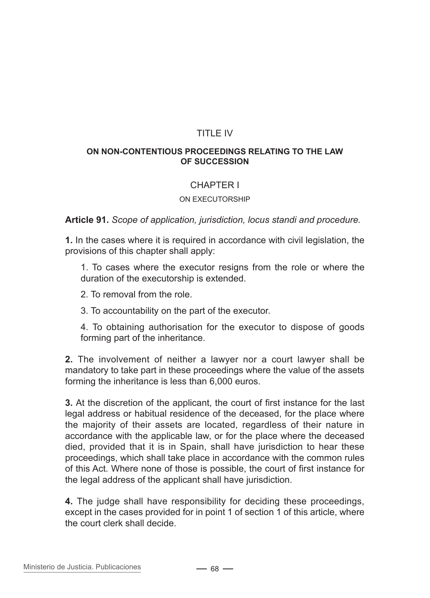# TITLE IV

#### **On non-contentious proceedings relating to the law of succession**

### CHAPTER I

#### On executorship

**Article 91.** *Scope of application, jurisdiction, locus standi and procedure.*

**1.** In the cases where it is required in accordance with civil legislation, the provisions of this chapter shall apply:

1. To cases where the executor resigns from the role or where the duration of the executorship is extended.

- 2. To removal from the role.
- 3. To accountability on the part of the executor.

4. To obtaining authorisation for the executor to dispose of goods forming part of the inheritance.

**2.** The involvement of neither a lawyer nor a court lawyer shall be mandatory to take part in these proceedings where the value of the assets forming the inheritance is less than 6,000 euros.

**3.** At the discretion of the applicant, the court of first instance for the last legal address or habitual residence of the deceased, for the place where the majority of their assets are located, regardless of their nature in accordance with the applicable law, or for the place where the deceased died, provided that it is in Spain, shall have jurisdiction to hear these proceedings, which shall take place in accordance with the common rules of this Act. Where none of those is possible, the court of first instance for the legal address of the applicant shall have jurisdiction.

**4.** The judge shall have responsibility for deciding these proceedings, except in the cases provided for in point 1 of section 1 of this article, where the court clerk shall decide.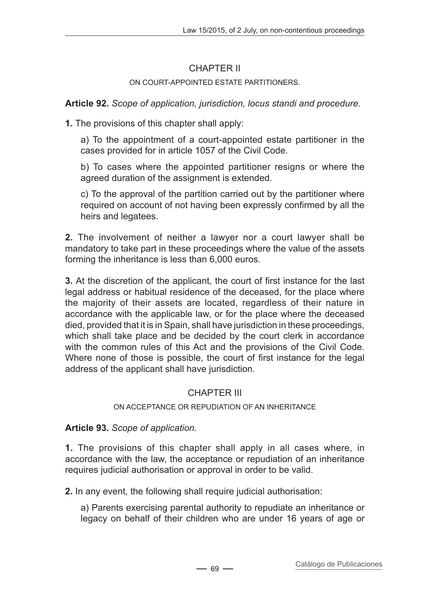# CHAPTER II

### On court-appointed estate partitioners.

**Article 92.** *Scope of application, jurisdiction, locus standi and procedure.*

**1.** The provisions of this chapter shall apply:

a) To the appointment of a court-appointed estate partitioner in the cases provided for in article 1057 of the Civil Code.

b) To cases where the appointed partitioner resigns or where the agreed duration of the assignment is extended.

c) To the approval of the partition carried out by the partitioner where required on account of not having been expressly confirmed by all the heirs and legatees.

**2.** The involvement of neither a lawyer nor a court lawyer shall be mandatory to take part in these proceedings where the value of the assets forming the inheritance is less than 6,000 euros.

**3.** At the discretion of the applicant, the court of first instance for the last legal address or habitual residence of the deceased, for the place where the majority of their assets are located, regardless of their nature in accordance with the applicable law, or for the place where the deceased died, provided that it is in Spain, shall have jurisdiction in these proceedings, which shall take place and be decided by the court clerk in accordance with the common rules of this Act and the provisions of the Civil Code. Where none of those is possible, the court of first instance for the legal address of the applicant shall have jurisdiction.

# CHAPTER III

### On acceptance or repudiation of an inheritance

# **Article 93.** *Scope of application.*

**1.** The provisions of this chapter shall apply in all cases where, in accordance with the law, the acceptance or repudiation of an inheritance requires judicial authorisation or approval in order to be valid.

**2.** In any event, the following shall require judicial authorisation:

a) Parents exercising parental authority to repudiate an inheritance or legacy on behalf of their children who are under 16 years of age or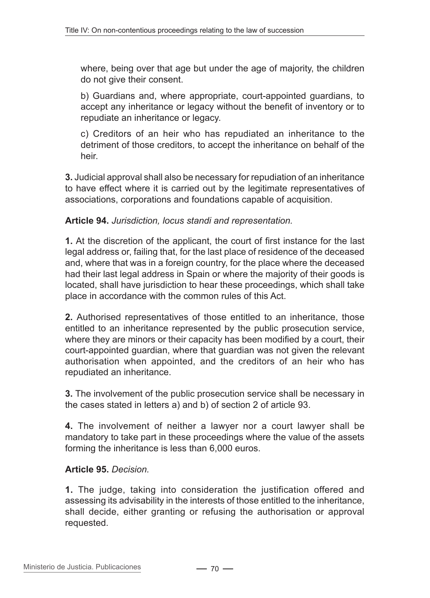where, being over that age but under the age of majority, the children do not give their consent.

b) Guardians and, where appropriate, court-appointed guardians, to accept any inheritance or legacy without the benefit of inventory or to repudiate an inheritance or legacy.

c) Creditors of an heir who has repudiated an inheritance to the detriment of those creditors, to accept the inheritance on behalf of the heir.

**3.** Judicial approval shall also be necessary for repudiation of an inheritance to have effect where it is carried out by the legitimate representatives of associations, corporations and foundations capable of acquisition.

### **Article 94.** *Jurisdiction, locus standi and representation.*

**1.** At the discretion of the applicant, the court of first instance for the last legal address or, failing that, for the last place of residence of the deceased and, where that was in a foreign country, for the place where the deceased had their last legal address in Spain or where the majority of their goods is located, shall have jurisdiction to hear these proceedings, which shall take place in accordance with the common rules of this Act.

**2.** Authorised representatives of those entitled to an inheritance, those entitled to an inheritance represented by the public prosecution service, where they are minors or their capacity has been modified by a court, their court-appointed guardian, where that guardian was not given the relevant authorisation when appointed, and the creditors of an heir who has repudiated an inheritance.

**3.** The involvement of the public prosecution service shall be necessary in the cases stated in letters a) and b) of section 2 of article 93.

**4.** The involvement of neither a lawyer nor a court lawyer shall be mandatory to take part in these proceedings where the value of the assets forming the inheritance is less than 6,000 euros.

### **Article 95.** *Decision.*

**1.** The judge, taking into consideration the justification offered and assessing its advisability in the interests of those entitled to the inheritance, shall decide, either granting or refusing the authorisation or approval requested.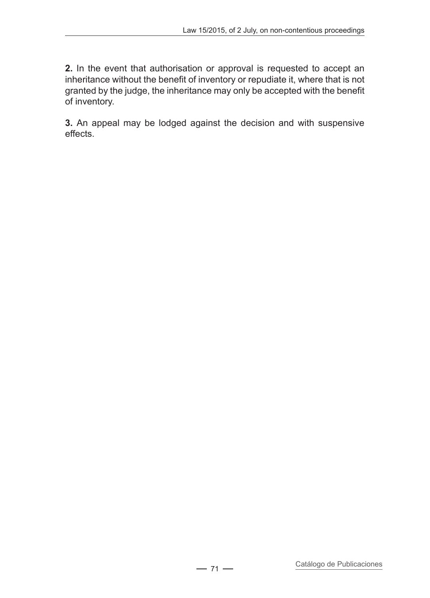**2.** In the event that authorisation or approval is requested to accept an inheritance without the benefit of inventory or repudiate it, where that is not granted by the judge, the inheritance may only be accepted with the benefit of inventory.

**3.** An appeal may be lodged against the decision and with suspensive effects.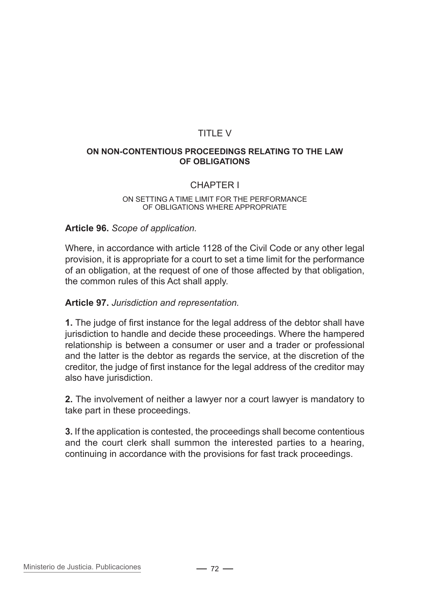### TITLE V

#### **On non-contentious proceedings relating to the law of obligations**

### CHAPTER I

#### On setting a time limit for the performance of obligations where appropriate

#### **Article 96.** *Scope of application.*

Where, in accordance with article 1128 of the Civil Code or any other legal provision, it is appropriate for a court to set a time limit for the performance of an obligation, at the request of one of those affected by that obligation, the common rules of this Act shall apply.

#### **Article 97.** *Jurisdiction and representation.*

**1.** The judge of first instance for the legal address of the debtor shall have jurisdiction to handle and decide these proceedings. Where the hampered relationship is between a consumer or user and a trader or professional and the latter is the debtor as regards the service, at the discretion of the creditor, the judge of first instance for the legal address of the creditor may also have jurisdiction.

**2.** The involvement of neither a lawyer nor a court lawyer is mandatory to take part in these proceedings.

**3.** If the application is contested, the proceedings shall become contentious and the court clerk shall summon the interested parties to a hearing, continuing in accordance with the provisions for fast track proceedings.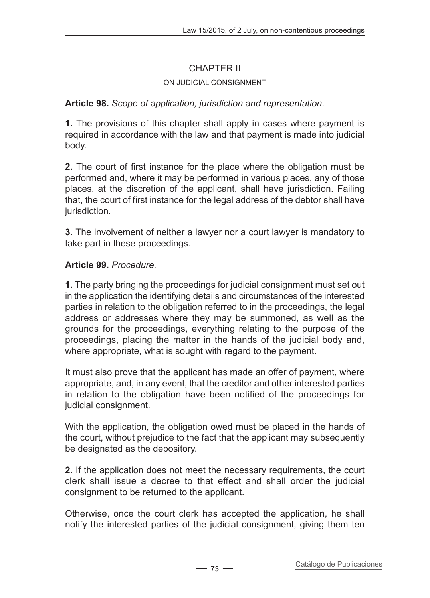# CHAPTER II

## On judicial consignment

## **Article 98.** *Scope of application, jurisdiction and representation.*

**1.** The provisions of this chapter shall apply in cases where payment is required in accordance with the law and that payment is made into judicial body.

**2.** The court of first instance for the place where the obligation must be performed and, where it may be performed in various places, any of those places, at the discretion of the applicant, shall have jurisdiction. Failing that, the court of first instance for the legal address of the debtor shall have jurisdiction.

**3.** The involvement of neither a lawyer nor a court lawyer is mandatory to take part in these proceedings.

## **Article 99.** *Procedure.*

**1.** The party bringing the proceedings for judicial consignment must set out in the application the identifying details and circumstances of the interested parties in relation to the obligation referred to in the proceedings, the legal address or addresses where they may be summoned, as well as the grounds for the proceedings, everything relating to the purpose of the proceedings, placing the matter in the hands of the judicial body and, where appropriate, what is sought with regard to the payment.

It must also prove that the applicant has made an offer of payment, where appropriate, and, in any event, that the creditor and other interested parties in relation to the obligation have been notified of the proceedings for judicial consignment.

With the application, the obligation owed must be placed in the hands of the court, without prejudice to the fact that the applicant may subsequently be designated as the depository.

**2.** If the application does not meet the necessary requirements, the court clerk shall issue a decree to that effect and shall order the judicial consignment to be returned to the applicant.

Otherwise, once the court clerk has accepted the application, he shall notify the interested parties of the judicial consignment, giving them ten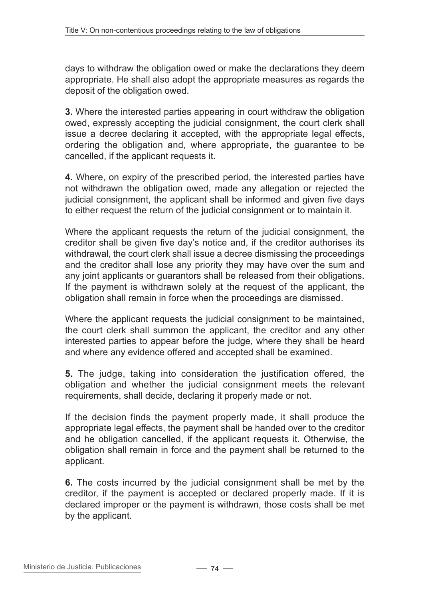days to withdraw the obligation owed or make the declarations they deem appropriate. He shall also adopt the appropriate measures as regards the deposit of the obligation owed.

**3.** Where the interested parties appearing in court withdraw the obligation owed, expressly accepting the judicial consignment, the court clerk shall issue a decree declaring it accepted, with the appropriate legal effects, ordering the obligation and, where appropriate, the guarantee to be cancelled, if the applicant requests it.

**4.** Where, on expiry of the prescribed period, the interested parties have not withdrawn the obligation owed, made any allegation or rejected the judicial consignment, the applicant shall be informed and given five days to either request the return of the judicial consignment or to maintain it.

Where the applicant requests the return of the judicial consignment, the creditor shall be given five day's notice and, if the creditor authorises its withdrawal, the court clerk shall issue a decree dismissing the proceedings and the creditor shall lose any priority they may have over the sum and any joint applicants or guarantors shall be released from their obligations. If the payment is withdrawn solely at the request of the applicant, the obligation shall remain in force when the proceedings are dismissed.

Where the applicant requests the judicial consignment to be maintained, the court clerk shall summon the applicant, the creditor and any other interested parties to appear before the judge, where they shall be heard and where any evidence offered and accepted shall be examined.

**5.** The judge, taking into consideration the justification offered, the obligation and whether the judicial consignment meets the relevant requirements, shall decide, declaring it properly made or not.

If the decision finds the payment properly made, it shall produce the appropriate legal effects, the payment shall be handed over to the creditor and he obligation cancelled, if the applicant requests it. Otherwise, the obligation shall remain in force and the payment shall be returned to the applicant.

**6.** The costs incurred by the judicial consignment shall be met by the creditor, if the payment is accepted or declared properly made. If it is declared improper or the payment is withdrawn, those costs shall be met by the applicant.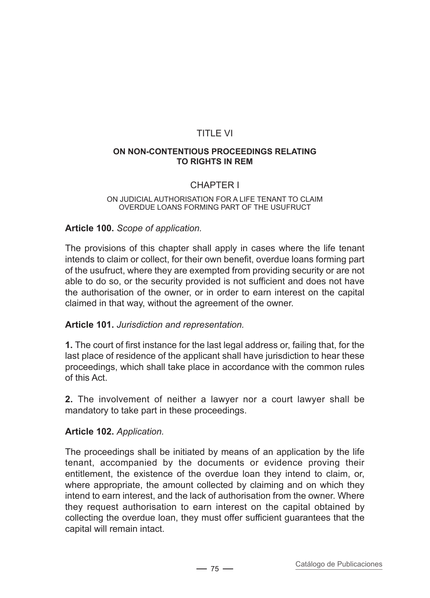# TITLE VI

#### **On non-contentious proceedings relating to rights in rem**

## CHAPTER I

#### On judicial authorisation for a life tenant to claim overdue loans forming part of the usufruct

### **Article 100.** *Scope of application.*

The provisions of this chapter shall apply in cases where the life tenant intends to claim or collect, for their own benefit, overdue loans forming part of the usufruct, where they are exempted from providing security or are not able to do so, or the security provided is not sufficient and does not have the authorisation of the owner, or in order to earn interest on the capital claimed in that way, without the agreement of the owner.

#### **Article 101.** *Jurisdiction and representation.*

**1.** The court of first instance for the last legal address or, failing that, for the last place of residence of the applicant shall have jurisdiction to hear these proceedings, which shall take place in accordance with the common rules of this Act.

**2.** The involvement of neither a lawyer nor a court lawyer shall be mandatory to take part in these proceedings.

#### **Article 102.** *Application.*

The proceedings shall be initiated by means of an application by the life tenant, accompanied by the documents or evidence proving their entitlement, the existence of the overdue loan they intend to claim, or, where appropriate, the amount collected by claiming and on which they intend to earn interest, and the lack of authorisation from the owner. Where they request authorisation to earn interest on the capital obtained by collecting the overdue loan, they must offer sufficient guarantees that the capital will remain intact.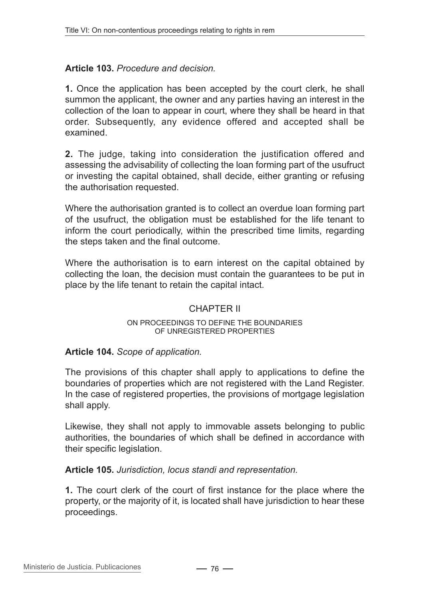## **Article 103.** *Procedure and decision.*

**1.** Once the application has been accepted by the court clerk, he shall summon the applicant, the owner and any parties having an interest in the collection of the loan to appear in court, where they shall be heard in that order. Subsequently, any evidence offered and accepted shall be examined.

**2.** The judge, taking into consideration the justification offered and assessing the advisability of collecting the loan forming part of the usufruct or investing the capital obtained, shall decide, either granting or refusing the authorisation requested.

Where the authorisation granted is to collect an overdue loan forming part of the usufruct, the obligation must be established for the life tenant to inform the court periodically, within the prescribed time limits, regarding the steps taken and the final outcome.

Where the authorisation is to earn interest on the capital obtained by collecting the loan, the decision must contain the guarantees to be put in place by the life tenant to retain the capital intact.

#### CHAPTER II

#### On proceedings to define the boundaries of unregistered properties

## **Article 104.** *Scope of application.*

The provisions of this chapter shall apply to applications to define the boundaries of properties which are not registered with the Land Register. In the case of registered properties, the provisions of mortgage legislation shall apply.

Likewise, they shall not apply to immovable assets belonging to public authorities, the boundaries of which shall be defined in accordance with their specific legislation.

**Article 105.** *Jurisdiction, locus standi and representation.*

**1.** The court clerk of the court of first instance for the place where the property, or the majority of it, is located shall have jurisdiction to hear these proceedings.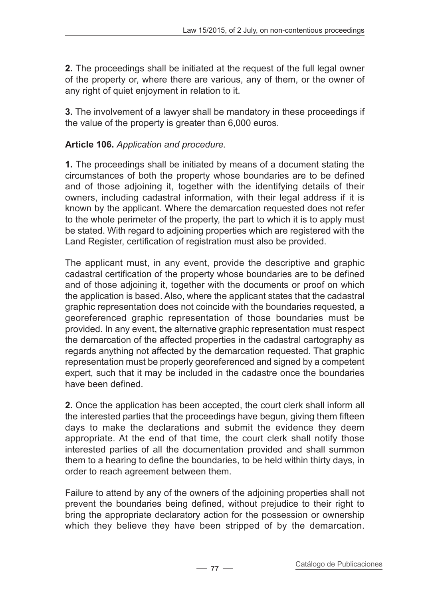**2.** The proceedings shall be initiated at the request of the full legal owner of the property or, where there are various, any of them, or the owner of any right of quiet enjoyment in relation to it.

**3.** The involvement of a lawyer shall be mandatory in these proceedings if the value of the property is greater than 6,000 euros.

# **Article 106.** *Application and procedure.*

**1.** The proceedings shall be initiated by means of a document stating the circumstances of both the property whose boundaries are to be defined and of those adjoining it, together with the identifying details of their owners, including cadastral information, with their legal address if it is known by the applicant. Where the demarcation requested does not refer to the whole perimeter of the property, the part to which it is to apply must be stated. With regard to adjoining properties which are registered with the Land Register, certification of registration must also be provided.

The applicant must, in any event, provide the descriptive and graphic cadastral certification of the property whose boundaries are to be defined and of those adjoining it, together with the documents or proof on which the application is based. Also, where the applicant states that the cadastral graphic representation does not coincide with the boundaries requested, a georeferenced graphic representation of those boundaries must be provided. In any event, the alternative graphic representation must respect the demarcation of the affected properties in the cadastral cartography as regards anything not affected by the demarcation requested. That graphic representation must be properly georeferenced and signed by a competent expert, such that it may be included in the cadastre once the boundaries have been defined.

**2.** Once the application has been accepted, the court clerk shall inform all the interested parties that the proceedings have begun, giving them fifteen days to make the declarations and submit the evidence they deem appropriate. At the end of that time, the court clerk shall notify those interested parties of all the documentation provided and shall summon them to a hearing to define the boundaries, to be held within thirty days, in order to reach agreement between them.

Failure to attend by any of the owners of the adjoining properties shall not prevent the boundaries being defined, without prejudice to their right to bring the appropriate declaratory action for the possession or ownership which they believe they have been stripped of by the demarcation.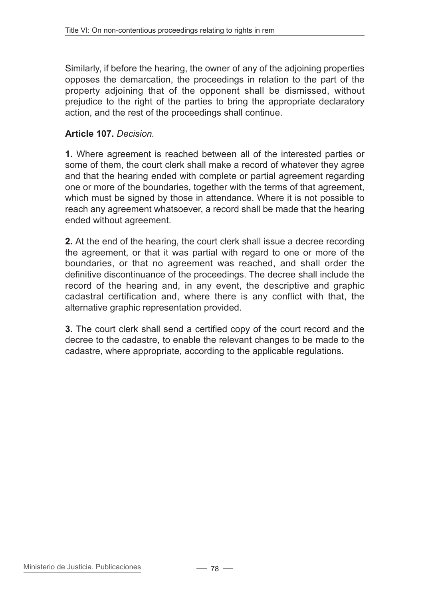Similarly, if before the hearing, the owner of any of the adjoining properties opposes the demarcation, the proceedings in relation to the part of the property adjoining that of the opponent shall be dismissed, without prejudice to the right of the parties to bring the appropriate declaratory action, and the rest of the proceedings shall continue.

## **Article 107.** *Decision.*

**1.** Where agreement is reached between all of the interested parties or some of them, the court clerk shall make a record of whatever they agree and that the hearing ended with complete or partial agreement regarding one or more of the boundaries, together with the terms of that agreement, which must be signed by those in attendance. Where it is not possible to reach any agreement whatsoever, a record shall be made that the hearing ended without agreement.

**2.** At the end of the hearing, the court clerk shall issue a decree recording the agreement, or that it was partial with regard to one or more of the boundaries, or that no agreement was reached, and shall order the definitive discontinuance of the proceedings. The decree shall include the record of the hearing and, in any event, the descriptive and graphic cadastral certification and, where there is any conflict with that, the alternative graphic representation provided.

**3.** The court clerk shall send a certified copy of the court record and the decree to the cadastre, to enable the relevant changes to be made to the cadastre, where appropriate, according to the applicable regulations.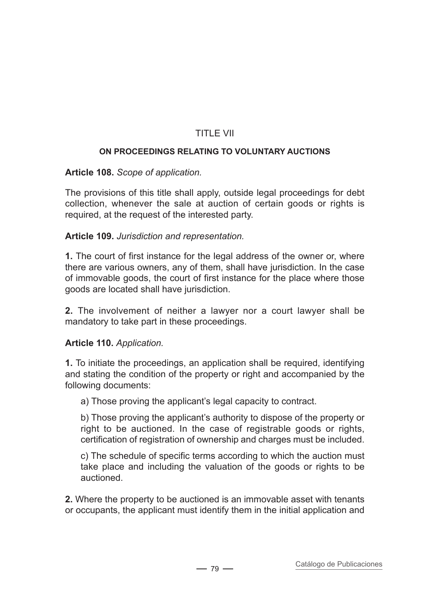# TITLE VII

### **On proceedings relating to voluntary auctions**

### **Article 108.** *Scope of application.*

The provisions of this title shall apply, outside legal proceedings for debt collection, whenever the sale at auction of certain goods or rights is required, at the request of the interested party.

### **Article 109.** *Jurisdiction and representation.*

**1.** The court of first instance for the legal address of the owner or, where there are various owners, any of them, shall have jurisdiction. In the case of immovable goods, the court of first instance for the place where those goods are located shall have jurisdiction.

**2.** The involvement of neither a lawyer nor a court lawyer shall be mandatory to take part in these proceedings.

## **Article 110.** *Application.*

**1.** To initiate the proceedings, an application shall be required, identifying and stating the condition of the property or right and accompanied by the following documents:

a) Those proving the applicant's legal capacity to contract.

b) Those proving the applicant's authority to dispose of the property or right to be auctioned. In the case of registrable goods or rights, certification of registration of ownership and charges must be included.

c) The schedule of specific terms according to which the auction must take place and including the valuation of the goods or rights to be auctioned.

**2.** Where the property to be auctioned is an immovable asset with tenants or occupants, the applicant must identify them in the initial application and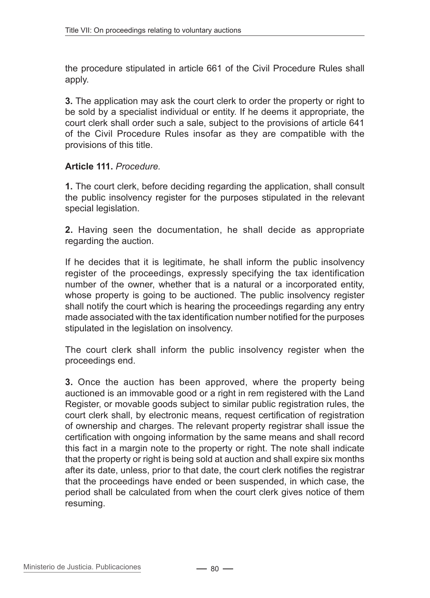the procedure stipulated in article 661 of the Civil Procedure Rules shall apply.

**3.** The application may ask the court clerk to order the property or right to be sold by a specialist individual or entity. If he deems it appropriate, the court clerk shall order such a sale, subject to the provisions of article 641 of the Civil Procedure Rules insofar as they are compatible with the provisions of this title.

### **Article 111.** *Procedure.*

**1.** The court clerk, before deciding regarding the application, shall consult the public insolvency register for the purposes stipulated in the relevant special legislation.

**2.** Having seen the documentation, he shall decide as appropriate regarding the auction.

If he decides that it is legitimate, he shall inform the public insolvency register of the proceedings, expressly specifying the tax identification number of the owner, whether that is a natural or a incorporated entity, whose property is going to be auctioned. The public insolvency register shall notify the court which is hearing the proceedings regarding any entry made associated with the tax identification number notified for the purposes stipulated in the legislation on insolvency.

The court clerk shall inform the public insolvency register when the proceedings end.

**3.** Once the auction has been approved, where the property being auctioned is an immovable good or a right in rem registered with the Land Register, or movable goods subject to similar public registration rules, the court clerk shall, by electronic means, request certification of registration of ownership and charges. The relevant property registrar shall issue the certification with ongoing information by the same means and shall record this fact in a margin note to the property or right. The note shall indicate that the property or right is being sold at auction and shall expire six months after its date, unless, prior to that date, the court clerk notifies the registrar that the proceedings have ended or been suspended, in which case, the period shall be calculated from when the court clerk gives notice of them resuming.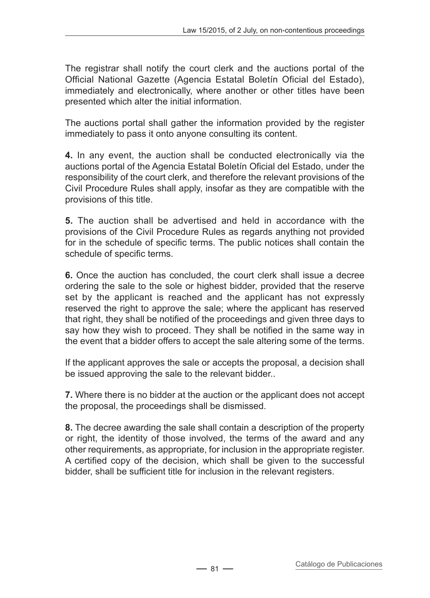The registrar shall notify the court clerk and the auctions portal of the Official National Gazette (Agencia Estatal Boletín Oficial del Estado), immediately and electronically, where another or other titles have been presented which alter the initial information.

The auctions portal shall gather the information provided by the register immediately to pass it onto anyone consulting its content.

**4.** In any event, the auction shall be conducted electronically via the auctions portal of the Agencia Estatal Boletín Oficial del Estado, under the responsibility of the court clerk, and therefore the relevant provisions of the Civil Procedure Rules shall apply, insofar as they are compatible with the provisions of this title.

**5.** The auction shall be advertised and held in accordance with the provisions of the Civil Procedure Rules as regards anything not provided for in the schedule of specific terms. The public notices shall contain the schedule of specific terms.

**6.** Once the auction has concluded, the court clerk shall issue a decree ordering the sale to the sole or highest bidder, provided that the reserve set by the applicant is reached and the applicant has not expressly reserved the right to approve the sale; where the applicant has reserved that right, they shall be notified of the proceedings and given three days to say how they wish to proceed. They shall be notified in the same way in the event that a bidder offers to accept the sale altering some of the terms.

If the applicant approves the sale or accepts the proposal, a decision shall be issued approving the sale to the relevant bidder..

**7.** Where there is no bidder at the auction or the applicant does not accept the proposal, the proceedings shall be dismissed.

**8.** The decree awarding the sale shall contain a description of the property or right, the identity of those involved, the terms of the award and any other requirements, as appropriate, for inclusion in the appropriate register. A certified copy of the decision, which shall be given to the successful bidder, shall be sufficient title for inclusion in the relevant registers.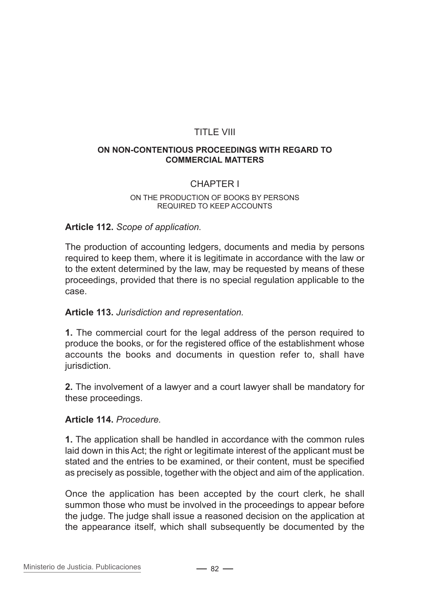## TITLE VIII

#### **On non-contentious proceedings with regard to commercial matters**

## CHAPTER I

#### On the production of books by persons required to keep accounts

#### **Article 112.** *Scope of application.*

The production of accounting ledgers, documents and media by persons required to keep them, where it is legitimate in accordance with the law or to the extent determined by the law, may be requested by means of these proceedings, provided that there is no special regulation applicable to the case.

#### **Article 113.** *Jurisdiction and representation.*

**1.** The commercial court for the legal address of the person required to produce the books, or for the registered office of the establishment whose accounts the books and documents in question refer to, shall have jurisdiction.

**2.** The involvement of a lawyer and a court lawyer shall be mandatory for these proceedings.

#### **Article 114.** *Procedure.*

**1.** The application shall be handled in accordance with the common rules laid down in this Act; the right or legitimate interest of the applicant must be stated and the entries to be examined, or their content, must be specified as precisely as possible, together with the object and aim of the application.

Once the application has been accepted by the court clerk, he shall summon those who must be involved in the proceedings to appear before the judge. The judge shall issue a reasoned decision on the application at the appearance itself, which shall subsequently be documented by the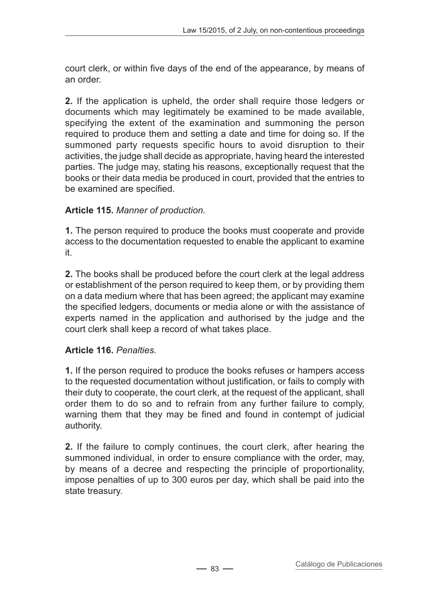court clerk, or within five days of the end of the appearance, by means of an order.

**2.** If the application is upheld, the order shall require those ledgers or documents which may legitimately be examined to be made available, specifying the extent of the examination and summoning the person required to produce them and setting a date and time for doing so. If the summoned party requests specific hours to avoid disruption to their activities, the judge shall decide as appropriate, having heard the interested parties. The judge may, stating his reasons, exceptionally request that the books or their data media be produced in court, provided that the entries to be examined are specified.

## **Article 115.** *Manner of production.*

**1.** The person required to produce the books must cooperate and provide access to the documentation requested to enable the applicant to examine it.

**2.** The books shall be produced before the court clerk at the legal address or establishment of the person required to keep them, or by providing them on a data medium where that has been agreed; the applicant may examine the specified ledgers, documents or media alone or with the assistance of experts named in the application and authorised by the judge and the court clerk shall keep a record of what takes place.

# **Article 116.** *Penalties.*

**1.** If the person required to produce the books refuses or hampers access to the requested documentation without justification, or fails to comply with their duty to cooperate, the court clerk, at the request of the applicant, shall order them to do so and to refrain from any further failure to comply, warning them that they may be fined and found in contempt of judicial authority.

**2.** If the failure to comply continues, the court clerk, after hearing the summoned individual, in order to ensure compliance with the order, may, by means of a decree and respecting the principle of proportionality, impose penalties of up to 300 euros per day, which shall be paid into the state treasury.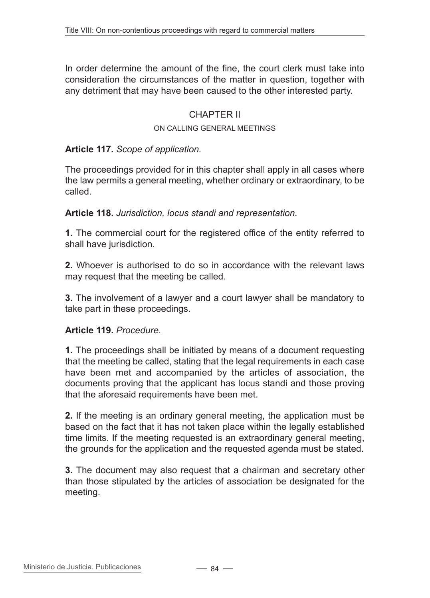In order determine the amount of the fine, the court clerk must take into consideration the circumstances of the matter in question, together with any detriment that may have been caused to the other interested party.

### CHAPTER II

#### On calling general meetings

#### **Article 117.** *Scope of application.*

The proceedings provided for in this chapter shall apply in all cases where the law permits a general meeting, whether ordinary or extraordinary, to be called.

**Article 118.** *Jurisdiction, locus standi and representation.*

**1.** The commercial court for the registered office of the entity referred to shall have jurisdiction.

**2.** Whoever is authorised to do so in accordance with the relevant laws may request that the meeting be called.

**3.** The involvement of a lawyer and a court lawyer shall be mandatory to take part in these proceedings.

#### **Article 119.** *Procedure.*

**1.** The proceedings shall be initiated by means of a document requesting that the meeting be called, stating that the legal requirements in each case have been met and accompanied by the articles of association, the documents proving that the applicant has locus standi and those proving that the aforesaid requirements have been met.

**2.** If the meeting is an ordinary general meeting, the application must be based on the fact that it has not taken place within the legally established time limits. If the meeting requested is an extraordinary general meeting, the grounds for the application and the requested agenda must be stated.

**3.** The document may also request that a chairman and secretary other than those stipulated by the articles of association be designated for the meeting.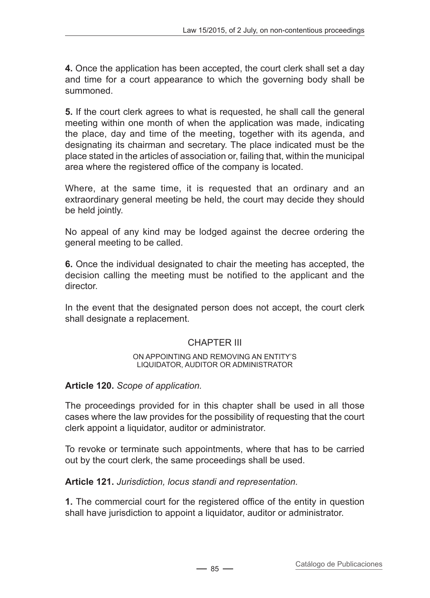**4.** Once the application has been accepted, the court clerk shall set a day and time for a court appearance to which the governing body shall be summoned.

**5.** If the court clerk agrees to what is requested, he shall call the general meeting within one month of when the application was made, indicating the place, day and time of the meeting, together with its agenda, and designating its chairman and secretary. The place indicated must be the place stated in the articles of association or, failing that, within the municipal area where the registered office of the company is located.

Where, at the same time, it is requested that an ordinary and an extraordinary general meeting be held, the court may decide they should be held jointly.

No appeal of any kind may be lodged against the decree ordering the general meeting to be called.

**6.** Once the individual designated to chair the meeting has accepted, the decision calling the meeting must be notified to the applicant and the director.

In the event that the designated person does not accept, the court clerk shall designate a replacement.

# CHAPTER III

#### On appointing and removing an entity's liquidator, auditor or administrator

## **Article 120.** *Scope of application.*

The proceedings provided for in this chapter shall be used in all those cases where the law provides for the possibility of requesting that the court clerk appoint a liquidator, auditor or administrator.

To revoke or terminate such appointments, where that has to be carried out by the court clerk, the same proceedings shall be used.

**Article 121.** *Jurisdiction, locus standi and representation.*

**1.** The commercial court for the registered office of the entity in question shall have jurisdiction to appoint a liquidator, auditor or administrator.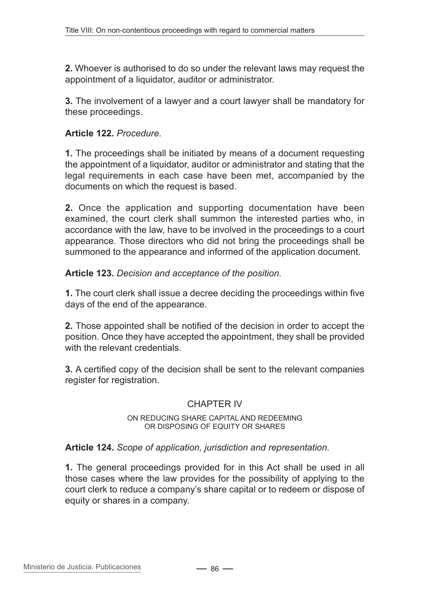**2.** Whoever is authorised to do so under the relevant laws may request the appointment of a liquidator, auditor or administrator.

**3.** The involvement of a lawyer and a court lawyer shall be mandatory for these proceedings.

## **Article 122.** *Procedure.*

**1.** The proceedings shall be initiated by means of a document requesting the appointment of a liquidator, auditor or administrator and stating that the legal requirements in each case have been met, accompanied by the documents on which the request is based.

**2.** Once the application and supporting documentation have been examined, the court clerk shall summon the interested parties who, in accordance with the law, have to be involved in the proceedings to a court appearance. Those directors who did not bring the proceedings shall be summoned to the appearance and informed of the application document.

**Article 123.** *Decision and acceptance of the position.*

**1.** The court clerk shall issue a decree deciding the proceedings within five days of the end of the appearance.

**2.** Those appointed shall be notified of the decision in order to accept the position. Once they have accepted the appointment, they shall be provided with the relevant credentials.

**3.** A certified copy of the decision shall be sent to the relevant companies register for registration.

## CHAPTER IV

#### On reducing share capital and redeeming or disposing of equity or shares

#### **Article 124.** *Scope of application, jurisdiction and representation.*

**1.** The general proceedings provided for in this Act shall be used in all those cases where the law provides for the possibility of applying to the court clerk to reduce a company's share capital or to redeem or dispose of equity or shares in a company.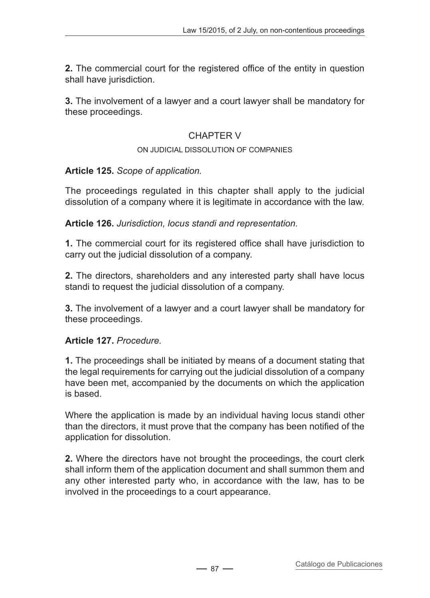**2.** The commercial court for the registered office of the entity in question shall have jurisdiction.

**3.** The involvement of a lawyer and a court lawyer shall be mandatory for these proceedings.

# CHAPTER V

### On judicial dissolution of companies

## **Article 125.** *Scope of application.*

The proceedings regulated in this chapter shall apply to the judicial dissolution of a company where it is legitimate in accordance with the law.

**Article 126.** *Jurisdiction, locus standi and representation.*

**1.** The commercial court for its registered office shall have jurisdiction to carry out the judicial dissolution of a company.

**2.** The directors, shareholders and any interested party shall have locus standi to request the judicial dissolution of a company.

**3.** The involvement of a lawyer and a court lawyer shall be mandatory for these proceedings.

## **Article 127.** *Procedure.*

**1.** The proceedings shall be initiated by means of a document stating that the legal requirements for carrying out the judicial dissolution of a company have been met, accompanied by the documents on which the application is based.

Where the application is made by an individual having locus standi other than the directors, it must prove that the company has been notified of the application for dissolution.

**2.** Where the directors have not brought the proceedings, the court clerk shall inform them of the application document and shall summon them and any other interested party who, in accordance with the law, has to be involved in the proceedings to a court appearance.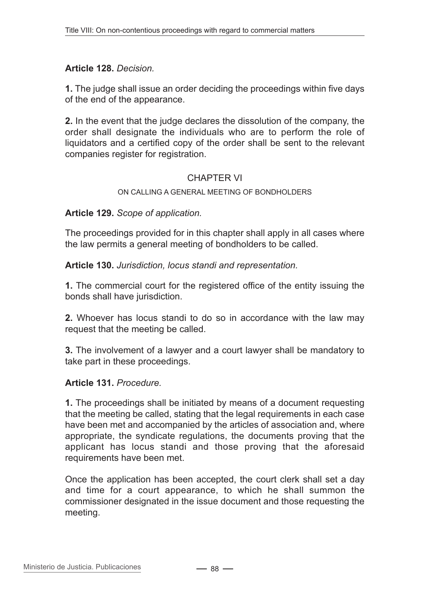## **Article 128.** *Decision.*

**1.** The judge shall issue an order deciding the proceedings within five days of the end of the appearance.

**2.** In the event that the judge declares the dissolution of the company, the order shall designate the individuals who are to perform the role of liquidators and a certified copy of the order shall be sent to the relevant companies register for registration.

### CHAPTER VI

#### ON CALLING A GENERAL MEETING OF BONDHOLDERS

**Article 129.** *Scope of application.*

The proceedings provided for in this chapter shall apply in all cases where the law permits a general meeting of bondholders to be called.

**Article 130.** *Jurisdiction, locus standi and representation.*

**1.** The commercial court for the registered office of the entity issuing the bonds shall have jurisdiction.

**2.** Whoever has locus standi to do so in accordance with the law may request that the meeting be called.

**3.** The involvement of a lawyer and a court lawyer shall be mandatory to take part in these proceedings.

#### **Article 131.** *Procedure.*

**1.** The proceedings shall be initiated by means of a document requesting that the meeting be called, stating that the legal requirements in each case have been met and accompanied by the articles of association and, where appropriate, the syndicate regulations, the documents proving that the applicant has locus standi and those proving that the aforesaid requirements have been met.

Once the application has been accepted, the court clerk shall set a day and time for a court appearance, to which he shall summon the commissioner designated in the issue document and those requesting the meeting.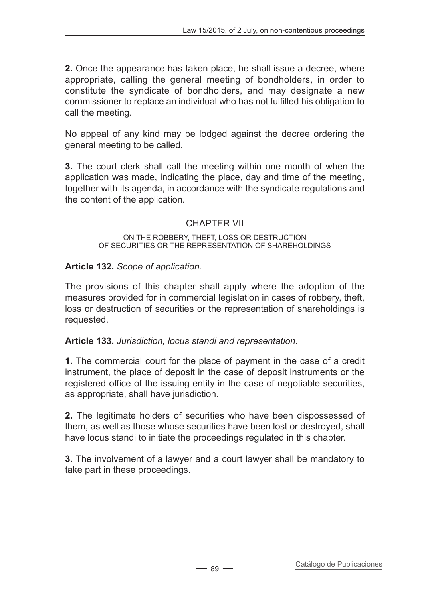**2.** Once the appearance has taken place, he shall issue a decree, where appropriate, calling the general meeting of bondholders, in order to constitute the syndicate of bondholders, and may designate a new commissioner to replace an individual who has not fulfilled his obligation to call the meeting.

No appeal of any kind may be lodged against the decree ordering the general meeting to be called.

**3.** The court clerk shall call the meeting within one month of when the application was made, indicating the place, day and time of the meeting, together with its agenda, in accordance with the syndicate regulations and the content of the application.

# CHAPTER VII

#### On the robbery, theft, loss or destruction of securities or the representation of shareholdings

# **Article 132.** *Scope of application.*

The provisions of this chapter shall apply where the adoption of the measures provided for in commercial legislation in cases of robbery, theft, loss or destruction of securities or the representation of shareholdings is requested.

## **Article 133.** *Jurisdiction, locus standi and representation.*

**1.** The commercial court for the place of payment in the case of a credit instrument, the place of deposit in the case of deposit instruments or the registered office of the issuing entity in the case of negotiable securities, as appropriate, shall have jurisdiction.

**2.** The legitimate holders of securities who have been dispossessed of them, as well as those whose securities have been lost or destroyed, shall have locus standi to initiate the proceedings regulated in this chapter.

**3.** The involvement of a lawyer and a court lawyer shall be mandatory to take part in these proceedings.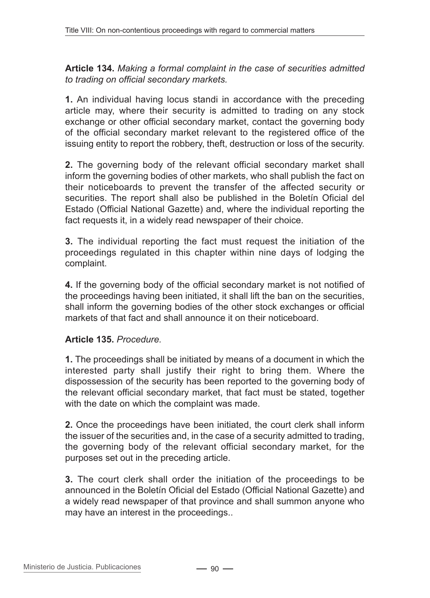**Article 134.** *Making a formal complaint in the case of securities admitted to trading on official secondary markets.*

**1.** An individual having locus standi in accordance with the preceding article may, where their security is admitted to trading on any stock exchange or other official secondary market, contact the governing body of the official secondary market relevant to the registered office of the issuing entity to report the robbery, theft, destruction or loss of the security.

**2.** The governing body of the relevant official secondary market shall inform the governing bodies of other markets, who shall publish the fact on their noticeboards to prevent the transfer of the affected security or securities. The report shall also be published in the Boletín Oficial del Estado (Official National Gazette) and, where the individual reporting the fact requests it, in a widely read newspaper of their choice.

**3.** The individual reporting the fact must request the initiation of the proceedings regulated in this chapter within nine days of lodging the complaint.

**4.** If the governing body of the official secondary market is not notified of the proceedings having been initiated, it shall lift the ban on the securities, shall inform the governing bodies of the other stock exchanges or official markets of that fact and shall announce it on their noticeboard.

## **Article 135.** *Procedure.*

**1.** The proceedings shall be initiated by means of a document in which the interested party shall justify their right to bring them. Where the dispossession of the security has been reported to the governing body of the relevant official secondary market, that fact must be stated, together with the date on which the complaint was made.

**2.** Once the proceedings have been initiated, the court clerk shall inform the issuer of the securities and, in the case of a security admitted to trading, the governing body of the relevant official secondary market, for the purposes set out in the preceding article.

**3.** The court clerk shall order the initiation of the proceedings to be announced in the Boletín Oficial del Estado (Official National Gazette) and a widely read newspaper of that province and shall summon anyone who may have an interest in the proceedings..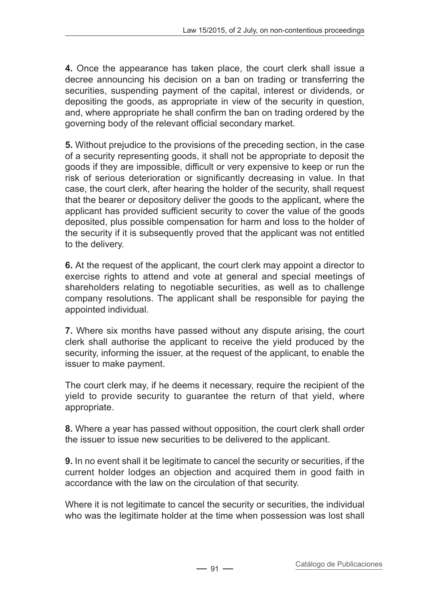**4.** Once the appearance has taken place, the court clerk shall issue a decree announcing his decision on a ban on trading or transferring the securities, suspending payment of the capital, interest or dividends, or depositing the goods, as appropriate in view of the security in question, and, where appropriate he shall confirm the ban on trading ordered by the governing body of the relevant official secondary market.

**5.** Without prejudice to the provisions of the preceding section, in the case of a security representing goods, it shall not be appropriate to deposit the goods if they are impossible, difficult or very expensive to keep or run the risk of serious deterioration or significantly decreasing in value. In that case, the court clerk, after hearing the holder of the security, shall request that the bearer or depository deliver the goods to the applicant, where the applicant has provided sufficient security to cover the value of the goods deposited, plus possible compensation for harm and loss to the holder of the security if it is subsequently proved that the applicant was not entitled to the delivery.

**6.** At the request of the applicant, the court clerk may appoint a director to exercise rights to attend and vote at general and special meetings of shareholders relating to negotiable securities, as well as to challenge company resolutions. The applicant shall be responsible for paying the appointed individual.

**7.** Where six months have passed without any dispute arising, the court clerk shall authorise the applicant to receive the yield produced by the security, informing the issuer, at the request of the applicant, to enable the issuer to make payment.

The court clerk may, if he deems it necessary, require the recipient of the yield to provide security to guarantee the return of that yield, where appropriate.

**8.** Where a year has passed without opposition, the court clerk shall order the issuer to issue new securities to be delivered to the applicant.

**9.** In no event shall it be legitimate to cancel the security or securities, if the current holder lodges an objection and acquired them in good faith in accordance with the law on the circulation of that security.

Where it is not legitimate to cancel the security or securities, the individual who was the legitimate holder at the time when possession was lost shall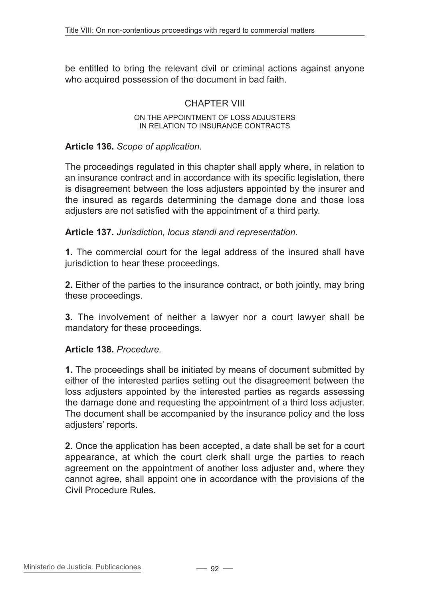be entitled to bring the relevant civil or criminal actions against anyone who acquired possession of the document in bad faith.

## CHAPTER VIII

#### On the appointment of loss adjusters in relation to insurance contracts

#### **Article 136.** *Scope of application.*

The proceedings regulated in this chapter shall apply where, in relation to an insurance contract and in accordance with its specific legislation, there is disagreement between the loss adjusters appointed by the insurer and the insured as regards determining the damage done and those loss adjusters are not satisfied with the appointment of a third party.

**Article 137.** *Jurisdiction, locus standi and representation.*

**1.** The commercial court for the legal address of the insured shall have jurisdiction to hear these proceedings.

**2.** Either of the parties to the insurance contract, or both jointly, may bring these proceedings.

**3.** The involvement of neither a lawyer nor a court lawyer shall be mandatory for these proceedings.

#### **Article 138.** *Procedure.*

**1.** The proceedings shall be initiated by means of document submitted by either of the interested parties setting out the disagreement between the loss adjusters appointed by the interested parties as regards assessing the damage done and requesting the appointment of a third loss adjuster. The document shall be accompanied by the insurance policy and the loss adjusters' reports.

**2.** Once the application has been accepted, a date shall be set for a court appearance, at which the court clerk shall urge the parties to reach agreement on the appointment of another loss adjuster and, where they cannot agree, shall appoint one in accordance with the provisions of the Civil Procedure Rules.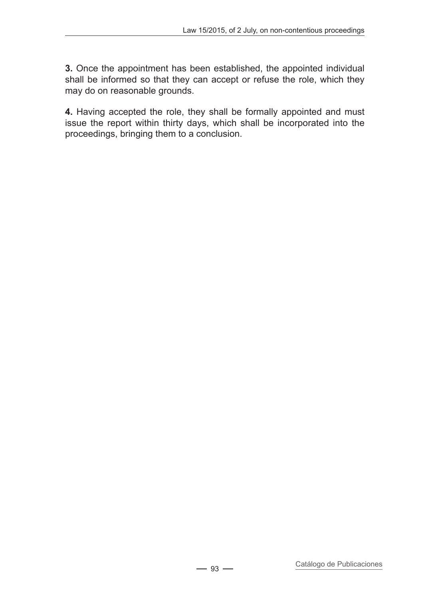**3.** Once the appointment has been established, the appointed individual shall be informed so that they can accept or refuse the role, which they may do on reasonable grounds.

**4.** Having accepted the role, they shall be formally appointed and must issue the report within thirty days, which shall be incorporated into the proceedings, bringing them to a conclusion.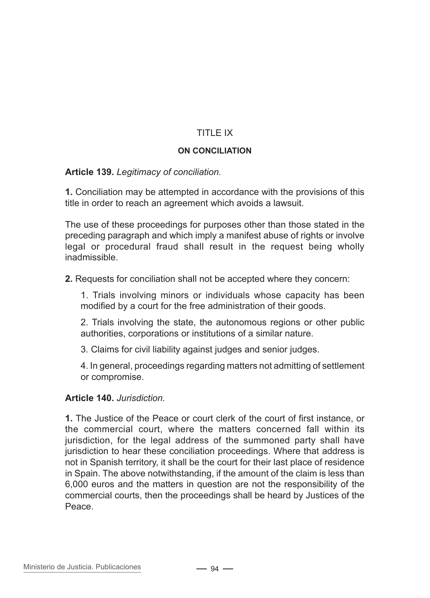# TITLE IX

#### **On conciliation**

### **Article 139.** *Legitimacy of conciliation.*

**1.** Conciliation may be attempted in accordance with the provisions of this title in order to reach an agreement which avoids a lawsuit.

The use of these proceedings for purposes other than those stated in the preceding paragraph and which imply a manifest abuse of rights or involve legal or procedural fraud shall result in the request being wholly inadmissible.

**2.** Requests for conciliation shall not be accepted where they concern:

1. Trials involving minors or individuals whose capacity has been modified by a court for the free administration of their goods.

2. Trials involving the state, the autonomous regions or other public authorities, corporations or institutions of a similar nature.

3. Claims for civil liability against judges and senior judges.

4. In general, proceedings regarding matters not admitting of settlement or compromise.

#### **Article 140.** *Jurisdiction.*

**1.** The Justice of the Peace or court clerk of the court of first instance, or the commercial court, where the matters concerned fall within its jurisdiction, for the legal address of the summoned party shall have jurisdiction to hear these conciliation proceedings. Where that address is not in Spanish territory, it shall be the court for their last place of residence in Spain. The above notwithstanding, if the amount of the claim is less than 6,000 euros and the matters in question are not the responsibility of the commercial courts, then the proceedings shall be heard by Justices of the Peace.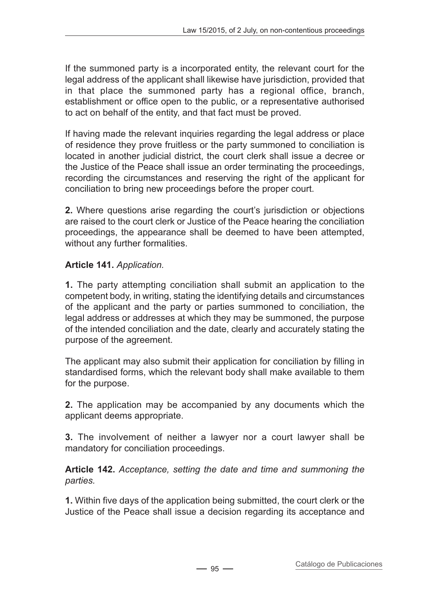If the summoned party is a incorporated entity, the relevant court for the legal address of the applicant shall likewise have jurisdiction, provided that in that place the summoned party has a regional office, branch, establishment or office open to the public, or a representative authorised to act on behalf of the entity, and that fact must be proved.

If having made the relevant inquiries regarding the legal address or place of residence they prove fruitless or the party summoned to conciliation is located in another judicial district, the court clerk shall issue a decree or the Justice of the Peace shall issue an order terminating the proceedings, recording the circumstances and reserving the right of the applicant for conciliation to bring new proceedings before the proper court.

**2.** Where questions arise regarding the court's jurisdiction or objections are raised to the court clerk or Justice of the Peace hearing the conciliation proceedings, the appearance shall be deemed to have been attempted, without any further formalities.

# **Article 141.** *Application.*

**1.** The party attempting conciliation shall submit an application to the competent body, in writing, stating the identifying details and circumstances of the applicant and the party or parties summoned to conciliation, the legal address or addresses at which they may be summoned, the purpose of the intended conciliation and the date, clearly and accurately stating the purpose of the agreement.

The applicant may also submit their application for conciliation by filling in standardised forms, which the relevant body shall make available to them for the purpose.

**2.** The application may be accompanied by any documents which the applicant deems appropriate.

**3.** The involvement of neither a lawyer nor a court lawyer shall be mandatory for conciliation proceedings.

**Article 142.** *Acceptance, setting the date and time and summoning the parties.*

**1.** Within five days of the application being submitted, the court clerk or the Justice of the Peace shall issue a decision regarding its acceptance and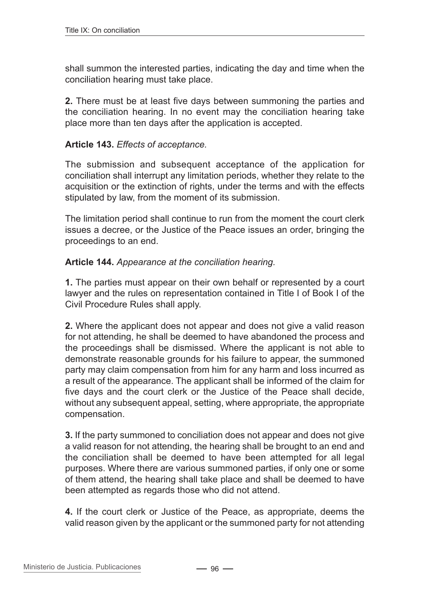shall summon the interested parties, indicating the day and time when the conciliation hearing must take place.

**2.** There must be at least five days between summoning the parties and the conciliation hearing. In no event may the conciliation hearing take place more than ten days after the application is accepted.

## **Article 143.** *Effects of acceptance.*

The submission and subsequent acceptance of the application for conciliation shall interrupt any limitation periods, whether they relate to the acquisition or the extinction of rights, under the terms and with the effects stipulated by law, from the moment of its submission.

The limitation period shall continue to run from the moment the court clerk issues a decree, or the Justice of the Peace issues an order, bringing the proceedings to an end.

### **Article 144.** *Appearance at the conciliation hearing.*

**1.** The parties must appear on their own behalf or represented by a court lawyer and the rules on representation contained in Title I of Book I of the Civil Procedure Rules shall apply.

**2.** Where the applicant does not appear and does not give a valid reason for not attending, he shall be deemed to have abandoned the process and the proceedings shall be dismissed. Where the applicant is not able to demonstrate reasonable grounds for his failure to appear, the summoned party may claim compensation from him for any harm and loss incurred as a result of the appearance. The applicant shall be informed of the claim for five days and the court clerk or the Justice of the Peace shall decide, without any subsequent appeal, setting, where appropriate, the appropriate compensation.

**3.** If the party summoned to conciliation does not appear and does not give a valid reason for not attending, the hearing shall be brought to an end and the conciliation shall be deemed to have been attempted for all legal purposes. Where there are various summoned parties, if only one or some of them attend, the hearing shall take place and shall be deemed to have been attempted as regards those who did not attend.

**4.** If the court clerk or Justice of the Peace, as appropriate, deems the valid reason given by the applicant or the summoned party for not attending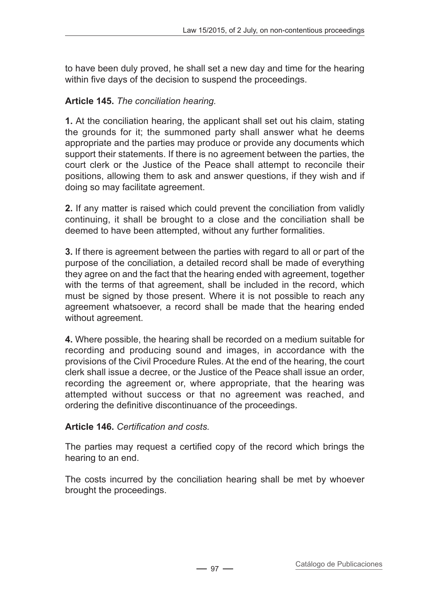to have been duly proved, he shall set a new day and time for the hearing within five days of the decision to suspend the proceedings.

# **Article 145.** *The conciliation hearing.*

**1.** At the conciliation hearing, the applicant shall set out his claim, stating the grounds for it; the summoned party shall answer what he deems appropriate and the parties may produce or provide any documents which support their statements. If there is no agreement between the parties, the court clerk or the Justice of the Peace shall attempt to reconcile their positions, allowing them to ask and answer questions, if they wish and if doing so may facilitate agreement.

**2.** If any matter is raised which could prevent the conciliation from validly continuing, it shall be brought to a close and the conciliation shall be deemed to have been attempted, without any further formalities.

**3.** If there is agreement between the parties with regard to all or part of the purpose of the conciliation, a detailed record shall be made of everything they agree on and the fact that the hearing ended with agreement, together with the terms of that agreement, shall be included in the record, which must be signed by those present. Where it is not possible to reach any agreement whatsoever, a record shall be made that the hearing ended without agreement.

**4.** Where possible, the hearing shall be recorded on a medium suitable for recording and producing sound and images, in accordance with the provisions of the Civil Procedure Rules. At the end of the hearing, the court clerk shall issue a decree, or the Justice of the Peace shall issue an order, recording the agreement or, where appropriate, that the hearing was attempted without success or that no agreement was reached, and ordering the definitive discontinuance of the proceedings.

## **Article 146.** *Certification and costs.*

The parties may request a certified copy of the record which brings the hearing to an end.

The costs incurred by the conciliation hearing shall be met by whoever brought the proceedings.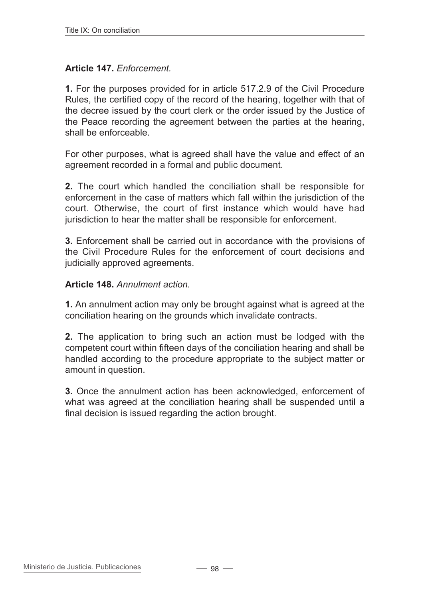## **Article 147.** *Enforcement.*

**1.** For the purposes provided for in article 517.2.9 of the Civil Procedure Rules, the certified copy of the record of the hearing, together with that of the decree issued by the court clerk or the order issued by the Justice of the Peace recording the agreement between the parties at the hearing, shall be enforceable.

For other purposes, what is agreed shall have the value and effect of an agreement recorded in a formal and public document.

**2.** The court which handled the conciliation shall be responsible for enforcement in the case of matters which fall within the jurisdiction of the court. Otherwise, the court of first instance which would have had jurisdiction to hear the matter shall be responsible for enforcement.

**3.** Enforcement shall be carried out in accordance with the provisions of the Civil Procedure Rules for the enforcement of court decisions and judicially approved agreements.

### **Article 148.** *Annulment action.*

**1.** An annulment action may only be brought against what is agreed at the conciliation hearing on the grounds which invalidate contracts.

**2.** The application to bring such an action must be lodged with the competent court within fifteen days of the conciliation hearing and shall be handled according to the procedure appropriate to the subject matter or amount in question.

**3.** Once the annulment action has been acknowledged, enforcement of what was agreed at the conciliation hearing shall be suspended until a final decision is issued regarding the action brought.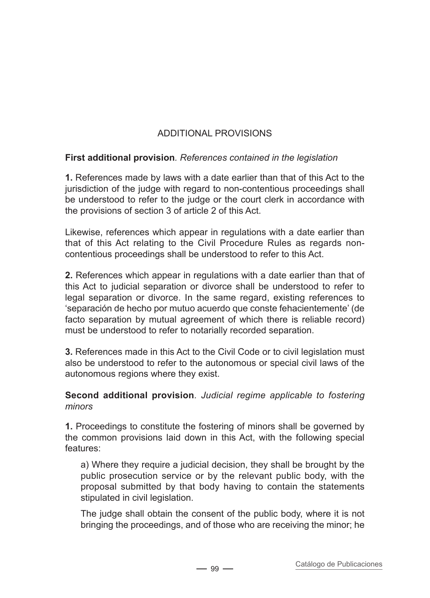# ADDITIONAL PROVISIONS

## **First additional provision***. References contained in the legislation*

**1.** References made by laws with a date earlier than that of this Act to the jurisdiction of the judge with regard to non-contentious proceedings shall be understood to refer to the judge or the court clerk in accordance with the provisions of section 3 of article 2 of this Act.

Likewise, references which appear in regulations with a date earlier than that of this Act relating to the Civil Procedure Rules as regards noncontentious proceedings shall be understood to refer to this Act.

**2.** References which appear in regulations with a date earlier than that of this Act to judicial separation or divorce shall be understood to refer to legal separation or divorce. In the same regard, existing references to 'separación de hecho por mutuo acuerdo que conste fehacientemente' (de facto separation by mutual agreement of which there is reliable record) must be understood to refer to notarially recorded separation.

**3.** References made in this Act to the Civil Code or to civil legislation must also be understood to refer to the autonomous or special civil laws of the autonomous regions where they exist.

## **Second additional provision***. Judicial regime applicable to fostering minors*

**1.** Proceedings to constitute the fostering of minors shall be governed by the common provisions laid down in this Act, with the following special features:

a) Where they require a judicial decision, they shall be brought by the public prosecution service or by the relevant public body, with the proposal submitted by that body having to contain the statements stipulated in civil legislation.

The judge shall obtain the consent of the public body, where it is not bringing the proceedings, and of those who are receiving the minor; he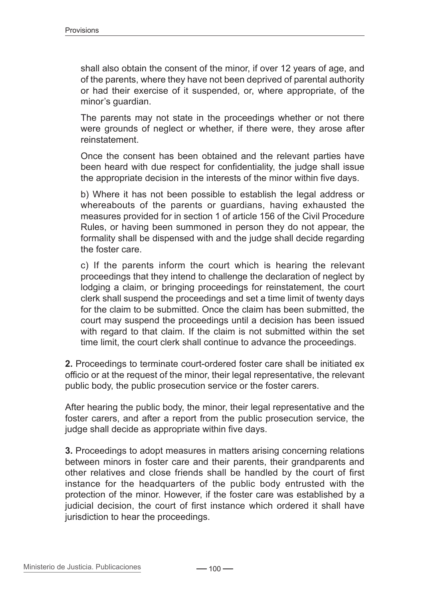shall also obtain the consent of the minor, if over 12 years of age, and of the parents, where they have not been deprived of parental authority or had their exercise of it suspended, or, where appropriate, of the minor's guardian.

The parents may not state in the proceedings whether or not there were grounds of neglect or whether, if there were, they arose after reinstatement.

Once the consent has been obtained and the relevant parties have been heard with due respect for confidentiality, the judge shall issue the appropriate decision in the interests of the minor within five days.

b) Where it has not been possible to establish the legal address or whereabouts of the parents or guardians, having exhausted the measures provided for in section 1 of article 156 of the Civil Procedure Rules, or having been summoned in person they do not appear, the formality shall be dispensed with and the judge shall decide regarding the foster care.

c) If the parents inform the court which is hearing the relevant proceedings that they intend to challenge the declaration of neglect by lodging a claim, or bringing proceedings for reinstatement, the court clerk shall suspend the proceedings and set a time limit of twenty days for the claim to be submitted. Once the claim has been submitted, the court may suspend the proceedings until a decision has been issued with regard to that claim. If the claim is not submitted within the set time limit, the court clerk shall continue to advance the proceedings.

**2.** Proceedings to terminate court-ordered foster care shall be initiated ex officio or at the request of the minor, their legal representative, the relevant public body, the public prosecution service or the foster carers.

After hearing the public body, the minor, their legal representative and the foster carers, and after a report from the public prosecution service, the judge shall decide as appropriate within five days.

**3.** Proceedings to adopt measures in matters arising concerning relations between minors in foster care and their parents, their grandparents and other relatives and close friends shall be handled by the court of first instance for the headquarters of the public body entrusted with the protection of the minor. However, if the foster care was established by a judicial decision, the court of first instance which ordered it shall have jurisdiction to hear the proceedings.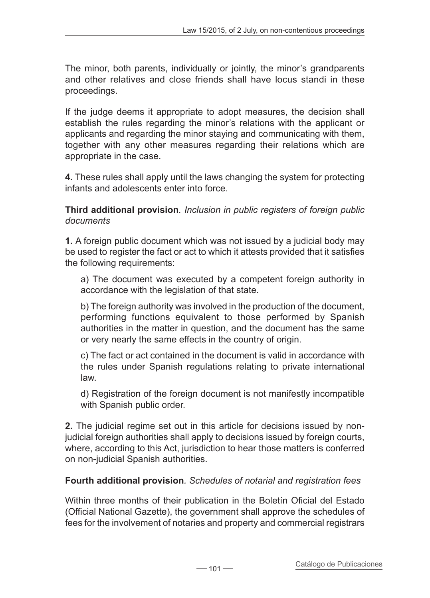The minor, both parents, individually or jointly, the minor's grandparents and other relatives and close friends shall have locus standi in these proceedings.

If the judge deems it appropriate to adopt measures, the decision shall establish the rules regarding the minor's relations with the applicant or applicants and regarding the minor staying and communicating with them, together with any other measures regarding their relations which are appropriate in the case.

**4.** These rules shall apply until the laws changing the system for protecting infants and adolescents enter into force.

**Third additional provision***. Inclusion in public registers of foreign public documents*

**1.** A foreign public document which was not issued by a judicial body may be used to register the fact or act to which it attests provided that it satisfies the following requirements:

a) The document was executed by a competent foreign authority in accordance with the legislation of that state.

b) The foreign authority was involved in the production of the document, performing functions equivalent to those performed by Spanish authorities in the matter in question, and the document has the same or very nearly the same effects in the country of origin.

c) The fact or act contained in the document is valid in accordance with the rules under Spanish regulations relating to private international law.

d) Registration of the foreign document is not manifestly incompatible with Spanish public order.

**2.** The judicial regime set out in this article for decisions issued by nonjudicial foreign authorities shall apply to decisions issued by foreign courts, where, according to this Act, jurisdiction to hear those matters is conferred on non-judicial Spanish authorities.

# **Fourth additional provision***. Schedules of notarial and registration fees*

Within three months of their publication in the Boletín Oficial del Estado (Official National Gazette), the government shall approve the schedules of fees for the involvement of notaries and property and commercial registrars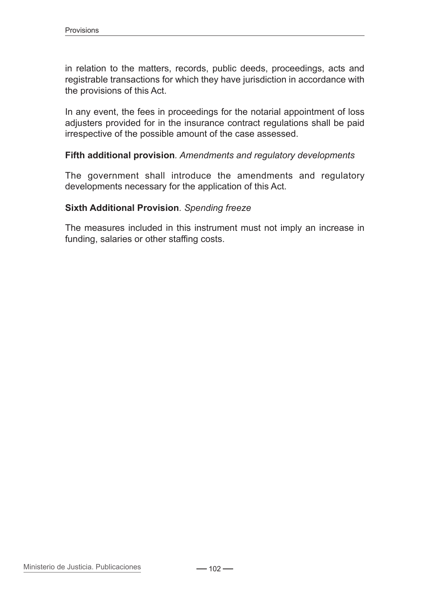in relation to the matters, records, public deeds, proceedings, acts and registrable transactions for which they have jurisdiction in accordance with the provisions of this Act.

In any event, the fees in proceedings for the notarial appointment of loss adjusters provided for in the insurance contract regulations shall be paid irrespective of the possible amount of the case assessed.

#### **Fifth additional provision***. Amendments and regulatory developments*

The government shall introduce the amendments and regulatory developments necessary for the application of this Act.

#### **Sixth Additional Provision***. Spending freeze*

The measures included in this instrument must not imply an increase in funding, salaries or other staffing costs.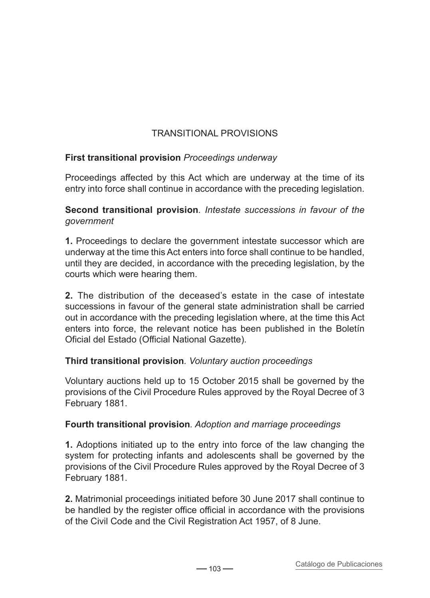# TRANSITIONAL pROVISIONS

## **First transitional provision** *Proceedings underway*

Proceedings affected by this Act which are underway at the time of its entry into force shall continue in accordance with the preceding legislation.

**Second transitional provision***. Intestate successions in favour of the government*

**1.** Proceedings to declare the government intestate successor which are underway at the time this Act enters into force shall continue to be handled, until they are decided, in accordance with the preceding legislation, by the courts which were hearing them.

**2.** The distribution of the deceased's estate in the case of intestate successions in favour of the general state administration shall be carried out in accordance with the preceding legislation where, at the time this Act enters into force, the relevant notice has been published in the Boletín Oficial del Estado (Official National Gazette).

## **Third transitional provision***. Voluntary auction proceedings*

Voluntary auctions held up to 15 October 2015 shall be governed by the provisions of the Civil Procedure Rules approved by the Royal Decree of 3 February 1881.

## **Fourth transitional provision***. Adoption and marriage proceedings*

**1.** Adoptions initiated up to the entry into force of the law changing the system for protecting infants and adolescents shall be governed by the provisions of the Civil Procedure Rules approved by the Royal Decree of 3 February 1881.

**2.** Matrimonial proceedings initiated before 30 June 2017 shall continue to be handled by the register office official in accordance with the provisions of the Civil Code and the Civil Registration Act 1957, of 8 June.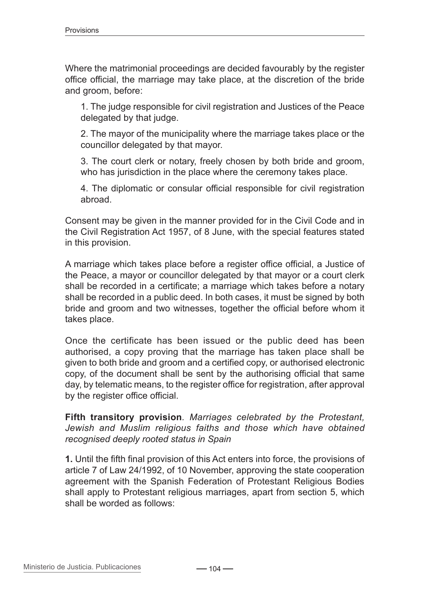Where the matrimonial proceedings are decided favourably by the register office official, the marriage may take place, at the discretion of the bride and groom, before:

1. The judge responsible for civil registration and Justices of the Peace delegated by that judge.

2. The mayor of the municipality where the marriage takes place or the councillor delegated by that mayor.

3. The court clerk or notary, freely chosen by both bride and groom, who has jurisdiction in the place where the ceremony takes place.

4. The diplomatic or consular official responsible for civil registration abroad.

Consent may be given in the manner provided for in the Civil Code and in the Civil Registration Act 1957, of 8 June, with the special features stated in this provision.

A marriage which takes place before a register office official, a Justice of the Peace, a mayor or councillor delegated by that mayor or a court clerk shall be recorded in a certificate; a marriage which takes before a notary shall be recorded in a public deed. In both cases, it must be signed by both bride and groom and two witnesses, together the official before whom it takes place.

Once the certificate has been issued or the public deed has been authorised, a copy proving that the marriage has taken place shall be given to both bride and groom and a certified copy, or authorised electronic copy, of the document shall be sent by the authorising official that same day, by telematic means, to the register office for registration, after approval by the register office official.

**Fifth transitory provision***. Marriages celebrated by the Protestant, Jewish and Muslim religious faiths and those which have obtained recognised deeply rooted status in Spain*

**1.** Until the fifth final provision of this Act enters into force, the provisions of article 7 of Law 24/1992, of 10 November, approving the state cooperation agreement with the Spanish Federation of Protestant Religious Bodies shall apply to Protestant religious marriages, apart from section 5, which shall be worded as follows: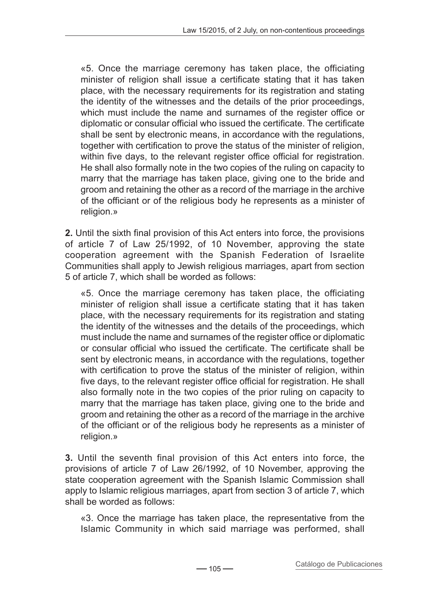«5. Once the marriage ceremony has taken place, the officiating minister of religion shall issue a certificate stating that it has taken place, with the necessary requirements for its registration and stating the identity of the witnesses and the details of the prior proceedings, which must include the name and surnames of the register office or diplomatic or consular official who issued the certificate. The certificate shall be sent by electronic means, in accordance with the regulations, together with certification to prove the status of the minister of religion, within five days, to the relevant register office official for registration. He shall also formally note in the two copies of the ruling on capacity to marry that the marriage has taken place, giving one to the bride and groom and retaining the other as a record of the marriage in the archive of the officiant or of the religious body he represents as a minister of religion.»

**2.** Until the sixth final provision of this Act enters into force, the provisions of article 7 of Law 25/1992, of 10 November, approving the state cooperation agreement with the Spanish Federation of Israelite Communities shall apply to Jewish religious marriages, apart from section 5 of article 7, which shall be worded as follows:

«5. Once the marriage ceremony has taken place, the officiating minister of religion shall issue a certificate stating that it has taken place, with the necessary requirements for its registration and stating the identity of the witnesses and the details of the proceedings, which must include the name and surnames of the register office or diplomatic or consular official who issued the certificate. The certificate shall be sent by electronic means, in accordance with the regulations, together with certification to prove the status of the minister of religion, within five days, to the relevant register office official for registration. He shall also formally note in the two copies of the prior ruling on capacity to marry that the marriage has taken place, giving one to the bride and groom and retaining the other as a record of the marriage in the archive of the officiant or of the religious body he represents as a minister of religion.»

**3.** Until the seventh final provision of this Act enters into force, the provisions of article 7 of Law 26/1992, of 10 November, approving the state cooperation agreement with the Spanish Islamic Commission shall apply to Islamic religious marriages, apart from section 3 of article 7, which shall be worded as follows:

«3. Once the marriage has taken place, the representative from the Islamic Community in which said marriage was performed, shall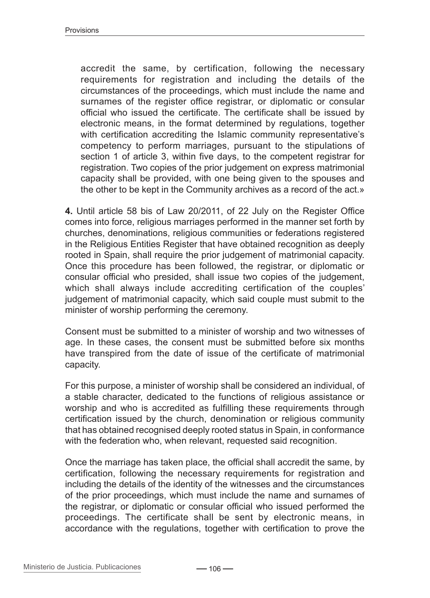accredit the same, by certification, following the necessary requirements for registration and including the details of the circumstances of the proceedings, which must include the name and surnames of the register office registrar, or diplomatic or consular official who issued the certificate. The certificate shall be issued by electronic means, in the format determined by regulations, together with certification accrediting the Islamic community representative's competency to perform marriages, pursuant to the stipulations of section 1 of article 3, within five days, to the competent registrar for registration. Two copies of the prior judgement on express matrimonial capacity shall be provided, with one being given to the spouses and the other to be kept in the Community archives as a record of the act.»

**4.** Until article 58 bis of Law 20/2011, of 22 July on the Register Office comes into force, religious marriages performed in the manner set forth by churches, denominations, religious communities or federations registered in the Religious Entities Register that have obtained recognition as deeply rooted in Spain, shall require the prior judgement of matrimonial capacity. Once this procedure has been followed, the registrar, or diplomatic or consular official who presided, shall issue two copies of the judgement, which shall always include accrediting certification of the couples' judgement of matrimonial capacity, which said couple must submit to the minister of worship performing the ceremony.

Consent must be submitted to a minister of worship and two witnesses of age. In these cases, the consent must be submitted before six months have transpired from the date of issue of the certificate of matrimonial capacity.

For this purpose, a minister of worship shall be considered an individual, of a stable character, dedicated to the functions of religious assistance or worship and who is accredited as fulfilling these requirements through certification issued by the church, denomination or religious community that has obtained recognised deeply rooted status in Spain, in conformance with the federation who, when relevant, requested said recognition.

Once the marriage has taken place, the official shall accredit the same, by certification, following the necessary requirements for registration and including the details of the identity of the witnesses and the circumstances of the prior proceedings, which must include the name and surnames of the registrar, or diplomatic or consular official who issued performed the proceedings. The certificate shall be sent by electronic means, in accordance with the regulations, together with certification to prove the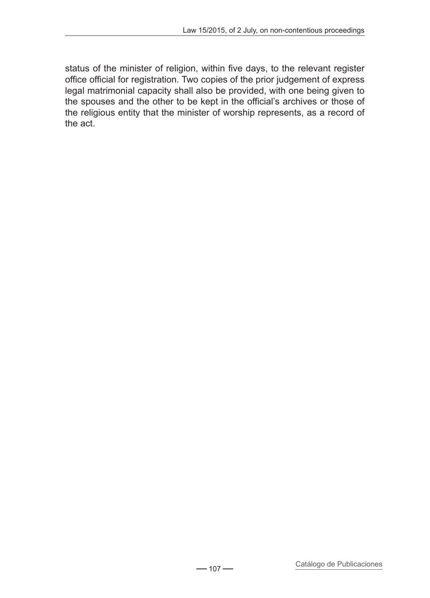status of the minister of religion, within five days, to the relevant register office official for registration. Two copies of the prior judgement of express legal matrimonial capacity shall also be provided, with one being given to the spouses and the other to be kept in the official's archives or those of the religious entity that the minister of worship represents, as a record of the act.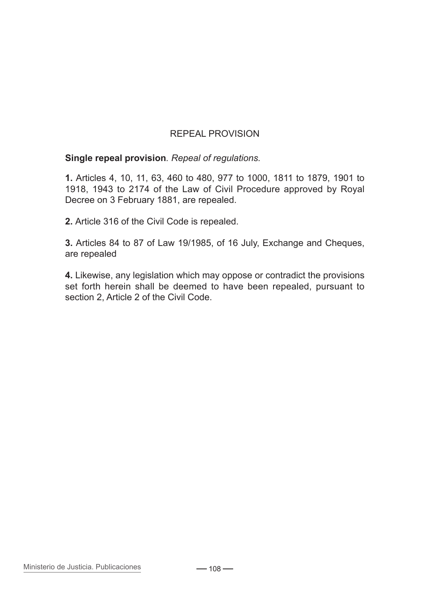## repeal provision

**Single repeal provision***. Repeal of regulations.*

**1.** Articles 4, 10, 11, 63, 460 to 480, 977 to 1000, 1811 to 1879, 1901 to 1918, 1943 to 2174 of the Law of Civil Procedure approved by Royal Decree on 3 February 1881, are repealed.

**2.** Article 316 of the Civil Code is repealed.

**3.** Articles 84 to 87 of Law 19/1985, of 16 July, Exchange and Cheques, are repealed

**4.** Likewise, any legislation which may oppose or contradict the provisions set forth herein shall be deemed to have been repealed, pursuant to section 2, Article 2 of the Civil Code.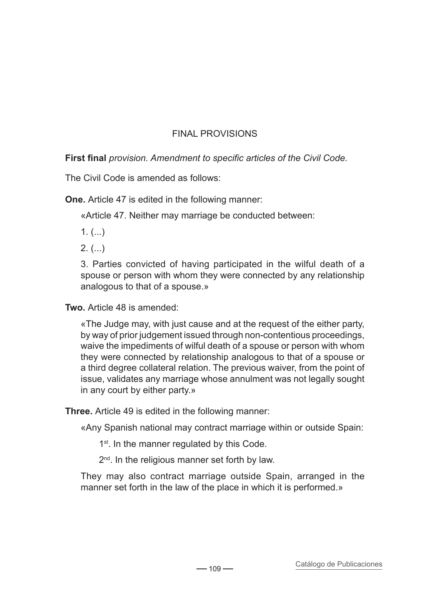## FINAL PROVISIONS

**First final** *provision. Amendment to specific articles of the Civil Code.*

The Civil Code is amended as follows:

**One.** Article 47 is edited in the following manner:

«Article 47. Neither may marriage be conducted between:

 $1.$  (...)

 $2.$  (...)

3. Parties convicted of having participated in the wilful death of a spouse or person with whom they were connected by any relationship analogous to that of a spouse.»

**Two.** Article 48 is amended:

«The Judge may, with just cause and at the request of the either party, by way of prior judgement issued through non-contentious proceedings, waive the impediments of wilful death of a spouse or person with whom they were connected by relationship analogous to that of a spouse or a third degree collateral relation. The previous waiver, from the point of issue, validates any marriage whose annulment was not legally sought in any court by either party.»

**Three.** Article 49 is edited in the following manner:

«Any Spanish national may contract marriage within or outside Spain:

1<sup>st</sup>. In the manner regulated by this Code.

2<sup>nd</sup>. In the religious manner set forth by law.

They may also contract marriage outside Spain, arranged in the manner set forth in the law of the place in which it is performed.»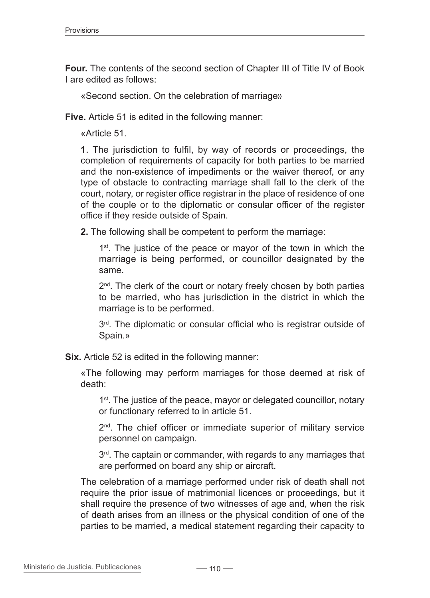**Four.** The contents of the second section of Chapter III of Title IV of Book I are edited as follows:

«Second section. On the celebration of marriage»

**Five.** Article 51 is edited in the following manner:

«Article 51.

**1**. The jurisdiction to fulfil, by way of records or proceedings, the completion of requirements of capacity for both parties to be married and the non-existence of impediments or the waiver thereof, or any type of obstacle to contracting marriage shall fall to the clerk of the court, notary, or register office registrar in the place of residence of one of the couple or to the diplomatic or consular officer of the register office if they reside outside of Spain.

**2.** The following shall be competent to perform the marriage:

1<sup>st</sup>. The justice of the peace or mayor of the town in which the marriage is being performed, or councillor designated by the same.

 $2<sup>nd</sup>$ . The clerk of the court or notary freely chosen by both parties to be married, who has jurisdiction in the district in which the marriage is to be performed.

3<sup>rd</sup>. The diplomatic or consular official who is registrar outside of Spain.»

**Six.** Article 52 is edited in the following manner:

«The following may perform marriages for those deemed at risk of death:

1<sup>st</sup>. The justice of the peace, mayor or delegated councillor, notary or functionary referred to in article 51.

2<sup>nd</sup>. The chief officer or immediate superior of military service personnel on campaign.

 $3<sup>rd</sup>$ . The captain or commander, with regards to any marriages that are performed on board any ship or aircraft.

The celebration of a marriage performed under risk of death shall not require the prior issue of matrimonial licences or proceedings, but it shall require the presence of two witnesses of age and, when the risk of death arises from an illness or the physical condition of one of the parties to be married, a medical statement regarding their capacity to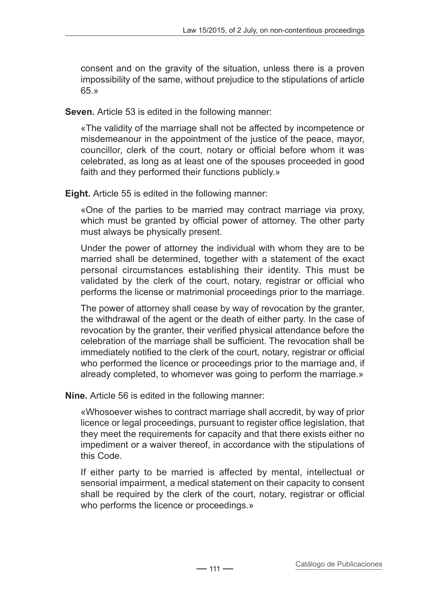consent and on the gravity of the situation, unless there is a proven impossibility of the same, without prejudice to the stipulations of article 65.»

**Seven.** Article 53 is edited in the following manner:

«The validity of the marriage shall not be affected by incompetence or misdemeanour in the appointment of the justice of the peace, mayor, councillor, clerk of the court, notary or official before whom it was celebrated, as long as at least one of the spouses proceeded in good faith and they performed their functions publicly.»

**Eight.** Article 55 is edited in the following manner:

«One of the parties to be married may contract marriage via proxy, which must be granted by official power of attorney. The other party must always be physically present.

Under the power of attorney the individual with whom they are to be married shall be determined, together with a statement of the exact personal circumstances establishing their identity. This must be validated by the clerk of the court, notary, registrar or official who performs the license or matrimonial proceedings prior to the marriage.

The power of attorney shall cease by way of revocation by the granter, the withdrawal of the agent or the death of either party. In the case of revocation by the granter, their verified physical attendance before the celebration of the marriage shall be sufficient. The revocation shall be immediately notified to the clerk of the court, notary, registrar or official who performed the licence or proceedings prior to the marriage and, if already completed, to whomever was going to perform the marriage.»

**Nine.** Article 56 is edited in the following manner:

«Whosoever wishes to contract marriage shall accredit, by way of prior licence or legal proceedings, pursuant to register office legislation, that they meet the requirements for capacity and that there exists either no impediment or a waiver thereof, in accordance with the stipulations of this Code.

If either party to be married is affected by mental, intellectual or sensorial impairment, a medical statement on their capacity to consent shall be required by the clerk of the court, notary, registrar or official who performs the licence or proceedings.»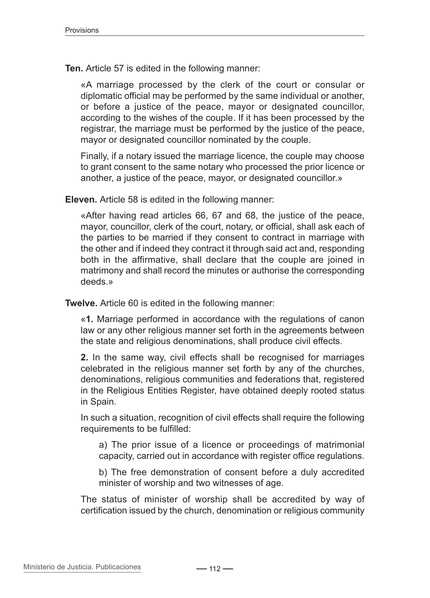**Ten.** Article 57 is edited in the following manner:

«A marriage processed by the clerk of the court or consular or diplomatic official may be performed by the same individual or another, or before a justice of the peace, mayor or designated councillor, according to the wishes of the couple. If it has been processed by the registrar, the marriage must be performed by the justice of the peace, mayor or designated councillor nominated by the couple.

Finally, if a notary issued the marriage licence, the couple may choose to grant consent to the same notary who processed the prior licence or another, a justice of the peace, mayor, or designated councillor.»

**Eleven.** Article 58 is edited in the following manner:

«After having read articles 66, 67 and 68, the justice of the peace, mayor, councillor, clerk of the court, notary, or official, shall ask each of the parties to be married if they consent to contract in marriage with the other and if indeed they contract it through said act and, responding both in the affirmative, shall declare that the couple are joined in matrimony and shall record the minutes or authorise the corresponding deeds.»

**Twelve.** Article 60 is edited in the following manner:

«**1.** Marriage performed in accordance with the regulations of canon law or any other religious manner set forth in the agreements between the state and religious denominations, shall produce civil effects.

**2.** In the same way, civil effects shall be recognised for marriages celebrated in the religious manner set forth by any of the churches, denominations, religious communities and federations that, registered in the Religious Entities Register, have obtained deeply rooted status in Spain.

In such a situation, recognition of civil effects shall require the following requirements to be fulfilled:

a) The prior issue of a licence or proceedings of matrimonial capacity, carried out in accordance with register office regulations.

b) The free demonstration of consent before a duly accredited minister of worship and two witnesses of age.

The status of minister of worship shall be accredited by way of certification issued by the church, denomination or religious community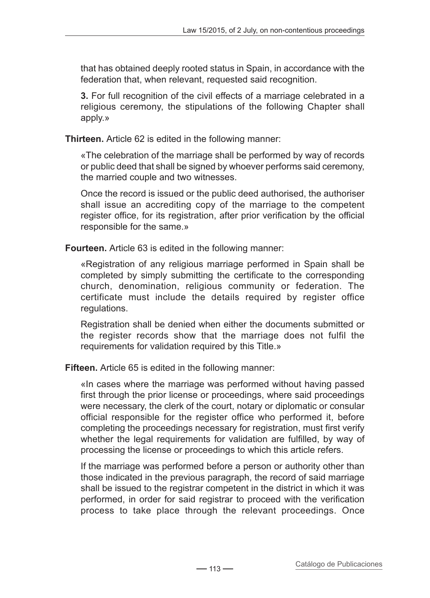that has obtained deeply rooted status in Spain, in accordance with the federation that, when relevant, requested said recognition.

**3.** For full recognition of the civil effects of a marriage celebrated in a religious ceremony, the stipulations of the following Chapter shall apply.»

**Thirteen.** Article 62 is edited in the following manner:

«The celebration of the marriage shall be performed by way of records or public deed that shall be signed by whoever performs said ceremony, the married couple and two witnesses.

Once the record is issued or the public deed authorised, the authoriser shall issue an accrediting copy of the marriage to the competent register office, for its registration, after prior verification by the official responsible for the same.»

**Fourteen.** Article 63 is edited in the following manner:

«Registration of any religious marriage performed in Spain shall be completed by simply submitting the certificate to the corresponding church, denomination, religious community or federation. The certificate must include the details required by register office regulations.

Registration shall be denied when either the documents submitted or the register records show that the marriage does not fulfil the requirements for validation required by this Title.»

**Fifteen.** Article 65 is edited in the following manner:

«In cases where the marriage was performed without having passed first through the prior license or proceedings, where said proceedings were necessary, the clerk of the court, notary or diplomatic or consular official responsible for the register office who performed it, before completing the proceedings necessary for registration, must first verify whether the legal requirements for validation are fulfilled, by way of processing the license or proceedings to which this article refers.

If the marriage was performed before a person or authority other than those indicated in the previous paragraph, the record of said marriage shall be issued to the registrar competent in the district in which it was performed, in order for said registrar to proceed with the verification process to take place through the relevant proceedings. Once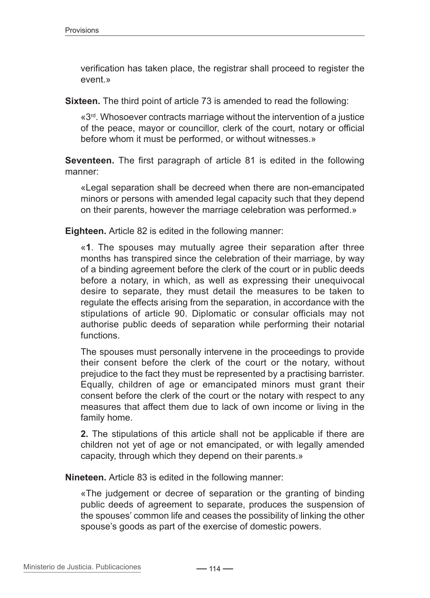verification has taken place, the registrar shall proceed to register the event.»

**Sixteen.** The third point of article 73 is amended to read the following:

«3rd. Whosoever contracts marriage without the intervention of a justice of the peace, mayor or councillor, clerk of the court, notary or official before whom it must be performed, or without witnesses.»

**Seventeen.** The first paragraph of article 81 is edited in the following manner:

«Legal separation shall be decreed when there are non-emancipated minors or persons with amended legal capacity such that they depend on their parents, however the marriage celebration was performed.»

**Eighteen.** Article 82 is edited in the following manner:

«**1**. The spouses may mutually agree their separation after three months has transpired since the celebration of their marriage, by way of a binding agreement before the clerk of the court or in public deeds before a notary, in which, as well as expressing their unequivocal desire to separate, they must detail the measures to be taken to regulate the effects arising from the separation, in accordance with the stipulations of article 90. Diplomatic or consular officials may not authorise public deeds of separation while performing their notarial functions.

The spouses must personally intervene in the proceedings to provide their consent before the clerk of the court or the notary, without prejudice to the fact they must be represented by a practising barrister. Equally, children of age or emancipated minors must grant their consent before the clerk of the court or the notary with respect to any measures that affect them due to lack of own income or living in the family home.

**2.** The stipulations of this article shall not be applicable if there are children not yet of age or not emancipated, or with legally amended capacity, through which they depend on their parents.»

**Nineteen.** Article 83 is edited in the following manner:

«The judgement or decree of separation or the granting of binding public deeds of agreement to separate, produces the suspension of the spouses' common life and ceases the possibility of linking the other spouse's goods as part of the exercise of domestic powers.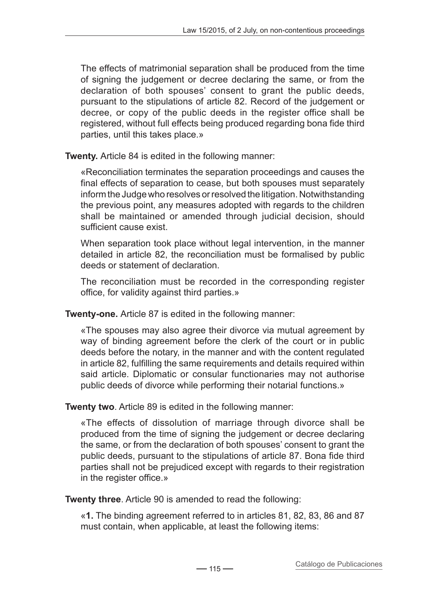The effects of matrimonial separation shall be produced from the time of signing the judgement or decree declaring the same, or from the declaration of both spouses' consent to grant the public deeds, pursuant to the stipulations of article 82. Record of the judgement or decree, or copy of the public deeds in the register office shall be registered, without full effects being produced regarding bona fide third parties, until this takes place.»

**Twenty.** Article 84 is edited in the following manner:

«Reconciliation terminates the separation proceedings and causes the final effects of separation to cease, but both spouses must separately inform the Judge who resolves or resolved the litigation. Notwithstanding the previous point, any measures adopted with regards to the children shall be maintained or amended through judicial decision, should sufficient cause exist.

When separation took place without legal intervention, in the manner detailed in article 82, the reconciliation must be formalised by public deeds or statement of declaration.

The reconciliation must be recorded in the corresponding register office, for validity against third parties.»

**Twenty-one.** Article 87 is edited in the following manner:

«The spouses may also agree their divorce via mutual agreement by way of binding agreement before the clerk of the court or in public deeds before the notary, in the manner and with the content regulated in article 82, fulfilling the same requirements and details required within said article. Diplomatic or consular functionaries may not authorise public deeds of divorce while performing their notarial functions.»

**Twenty two**. Article 89 is edited in the following manner:

«The effects of dissolution of marriage through divorce shall be produced from the time of signing the judgement or decree declaring the same, or from the declaration of both spouses' consent to grant the public deeds, pursuant to the stipulations of article 87. Bona fide third parties shall not be prejudiced except with regards to their registration in the register office.»

**Twenty three**. Article 90 is amended to read the following:

«**1.** The binding agreement referred to in articles 81, 82, 83, 86 and 87 must contain, when applicable, at least the following items: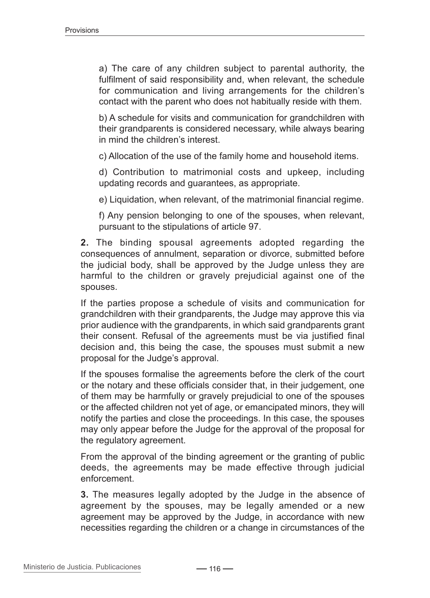a) The care of any children subject to parental authority, the fulfilment of said responsibility and, when relevant, the schedule for communication and living arrangements for the children's contact with the parent who does not habitually reside with them.

b) A schedule for visits and communication for grandchildren with their grandparents is considered necessary, while always bearing in mind the children's interest.

c) Allocation of the use of the family home and household items.

d) Contribution to matrimonial costs and upkeep, including updating records and guarantees, as appropriate.

e) Liquidation, when relevant, of the matrimonial financial regime.

f) Any pension belonging to one of the spouses, when relevant, pursuant to the stipulations of article 97.

**2.** The binding spousal agreements adopted regarding the consequences of annulment, separation or divorce, submitted before the judicial body, shall be approved by the Judge unless they are harmful to the children or gravely prejudicial against one of the spouses.

If the parties propose a schedule of visits and communication for grandchildren with their grandparents, the Judge may approve this via prior audience with the grandparents, in which said grandparents grant their consent. Refusal of the agreements must be via justified final decision and, this being the case, the spouses must submit a new proposal for the Judge's approval.

If the spouses formalise the agreements before the clerk of the court or the notary and these officials consider that, in their judgement, one of them may be harmfully or gravely prejudicial to one of the spouses or the affected children not yet of age, or emancipated minors, they will notify the parties and close the proceedings. In this case, the spouses may only appear before the Judge for the approval of the proposal for the regulatory agreement.

From the approval of the binding agreement or the granting of public deeds, the agreements may be made effective through judicial enforcement.

**3.** The measures legally adopted by the Judge in the absence of agreement by the spouses, may be legally amended or a new agreement may be approved by the Judge, in accordance with new necessities regarding the children or a change in circumstances of the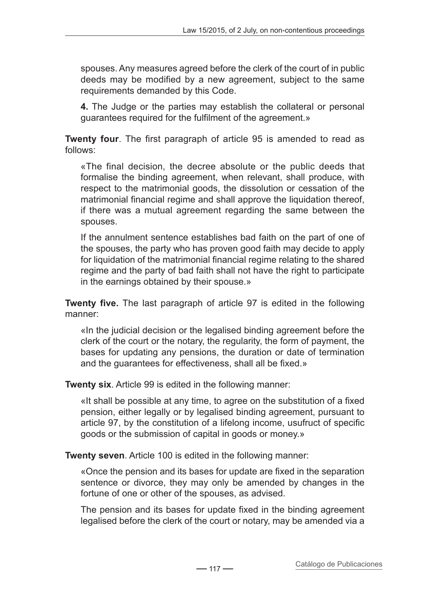spouses. Any measures agreed before the clerk of the court of in public deeds may be modified by a new agreement, subject to the same requirements demanded by this Code.

**4.** The Judge or the parties may establish the collateral or personal guarantees required for the fulfilment of the agreement.»

**Twenty four**. The first paragraph of article 95 is amended to read as follows:

«The final decision, the decree absolute or the public deeds that formalise the binding agreement, when relevant, shall produce, with respect to the matrimonial goods, the dissolution or cessation of the matrimonial financial regime and shall approve the liquidation thereof, if there was a mutual agreement regarding the same between the spouses.

If the annulment sentence establishes bad faith on the part of one of the spouses, the party who has proven good faith may decide to apply for liquidation of the matrimonial financial regime relating to the shared regime and the party of bad faith shall not have the right to participate in the earnings obtained by their spouse.»

**Twenty five.** The last paragraph of article 97 is edited in the following manner:

«In the judicial decision or the legalised binding agreement before the clerk of the court or the notary, the regularity, the form of payment, the bases for updating any pensions, the duration or date of termination and the guarantees for effectiveness, shall all be fixed.»

**Twenty six**. Article 99 is edited in the following manner:

«It shall be possible at any time, to agree on the substitution of a fixed pension, either legally or by legalised binding agreement, pursuant to article 97, by the constitution of a lifelong income, usufruct of specific goods or the submission of capital in goods or money.»

**Twenty seven**. Article 100 is edited in the following manner:

«Once the pension and its bases for update are fixed in the separation sentence or divorce, they may only be amended by changes in the fortune of one or other of the spouses, as advised.

The pension and its bases for update fixed in the binding agreement legalised before the clerk of the court or notary, may be amended via a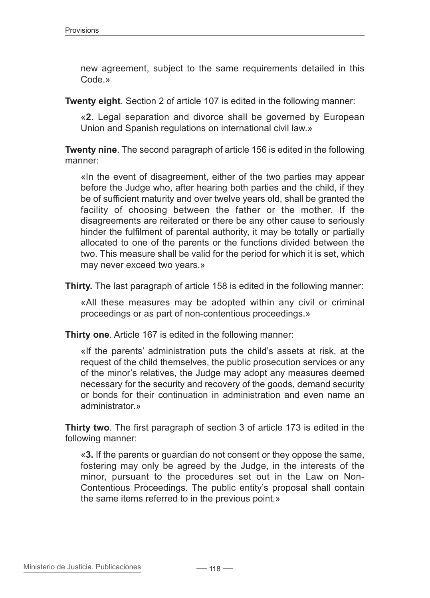new agreement, subject to the same requirements detailed in this Code.»

**Twenty eight**. Section 2 of article 107 is edited in the following manner:

«**2**. Legal separation and divorce shall be governed by European Union and Spanish regulations on international civil law.»

**Twenty nine**. The second paragraph of article 156 is edited in the following manner:

«In the event of disagreement, either of the two parties may appear before the Judge who, after hearing both parties and the child, if they be of sufficient maturity and over twelve years old, shall be granted the facility of choosing between the father or the mother. If the disagreements are reiterated or there be any other cause to seriously hinder the fulfilment of parental authority, it may be totally or partially allocated to one of the parents or the functions divided between the two. This measure shall be valid for the period for which it is set, which may never exceed two years.»

**Thirty.** The last paragraph of article 158 is edited in the following manner:

«All these measures may be adopted within any civil or criminal proceedings or as part of non-contentious proceedings.»

**Thirty one**. Article 167 is edited in the following manner:

«If the parents' administration puts the child's assets at risk, at the request of the child themselves, the public prosecution services or any of the minor's relatives, the Judge may adopt any measures deemed necessary for the security and recovery of the goods, demand security or bonds for their continuation in administration and even name an administrator.»

**Thirty two**. The first paragraph of section 3 of article 173 is edited in the following manner:

«**3.** If the parents or guardian do not consent or they oppose the same, fostering may only be agreed by the Judge, in the interests of the minor, pursuant to the procedures set out in the Law on Non-Contentious Proceedings. The public entity's proposal shall contain the same items referred to in the previous point.»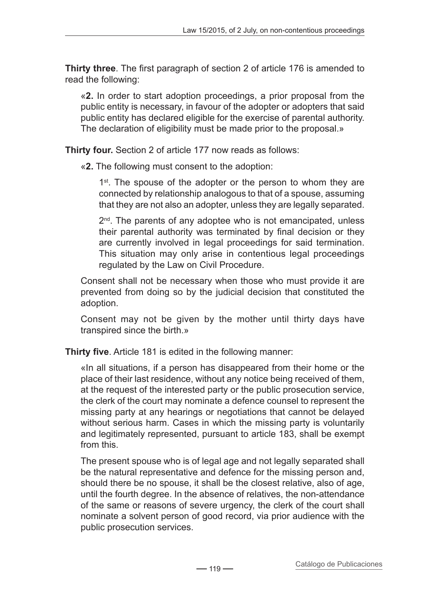**Thirty three**. The first paragraph of section 2 of article 176 is amended to read the following:

«**2.** In order to start adoption proceedings, a prior proposal from the public entity is necessary, in favour of the adopter or adopters that said public entity has declared eligible for the exercise of parental authority. The declaration of eligibility must be made prior to the proposal.»

**Thirty four.** Section 2 of article 177 now reads as follows:

«**2.** The following must consent to the adoption:

1<sup>st</sup>. The spouse of the adopter or the person to whom they are connected by relationship analogous to that of a spouse, assuming that they are not also an adopter, unless they are legally separated.

2<sup>nd</sup>. The parents of any adoptee who is not emancipated, unless their parental authority was terminated by final decision or they are currently involved in legal proceedings for said termination. This situation may only arise in contentious legal proceedings regulated by the Law on Civil Procedure.

Consent shall not be necessary when those who must provide it are prevented from doing so by the judicial decision that constituted the adoption.

Consent may not be given by the mother until thirty days have transpired since the birth.»

**Thirty five**. Article 181 is edited in the following manner:

«In all situations, if a person has disappeared from their home or the place of their last residence, without any notice being received of them, at the request of the interested party or the public prosecution service, the clerk of the court may nominate a defence counsel to represent the missing party at any hearings or negotiations that cannot be delayed without serious harm. Cases in which the missing party is voluntarily and legitimately represented, pursuant to article 183, shall be exempt from this.

The present spouse who is of legal age and not legally separated shall be the natural representative and defence for the missing person and, should there be no spouse, it shall be the closest relative, also of age, until the fourth degree. In the absence of relatives, the non-attendance of the same or reasons of severe urgency, the clerk of the court shall nominate a solvent person of good record, via prior audience with the public prosecution services.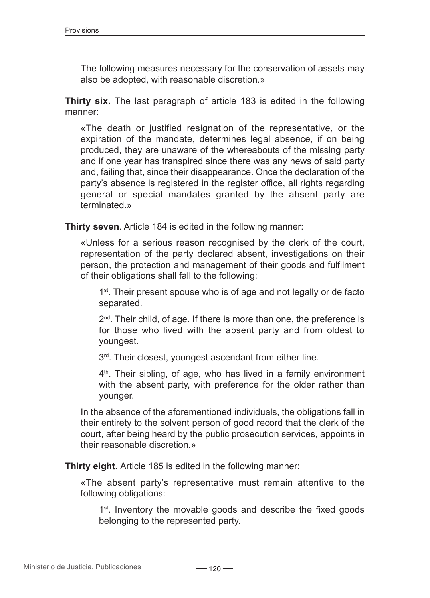The following measures necessary for the conservation of assets may also be adopted, with reasonable discretion.»

**Thirty six.** The last paragraph of article 183 is edited in the following manner:

«The death or justified resignation of the representative, or the expiration of the mandate, determines legal absence, if on being produced, they are unaware of the whereabouts of the missing party and if one year has transpired since there was any news of said party and, failing that, since their disappearance. Once the declaration of the party's absence is registered in the register office, all rights regarding general or special mandates granted by the absent party are terminated »

**Thirty seven**. Article 184 is edited in the following manner:

«Unless for a serious reason recognised by the clerk of the court, representation of the party declared absent, investigations on their person, the protection and management of their goods and fulfilment of their obligations shall fall to the following:

1<sup>st</sup>. Their present spouse who is of age and not legally or de facto separated.

2<sup>nd</sup>. Their child, of age. If there is more than one, the preference is for those who lived with the absent party and from oldest to youngest.

3rd. Their closest, youngest ascendant from either line.

4<sup>th</sup>. Their sibling, of age, who has lived in a family environment with the absent party, with preference for the older rather than younger.

In the absence of the aforementioned individuals, the obligations fall in their entirety to the solvent person of good record that the clerk of the court, after being heard by the public prosecution services, appoints in their reasonable discretion.»

**Thirty eight.** Article 185 is edited in the following manner:

«The absent party's representative must remain attentive to the following obligations:

1<sup>st</sup>. Inventory the movable goods and describe the fixed goods belonging to the represented party.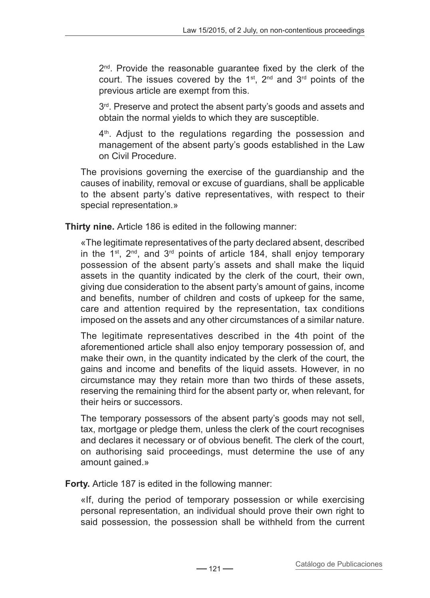2<sup>nd</sup>. Provide the reasonable quarantee fixed by the clerk of the court. The issues covered by the  $1<sup>st</sup>$ ,  $2<sup>nd</sup>$  and  $3<sup>rd</sup>$  points of the previous article are exempt from this.

 $3<sup>rd</sup>$ . Preserve and protect the absent party's goods and assets and obtain the normal yields to which they are susceptible.

4<sup>th</sup>. Adjust to the regulations regarding the possession and management of the absent party's goods established in the Law on Civil Procedure.

The provisions governing the exercise of the guardianship and the causes of inability, removal or excuse of guardians, shall be applicable to the absent party's dative representatives, with respect to their special representation.»

**Thirty nine.** Article 186 is edited in the following manner:

«The legitimate representatives of the party declared absent, described in the  $1^{st}$ ,  $2^{nd}$ , and  $3^{rd}$  points of article 184, shall enjoy temporary possession of the absent party's assets and shall make the liquid assets in the quantity indicated by the clerk of the court, their own, giving due consideration to the absent party's amount of gains, income and benefits, number of children and costs of upkeep for the same, care and attention required by the representation, tax conditions imposed on the assets and any other circumstances of a similar nature.

The legitimate representatives described in the 4th point of the aforementioned article shall also enjoy temporary possession of, and make their own, in the quantity indicated by the clerk of the court, the gains and income and benefits of the liquid assets. However, in no circumstance may they retain more than two thirds of these assets, reserving the remaining third for the absent party or, when relevant, for their heirs or successors.

The temporary possessors of the absent party's goods may not sell, tax, mortgage or pledge them, unless the clerk of the court recognises and declares it necessary or of obvious benefit. The clerk of the court, on authorising said proceedings, must determine the use of any amount gained.»

**Forty.** Article 187 is edited in the following manner:

«If, during the period of temporary possession or while exercising personal representation, an individual should prove their own right to said possession, the possession shall be withheld from the current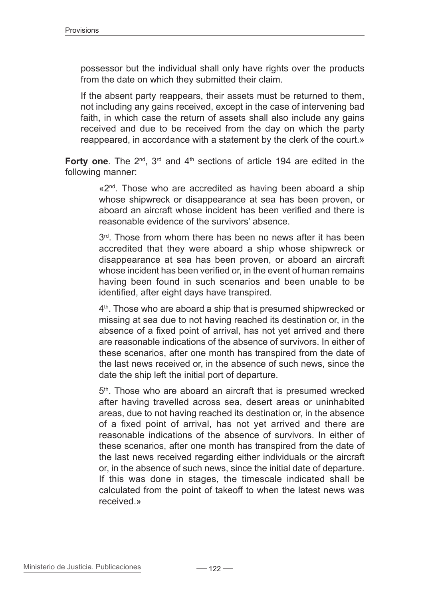possessor but the individual shall only have rights over the products from the date on which they submitted their claim.

If the absent party reappears, their assets must be returned to them, not including any gains received, except in the case of intervening bad faith, in which case the return of assets shall also include any gains received and due to be received from the day on which the party reappeared, in accordance with a statement by the clerk of the court.»

**Forty one.** The 2<sup>nd</sup>, 3<sup>rd</sup> and 4<sup>th</sup> sections of article 194 are edited in the following manner:

> «2<sup>nd</sup>. Those who are accredited as having been aboard a ship whose shipwreck or disappearance at sea has been proven, or aboard an aircraft whose incident has been verified and there is reasonable evidence of the survivors' absence.

> $3<sup>rd</sup>$ . Those from whom there has been no news after it has been accredited that they were aboard a ship whose shipwreck or disappearance at sea has been proven, or aboard an aircraft whose incident has been verified or, in the event of human remains having been found in such scenarios and been unable to be identified, after eight days have transpired.

> 4<sup>th</sup>. Those who are aboard a ship that is presumed shipwrecked or missing at sea due to not having reached its destination or, in the absence of a fixed point of arrival, has not yet arrived and there are reasonable indications of the absence of survivors. In either of these scenarios, after one month has transpired from the date of the last news received or, in the absence of such news, since the date the ship left the initial port of departure.

> 5<sup>th</sup>. Those who are aboard an aircraft that is presumed wrecked after having travelled across sea, desert areas or uninhabited areas, due to not having reached its destination or, in the absence of a fixed point of arrival, has not yet arrived and there are reasonable indications of the absence of survivors. In either of these scenarios, after one month has transpired from the date of the last news received regarding either individuals or the aircraft or, in the absence of such news, since the initial date of departure. If this was done in stages, the timescale indicated shall be calculated from the point of takeoff to when the latest news was received.»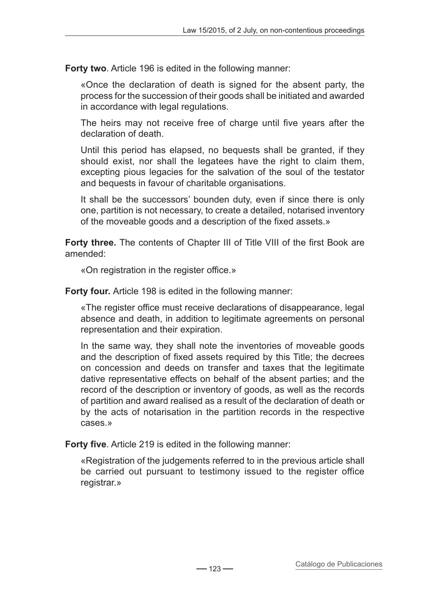**Forty two**. Article 196 is edited in the following manner:

«Once the declaration of death is signed for the absent party, the process for the succession of their goods shall be initiated and awarded in accordance with legal regulations.

The heirs may not receive free of charge until five years after the declaration of death.

Until this period has elapsed, no bequests shall be granted, if they should exist, nor shall the legatees have the right to claim them, excepting pious legacies for the salvation of the soul of the testator and bequests in favour of charitable organisations.

It shall be the successors' bounden duty, even if since there is only one, partition is not necessary, to create a detailed, notarised inventory of the moveable goods and a description of the fixed assets.»

**Forty three.** The contents of Chapter III of Title VIII of the first Book are amended:

«On registration in the register office.»

**Forty four.** Article 198 is edited in the following manner:

«The register office must receive declarations of disappearance, legal absence and death, in addition to legitimate agreements on personal representation and their expiration.

In the same way, they shall note the inventories of moveable goods and the description of fixed assets required by this Title; the decrees on concession and deeds on transfer and taxes that the legitimate dative representative effects on behalf of the absent parties; and the record of the description or inventory of goods, as well as the records of partition and award realised as a result of the declaration of death or by the acts of notarisation in the partition records in the respective cases.»

**Forty five**. Article 219 is edited in the following manner:

«Registration of the judgements referred to in the previous article shall be carried out pursuant to testimony issued to the register office registrar.»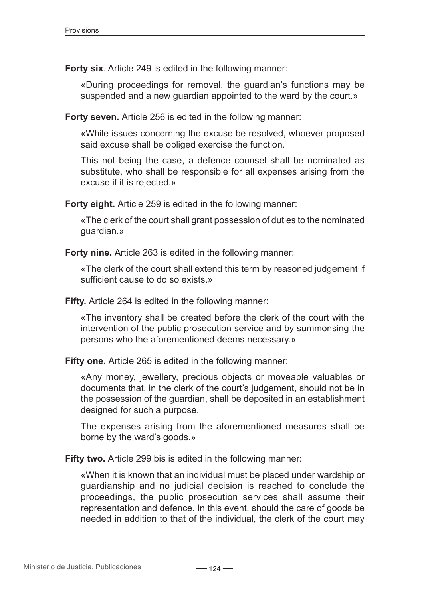**Forty six**. Article 249 is edited in the following manner:

«During proceedings for removal, the guardian's functions may be suspended and a new guardian appointed to the ward by the court.»

**Forty seven.** Article 256 is edited in the following manner:

«While issues concerning the excuse be resolved, whoever proposed said excuse shall be obliged exercise the function.

This not being the case, a defence counsel shall be nominated as substitute, who shall be responsible for all expenses arising from the excuse if it is rejected.»

**Forty eight.** Article 259 is edited in the following manner:

«The clerk of the court shall grant possession of duties to the nominated guardian.»

**Forty nine.** Article 263 is edited in the following manner:

«The clerk of the court shall extend this term by reasoned judgement if sufficient cause to do so exists.»

**Fifty.** Article 264 is edited in the following manner:

«The inventory shall be created before the clerk of the court with the intervention of the public prosecution service and by summonsing the persons who the aforementioned deems necessary.»

**Fifty one.** Article 265 is edited in the following manner:

«Any money, jewellery, precious objects or moveable valuables or documents that, in the clerk of the court's judgement, should not be in the possession of the guardian, shall be deposited in an establishment designed for such a purpose.

The expenses arising from the aforementioned measures shall be borne by the ward's goods.»

**Fifty two.** Article 299 bis is edited in the following manner:

«When it is known that an individual must be placed under wardship or guardianship and no judicial decision is reached to conclude the proceedings, the public prosecution services shall assume their representation and defence. In this event, should the care of goods be needed in addition to that of the individual, the clerk of the court may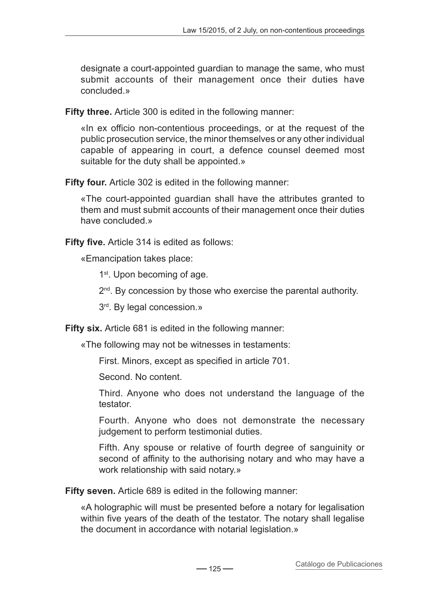designate a court-appointed guardian to manage the same, who must submit accounts of their management once their duties have concluded.»

**Fifty three.** Article 300 is edited in the following manner:

«In ex officio non-contentious proceedings, or at the request of the public prosecution service, the minor themselves or any other individual capable of appearing in court, a defence counsel deemed most suitable for the duty shall be appointed.»

**Fifty four.** Article 302 is edited in the following manner:

«The court-appointed guardian shall have the attributes granted to them and must submit accounts of their management once their duties have concluded.»

**Fifty five.** Article 314 is edited as follows:

«Emancipation takes place:

1<sup>st</sup>. Upon becoming of age.

 $2<sup>nd</sup>$ . By concession by those who exercise the parental authority.

3rd. By legal concession.»

**Fifty six.** Article 681 is edited in the following manner:

«The following may not be witnesses in testaments:

First. Minors, except as specified in article 701.

Second. No content.

Third. Anyone who does not understand the language of the testator.

Fourth. Anyone who does not demonstrate the necessary judgement to perform testimonial duties.

Fifth. Any spouse or relative of fourth degree of sanguinity or second of affinity to the authorising notary and who may have a work relationship with said notary.»

**Fifty seven.** Article 689 is edited in the following manner:

«A holographic will must be presented before a notary for legalisation within five years of the death of the testator. The notary shall legalise the document in accordance with notarial legislation.»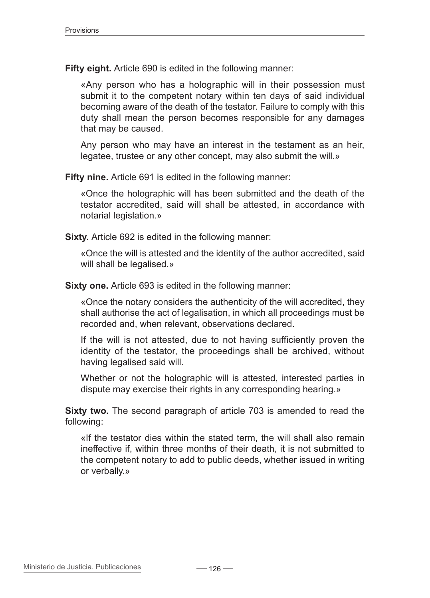**Fifty eight.** Article 690 is edited in the following manner:

«Any person who has a holographic will in their possession must submit it to the competent notary within ten days of said individual becoming aware of the death of the testator. Failure to comply with this duty shall mean the person becomes responsible for any damages that may be caused.

Any person who may have an interest in the testament as an heir, legatee, trustee or any other concept, may also submit the will.»

**Fifty nine.** Article 691 is edited in the following manner:

«Once the holographic will has been submitted and the death of the testator accredited, said will shall be attested, in accordance with notarial legislation.»

**Sixty.** Article 692 is edited in the following manner:

«Once the will is attested and the identity of the author accredited, said will shall be legalised.»

**Sixty one.** Article 693 is edited in the following manner:

«Once the notary considers the authenticity of the will accredited, they shall authorise the act of legalisation, in which all proceedings must be recorded and, when relevant, observations declared.

If the will is not attested, due to not having sufficiently proven the identity of the testator, the proceedings shall be archived, without having legalised said will.

Whether or not the holographic will is attested, interested parties in dispute may exercise their rights in any corresponding hearing.»

**Sixty two.** The second paragraph of article 703 is amended to read the following:

«If the testator dies within the stated term, the will shall also remain ineffective if, within three months of their death, it is not submitted to the competent notary to add to public deeds, whether issued in writing or verbally.»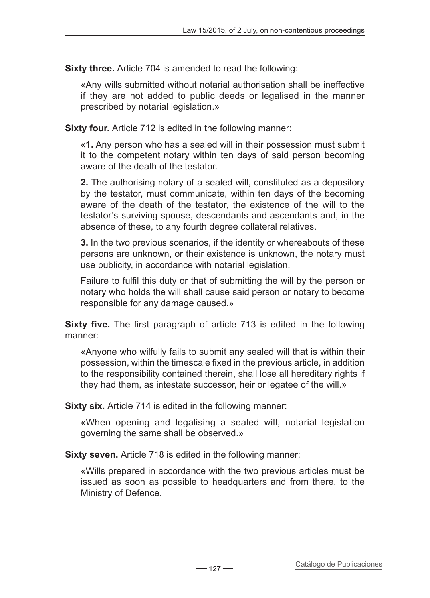**Sixty three.** Article 704 is amended to read the following:

«Any wills submitted without notarial authorisation shall be ineffective if they are not added to public deeds or legalised in the manner prescribed by notarial legislation.»

**Sixty four.** Article 712 is edited in the following manner:

«**1.** Any person who has a sealed will in their possession must submit it to the competent notary within ten days of said person becoming aware of the death of the testator.

**2.** The authorising notary of a sealed will, constituted as a depository by the testator, must communicate, within ten days of the becoming aware of the death of the testator, the existence of the will to the testator's surviving spouse, descendants and ascendants and, in the absence of these, to any fourth degree collateral relatives.

**3.** In the two previous scenarios, if the identity or whereabouts of these persons are unknown, or their existence is unknown, the notary must use publicity, in accordance with notarial legislation.

Failure to fulfil this duty or that of submitting the will by the person or notary who holds the will shall cause said person or notary to become responsible for any damage caused.»

**Sixty five.** The first paragraph of article 713 is edited in the following manner:

«Anyone who wilfully fails to submit any sealed will that is within their possession, within the timescale fixed in the previous article, in addition to the responsibility contained therein, shall lose all hereditary rights if they had them, as intestate successor, heir or legatee of the will.»

**Sixty six.** Article 714 is edited in the following manner:

«When opening and legalising a sealed will, notarial legislation governing the same shall be observed.»

**Sixty seven.** Article 718 is edited in the following manner:

«Wills prepared in accordance with the two previous articles must be issued as soon as possible to headquarters and from there, to the Ministry of Defence.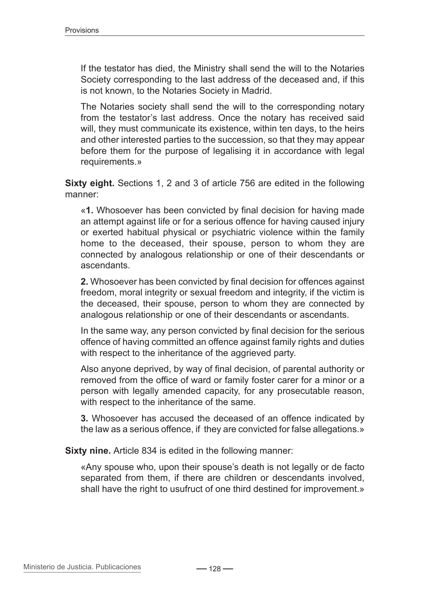If the testator has died, the Ministry shall send the will to the Notaries Society corresponding to the last address of the deceased and, if this is not known, to the Notaries Society in Madrid.

The Notaries society shall send the will to the corresponding notary from the testator's last address. Once the notary has received said will, they must communicate its existence, within ten days, to the heirs and other interested parties to the succession, so that they may appear before them for the purpose of legalising it in accordance with legal requirements.»

**Sixty eight.** Sections 1, 2 and 3 of article 756 are edited in the following manner:

«**1.** Whosoever has been convicted by final decision for having made an attempt against life or for a serious offence for having caused injury or exerted habitual physical or psychiatric violence within the family home to the deceased, their spouse, person to whom they are connected by analogous relationship or one of their descendants or ascendants.

**2.** Whosoever has been convicted by final decision for offences against freedom, moral integrity or sexual freedom and integrity, if the victim is the deceased, their spouse, person to whom they are connected by analogous relationship or one of their descendants or ascendants.

In the same way, any person convicted by final decision for the serious offence of having committed an offence against family rights and duties with respect to the inheritance of the aggrieved party.

Also anyone deprived, by way of final decision, of parental authority or removed from the office of ward or family foster carer for a minor or a person with legally amended capacity, for any prosecutable reason, with respect to the inheritance of the same.

**3.** Whosoever has accused the deceased of an offence indicated by the law as a serious offence, if they are convicted for false allegations.»

**Sixty nine.** Article 834 is edited in the following manner:

«Any spouse who, upon their spouse's death is not legally or de facto separated from them, if there are children or descendants involved, shall have the right to usufruct of one third destined for improvement.»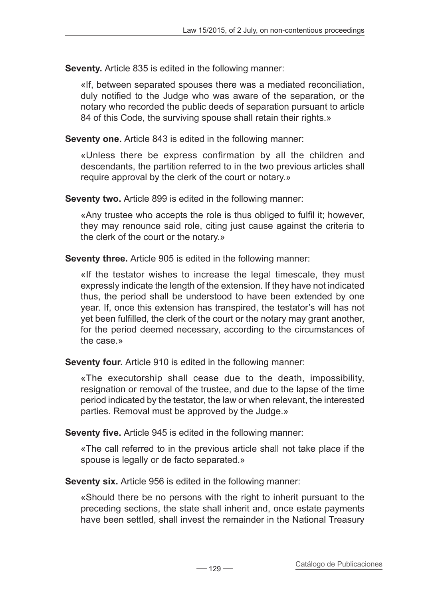**Seventy.** Article 835 is edited in the following manner:

«If, between separated spouses there was a mediated reconciliation, duly notified to the Judge who was aware of the separation, or the notary who recorded the public deeds of separation pursuant to article 84 of this Code, the surviving spouse shall retain their rights.»

**Seventy one.** Article 843 is edited in the following manner:

«Unless there be express confirmation by all the children and descendants, the partition referred to in the two previous articles shall require approval by the clerk of the court or notary.»

**Seventy two.** Article 899 is edited in the following manner:

«Any trustee who accepts the role is thus obliged to fulfil it; however, they may renounce said role, citing just cause against the criteria to the clerk of the court or the notary.»

**Seventy three.** Article 905 is edited in the following manner:

«If the testator wishes to increase the legal timescale, they must expressly indicate the length of the extension. If they have not indicated thus, the period shall be understood to have been extended by one year. If, once this extension has transpired, the testator's will has not yet been fulfilled, the clerk of the court or the notary may grant another, for the period deemed necessary, according to the circumstances of the case.»

**Seventy four.** Article 910 is edited in the following manner:

«The executorship shall cease due to the death, impossibility, resignation or removal of the trustee, and due to the lapse of the time period indicated by the testator, the law or when relevant, the interested parties. Removal must be approved by the Judge.»

**Seventy five.** Article 945 is edited in the following manner:

«The call referred to in the previous article shall not take place if the spouse is legally or de facto separated.»

**Seventy six.** Article 956 is edited in the following manner:

«Should there be no persons with the right to inherit pursuant to the preceding sections, the state shall inherit and, once estate payments have been settled, shall invest the remainder in the National Treasury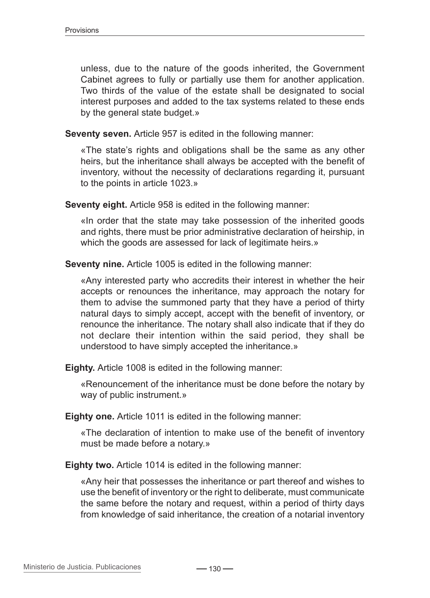unless, due to the nature of the goods inherited, the Government Cabinet agrees to fully or partially use them for another application. Two thirds of the value of the estate shall be designated to social interest purposes and added to the tax systems related to these ends by the general state budget.»

**Seventy seven.** Article 957 is edited in the following manner:

«The state's rights and obligations shall be the same as any other heirs, but the inheritance shall always be accepted with the benefit of inventory, without the necessity of declarations regarding it, pursuant to the points in article 1023.»

**Seventy eight.** Article 958 is edited in the following manner:

«In order that the state may take possession of the inherited goods and rights, there must be prior administrative declaration of heirship, in which the goods are assessed for lack of legitimate heirs.»

**Seventy nine.** Article 1005 is edited in the following manner:

«Any interested party who accredits their interest in whether the heir accepts or renounces the inheritance, may approach the notary for them to advise the summoned party that they have a period of thirty natural days to simply accept, accept with the benefit of inventory, or renounce the inheritance. The notary shall also indicate that if they do not declare their intention within the said period, they shall be understood to have simply accepted the inheritance.»

**Eighty.** Article 1008 is edited in the following manner:

«Renouncement of the inheritance must be done before the notary by way of public instrument.»

**Eighty one.** Article 1011 is edited in the following manner:

«The declaration of intention to make use of the benefit of inventory must be made before a notary.»

**Eighty two.** Article 1014 is edited in the following manner:

«Any heir that possesses the inheritance or part thereof and wishes to use the benefit of inventory or the right to deliberate, must communicate the same before the notary and request, within a period of thirty days from knowledge of said inheritance, the creation of a notarial inventory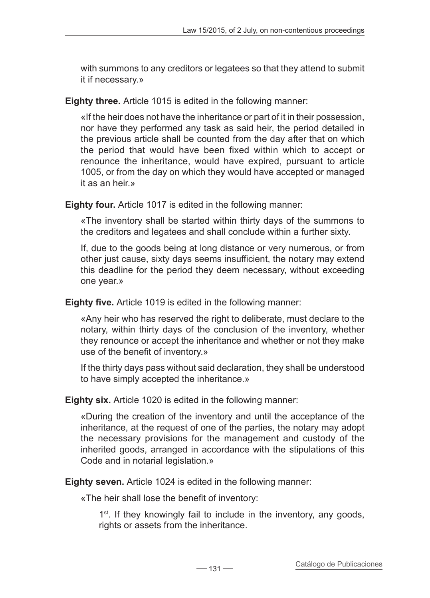with summons to any creditors or legatees so that they attend to submit it if necessary.»

**Eighty three.** Article 1015 is edited in the following manner:

«If the heir does not have the inheritance or part of it in their possession, nor have they performed any task as said heir, the period detailed in the previous article shall be counted from the day after that on which the period that would have been fixed within which to accept or renounce the inheritance, would have expired, pursuant to article 1005, or from the day on which they would have accepted or managed it as an heir »

**Eighty four.** Article 1017 is edited in the following manner:

«The inventory shall be started within thirty days of the summons to the creditors and legatees and shall conclude within a further sixty.

If, due to the goods being at long distance or very numerous, or from other just cause, sixty days seems insufficient, the notary may extend this deadline for the period they deem necessary, without exceeding one year.»

**Eighty five.** Article 1019 is edited in the following manner:

«Any heir who has reserved the right to deliberate, must declare to the notary, within thirty days of the conclusion of the inventory, whether they renounce or accept the inheritance and whether or not they make use of the benefit of inventory.»

If the thirty days pass without said declaration, they shall be understood to have simply accepted the inheritance.»

**Eighty six.** Article 1020 is edited in the following manner:

«During the creation of the inventory and until the acceptance of the inheritance, at the request of one of the parties, the notary may adopt the necessary provisions for the management and custody of the inherited goods, arranged in accordance with the stipulations of this Code and in notarial legislation.»

**Eighty seven.** Article 1024 is edited in the following manner:

«The heir shall lose the benefit of inventory:

 $1<sup>st</sup>$ . If they knowingly fail to include in the inventory, any goods, rights or assets from the inheritance.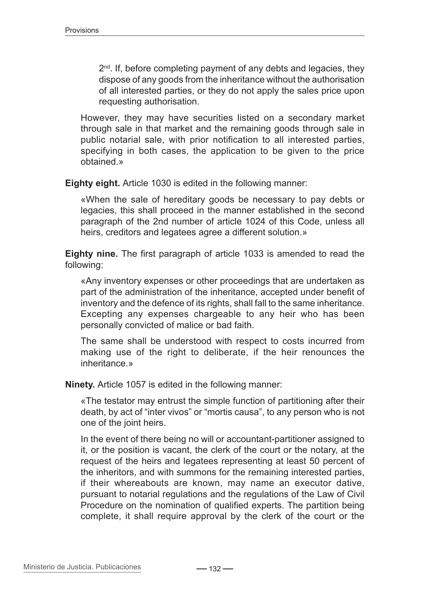$2<sup>nd</sup>$ . If, before completing payment of any debts and legacies, they dispose of any goods from the inheritance without the authorisation of all interested parties, or they do not apply the sales price upon requesting authorisation.

However, they may have securities listed on a secondary market through sale in that market and the remaining goods through sale in public notarial sale, with prior notification to all interested parties, specifying in both cases, the application to be given to the price obtained.»

**Eighty eight.** Article 1030 is edited in the following manner:

«When the sale of hereditary goods be necessary to pay debts or legacies, this shall proceed in the manner established in the second paragraph of the 2nd number of article 1024 of this Code, unless all heirs, creditors and legatees agree a different solution.»

**Eighty nine.** The first paragraph of article 1033 is amended to read the following:

«Any inventory expenses or other proceedings that are undertaken as part of the administration of the inheritance, accepted under benefit of inventory and the defence of its rights, shall fall to the same inheritance. Excepting any expenses chargeable to any heir who has been personally convicted of malice or bad faith.

The same shall be understood with respect to costs incurred from making use of the right to deliberate, if the heir renounces the inheritance.»

**Ninety.** Article 1057 is edited in the following manner:

«The testator may entrust the simple function of partitioning after their death, by act of "inter vivos" or "mortis causa", to any person who is not one of the joint heirs.

In the event of there being no will or accountant-partitioner assigned to it, or the position is vacant, the clerk of the court or the notary, at the request of the heirs and legatees representing at least 50 percent of the inheritors, and with summons for the remaining interested parties, if their whereabouts are known, may name an executor dative, pursuant to notarial regulations and the regulations of the Law of Civil Procedure on the nomination of qualified experts. The partition being complete, it shall require approval by the clerk of the court or the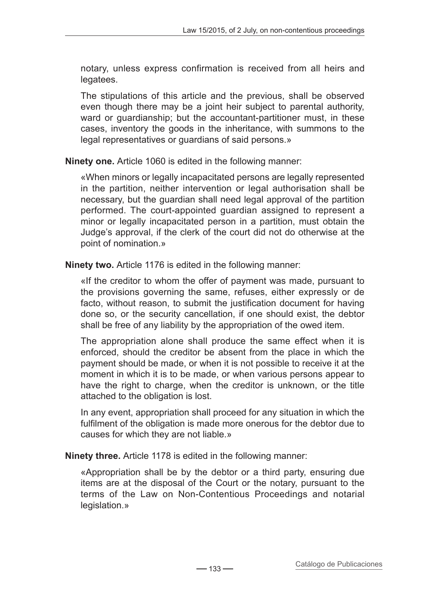notary, unless express confirmation is received from all heirs and legatees.

The stipulations of this article and the previous, shall be observed even though there may be a joint heir subject to parental authority, ward or guardianship; but the accountant-partitioner must, in these cases, inventory the goods in the inheritance, with summons to the legal representatives or guardians of said persons.»

**Ninety one.** Article 1060 is edited in the following manner:

«When minors or legally incapacitated persons are legally represented in the partition, neither intervention or legal authorisation shall be necessary, but the guardian shall need legal approval of the partition performed. The court-appointed guardian assigned to represent a minor or legally incapacitated person in a partition, must obtain the Judge's approval, if the clerk of the court did not do otherwise at the point of nomination.»

**Ninety two.** Article 1176 is edited in the following manner:

«If the creditor to whom the offer of payment was made, pursuant to the provisions governing the same, refuses, either expressly or de facto, without reason, to submit the justification document for having done so, or the security cancellation, if one should exist, the debtor shall be free of any liability by the appropriation of the owed item.

The appropriation alone shall produce the same effect when it is enforced, should the creditor be absent from the place in which the payment should be made, or when it is not possible to receive it at the moment in which it is to be made, or when various persons appear to have the right to charge, when the creditor is unknown, or the title attached to the obligation is lost.

In any event, appropriation shall proceed for any situation in which the fulfilment of the obligation is made more onerous for the debtor due to causes for which they are not liable.»

**Ninety three.** Article 1178 is edited in the following manner:

«Appropriation shall be by the debtor or a third party, ensuring due items are at the disposal of the Court or the notary, pursuant to the terms of the Law on Non-Contentious Proceedings and notarial legislation.»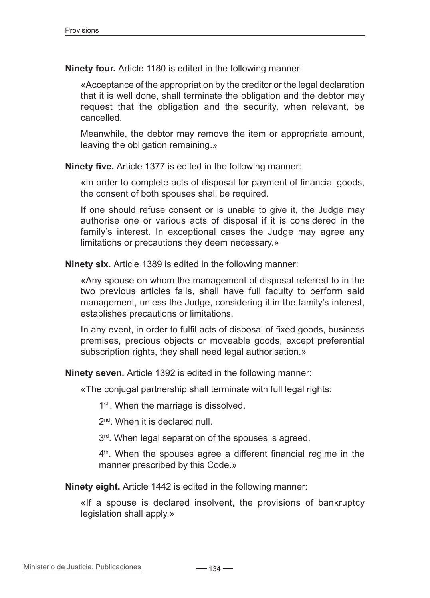**Ninety four.** Article 1180 is edited in the following manner:

«Acceptance of the appropriation by the creditor or the legal declaration that it is well done, shall terminate the obligation and the debtor may request that the obligation and the security, when relevant, be cancelled.

Meanwhile, the debtor may remove the item or appropriate amount, leaving the obligation remaining.»

**Ninety five.** Article 1377 is edited in the following manner:

«In order to complete acts of disposal for payment of financial goods, the consent of both spouses shall be required.

If one should refuse consent or is unable to give it, the Judge may authorise one or various acts of disposal if it is considered in the family's interest. In exceptional cases the Judge may agree any limitations or precautions they deem necessary.»

**Ninety six.** Article 1389 is edited in the following manner:

«Any spouse on whom the management of disposal referred to in the two previous articles falls, shall have full faculty to perform said management, unless the Judge, considering it in the family's interest, establishes precautions or limitations.

In any event, in order to fulfil acts of disposal of fixed goods, business premises, precious objects or moveable goods, except preferential subscription rights, they shall need legal authorisation.»

**Ninety seven.** Article 1392 is edited in the following manner:

«The conjugal partnership shall terminate with full legal rights:

1<sup>st</sup>. When the marriage is dissolved.

2<sup>nd</sup>. When it is declared null.

3<sup>rd</sup>. When legal separation of the spouses is agreed.

 $4<sup>th</sup>$ . When the spouses agree a different financial regime in the manner prescribed by this Code.»

**Ninety eight.** Article 1442 is edited in the following manner:

«If a spouse is declared insolvent, the provisions of bankruptcy legislation shall apply.»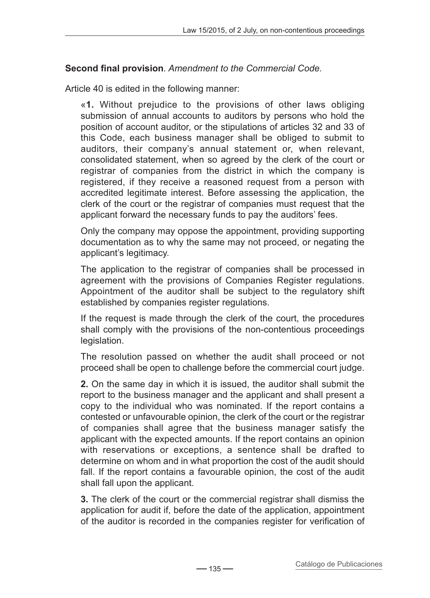## **Second final provision***. Amendment to the Commercial Code.*

Article 40 is edited in the following manner:

«**1.** Without prejudice to the provisions of other laws obliging submission of annual accounts to auditors by persons who hold the position of account auditor, or the stipulations of articles 32 and 33 of this Code, each business manager shall be obliged to submit to auditors, their company's annual statement or, when relevant, consolidated statement, when so agreed by the clerk of the court or registrar of companies from the district in which the company is registered, if they receive a reasoned request from a person with accredited legitimate interest. Before assessing the application, the clerk of the court or the registrar of companies must request that the applicant forward the necessary funds to pay the auditors' fees.

Only the company may oppose the appointment, providing supporting documentation as to why the same may not proceed, or negating the applicant's legitimacy.

The application to the registrar of companies shall be processed in agreement with the provisions of Companies Register regulations. Appointment of the auditor shall be subject to the regulatory shift established by companies register regulations.

If the request is made through the clerk of the court, the procedures shall comply with the provisions of the non-contentious proceedings legislation.

The resolution passed on whether the audit shall proceed or not proceed shall be open to challenge before the commercial court judge.

**2.** On the same day in which it is issued, the auditor shall submit the report to the business manager and the applicant and shall present a copy to the individual who was nominated. If the report contains a contested or unfavourable opinion, the clerk of the court or the registrar of companies shall agree that the business manager satisfy the applicant with the expected amounts. If the report contains an opinion with reservations or exceptions, a sentence shall be drafted to determine on whom and in what proportion the cost of the audit should fall. If the report contains a favourable opinion, the cost of the audit shall fall upon the applicant.

**3.** The clerk of the court or the commercial registrar shall dismiss the application for audit if, before the date of the application, appointment of the auditor is recorded in the companies register for verification of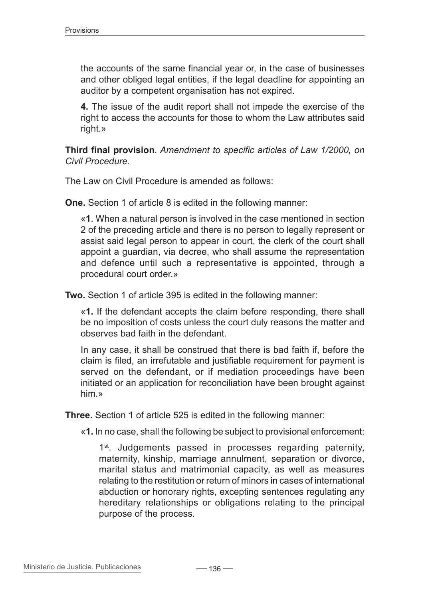the accounts of the same financial year or, in the case of businesses and other obliged legal entities, if the legal deadline for appointing an auditor by a competent organisation has not expired.

**4.** The issue of the audit report shall not impede the exercise of the right to access the accounts for those to whom the Law attributes said right.»

**Third final provision***. Amendment to specific articles of Law 1/2000, on Civil Procedure.*

The Law on Civil Procedure is amended as follows:

**One.** Section 1 of article 8 is edited in the following manner:

«**1**. When a natural person is involved in the case mentioned in section 2 of the preceding article and there is no person to legally represent or assist said legal person to appear in court, the clerk of the court shall appoint a guardian, via decree, who shall assume the representation and defence until such a representative is appointed, through a procedural court order.»

**Two.** Section 1 of article 395 is edited in the following manner:

«**1.** If the defendant accepts the claim before responding, there shall be no imposition of costs unless the court duly reasons the matter and observes bad faith in the defendant.

In any case, it shall be construed that there is bad faith if, before the claim is filed, an irrefutable and justifiable requirement for payment is served on the defendant, or if mediation proceedings have been initiated or an application for reconciliation have been brought against him.»

**Three.** Section 1 of article 525 is edited in the following manner:

«**1.** In no case, shall the following be subject to provisional enforcement:

1<sup>st</sup>. Judgements passed in processes regarding paternity, maternity, kinship, marriage annulment, separation or divorce, marital status and matrimonial capacity, as well as measures relating to the restitution or return of minors in cases of international abduction or honorary rights, excepting sentences regulating any hereditary relationships or obligations relating to the principal purpose of the process.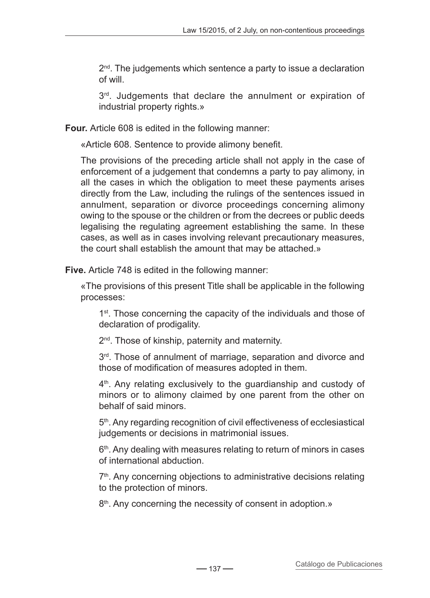$2<sup>nd</sup>$ . The judgements which sentence a party to issue a declaration of will.

3<sup>rd</sup>. Judgements that declare the annulment or expiration of industrial property rights.»

**Four.** Article 608 is edited in the following manner:

«Article 608. Sentence to provide alimony benefit.

The provisions of the preceding article shall not apply in the case of enforcement of a judgement that condemns a party to pay alimony, in all the cases in which the obligation to meet these payments arises directly from the Law, including the rulings of the sentences issued in annulment, separation or divorce proceedings concerning alimony owing to the spouse or the children or from the decrees or public deeds legalising the regulating agreement establishing the same. In these cases, as well as in cases involving relevant precautionary measures, the court shall establish the amount that may be attached.»

**Five.** Article 748 is edited in the following manner:

«The provisions of this present Title shall be applicable in the following processes:

1<sup>st</sup>. Those concerning the capacity of the individuals and those of declaration of prodigality.

2<sup>nd</sup>. Those of kinship, paternity and maternity.

3<sup>rd</sup>. Those of annulment of marriage, separation and divorce and those of modification of measures adopted in them.

4<sup>th</sup>. Any relating exclusively to the quardianship and custody of minors or to alimony claimed by one parent from the other on behalf of said minors.

5<sup>th</sup>. Any regarding recognition of civil effectiveness of ecclesiastical judgements or decisions in matrimonial issues.

 $6<sup>th</sup>$ . Any dealing with measures relating to return of minors in cases of international abduction.

7<sup>th</sup>. Any concerning objections to administrative decisions relating to the protection of minors.

8<sup>th</sup>. Any concerning the necessity of consent in adoption.»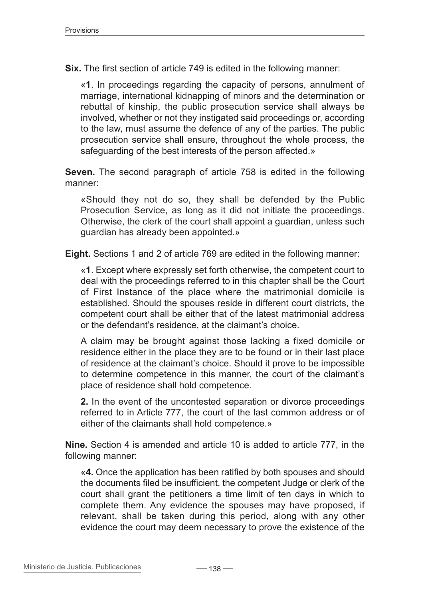**Six.** The first section of article 749 is edited in the following manner:

«**1**. In proceedings regarding the capacity of persons, annulment of marriage, international kidnapping of minors and the determination or rebuttal of kinship, the public prosecution service shall always be involved, whether or not they instigated said proceedings or, according to the law, must assume the defence of any of the parties. The public prosecution service shall ensure, throughout the whole process, the safeguarding of the best interests of the person affected.»

**Seven.** The second paragraph of article 758 is edited in the following manner:

«Should they not do so, they shall be defended by the Public Prosecution Service, as long as it did not initiate the proceedings. Otherwise, the clerk of the court shall appoint a guardian, unless such guardian has already been appointed.»

**Eight.** Sections 1 and 2 of article 769 are edited in the following manner:

«**1**. Except where expressly set forth otherwise, the competent court to deal with the proceedings referred to in this chapter shall be the Court of First Instance of the place where the matrimonial domicile is established. Should the spouses reside in different court districts, the competent court shall be either that of the latest matrimonial address or the defendant's residence, at the claimant's choice.

A claim may be brought against those lacking a fixed domicile or residence either in the place they are to be found or in their last place of residence at the claimant's choice. Should it prove to be impossible to determine competence in this manner, the court of the claimant's place of residence shall hold competence.

**2.** In the event of the uncontested separation or divorce proceedings referred to in Article 777, the court of the last common address or of either of the claimants shall hold competence.»

**Nine.** Section 4 is amended and article 10 is added to article 777, in the following manner:

«**4.** Once the application has been ratified by both spouses and should the documents filed be insufficient, the competent Judge or clerk of the court shall grant the petitioners a time limit of ten days in which to complete them. Any evidence the spouses may have proposed, if relevant, shall be taken during this period, along with any other evidence the court may deem necessary to prove the existence of the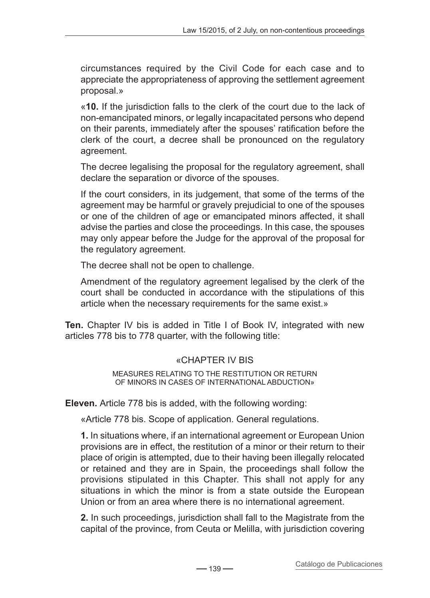circumstances required by the Civil Code for each case and to appreciate the appropriateness of approving the settlement agreement proposal.»

«**10.** If the jurisdiction falls to the clerk of the court due to the lack of non-emancipated minors, or legally incapacitated persons who depend on their parents, immediately after the spouses' ratification before the clerk of the court, a decree shall be pronounced on the regulatory agreement.

The decree legalising the proposal for the regulatory agreement, shall declare the separation or divorce of the spouses.

If the court considers, in its judgement, that some of the terms of the agreement may be harmful or gravely prejudicial to one of the spouses or one of the children of age or emancipated minors affected, it shall advise the parties and close the proceedings. In this case, the spouses may only appear before the Judge for the approval of the proposal for the regulatory agreement.

The decree shall not be open to challenge.

Amendment of the regulatory agreement legalised by the clerk of the court shall be conducted in accordance with the stipulations of this article when the necessary requirements for the same exist.»

**Ten.** Chapter IV bis is added in Title I of Book IV, integrated with new articles 778 bis to 778 quarter, with the following title:

## «CHAPTER IV BIS

Measures relating to the restitution or return of minors in cases of international abduction»

**Eleven.** Article 778 bis is added, with the following wording:

«Article 778 bis. Scope of application. General regulations.

**1.** In situations where, if an international agreement or European Union provisions are in effect, the restitution of a minor or their return to their place of origin is attempted, due to their having been illegally relocated or retained and they are in Spain, the proceedings shall follow the provisions stipulated in this Chapter. This shall not apply for any situations in which the minor is from a state outside the European Union or from an area where there is no international agreement.

**2.** In such proceedings, jurisdiction shall fall to the Magistrate from the capital of the province, from Ceuta or Melilla, with jurisdiction covering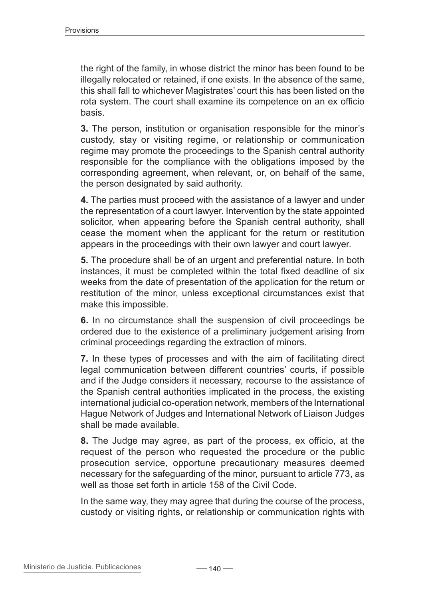the right of the family, in whose district the minor has been found to be illegally relocated or retained, if one exists. In the absence of the same, this shall fall to whichever Magistrates' court this has been listed on the rota system. The court shall examine its competence on an ex officio basis.

**3.** The person, institution or organisation responsible for the minor's custody, stay or visiting regime, or relationship or communication regime may promote the proceedings to the Spanish central authority responsible for the compliance with the obligations imposed by the corresponding agreement, when relevant, or, on behalf of the same, the person designated by said authority.

**4.** The parties must proceed with the assistance of a lawyer and under the representation of a court lawyer. Intervention by the state appointed solicitor, when appearing before the Spanish central authority, shall cease the moment when the applicant for the return or restitution appears in the proceedings with their own lawyer and court lawyer.

**5.** The procedure shall be of an urgent and preferential nature. In both instances, it must be completed within the total fixed deadline of six weeks from the date of presentation of the application for the return or restitution of the minor, unless exceptional circumstances exist that make this impossible.

**6.** In no circumstance shall the suspension of civil proceedings be ordered due to the existence of a preliminary judgement arising from criminal proceedings regarding the extraction of minors.

**7.** In these types of processes and with the aim of facilitating direct legal communication between different countries' courts, if possible and if the Judge considers it necessary, recourse to the assistance of the Spanish central authorities implicated in the process, the existing international judicial co-operation network, members of the International Hague Network of Judges and International Network of Liaison Judges shall be made available.

**8.** The Judge may agree, as part of the process, ex officio, at the request of the person who requested the procedure or the public prosecution service, opportune precautionary measures deemed necessary for the safeguarding of the minor, pursuant to article 773, as well as those set forth in article 158 of the Civil Code.

In the same way, they may agree that during the course of the process, custody or visiting rights, or relationship or communication rights with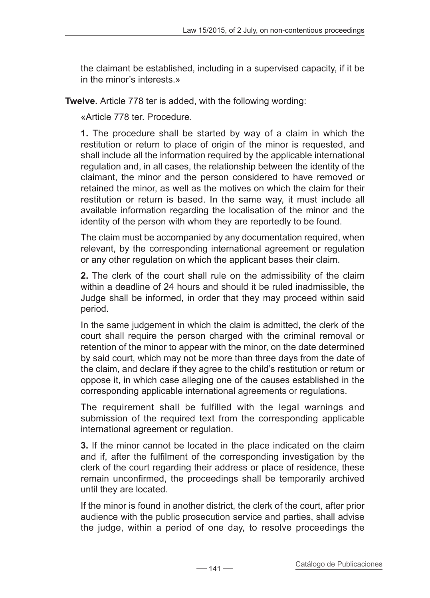the claimant be established, including in a supervised capacity, if it be in the minor's interests »

**Twelve.** Article 778 ter is added, with the following wording:

«Article 778 ter. Procedure.

**1.** The procedure shall be started by way of a claim in which the restitution or return to place of origin of the minor is requested, and shall include all the information required by the applicable international regulation and, in all cases, the relationship between the identity of the claimant, the minor and the person considered to have removed or retained the minor, as well as the motives on which the claim for their restitution or return is based. In the same way, it must include all available information regarding the localisation of the minor and the identity of the person with whom they are reportedly to be found.

The claim must be accompanied by any documentation required, when relevant, by the corresponding international agreement or regulation or any other regulation on which the applicant bases their claim.

**2.** The clerk of the court shall rule on the admissibility of the claim within a deadline of 24 hours and should it be ruled inadmissible, the Judge shall be informed, in order that they may proceed within said period.

In the same judgement in which the claim is admitted, the clerk of the court shall require the person charged with the criminal removal or retention of the minor to appear with the minor, on the date determined by said court, which may not be more than three days from the date of the claim, and declare if they agree to the child's restitution or return or oppose it, in which case alleging one of the causes established in the corresponding applicable international agreements or regulations.

The requirement shall be fulfilled with the legal warnings and submission of the required text from the corresponding applicable international agreement or regulation.

**3.** If the minor cannot be located in the place indicated on the claim and if, after the fulfilment of the corresponding investigation by the clerk of the court regarding their address or place of residence, these remain unconfirmed, the proceedings shall be temporarily archived until they are located.

If the minor is found in another district, the clerk of the court, after prior audience with the public prosecution service and parties, shall advise the judge, within a period of one day, to resolve proceedings the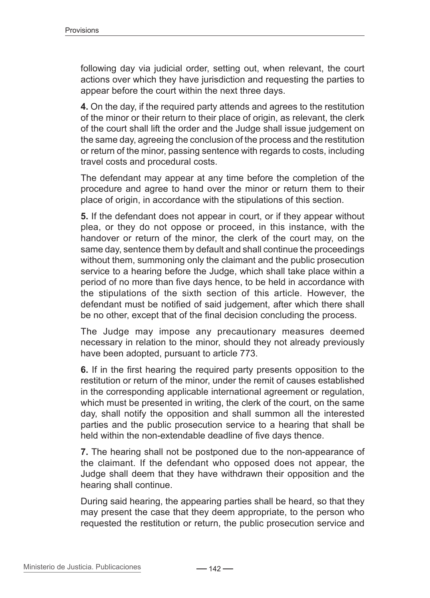following day via judicial order, setting out, when relevant, the court actions over which they have jurisdiction and requesting the parties to appear before the court within the next three days.

**4.** On the day, if the required party attends and agrees to the restitution of the minor or their return to their place of origin, as relevant, the clerk of the court shall lift the order and the Judge shall issue judgement on the same day, agreeing the conclusion of the process and the restitution or return of the minor, passing sentence with regards to costs, including travel costs and procedural costs.

The defendant may appear at any time before the completion of the procedure and agree to hand over the minor or return them to their place of origin, in accordance with the stipulations of this section.

**5.** If the defendant does not appear in court, or if they appear without plea, or they do not oppose or proceed, in this instance, with the handover or return of the minor, the clerk of the court may, on the same day, sentence them by default and shall continue the proceedings without them, summoning only the claimant and the public prosecution service to a hearing before the Judge, which shall take place within a period of no more than five days hence, to be held in accordance with the stipulations of the sixth section of this article. However, the defendant must be notified of said judgement, after which there shall be no other, except that of the final decision concluding the process.

The Judge may impose any precautionary measures deemed necessary in relation to the minor, should they not already previously have been adopted, pursuant to article 773.

**6.** If in the first hearing the required party presents opposition to the restitution or return of the minor, under the remit of causes established in the corresponding applicable international agreement or regulation, which must be presented in writing, the clerk of the court, on the same day, shall notify the opposition and shall summon all the interested parties and the public prosecution service to a hearing that shall be held within the non-extendable deadline of five days thence.

**7.** The hearing shall not be postponed due to the non-appearance of the claimant. If the defendant who opposed does not appear, the Judge shall deem that they have withdrawn their opposition and the hearing shall continue.

During said hearing, the appearing parties shall be heard, so that they may present the case that they deem appropriate, to the person who requested the restitution or return, the public prosecution service and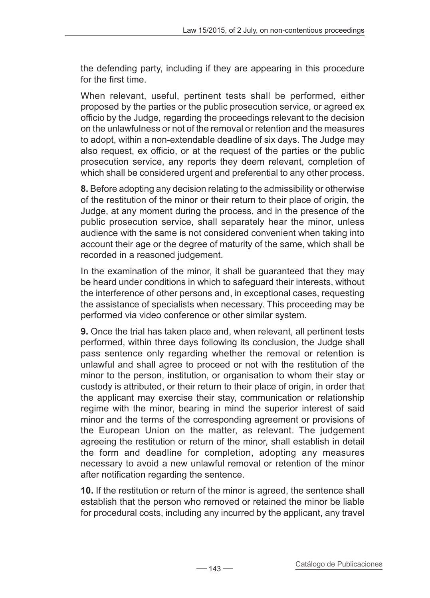the defending party, including if they are appearing in this procedure for the first time.

When relevant, useful, pertinent tests shall be performed, either proposed by the parties or the public prosecution service, or agreed ex officio by the Judge, regarding the proceedings relevant to the decision on the unlawfulness or not of the removal or retention and the measures to adopt, within a non-extendable deadline of six days. The Judge may also request, ex officio, or at the request of the parties or the public prosecution service, any reports they deem relevant, completion of which shall be considered urgent and preferential to any other process.

**8.** Before adopting any decision relating to the admissibility or otherwise of the restitution of the minor or their return to their place of origin, the Judge, at any moment during the process, and in the presence of the public prosecution service, shall separately hear the minor, unless audience with the same is not considered convenient when taking into account their age or the degree of maturity of the same, which shall be recorded in a reasoned judgement.

In the examination of the minor, it shall be guaranteed that they may be heard under conditions in which to safeguard their interests, without the interference of other persons and, in exceptional cases, requesting the assistance of specialists when necessary. This proceeding may be performed via video conference or other similar system.

**9.** Once the trial has taken place and, when relevant, all pertinent tests performed, within three days following its conclusion, the Judge shall pass sentence only regarding whether the removal or retention is unlawful and shall agree to proceed or not with the restitution of the minor to the person, institution, or organisation to whom their stay or custody is attributed, or their return to their place of origin, in order that the applicant may exercise their stay, communication or relationship regime with the minor, bearing in mind the superior interest of said minor and the terms of the corresponding agreement or provisions of the European Union on the matter, as relevant. The judgement agreeing the restitution or return of the minor, shall establish in detail the form and deadline for completion, adopting any measures necessary to avoid a new unlawful removal or retention of the minor after notification regarding the sentence.

**10.** If the restitution or return of the minor is agreed, the sentence shall establish that the person who removed or retained the minor be liable for procedural costs, including any incurred by the applicant, any travel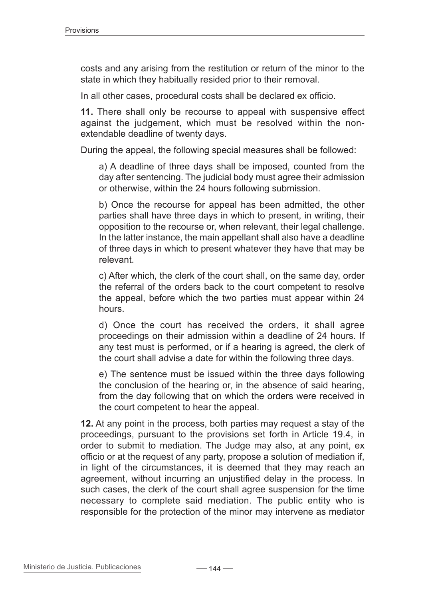costs and any arising from the restitution or return of the minor to the state in which they habitually resided prior to their removal.

In all other cases, procedural costs shall be declared ex officio.

**11.** There shall only be recourse to appeal with suspensive effect against the judgement, which must be resolved within the nonextendable deadline of twenty days.

During the appeal, the following special measures shall be followed:

a) A deadline of three days shall be imposed, counted from the day after sentencing. The judicial body must agree their admission or otherwise, within the 24 hours following submission.

b) Once the recourse for appeal has been admitted, the other parties shall have three days in which to present, in writing, their opposition to the recourse or, when relevant, their legal challenge. In the latter instance, the main appellant shall also have a deadline of three days in which to present whatever they have that may be relevant.

c) After which, the clerk of the court shall, on the same day, order the referral of the orders back to the court competent to resolve the appeal, before which the two parties must appear within 24 hours.

d) Once the court has received the orders, it shall agree proceedings on their admission within a deadline of 24 hours. If any test must is performed, or if a hearing is agreed, the clerk of the court shall advise a date for within the following three days.

e) The sentence must be issued within the three days following the conclusion of the hearing or, in the absence of said hearing, from the day following that on which the orders were received in the court competent to hear the appeal.

**12.** At any point in the process, both parties may request a stay of the proceedings, pursuant to the provisions set forth in Article 19.4, in order to submit to mediation. The Judge may also, at any point, ex officio or at the request of any party, propose a solution of mediation if, in light of the circumstances, it is deemed that they may reach an agreement, without incurring an unjustified delay in the process. In such cases, the clerk of the court shall agree suspension for the time necessary to complete said mediation. The public entity who is responsible for the protection of the minor may intervene as mediator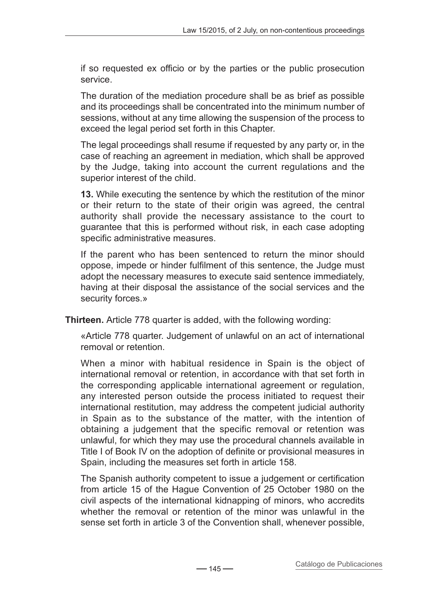if so requested ex officio or by the parties or the public prosecution service.

The duration of the mediation procedure shall be as brief as possible and its proceedings shall be concentrated into the minimum number of sessions, without at any time allowing the suspension of the process to exceed the legal period set forth in this Chapter.

The legal proceedings shall resume if requested by any party or, in the case of reaching an agreement in mediation, which shall be approved by the Judge, taking into account the current regulations and the superior interest of the child.

**13.** While executing the sentence by which the restitution of the minor or their return to the state of their origin was agreed, the central authority shall provide the necessary assistance to the court to guarantee that this is performed without risk, in each case adopting specific administrative measures.

If the parent who has been sentenced to return the minor should oppose, impede or hinder fulfilment of this sentence, the Judge must adopt the necessary measures to execute said sentence immediately, having at their disposal the assistance of the social services and the security forces.»

**Thirteen.** Article 778 quarter is added, with the following wording:

«Article 778 quarter. Judgement of unlawful on an act of international removal or retention.

When a minor with habitual residence in Spain is the object of international removal or retention, in accordance with that set forth in the corresponding applicable international agreement or regulation, any interested person outside the process initiated to request their international restitution, may address the competent judicial authority in Spain as to the substance of the matter, with the intention of obtaining a judgement that the specific removal or retention was unlawful, for which they may use the procedural channels available in Title I of Book IV on the adoption of definite or provisional measures in Spain, including the measures set forth in article 158.

The Spanish authority competent to issue a judgement or certification from article 15 of the Hague Convention of 25 October 1980 on the civil aspects of the international kidnapping of minors, who accredits whether the removal or retention of the minor was unlawful in the sense set forth in article 3 of the Convention shall, whenever possible,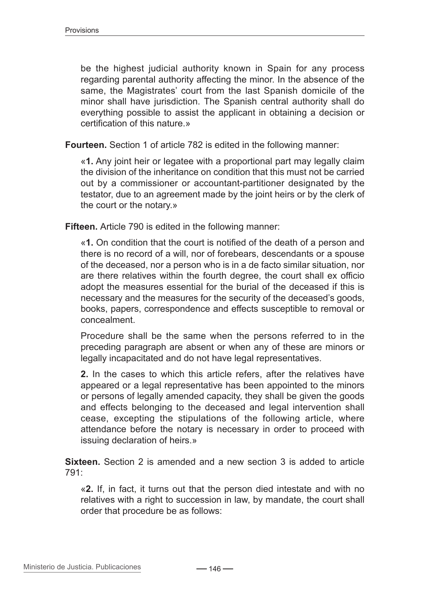be the highest judicial authority known in Spain for any process regarding parental authority affecting the minor. In the absence of the same, the Magistrates' court from the last Spanish domicile of the minor shall have jurisdiction. The Spanish central authority shall do everything possible to assist the applicant in obtaining a decision or certification of this nature.»

**Fourteen.** Section 1 of article 782 is edited in the following manner:

«**1.** Any joint heir or legatee with a proportional part may legally claim the division of the inheritance on condition that this must not be carried out by a commissioner or accountant-partitioner designated by the testator, due to an agreement made by the joint heirs or by the clerk of the court or the notary.»

**Fifteen.** Article 790 is edited in the following manner:

«**1.** On condition that the court is notified of the death of a person and there is no record of a will, nor of forebears, descendants or a spouse of the deceased, nor a person who is in a de facto similar situation, nor are there relatives within the fourth degree, the court shall ex officio adopt the measures essential for the burial of the deceased if this is necessary and the measures for the security of the deceased's goods, books, papers, correspondence and effects susceptible to removal or concealment.

Procedure shall be the same when the persons referred to in the preceding paragraph are absent or when any of these are minors or legally incapacitated and do not have legal representatives.

**2.** In the cases to which this article refers, after the relatives have appeared or a legal representative has been appointed to the minors or persons of legally amended capacity, they shall be given the goods and effects belonging to the deceased and legal intervention shall cease, excepting the stipulations of the following article, where attendance before the notary is necessary in order to proceed with issuing declaration of heirs.»

**Sixteen.** Section 2 is amended and a new section 3 is added to article 791:

«**2.** If, in fact, it turns out that the person died intestate and with no relatives with a right to succession in law, by mandate, the court shall order that procedure be as follows: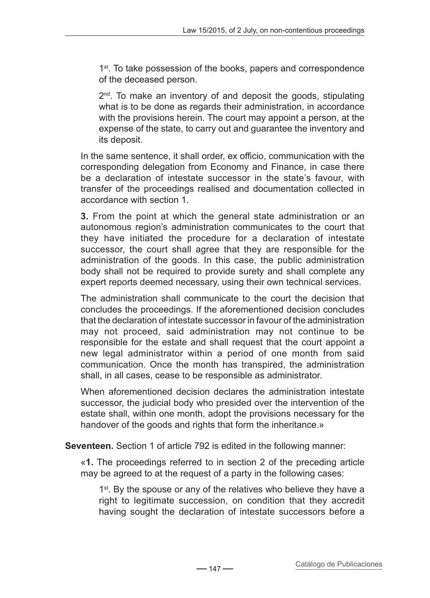1<sup>st</sup>. To take possession of the books, papers and correspondence of the deceased person.

 $2<sup>nd</sup>$ . To make an inventory of and deposit the goods, stipulating what is to be done as regards their administration, in accordance with the provisions herein. The court may appoint a person, at the expense of the state, to carry out and guarantee the inventory and its deposit.

In the same sentence, it shall order, ex officio, communication with the corresponding delegation from Economy and Finance, in case there be a declaration of intestate successor in the state's favour, with transfer of the proceedings realised and documentation collected in accordance with section 1.

**3.** From the point at which the general state administration or an autonomous region's administration communicates to the court that they have initiated the procedure for a declaration of intestate successor, the court shall agree that they are responsible for the administration of the goods. In this case, the public administration body shall not be required to provide surety and shall complete any expert reports deemed necessary, using their own technical services.

The administration shall communicate to the court the decision that concludes the proceedings. If the aforementioned decision concludes that the declaration of intestate successor in favour of the administration may not proceed, said administration may not continue to be responsible for the estate and shall request that the court appoint a new legal administrator within a period of one month from said communication. Once the month has transpired, the administration shall, in all cases, cease to be responsible as administrator.

When aforementioned decision declares the administration intestate successor, the judicial body who presided over the intervention of the estate shall, within one month, adopt the provisions necessary for the handover of the goods and rights that form the inheritance.»

**Seventeen.** Section 1 of article 792 is edited in the following manner:

«**1.** The proceedings referred to in section 2 of the preceding article may be agreed to at the request of a party in the following cases:

1<sup>st</sup>. By the spouse or any of the relatives who believe they have a right to legitimate succession, on condition that they accredit having sought the declaration of intestate successors before a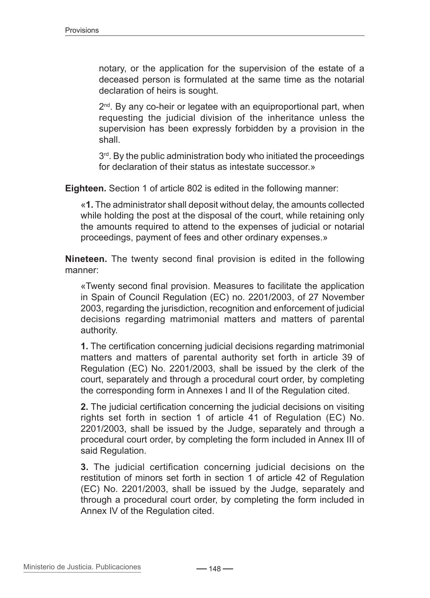notary, or the application for the supervision of the estate of a deceased person is formulated at the same time as the notarial declaration of heirs is sought.

 $2<sup>nd</sup>$ . By any co-heir or legatee with an equiproportional part, when requesting the judicial division of the inheritance unless the supervision has been expressly forbidden by a provision in the shall.

3<sup>rd</sup>. By the public administration body who initiated the proceedings for declaration of their status as intestate successor.»

**Eighteen.** Section 1 of article 802 is edited in the following manner:

«**1.** The administrator shall deposit without delay, the amounts collected while holding the post at the disposal of the court, while retaining only the amounts required to attend to the expenses of judicial or notarial proceedings, payment of fees and other ordinary expenses.»

**Nineteen.** The twenty second final provision is edited in the following manner:

«Twenty second final provision. Measures to facilitate the application in Spain of Council Regulation (EC) no. 2201/2003, of 27 November 2003, regarding the jurisdiction, recognition and enforcement of judicial decisions regarding matrimonial matters and matters of parental authority.

**1.** The certification concerning judicial decisions regarding matrimonial matters and matters of parental authority set forth in article 39 of Regulation (EC) No. 2201/2003, shall be issued by the clerk of the court, separately and through a procedural court order, by completing the corresponding form in Annexes I and II of the Regulation cited.

**2.** The judicial certification concerning the judicial decisions on visiting rights set forth in section 1 of article 41 of Regulation (EC) No. 2201/2003, shall be issued by the Judge, separately and through a procedural court order, by completing the form included in Annex III of said Regulation.

**3.** The judicial certification concerning judicial decisions on the restitution of minors set forth in section 1 of article 42 of Regulation (EC) No. 2201/2003, shall be issued by the Judge, separately and through a procedural court order, by completing the form included in Annex IV of the Regulation cited.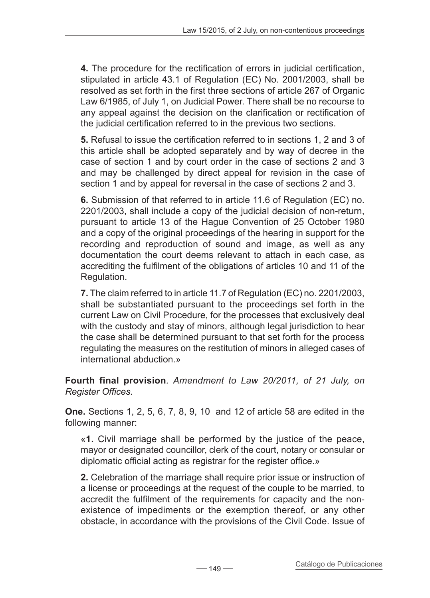**4.** The procedure for the rectification of errors in judicial certification, stipulated in article 43.1 of Regulation (EC) No. 2001/2003, shall be resolved as set forth in the first three sections of article 267 of Organic Law 6/1985, of July 1, on Judicial Power. There shall be no recourse to any appeal against the decision on the clarification or rectification of the judicial certification referred to in the previous two sections.

**5.** Refusal to issue the certification referred to in sections 1, 2 and 3 of this article shall be adopted separately and by way of decree in the case of section 1 and by court order in the case of sections 2 and 3 and may be challenged by direct appeal for revision in the case of section 1 and by appeal for reversal in the case of sections 2 and 3.

**6.** Submission of that referred to in article 11.6 of Regulation (EC) no. 2201/2003, shall include a copy of the judicial decision of non-return, pursuant to article 13 of the Hague Convention of 25 October 1980 and a copy of the original proceedings of the hearing in support for the recording and reproduction of sound and image, as well as any documentation the court deems relevant to attach in each case, as accrediting the fulfilment of the obligations of articles 10 and 11 of the Regulation.

**7.** The claim referred to in article 11.7 of Regulation (EC) no. 2201/2003, shall be substantiated pursuant to the proceedings set forth in the current Law on Civil Procedure, for the processes that exclusively deal with the custody and stay of minors, although legal jurisdiction to hear the case shall be determined pursuant to that set forth for the process regulating the measures on the restitution of minors in alleged cases of international abduction.»

**Fourth final provision***. Amendment to Law 20/2011, of 21 July, on Register Offices.*

**One.** Sections 1, 2, 5, 6, 7, 8, 9, 10 and 12 of article 58 are edited in the following manner:

«**1.** Civil marriage shall be performed by the justice of the peace, mayor or designated councillor, clerk of the court, notary or consular or diplomatic official acting as registrar for the register office.»

**2.** Celebration of the marriage shall require prior issue or instruction of a license or proceedings at the request of the couple to be married, to accredit the fulfilment of the requirements for capacity and the nonexistence of impediments or the exemption thereof, or any other obstacle, in accordance with the provisions of the Civil Code. Issue of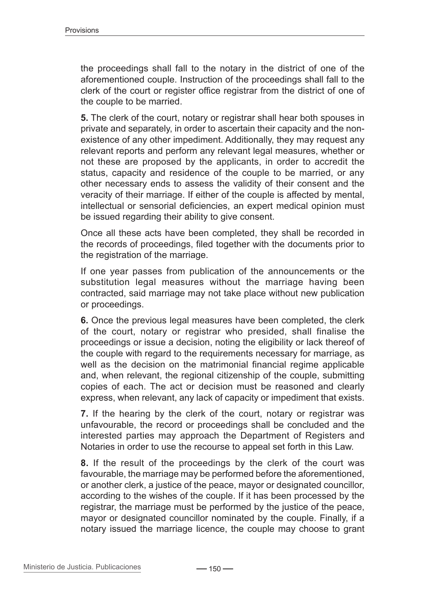the proceedings shall fall to the notary in the district of one of the aforementioned couple. Instruction of the proceedings shall fall to the clerk of the court or register office registrar from the district of one of the couple to be married.

**5.** The clerk of the court, notary or registrar shall hear both spouses in private and separately, in order to ascertain their capacity and the nonexistence of any other impediment. Additionally, they may request any relevant reports and perform any relevant legal measures, whether or not these are proposed by the applicants, in order to accredit the status, capacity and residence of the couple to be married, or any other necessary ends to assess the validity of their consent and the veracity of their marriage. If either of the couple is affected by mental, intellectual or sensorial deficiencies, an expert medical opinion must be issued regarding their ability to give consent.

Once all these acts have been completed, they shall be recorded in the records of proceedings, filed together with the documents prior to the registration of the marriage.

If one year passes from publication of the announcements or the substitution legal measures without the marriage having been contracted, said marriage may not take place without new publication or proceedings.

**6.** Once the previous legal measures have been completed, the clerk of the court, notary or registrar who presided, shall finalise the proceedings or issue a decision, noting the eligibility or lack thereof of the couple with regard to the requirements necessary for marriage, as well as the decision on the matrimonial financial regime applicable and, when relevant, the regional citizenship of the couple, submitting copies of each. The act or decision must be reasoned and clearly express, when relevant, any lack of capacity or impediment that exists.

**7.** If the hearing by the clerk of the court, notary or registrar was unfavourable, the record or proceedings shall be concluded and the interested parties may approach the Department of Registers and Notaries in order to use the recourse to appeal set forth in this Law.

**8.** If the result of the proceedings by the clerk of the court was favourable, the marriage may be performed before the aforementioned, or another clerk, a justice of the peace, mayor or designated councillor, according to the wishes of the couple. If it has been processed by the registrar, the marriage must be performed by the justice of the peace, mayor or designated councillor nominated by the couple. Finally, if a notary issued the marriage licence, the couple may choose to grant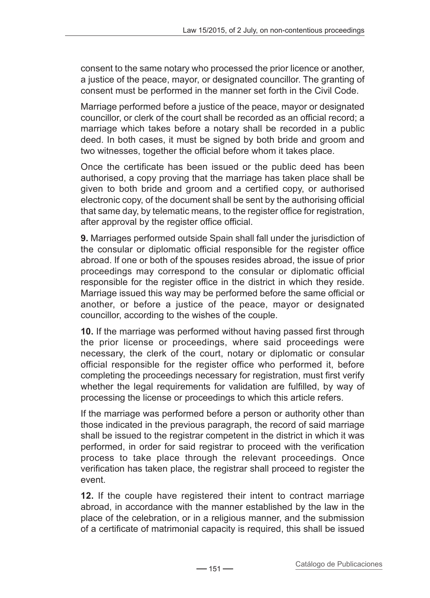consent to the same notary who processed the prior licence or another, a justice of the peace, mayor, or designated councillor. The granting of consent must be performed in the manner set forth in the Civil Code.

Marriage performed before a justice of the peace, mayor or designated councillor, or clerk of the court shall be recorded as an official record; a marriage which takes before a notary shall be recorded in a public deed. In both cases, it must be signed by both bride and groom and two witnesses, together the official before whom it takes place.

Once the certificate has been issued or the public deed has been authorised, a copy proving that the marriage has taken place shall be given to both bride and groom and a certified copy, or authorised electronic copy, of the document shall be sent by the authorising official that same day, by telematic means, to the register office for registration, after approval by the register office official.

**9.** Marriages performed outside Spain shall fall under the jurisdiction of the consular or diplomatic official responsible for the register office abroad. If one or both of the spouses resides abroad, the issue of prior proceedings may correspond to the consular or diplomatic official responsible for the register office in the district in which they reside. Marriage issued this way may be performed before the same official or another, or before a justice of the peace, mayor or designated councillor, according to the wishes of the couple.

**10.** If the marriage was performed without having passed first through the prior license or proceedings, where said proceedings were necessary, the clerk of the court, notary or diplomatic or consular official responsible for the register office who performed it, before completing the proceedings necessary for registration, must first verify whether the legal requirements for validation are fulfilled, by way of processing the license or proceedings to which this article refers.

If the marriage was performed before a person or authority other than those indicated in the previous paragraph, the record of said marriage shall be issued to the registrar competent in the district in which it was performed, in order for said registrar to proceed with the verification process to take place through the relevant proceedings. Once verification has taken place, the registrar shall proceed to register the event.

**12.** If the couple have registered their intent to contract marriage abroad, in accordance with the manner established by the law in the place of the celebration, or in a religious manner, and the submission of a certificate of matrimonial capacity is required, this shall be issued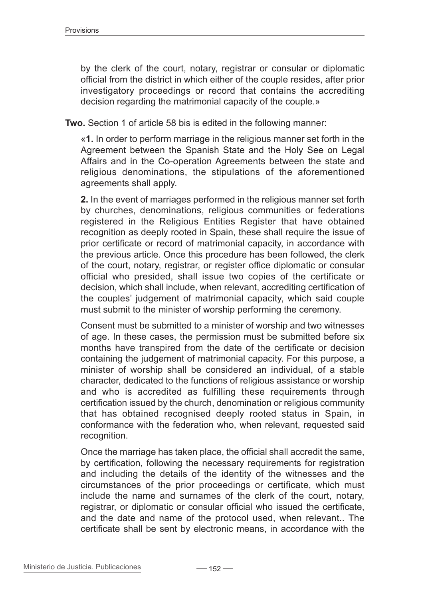by the clerk of the court, notary, registrar or consular or diplomatic official from the district in which either of the couple resides, after prior investigatory proceedings or record that contains the accrediting decision regarding the matrimonial capacity of the couple.»

**Two.** Section 1 of article 58 bis is edited in the following manner:

«**1.** In order to perform marriage in the religious manner set forth in the Agreement between the Spanish State and the Holy See on Legal Affairs and in the Co-operation Agreements between the state and religious denominations, the stipulations of the aforementioned agreements shall apply.

**2.** In the event of marriages performed in the religious manner set forth by churches, denominations, religious communities or federations registered in the Religious Entities Register that have obtained recognition as deeply rooted in Spain, these shall require the issue of prior certificate or record of matrimonial capacity, in accordance with the previous article. Once this procedure has been followed, the clerk of the court, notary, registrar, or register office diplomatic or consular official who presided, shall issue two copies of the certificate or decision, which shall include, when relevant, accrediting certification of the couples' judgement of matrimonial capacity, which said couple must submit to the minister of worship performing the ceremony.

Consent must be submitted to a minister of worship and two witnesses of age. In these cases, the permission must be submitted before six months have transpired from the date of the certificate or decision containing the judgement of matrimonial capacity. For this purpose, a minister of worship shall be considered an individual, of a stable character, dedicated to the functions of religious assistance or worship and who is accredited as fulfilling these requirements through certification issued by the church, denomination or religious community that has obtained recognised deeply rooted status in Spain, in conformance with the federation who, when relevant, requested said recognition.

Once the marriage has taken place, the official shall accredit the same, by certification, following the necessary requirements for registration and including the details of the identity of the witnesses and the circumstances of the prior proceedings or certificate, which must include the name and surnames of the clerk of the court, notary, registrar, or diplomatic or consular official who issued the certificate, and the date and name of the protocol used, when relevant.. The certificate shall be sent by electronic means, in accordance with the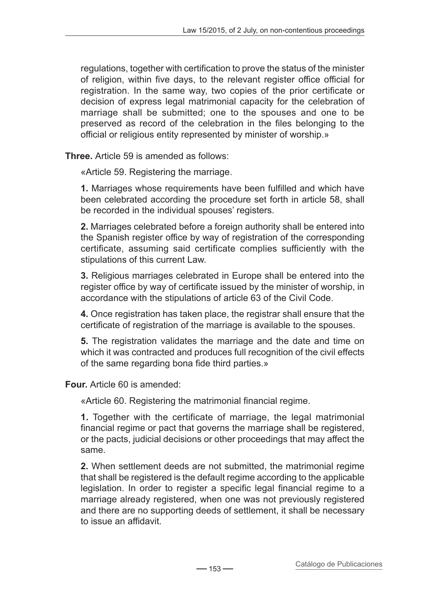regulations, together with certification to prove the status of the minister of religion, within five days, to the relevant register office official for registration. In the same way, two copies of the prior certificate or decision of express legal matrimonial capacity for the celebration of marriage shall be submitted; one to the spouses and one to be preserved as record of the celebration in the files belonging to the official or religious entity represented by minister of worship.»

**Three.** Article 59 is amended as follows:

«Article 59. Registering the marriage.

**1.** Marriages whose requirements have been fulfilled and which have been celebrated according the procedure set forth in article 58, shall be recorded in the individual spouses' registers.

**2.** Marriages celebrated before a foreign authority shall be entered into the Spanish register office by way of registration of the corresponding certificate, assuming said certificate complies sufficiently with the stipulations of this current Law.

**3.** Religious marriages celebrated in Europe shall be entered into the register office by way of certificate issued by the minister of worship, in accordance with the stipulations of article 63 of the Civil Code.

**4.** Once registration has taken place, the registrar shall ensure that the certificate of registration of the marriage is available to the spouses.

**5.** The registration validates the marriage and the date and time on which it was contracted and produces full recognition of the civil effects of the same regarding bona fide third parties.»

**Four.** Article 60 is amended:

«Article 60. Registering the matrimonial financial regime.

**1.** Together with the certificate of marriage, the legal matrimonial financial regime or pact that governs the marriage shall be registered, or the pacts, judicial decisions or other proceedings that may affect the same.

**2.** When settlement deeds are not submitted, the matrimonial regime that shall be registered is the default regime according to the applicable legislation. In order to register a specific legal financial regime to a marriage already registered, when one was not previously registered and there are no supporting deeds of settlement, it shall be necessary to issue an affidavit.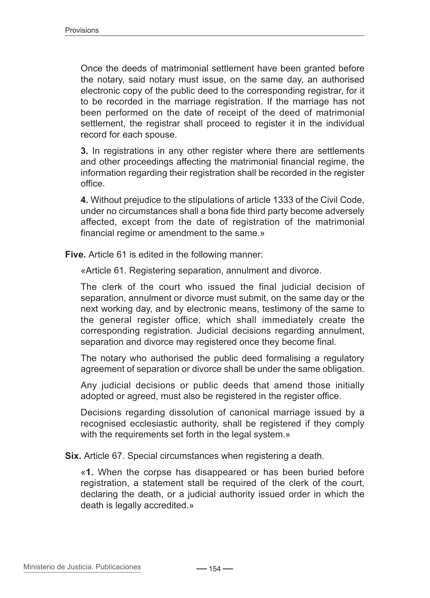Once the deeds of matrimonial settlement have been granted before the notary, said notary must issue, on the same day, an authorised electronic copy of the public deed to the corresponding registrar, for it to be recorded in the marriage registration. If the marriage has not been performed on the date of receipt of the deed of matrimonial settlement, the registrar shall proceed to register it in the individual record for each spouse.

**3.** In registrations in any other register where there are settlements and other proceedings affecting the matrimonial financial regime, the information regarding their registration shall be recorded in the register office.

**4.** Without prejudice to the stipulations of article 1333 of the Civil Code, under no circumstances shall a bona fide third party become adversely affected, except from the date of registration of the matrimonial financial regime or amendment to the same.»

**Five.** Article 61 is edited in the following manner:

«Article 61. Registering separation, annulment and divorce.

The clerk of the court who issued the final judicial decision of separation, annulment or divorce must submit, on the same day or the next working day, and by electronic means, testimony of the same to the general register office, which shall immediately create the corresponding registration. Judicial decisions regarding annulment, separation and divorce may registered once they become final.

The notary who authorised the public deed formalising a regulatory agreement of separation or divorce shall be under the same obligation.

Any judicial decisions or public deeds that amend those initially adopted or agreed, must also be registered in the register office.

Decisions regarding dissolution of canonical marriage issued by a recognised ecclesiastic authority, shall be registered if they comply with the requirements set forth in the legal system.»

**Six.** Article 67. Special circumstances when registering a death.

«**1.** When the corpse has disappeared or has been buried before registration, a statement stall be required of the clerk of the court, declaring the death, or a judicial authority issued order in which the death is legally accredited.»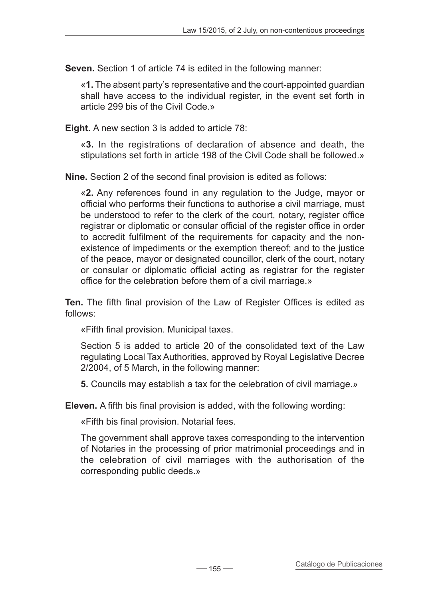**Seven.** Section 1 of article 74 is edited in the following manner:

«**1.** The absent party's representative and the court-appointed guardian shall have access to the individual register, in the event set forth in article 299 bis of the Civil Code.»

**Eight.** A new section 3 is added to article 78:

«**3.** In the registrations of declaration of absence and death, the stipulations set forth in article 198 of the Civil Code shall be followed.»

**Nine.** Section 2 of the second final provision is edited as follows:

«**2.** Any references found in any regulation to the Judge, mayor or official who performs their functions to authorise a civil marriage, must be understood to refer to the clerk of the court, notary, register office registrar or diplomatic or consular official of the register office in order to accredit fulfilment of the requirements for capacity and the nonexistence of impediments or the exemption thereof; and to the justice of the peace, mayor or designated councillor, clerk of the court, notary or consular or diplomatic official acting as registrar for the register office for the celebration before them of a civil marriage.»

**Ten.** The fifth final provision of the Law of Register Offices is edited as follows:

«Fifth final provision. Municipal taxes.

Section 5 is added to article 20 of the consolidated text of the Law regulating Local Tax Authorities, approved by Royal Legislative Decree 2/2004, of 5 March, in the following manner:

**5.** Councils may establish a tax for the celebration of civil marriage.»

**Eleven.** A fifth bis final provision is added, with the following wording:

«Fifth bis final provision. Notarial fees.

The government shall approve taxes corresponding to the intervention of Notaries in the processing of prior matrimonial proceedings and in the celebration of civil marriages with the authorisation of the corresponding public deeds.»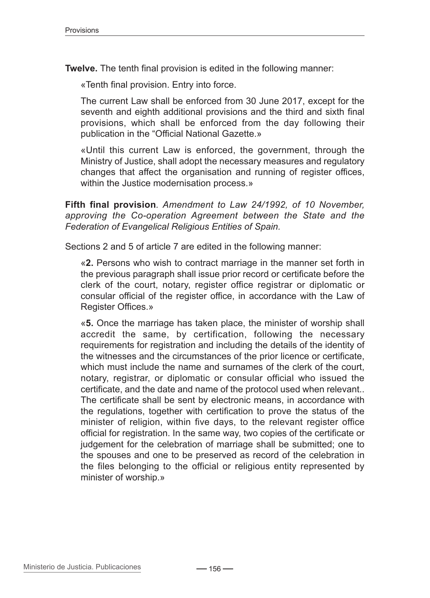**Twelve.** The tenth final provision is edited in the following manner:

«Tenth final provision. Entry into force.

The current Law shall be enforced from 30 June 2017, except for the seventh and eighth additional provisions and the third and sixth final provisions, which shall be enforced from the day following their publication in the "Official National Gazette.»

«Until this current Law is enforced, the government, through the Ministry of Justice, shall adopt the necessary measures and regulatory changes that affect the organisation and running of register offices, within the Justice modernisation process.»

**Fifth final provision***. Amendment to Law 24/1992, of 10 November, approving the Co-operation Agreement between the State and the Federation of Evangelical Religious Entities of Spain.*

Sections 2 and 5 of article 7 are edited in the following manner:

«**2.** Persons who wish to contract marriage in the manner set forth in the previous paragraph shall issue prior record or certificate before the clerk of the court, notary, register office registrar or diplomatic or consular official of the register office, in accordance with the Law of Register Offices.»

«**5.** Once the marriage has taken place, the minister of worship shall accredit the same, by certification, following the necessary requirements for registration and including the details of the identity of the witnesses and the circumstances of the prior licence or certificate, which must include the name and surnames of the clerk of the court. notary, registrar, or diplomatic or consular official who issued the certificate, and the date and name of the protocol used when relevant.. The certificate shall be sent by electronic means, in accordance with the regulations, together with certification to prove the status of the minister of religion, within five days, to the relevant register office official for registration. In the same way, two copies of the certificate or judgement for the celebration of marriage shall be submitted; one to the spouses and one to be preserved as record of the celebration in the files belonging to the official or religious entity represented by minister of worship.»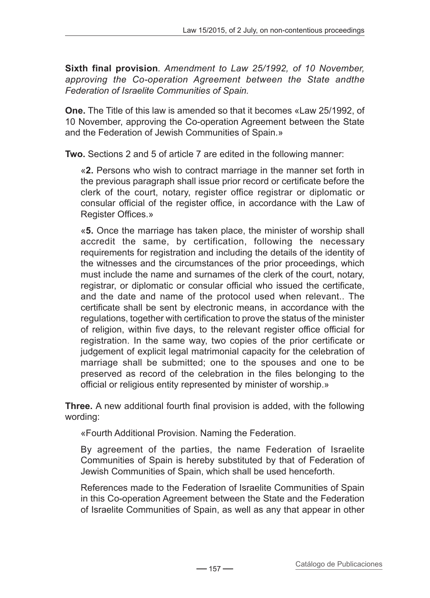**Sixth final provision***. Amendment to Law 25/1992, of 10 November, approving the Co-operation Agreement between the State andthe Federation of Israelite Communities of Spain.*

**One.** The Title of this law is amended so that it becomes «Law 25/1992, of 10 November, approving the Co-operation Agreement between the State and the Federation of Jewish Communities of Spain.»

**Two.** Sections 2 and 5 of article 7 are edited in the following manner:

«**2.** Persons who wish to contract marriage in the manner set forth in the previous paragraph shall issue prior record or certificate before the clerk of the court, notary, register office registrar or diplomatic or consular official of the register office, in accordance with the Law of Register Offices.»

«**5.** Once the marriage has taken place, the minister of worship shall accredit the same, by certification, following the necessary requirements for registration and including the details of the identity of the witnesses and the circumstances of the prior proceedings, which must include the name and surnames of the clerk of the court, notary, registrar, or diplomatic or consular official who issued the certificate, and the date and name of the protocol used when relevant.. The certificate shall be sent by electronic means, in accordance with the regulations, together with certification to prove the status of the minister of religion, within five days, to the relevant register office official for registration. In the same way, two copies of the prior certificate or judgement of explicit legal matrimonial capacity for the celebration of marriage shall be submitted; one to the spouses and one to be preserved as record of the celebration in the files belonging to the official or religious entity represented by minister of worship.»

**Three.** A new additional fourth final provision is added, with the following wording:

«Fourth Additional Provision. Naming the Federation.

By agreement of the parties, the name Federation of Israelite Communities of Spain is hereby substituted by that of Federation of Jewish Communities of Spain, which shall be used henceforth.

References made to the Federation of Israelite Communities of Spain in this Co-operation Agreement between the State and the Federation of Israelite Communities of Spain, as well as any that appear in other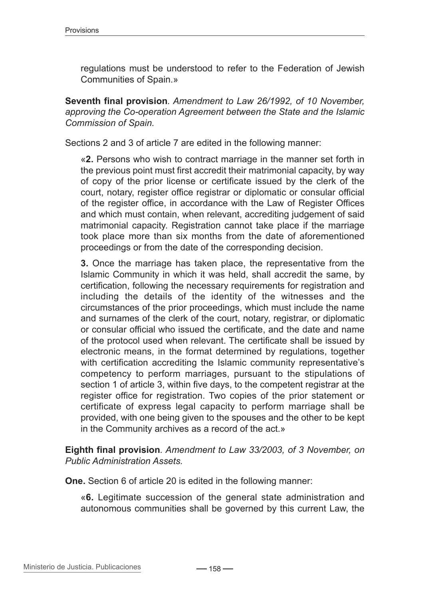regulations must be understood to refer to the Federation of Jewish Communities of Spain.»

**Seventh final provision***. Amendment to Law 26/1992, of 10 November, approving the Co-operation Agreement between the State and the Islamic Commission of Spain.*

Sections 2 and 3 of article 7 are edited in the following manner:

«**2.** Persons who wish to contract marriage in the manner set forth in the previous point must first accredit their matrimonial capacity, by way of copy of the prior license or certificate issued by the clerk of the court, notary, register office registrar or diplomatic or consular official of the register office, in accordance with the Law of Register Offices and which must contain, when relevant, accrediting judgement of said matrimonial capacity. Registration cannot take place if the marriage took place more than six months from the date of aforementioned proceedings or from the date of the corresponding decision.

**3.** Once the marriage has taken place, the representative from the Islamic Community in which it was held, shall accredit the same, by certification, following the necessary requirements for registration and including the details of the identity of the witnesses and the circumstances of the prior proceedings, which must include the name and surnames of the clerk of the court, notary, registrar, or diplomatic or consular official who issued the certificate, and the date and name of the protocol used when relevant. The certificate shall be issued by electronic means, in the format determined by regulations, together with certification accrediting the Islamic community representative's competency to perform marriages, pursuant to the stipulations of section 1 of article 3, within five days, to the competent registrar at the register office for registration. Two copies of the prior statement or certificate of express legal capacity to perform marriage shall be provided, with one being given to the spouses and the other to be kept in the Community archives as a record of the act.»

**Eighth final provision***. Amendment to Law 33/2003, of 3 November, on Public Administration Assets.*

**One.** Section 6 of article 20 is edited in the following manner:

«**6.** Legitimate succession of the general state administration and autonomous communities shall be governed by this current Law, the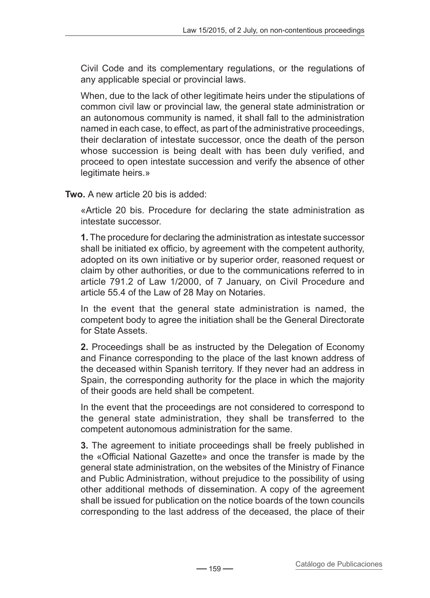Civil Code and its complementary regulations, or the regulations of any applicable special or provincial laws.

When, due to the lack of other legitimate heirs under the stipulations of common civil law or provincial law, the general state administration or an autonomous community is named, it shall fall to the administration named in each case, to effect, as part of the administrative proceedings, their declaration of intestate successor, once the death of the person whose succession is being dealt with has been duly verified, and proceed to open intestate succession and verify the absence of other legitimate heirs.»

**Two.** A new article 20 bis is added:

«Article 20 bis. Procedure for declaring the state administration as intestate successor.

**1.** The procedure for declaring the administration as intestate successor shall be initiated ex officio, by agreement with the competent authority, adopted on its own initiative or by superior order, reasoned request or claim by other authorities, or due to the communications referred to in article 791.2 of Law 1/2000, of 7 January, on Civil Procedure and article 55.4 of the Law of 28 May on Notaries.

In the event that the general state administration is named, the competent body to agree the initiation shall be the General Directorate for State Assets.

**2.** Proceedings shall be as instructed by the Delegation of Economy and Finance corresponding to the place of the last known address of the deceased within Spanish territory. If they never had an address in Spain, the corresponding authority for the place in which the majority of their goods are held shall be competent.

In the event that the proceedings are not considered to correspond to the general state administration, they shall be transferred to the competent autonomous administration for the same.

**3.** The agreement to initiate proceedings shall be freely published in the «Official National Gazette» and once the transfer is made by the general state administration, on the websites of the Ministry of Finance and Public Administration, without prejudice to the possibility of using other additional methods of dissemination. A copy of the agreement shall be issued for publication on the notice boards of the town councils corresponding to the last address of the deceased, the place of their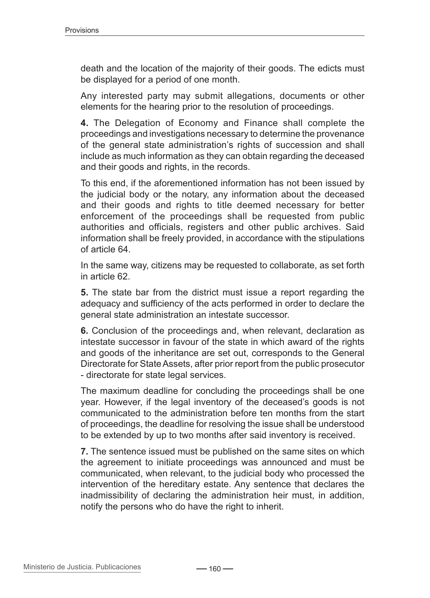death and the location of the majority of their goods. The edicts must be displayed for a period of one month.

Any interested party may submit allegations, documents or other elements for the hearing prior to the resolution of proceedings.

**4.** The Delegation of Economy and Finance shall complete the proceedings and investigations necessary to determine the provenance of the general state administration's rights of succession and shall include as much information as they can obtain regarding the deceased and their goods and rights, in the records.

To this end, if the aforementioned information has not been issued by the judicial body or the notary, any information about the deceased and their goods and rights to title deemed necessary for better enforcement of the proceedings shall be requested from public authorities and officials, registers and other public archives. Said information shall be freely provided, in accordance with the stipulations of article 64.

In the same way, citizens may be requested to collaborate, as set forth in article 62.

**5.** The state bar from the district must issue a report regarding the adequacy and sufficiency of the acts performed in order to declare the general state administration an intestate successor.

**6.** Conclusion of the proceedings and, when relevant, declaration as intestate successor in favour of the state in which award of the rights and goods of the inheritance are set out, corresponds to the General Directorate for State Assets, after prior report from the public prosecutor - directorate for state legal services.

The maximum deadline for concluding the proceedings shall be one year. However, if the legal inventory of the deceased's goods is not communicated to the administration before ten months from the start of proceedings, the deadline for resolving the issue shall be understood to be extended by up to two months after said inventory is received.

**7.** The sentence issued must be published on the same sites on which the agreement to initiate proceedings was announced and must be communicated, when relevant, to the judicial body who processed the intervention of the hereditary estate. Any sentence that declares the inadmissibility of declaring the administration heir must, in addition, notify the persons who do have the right to inherit.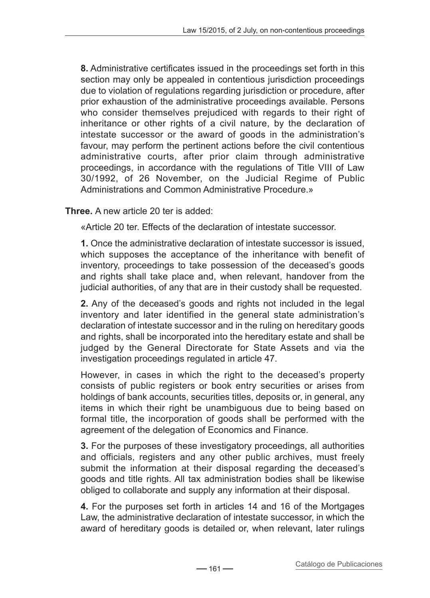**8.** Administrative certificates issued in the proceedings set forth in this section may only be appealed in contentious jurisdiction proceedings due to violation of regulations regarding jurisdiction or procedure, after prior exhaustion of the administrative proceedings available. Persons who consider themselves prejudiced with regards to their right of inheritance or other rights of a civil nature, by the declaration of intestate successor or the award of goods in the administration's favour, may perform the pertinent actions before the civil contentious administrative courts, after prior claim through administrative proceedings, in accordance with the regulations of Title VIII of Law 30/1992, of 26 November, on the Judicial Regime of Public Administrations and Common Administrative Procedure.»

**Three.** A new article 20 ter is added:

«Article 20 ter. Effects of the declaration of intestate successor.

**1.** Once the administrative declaration of intestate successor is issued, which supposes the acceptance of the inheritance with benefit of inventory, proceedings to take possession of the deceased's goods and rights shall take place and, when relevant, handover from the judicial authorities, of any that are in their custody shall be requested.

**2.** Any of the deceased's goods and rights not included in the legal inventory and later identified in the general state administration's declaration of intestate successor and in the ruling on hereditary goods and rights, shall be incorporated into the hereditary estate and shall be iudged by the General Directorate for State Assets and via the investigation proceedings regulated in article 47.

However, in cases in which the right to the deceased's property consists of public registers or book entry securities or arises from holdings of bank accounts, securities titles, deposits or, in general, any items in which their right be unambiguous due to being based on formal title, the incorporation of goods shall be performed with the agreement of the delegation of Economics and Finance.

**3.** For the purposes of these investigatory proceedings, all authorities and officials, registers and any other public archives, must freely submit the information at their disposal regarding the deceased's goods and title rights. All tax administration bodies shall be likewise obliged to collaborate and supply any information at their disposal.

**4.** For the purposes set forth in articles 14 and 16 of the Mortgages Law, the administrative declaration of intestate successor, in which the award of hereditary goods is detailed or, when relevant, later rulings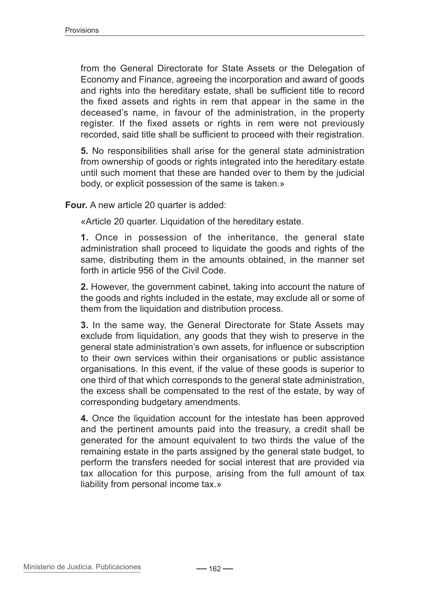from the General Directorate for State Assets or the Delegation of Economy and Finance, agreeing the incorporation and award of goods and rights into the hereditary estate, shall be sufficient title to record the fixed assets and rights in rem that appear in the same in the deceased's name, in favour of the administration, in the property register. If the fixed assets or rights in rem were not previously recorded, said title shall be sufficient to proceed with their registration.

**5.** No responsibilities shall arise for the general state administration from ownership of goods or rights integrated into the hereditary estate until such moment that these are handed over to them by the judicial body, or explicit possession of the same is taken.»

**Four.** A new article 20 quarter is added:

«Article 20 quarter. Liquidation of the hereditary estate.

**1.** Once in possession of the inheritance, the general state administration shall proceed to liquidate the goods and rights of the same, distributing them in the amounts obtained, in the manner set forth in article 956 of the Civil Code.

**2.** However, the government cabinet, taking into account the nature of the goods and rights included in the estate, may exclude all or some of them from the liquidation and distribution process.

**3.** In the same way, the General Directorate for State Assets may exclude from liquidation, any goods that they wish to preserve in the general state administration's own assets, for influence or subscription to their own services within their organisations or public assistance organisations. In this event, if the value of these goods is superior to one third of that which corresponds to the general state administration, the excess shall be compensated to the rest of the estate, by way of corresponding budgetary amendments.

**4.** Once the liquidation account for the intestate has been approved and the pertinent amounts paid into the treasury, a credit shall be generated for the amount equivalent to two thirds the value of the remaining estate in the parts assigned by the general state budget, to perform the transfers needed for social interest that are provided via tax allocation for this purpose, arising from the full amount of tax liability from personal income tax.»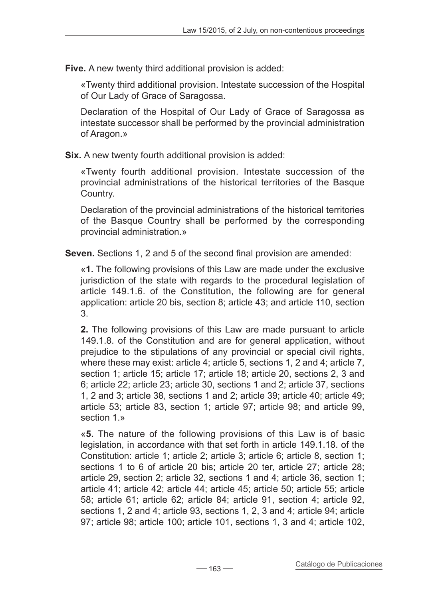**Five.** A new twenty third additional provision is added:

«Twenty third additional provision. Intestate succession of the Hospital of Our Lady of Grace of Saragossa.

Declaration of the Hospital of Our Lady of Grace of Saragossa as intestate successor shall be performed by the provincial administration of Aragon.»

**Six.** A new twenty fourth additional provision is added:

«Twenty fourth additional provision. Intestate succession of the provincial administrations of the historical territories of the Basque Country.

Declaration of the provincial administrations of the historical territories of the Basque Country shall be performed by the corresponding provincial administration.»

**Seven.** Sections 1, 2 and 5 of the second final provision are amended:

«**1.** The following provisions of this Law are made under the exclusive jurisdiction of the state with regards to the procedural legislation of article 149.1.6. of the Constitution, the following are for general application: article 20 bis, section 8; article 43; and article 110, section 3.

**2.** The following provisions of this Law are made pursuant to article 149.1.8. of the Constitution and are for general application, without prejudice to the stipulations of any provincial or special civil rights, where these may exist: article 4; article 5, sections 1, 2 and 4; article 7, section 1; article 15; article 17; article 18; article 20, sections 2, 3 and 6; article 22; article 23; article 30, sections 1 and 2; article 37, sections 1, 2 and 3; article 38, sections 1 and 2; article 39; article 40; article 49; article 53; article 83, section 1; article 97; article 98; and article 99, section 1 »

«**5.** The nature of the following provisions of this Law is of basic legislation, in accordance with that set forth in article 149.1.18. of the Constitution: article 1; article 2; article 3; article 6; article 8, section 1; sections 1 to 6 of article 20 bis; article 20 ter, article 27; article 28; article 29, section 2; article 32, sections 1 and 4; article 36, section 1; article 41; article 42; article 44; article 45; article 50; article 55; article 58; article 61; article 62; article 84; article 91, section 4; article 92, sections 1, 2 and 4; article 93, sections 1, 2, 3 and 4; article 94; article 97; article 98; article 100; article 101, sections 1, 3 and 4; article 102,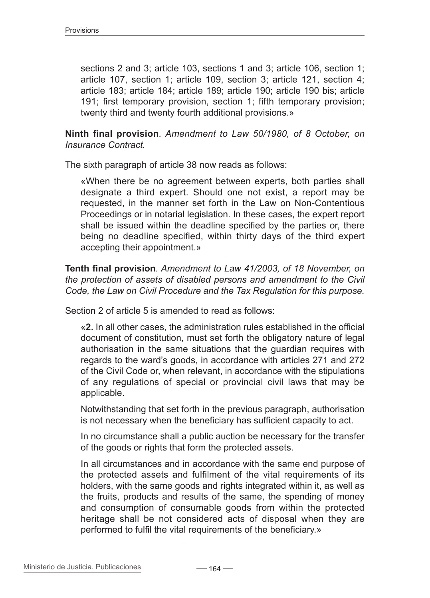sections 2 and 3; article 103, sections 1 and 3; article 106, section 1; article 107, section 1; article 109, section 3; article 121, section 4; article 183; article 184; article 189; article 190; article 190 bis; article 191; first temporary provision, section 1; fifth temporary provision; twenty third and twenty fourth additional provisions.»

**Ninth final provision***. Amendment to Law 50/1980, of 8 October, on Insurance Contract.*

The sixth paragraph of article 38 now reads as follows:

«When there be no agreement between experts, both parties shall designate a third expert. Should one not exist, a report may be requested, in the manner set forth in the Law on Non-Contentious Proceedings or in notarial legislation. In these cases, the expert report shall be issued within the deadline specified by the parties or, there being no deadline specified, within thirty days of the third expert accepting their appointment.»

**Tenth final provision***. Amendment to Law 41/2003, of 18 November, on the protection of assets of disabled persons and amendment to the Civil Code, the Law on Civil Procedure and the Tax Regulation for this purpose.*

Section 2 of article 5 is amended to read as follows:

«**2.** In all other cases, the administration rules established in the official document of constitution, must set forth the obligatory nature of legal authorisation in the same situations that the guardian requires with regards to the ward's goods, in accordance with articles 271 and 272 of the Civil Code or, when relevant, in accordance with the stipulations of any regulations of special or provincial civil laws that may be applicable.

Notwithstanding that set forth in the previous paragraph, authorisation is not necessary when the beneficiary has sufficient capacity to act.

In no circumstance shall a public auction be necessary for the transfer of the goods or rights that form the protected assets.

In all circumstances and in accordance with the same end purpose of the protected assets and fulfilment of the vital requirements of its holders, with the same goods and rights integrated within it, as well as the fruits, products and results of the same, the spending of money and consumption of consumable goods from within the protected heritage shall be not considered acts of disposal when they are performed to fulfil the vital requirements of the beneficiary.»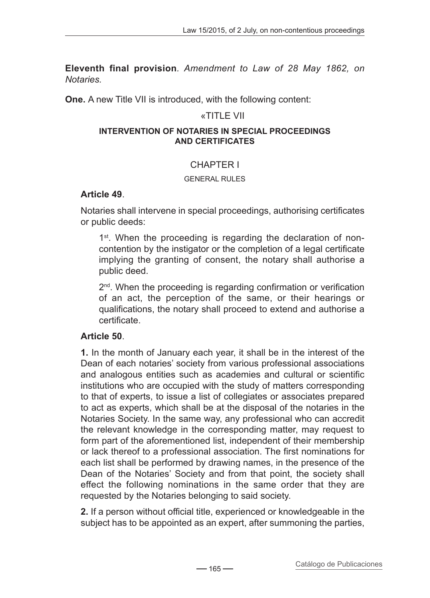**Eleventh final provision***. Amendment to Law of 28 May 1862, on Notaries.*

**One.** A new Title VII is introduced, with the following content:

### «TITLE VII

#### **Intervention of Notaries in special proceedings and certificates**

### CHAPTER I

#### General rules

#### **Article 49**.

Notaries shall intervene in special proceedings, authorising certificates or public deeds:

1<sup>st</sup>. When the proceeding is regarding the declaration of noncontention by the instigator or the completion of a legal certificate implying the granting of consent, the notary shall authorise a public deed.

 $2<sup>nd</sup>$ . When the proceeding is regarding confirmation or verification of an act, the perception of the same, or their hearings or qualifications, the notary shall proceed to extend and authorise a certificate.

### **Article 50**.

**1.** In the month of January each year, it shall be in the interest of the Dean of each notaries' society from various professional associations and analogous entities such as academies and cultural or scientific institutions who are occupied with the study of matters corresponding to that of experts, to issue a list of collegiates or associates prepared to act as experts, which shall be at the disposal of the notaries in the Notaries Society. In the same way, any professional who can accredit the relevant knowledge in the corresponding matter, may request to form part of the aforementioned list, independent of their membership or lack thereof to a professional association. The first nominations for each list shall be performed by drawing names, in the presence of the Dean of the Notaries' Society and from that point, the society shall effect the following nominations in the same order that they are requested by the Notaries belonging to said society.

**2.** If a person without official title, experienced or knowledgeable in the subject has to be appointed as an expert, after summoning the parties,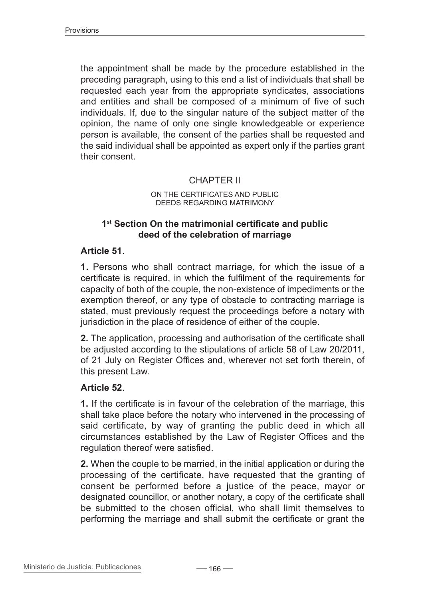the appointment shall be made by the procedure established in the preceding paragraph, using to this end a list of individuals that shall be requested each year from the appropriate syndicates, associations and entities and shall be composed of a minimum of five of such individuals. If, due to the singular nature of the subject matter of the opinion, the name of only one single knowledgeable or experience person is available, the consent of the parties shall be requested and the said individual shall be appointed as expert only if the parties grant their consent.

### CHAPTER II

#### On the certificates and public deeds regarding matrimony

#### **1st Section On the matrimonial certificate and public deed of the celebration of marriage**

#### **Article 51**.

**1.** Persons who shall contract marriage, for which the issue of a certificate is required, in which the fulfilment of the requirements for capacity of both of the couple, the non-existence of impediments or the exemption thereof, or any type of obstacle to contracting marriage is stated, must previously request the proceedings before a notary with jurisdiction in the place of residence of either of the couple.

**2.** The application, processing and authorisation of the certificate shall be adjusted according to the stipulations of article 58 of Law 20/2011, of 21 July on Register Offices and, wherever not set forth therein, of this present Law.

### **Article 52**.

**1.** If the certificate is in favour of the celebration of the marriage, this shall take place before the notary who intervened in the processing of said certificate, by way of granting the public deed in which all circumstances established by the Law of Register Offices and the regulation thereof were satisfied.

**2.** When the couple to be married, in the initial application or during the processing of the certificate, have requested that the granting of consent be performed before a justice of the peace, mayor or designated councillor, or another notary, a copy of the certificate shall be submitted to the chosen official, who shall limit themselves to performing the marriage and shall submit the certificate or grant the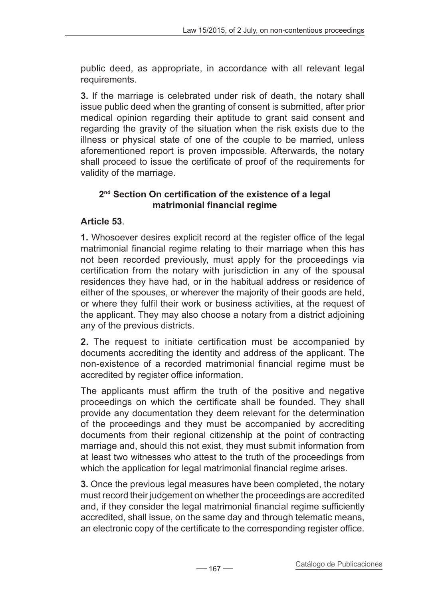public deed, as appropriate, in accordance with all relevant legal requirements.

**3.** If the marriage is celebrated under risk of death, the notary shall issue public deed when the granting of consent is submitted, after prior medical opinion regarding their aptitude to grant said consent and regarding the gravity of the situation when the risk exists due to the illness or physical state of one of the couple to be married, unless aforementioned report is proven impossible. Afterwards, the notary shall proceed to issue the certificate of proof of the requirements for validity of the marriage.

### **2nd Section On certification of the existence of a legal matrimonial financial regime**

# **Article 53**.

**1.** Whosoever desires explicit record at the register office of the legal matrimonial financial regime relating to their marriage when this has not been recorded previously, must apply for the proceedings via certification from the notary with jurisdiction in any of the spousal residences they have had, or in the habitual address or residence of either of the spouses, or wherever the majority of their goods are held, or where they fulfil their work or business activities, at the request of the applicant. They may also choose a notary from a district adjoining any of the previous districts.

**2.** The request to initiate certification must be accompanied by documents accrediting the identity and address of the applicant. The non-existence of a recorded matrimonial financial regime must be accredited by register office information.

The applicants must affirm the truth of the positive and negative proceedings on which the certificate shall be founded. They shall provide any documentation they deem relevant for the determination of the proceedings and they must be accompanied by accrediting documents from their regional citizenship at the point of contracting marriage and, should this not exist, they must submit information from at least two witnesses who attest to the truth of the proceedings from which the application for legal matrimonial financial regime arises.

**3.** Once the previous legal measures have been completed, the notary must record their judgement on whether the proceedings are accredited and, if they consider the legal matrimonial financial regime sufficiently accredited, shall issue, on the same day and through telematic means, an electronic copy of the certificate to the corresponding register office.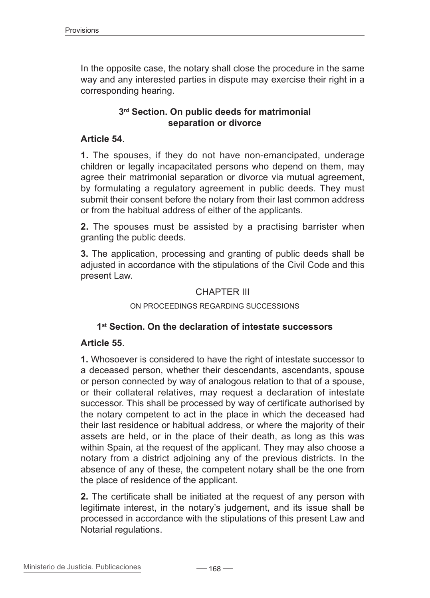In the opposite case, the notary shall close the procedure in the same way and any interested parties in dispute may exercise their right in a corresponding hearing.

### **3rd Section. On public deeds for matrimonial separation or divorce**

#### **Article 54**.

**1.** The spouses, if they do not have non-emancipated, underage children or legally incapacitated persons who depend on them, may agree their matrimonial separation or divorce via mutual agreement, by formulating a regulatory agreement in public deeds. They must submit their consent before the notary from their last common address or from the habitual address of either of the applicants.

**2.** The spouses must be assisted by a practising barrister when granting the public deeds.

**3.** The application, processing and granting of public deeds shall be adjusted in accordance with the stipulations of the Civil Code and this present Law.

### CHAPTER III

#### On proceedings regarding successions

### **1st Section. On the declaration of intestate successors**

#### **Article 55**.

**1.** Whosoever is considered to have the right of intestate successor to a deceased person, whether their descendants, ascendants, spouse or person connected by way of analogous relation to that of a spouse, or their collateral relatives, may request a declaration of intestate successor. This shall be processed by way of certificate authorised by the notary competent to act in the place in which the deceased had their last residence or habitual address, or where the majority of their assets are held, or in the place of their death, as long as this was within Spain, at the request of the applicant. They may also choose a notary from a district adjoining any of the previous districts. In the absence of any of these, the competent notary shall be the one from the place of residence of the applicant.

**2.** The certificate shall be initiated at the request of any person with legitimate interest, in the notary's judgement, and its issue shall be processed in accordance with the stipulations of this present Law and Notarial regulations.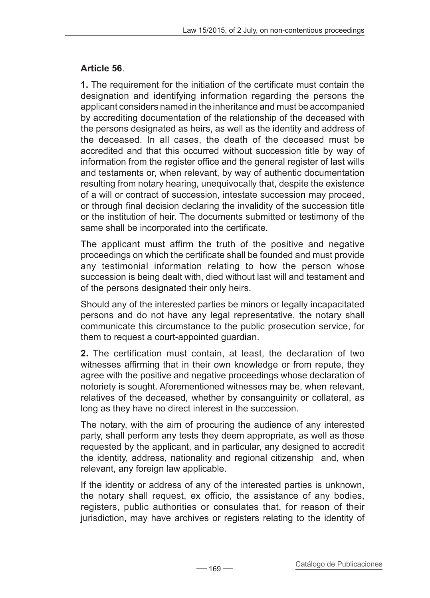## **Article 56**.

**1.** The requirement for the initiation of the certificate must contain the designation and identifying information regarding the persons the applicant considers named in the inheritance and must be accompanied by accrediting documentation of the relationship of the deceased with the persons designated as heirs, as well as the identity and address of the deceased. In all cases, the death of the deceased must be accredited and that this occurred without succession title by way of information from the register office and the general register of last wills and testaments or, when relevant, by way of authentic documentation resulting from notary hearing, unequivocally that, despite the existence of a will or contract of succession, intestate succession may proceed, or through final decision declaring the invalidity of the succession title or the institution of heir. The documents submitted or testimony of the same shall be incorporated into the certificate.

The applicant must affirm the truth of the positive and negative proceedings on which the certificate shall be founded and must provide any testimonial information relating to how the person whose succession is being dealt with, died without last will and testament and of the persons designated their only heirs.

Should any of the interested parties be minors or legally incapacitated persons and do not have any legal representative, the notary shall communicate this circumstance to the public prosecution service, for them to request a court-appointed guardian.

**2.** The certification must contain, at least, the declaration of two witnesses affirming that in their own knowledge or from repute, they agree with the positive and negative proceedings whose declaration of notoriety is sought. Aforementioned witnesses may be, when relevant, relatives of the deceased, whether by consanguinity or collateral, as long as they have no direct interest in the succession.

The notary, with the aim of procuring the audience of any interested party, shall perform any tests they deem appropriate, as well as those requested by the applicant, and in particular, any designed to accredit the identity, address, nationality and regional citizenship and, when relevant, any foreign law applicable.

If the identity or address of any of the interested parties is unknown, the notary shall request, ex officio, the assistance of any bodies, registers, public authorities or consulates that, for reason of their jurisdiction, may have archives or registers relating to the identity of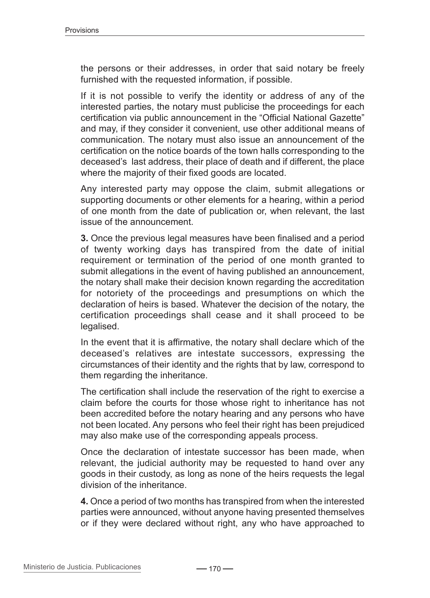the persons or their addresses, in order that said notary be freely furnished with the requested information, if possible.

If it is not possible to verify the identity or address of any of the interested parties, the notary must publicise the proceedings for each certification via public announcement in the "Official National Gazette" and may, if they consider it convenient, use other additional means of communication. The notary must also issue an announcement of the certification on the notice boards of the town halls corresponding to the deceased's last address, their place of death and if different, the place where the majority of their fixed goods are located.

Any interested party may oppose the claim, submit allegations or supporting documents or other elements for a hearing, within a period of one month from the date of publication or, when relevant, the last issue of the announcement.

**3.** Once the previous legal measures have been finalised and a period of twenty working days has transpired from the date of initial requirement or termination of the period of one month granted to submit allegations in the event of having published an announcement, the notary shall make their decision known regarding the accreditation for notoriety of the proceedings and presumptions on which the declaration of heirs is based. Whatever the decision of the notary, the certification proceedings shall cease and it shall proceed to be legalised.

In the event that it is affirmative, the notary shall declare which of the deceased's relatives are intestate successors, expressing the circumstances of their identity and the rights that by law, correspond to them regarding the inheritance.

The certification shall include the reservation of the right to exercise a claim before the courts for those whose right to inheritance has not been accredited before the notary hearing and any persons who have not been located. Any persons who feel their right has been prejudiced may also make use of the corresponding appeals process.

Once the declaration of intestate successor has been made, when relevant, the judicial authority may be requested to hand over any goods in their custody, as long as none of the heirs requests the legal division of the inheritance.

**4.** Once a period of two months has transpired from when the interested parties were announced, without anyone having presented themselves or if they were declared without right, any who have approached to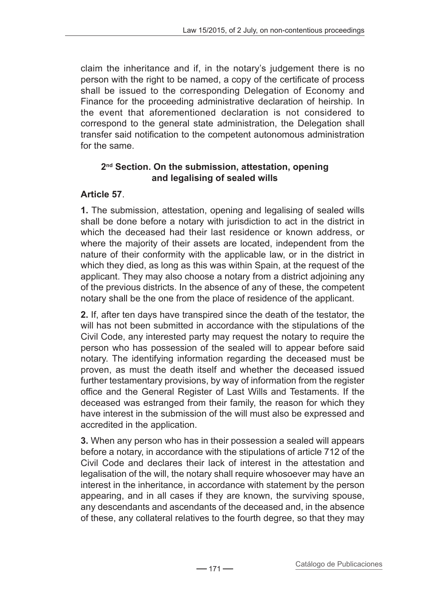claim the inheritance and if, in the notary's judgement there is no person with the right to be named, a copy of the certificate of process shall be issued to the corresponding Delegation of Economy and Finance for the proceeding administrative declaration of heirship. In the event that aforementioned declaration is not considered to correspond to the general state administration, the Delegation shall transfer said notification to the competent autonomous administration for the same.

### **2nd Section. On the submission, attestation, opening and legalising of sealed wills**

# **Article 57**.

**1.** The submission, attestation, opening and legalising of sealed wills shall be done before a notary with jurisdiction to act in the district in which the deceased had their last residence or known address, or where the majority of their assets are located, independent from the nature of their conformity with the applicable law, or in the district in which they died, as long as this was within Spain, at the request of the applicant. They may also choose a notary from a district adjoining any of the previous districts. In the absence of any of these, the competent notary shall be the one from the place of residence of the applicant.

**2.** If, after ten days have transpired since the death of the testator, the will has not been submitted in accordance with the stipulations of the Civil Code, any interested party may request the notary to require the person who has possession of the sealed will to appear before said notary. The identifying information regarding the deceased must be proven, as must the death itself and whether the deceased issued further testamentary provisions, by way of information from the register office and the General Register of Last Wills and Testaments. If the deceased was estranged from their family, the reason for which they have interest in the submission of the will must also be expressed and accredited in the application.

**3.** When any person who has in their possession a sealed will appears before a notary, in accordance with the stipulations of article 712 of the Civil Code and declares their lack of interest in the attestation and legalisation of the will, the notary shall require whosoever may have an interest in the inheritance, in accordance with statement by the person appearing, and in all cases if they are known, the surviving spouse, any descendants and ascendants of the deceased and, in the absence of these, any collateral relatives to the fourth degree, so that they may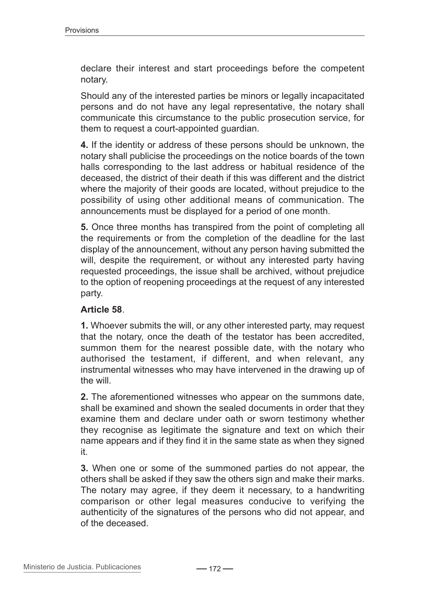declare their interest and start proceedings before the competent notary.

Should any of the interested parties be minors or legally incapacitated persons and do not have any legal representative, the notary shall communicate this circumstance to the public prosecution service, for them to request a court-appointed guardian.

**4.** If the identity or address of these persons should be unknown, the notary shall publicise the proceedings on the notice boards of the town halls corresponding to the last address or habitual residence of the deceased, the district of their death if this was different and the district where the majority of their goods are located, without prejudice to the possibility of using other additional means of communication. The announcements must be displayed for a period of one month.

**5.** Once three months has transpired from the point of completing all the requirements or from the completion of the deadline for the last display of the announcement, without any person having submitted the will, despite the requirement, or without any interested party having requested proceedings, the issue shall be archived, without prejudice to the option of reopening proceedings at the request of any interested party.

### **Article 58**.

**1.** Whoever submits the will, or any other interested party, may request that the notary, once the death of the testator has been accredited, summon them for the nearest possible date, with the notary who authorised the testament, if different, and when relevant, any instrumental witnesses who may have intervened in the drawing up of the will.

**2.** The aforementioned witnesses who appear on the summons date, shall be examined and shown the sealed documents in order that they examine them and declare under oath or sworn testimony whether they recognise as legitimate the signature and text on which their name appears and if they find it in the same state as when they signed it.

**3.** When one or some of the summoned parties do not appear, the others shall be asked if they saw the others sign and make their marks. The notary may agree, if they deem it necessary, to a handwriting comparison or other legal measures conducive to verifying the authenticity of the signatures of the persons who did not appear, and of the deceased.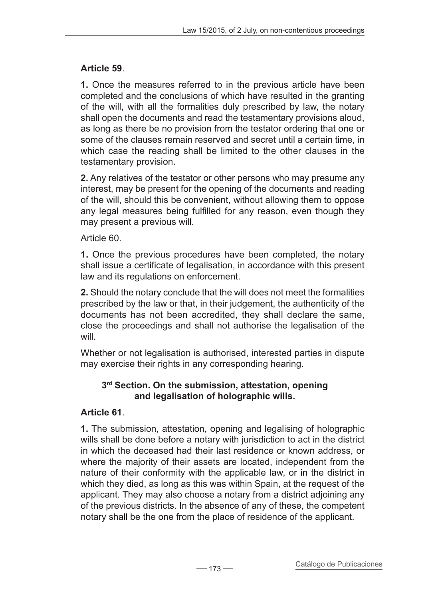## **Article 59**.

**1.** Once the measures referred to in the previous article have been completed and the conclusions of which have resulted in the granting of the will, with all the formalities duly prescribed by law, the notary shall open the documents and read the testamentary provisions aloud, as long as there be no provision from the testator ordering that one or some of the clauses remain reserved and secret until a certain time, in which case the reading shall be limited to the other clauses in the testamentary provision.

**2.** Any relatives of the testator or other persons who may presume any interest, may be present for the opening of the documents and reading of the will, should this be convenient, without allowing them to oppose any legal measures being fulfilled for any reason, even though they may present a previous will.

## Article 60.

**1.** Once the previous procedures have been completed, the notary shall issue a certificate of legalisation, in accordance with this present law and its regulations on enforcement.

**2.** Should the notary conclude that the will does not meet the formalities prescribed by the law or that, in their judgement, the authenticity of the documents has not been accredited, they shall declare the same, close the proceedings and shall not authorise the legalisation of the will.

Whether or not legalisation is authorised, interested parties in dispute may exercise their rights in any corresponding hearing.

### **3rd Section. On the submission, attestation, opening and legalisation of holographic wills.**

## **Article 61**.

**1.** The submission, attestation, opening and legalising of holographic wills shall be done before a notary with jurisdiction to act in the district in which the deceased had their last residence or known address, or where the majority of their assets are located, independent from the nature of their conformity with the applicable law, or in the district in which they died, as long as this was within Spain, at the request of the applicant. They may also choose a notary from a district adjoining any of the previous districts. In the absence of any of these, the competent notary shall be the one from the place of residence of the applicant.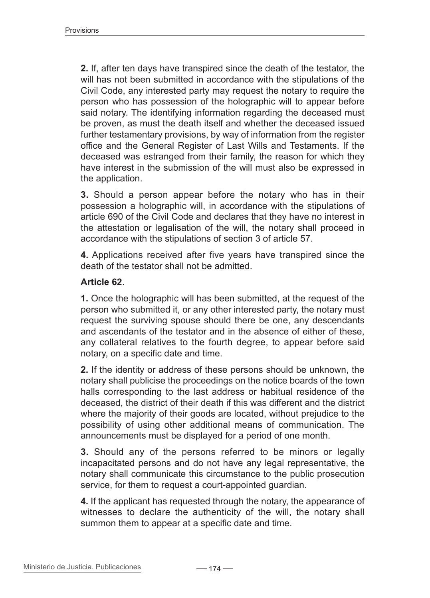**2.** If, after ten days have transpired since the death of the testator, the will has not been submitted in accordance with the stipulations of the Civil Code, any interested party may request the notary to require the person who has possession of the holographic will to appear before said notary. The identifying information regarding the deceased must be proven, as must the death itself and whether the deceased issued further testamentary provisions, by way of information from the register office and the General Register of Last Wills and Testaments. If the deceased was estranged from their family, the reason for which they have interest in the submission of the will must also be expressed in the application.

**3.** Should a person appear before the notary who has in their possession a holographic will, in accordance with the stipulations of article 690 of the Civil Code and declares that they have no interest in the attestation or legalisation of the will, the notary shall proceed in accordance with the stipulations of section 3 of article 57.

**4.** Applications received after five years have transpired since the death of the testator shall not be admitted.

#### **Article 62**.

**1.** Once the holographic will has been submitted, at the request of the person who submitted it, or any other interested party, the notary must request the surviving spouse should there be one, any descendants and ascendants of the testator and in the absence of either of these, any collateral relatives to the fourth degree, to appear before said notary, on a specific date and time.

**2.** If the identity or address of these persons should be unknown, the notary shall publicise the proceedings on the notice boards of the town halls corresponding to the last address or habitual residence of the deceased, the district of their death if this was different and the district where the majority of their goods are located, without prejudice to the possibility of using other additional means of communication. The announcements must be displayed for a period of one month.

**3.** Should any of the persons referred to be minors or legally incapacitated persons and do not have any legal representative, the notary shall communicate this circumstance to the public prosecution service, for them to request a court-appointed guardian.

**4.** If the applicant has requested through the notary, the appearance of witnesses to declare the authenticity of the will, the notary shall summon them to appear at a specific date and time.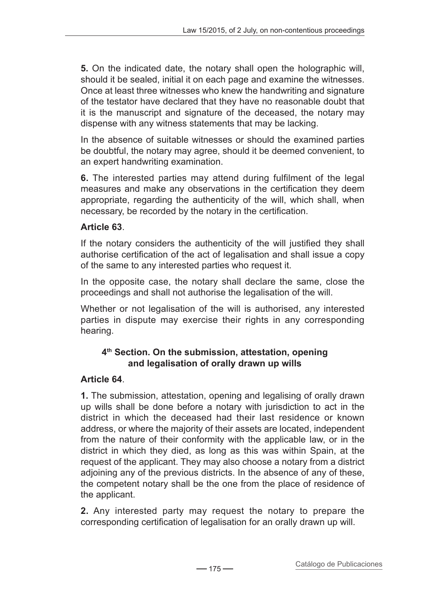**5.** On the indicated date, the notary shall open the holographic will, should it be sealed, initial it on each page and examine the witnesses. Once at least three witnesses who knew the handwriting and signature of the testator have declared that they have no reasonable doubt that it is the manuscript and signature of the deceased, the notary may dispense with any witness statements that may be lacking.

In the absence of suitable witnesses or should the examined parties be doubtful, the notary may agree, should it be deemed convenient, to an expert handwriting examination.

**6.** The interested parties may attend during fulfilment of the legal measures and make any observations in the certification they deem appropriate, regarding the authenticity of the will, which shall, when necessary, be recorded by the notary in the certification.

## **Article 63**.

If the notary considers the authenticity of the will justified they shall authorise certification of the act of legalisation and shall issue a copy of the same to any interested parties who request it.

In the opposite case, the notary shall declare the same, close the proceedings and shall not authorise the legalisation of the will.

Whether or not legalisation of the will is authorised, any interested parties in dispute may exercise their rights in any corresponding hearing.

# **4th Section. On the submission, attestation, opening and legalisation of orally drawn up wills**

## **Article 64**.

**1.** The submission, attestation, opening and legalising of orally drawn up wills shall be done before a notary with jurisdiction to act in the district in which the deceased had their last residence or known address, or where the majority of their assets are located, independent from the nature of their conformity with the applicable law, or in the district in which they died, as long as this was within Spain, at the request of the applicant. They may also choose a notary from a district adjoining any of the previous districts. In the absence of any of these, the competent notary shall be the one from the place of residence of the applicant.

**2.** Any interested party may request the notary to prepare the corresponding certification of legalisation for an orally drawn up will.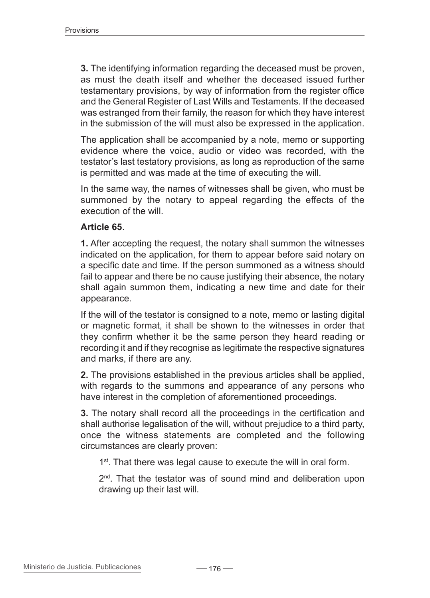**3.** The identifying information regarding the deceased must be proven, as must the death itself and whether the deceased issued further testamentary provisions, by way of information from the register office and the General Register of Last Wills and Testaments. If the deceased was estranged from their family, the reason for which they have interest in the submission of the will must also be expressed in the application.

The application shall be accompanied by a note, memo or supporting evidence where the voice, audio or video was recorded, with the testator's last testatory provisions, as long as reproduction of the same is permitted and was made at the time of executing the will.

In the same way, the names of witnesses shall be given, who must be summoned by the notary to appeal regarding the effects of the execution of the will.

### **Article 65**.

**1.** After accepting the request, the notary shall summon the witnesses indicated on the application, for them to appear before said notary on a specific date and time. If the person summoned as a witness should fail to appear and there be no cause justifying their absence, the notary shall again summon them, indicating a new time and date for their appearance.

If the will of the testator is consigned to a note, memo or lasting digital or magnetic format, it shall be shown to the witnesses in order that they confirm whether it be the same person they heard reading or recording it and if they recognise as legitimate the respective signatures and marks, if there are any.

**2.** The provisions established in the previous articles shall be applied, with regards to the summons and appearance of any persons who have interest in the completion of aforementioned proceedings.

**3.** The notary shall record all the proceedings in the certification and shall authorise legalisation of the will, without prejudice to a third party, once the witness statements are completed and the following circumstances are clearly proven:

1<sup>st</sup>. That there was legal cause to execute the will in oral form.

2<sup>nd</sup>. That the testator was of sound mind and deliberation upon drawing up their last will.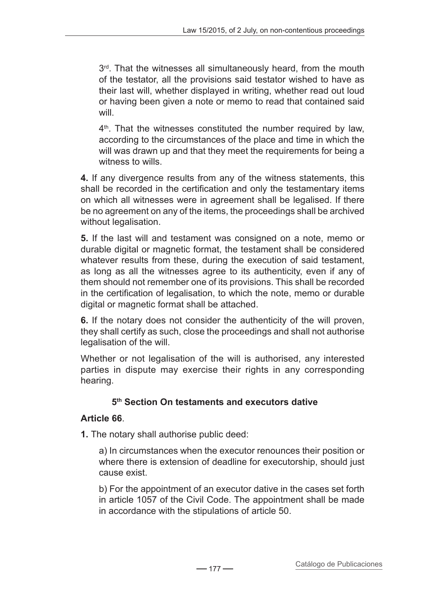$3<sup>rd</sup>$ . That the witnesses all simultaneously heard, from the mouth of the testator, all the provisions said testator wished to have as their last will, whether displayed in writing, whether read out loud or having been given a note or memo to read that contained said will.

4<sup>th</sup>. That the witnesses constituted the number required by law, according to the circumstances of the place and time in which the will was drawn up and that they meet the requirements for being a witness to wills.

**4.** If any divergence results from any of the witness statements, this shall be recorded in the certification and only the testamentary items on which all witnesses were in agreement shall be legalised. If there be no agreement on any of the items, the proceedings shall be archived without legalisation.

**5.** If the last will and testament was consigned on a note, memo or durable digital or magnetic format, the testament shall be considered whatever results from these, during the execution of said testament, as long as all the witnesses agree to its authenticity, even if any of them should not remember one of its provisions. This shall be recorded in the certification of legalisation, to which the note, memo or durable digital or magnetic format shall be attached.

**6.** If the notary does not consider the authenticity of the will proven, they shall certify as such, close the proceedings and shall not authorise legalisation of the will.

Whether or not legalisation of the will is authorised, any interested parties in dispute may exercise their rights in any corresponding hearing.

## **5th Section On testaments and executors dative**

## **Article 66**.

**1.** The notary shall authorise public deed:

a) In circumstances when the executor renounces their position or where there is extension of deadline for executorship, should just cause exist.

b) For the appointment of an executor dative in the cases set forth in article 1057 of the Civil Code. The appointment shall be made in accordance with the stipulations of article 50.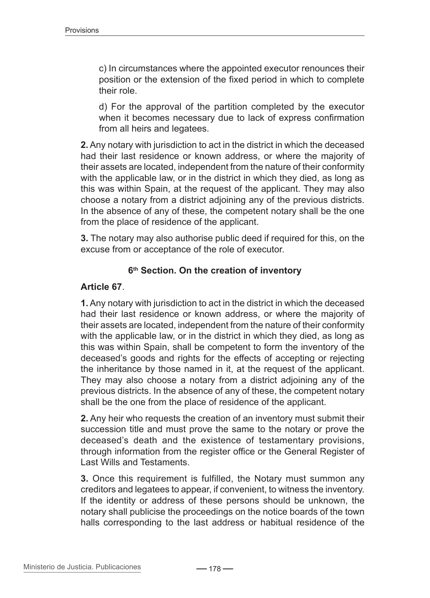c) In circumstances where the appointed executor renounces their position or the extension of the fixed period in which to complete their role.

d) For the approval of the partition completed by the executor when it becomes necessary due to lack of express confirmation from all heirs and legatees.

**2.** Any notary with jurisdiction to act in the district in which the deceased had their last residence or known address, or where the majority of their assets are located, independent from the nature of their conformity with the applicable law, or in the district in which they died, as long as this was within Spain, at the request of the applicant. They may also choose a notary from a district adjoining any of the previous districts. In the absence of any of these, the competent notary shall be the one from the place of residence of the applicant.

**3.** The notary may also authorise public deed if required for this, on the excuse from or acceptance of the role of executor.

#### **6th Section. On the creation of inventory**

#### **Article 67**.

**1.** Any notary with jurisdiction to act in the district in which the deceased had their last residence or known address, or where the majority of their assets are located, independent from the nature of their conformity with the applicable law, or in the district in which they died, as long as this was within Spain, shall be competent to form the inventory of the deceased's goods and rights for the effects of accepting or rejecting the inheritance by those named in it, at the request of the applicant. They may also choose a notary from a district adjoining any of the previous districts. In the absence of any of these, the competent notary shall be the one from the place of residence of the applicant.

**2.** Any heir who requests the creation of an inventory must submit their succession title and must prove the same to the notary or prove the deceased's death and the existence of testamentary provisions, through information from the register office or the General Register of Last Wills and Testaments.

**3.** Once this requirement is fulfilled, the Notary must summon any creditors and legatees to appear, if convenient, to witness the inventory. If the identity or address of these persons should be unknown, the notary shall publicise the proceedings on the notice boards of the town halls corresponding to the last address or habitual residence of the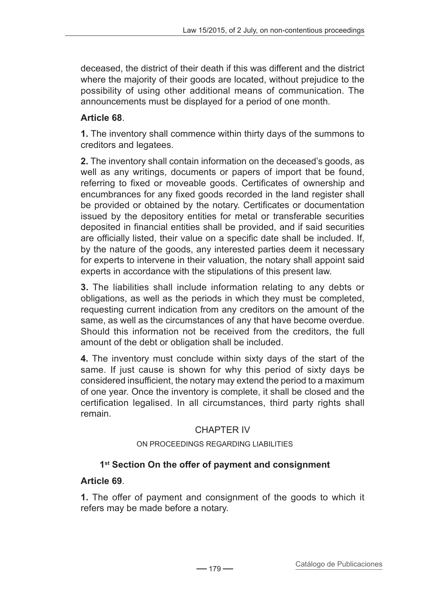deceased, the district of their death if this was different and the district where the majority of their goods are located, without prejudice to the possibility of using other additional means of communication. The announcements must be displayed for a period of one month.

# **Article 68**.

**1.** The inventory shall commence within thirty days of the summons to creditors and legatees.

**2.** The inventory shall contain information on the deceased's goods, as well as any writings, documents or papers of import that be found, referring to fixed or moveable goods. Certificates of ownership and encumbrances for any fixed goods recorded in the land register shall be provided or obtained by the notary. Certificates or documentation issued by the depository entities for metal or transferable securities deposited in financial entities shall be provided, and if said securities are officially listed, their value on a specific date shall be included. If, by the nature of the goods, any interested parties deem it necessary for experts to intervene in their valuation, the notary shall appoint said experts in accordance with the stipulations of this present law.

**3.** The liabilities shall include information relating to any debts or obligations, as well as the periods in which they must be completed, requesting current indication from any creditors on the amount of the same, as well as the circumstances of any that have become overdue. Should this information not be received from the creditors, the full amount of the debt or obligation shall be included.

**4.** The inventory must conclude within sixty days of the start of the same. If just cause is shown for why this period of sixty days be considered insufficient, the notary may extend the period to a maximum of one year. Once the inventory is complete, it shall be closed and the certification legalised. In all circumstances, third party rights shall remain.

## CHAPTER IV

### On proceedings regarding liabilities

# **1st Section On the offer of payment and consignment**

## **Article 69**.

**1.** The offer of payment and consignment of the goods to which it refers may be made before a notary.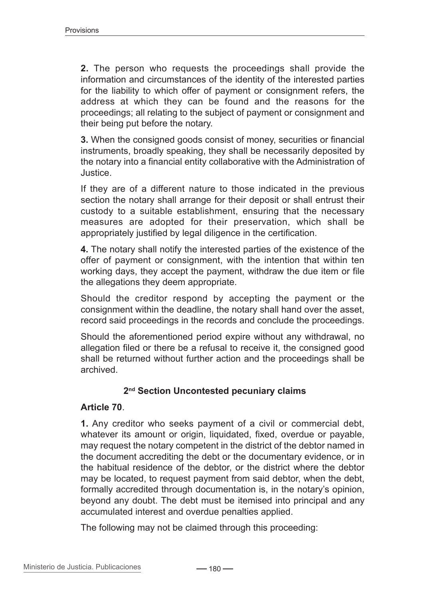**2.** The person who requests the proceedings shall provide the information and circumstances of the identity of the interested parties for the liability to which offer of payment or consignment refers, the address at which they can be found and the reasons for the proceedings; all relating to the subject of payment or consignment and their being put before the notary.

**3.** When the consigned goods consist of money, securities or financial instruments, broadly speaking, they shall be necessarily deposited by the notary into a financial entity collaborative with the Administration of Justice.

If they are of a different nature to those indicated in the previous section the notary shall arrange for their deposit or shall entrust their custody to a suitable establishment, ensuring that the necessary measures are adopted for their preservation, which shall be appropriately justified by legal diligence in the certification.

**4.** The notary shall notify the interested parties of the existence of the offer of payment or consignment, with the intention that within ten working days, they accept the payment, withdraw the due item or file the allegations they deem appropriate.

Should the creditor respond by accepting the payment or the consignment within the deadline, the notary shall hand over the asset, record said proceedings in the records and conclude the proceedings.

Should the aforementioned period expire without any withdrawal, no allegation filed or there be a refusal to receive it, the consigned good shall be returned without further action and the proceedings shall be archived.

## **2nd Section Uncontested pecuniary claims**

### **Article 70**.

**1.** Any creditor who seeks payment of a civil or commercial debt, whatever its amount or origin, liquidated, fixed, overdue or payable, may request the notary competent in the district of the debtor named in the document accrediting the debt or the documentary evidence, or in the habitual residence of the debtor, or the district where the debtor may be located, to request payment from said debtor, when the debt, formally accredited through documentation is, in the notary's opinion, beyond any doubt. The debt must be itemised into principal and any accumulated interest and overdue penalties applied.

The following may not be claimed through this proceeding: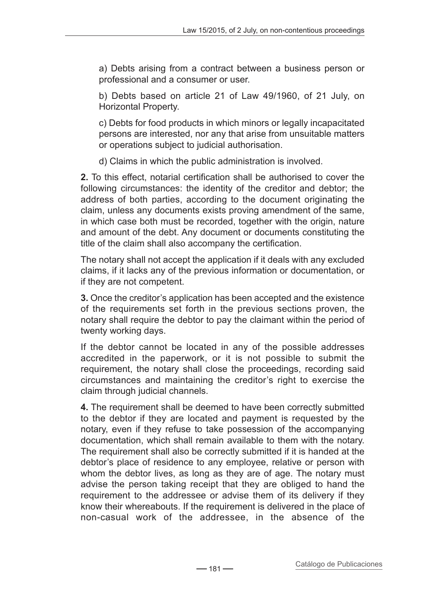a) Debts arising from a contract between a business person or professional and a consumer or user.

b) Debts based on article 21 of Law 49/1960, of 21 July, on Horizontal Property.

c) Debts for food products in which minors or legally incapacitated persons are interested, nor any that arise from unsuitable matters or operations subject to judicial authorisation.

d) Claims in which the public administration is involved.

**2.** To this effect, notarial certification shall be authorised to cover the following circumstances: the identity of the creditor and debtor; the address of both parties, according to the document originating the claim, unless any documents exists proving amendment of the same, in which case both must be recorded, together with the origin, nature and amount of the debt. Any document or documents constituting the title of the claim shall also accompany the certification.

The notary shall not accept the application if it deals with any excluded claims, if it lacks any of the previous information or documentation, or if they are not competent.

**3.** Once the creditor's application has been accepted and the existence of the requirements set forth in the previous sections proven, the notary shall require the debtor to pay the claimant within the period of twenty working days.

If the debtor cannot be located in any of the possible addresses accredited in the paperwork, or it is not possible to submit the requirement, the notary shall close the proceedings, recording said circumstances and maintaining the creditor's right to exercise the claim through judicial channels.

**4.** The requirement shall be deemed to have been correctly submitted to the debtor if they are located and payment is requested by the notary, even if they refuse to take possession of the accompanying documentation, which shall remain available to them with the notary. The requirement shall also be correctly submitted if it is handed at the debtor's place of residence to any employee, relative or person with whom the debtor lives, as long as they are of age. The notary must advise the person taking receipt that they are obliged to hand the requirement to the addressee or advise them of its delivery if they know their whereabouts. If the requirement is delivered in the place of non-casual work of the addressee, in the absence of the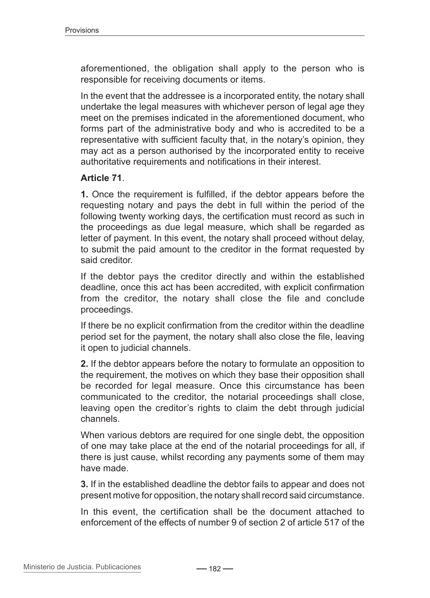aforementioned, the obligation shall apply to the person who is responsible for receiving documents or items.

In the event that the addressee is a incorporated entity, the notary shall undertake the legal measures with whichever person of legal age they meet on the premises indicated in the aforementioned document, who forms part of the administrative body and who is accredited to be a representative with sufficient faculty that, in the notary's opinion, they may act as a person authorised by the incorporated entity to receive authoritative requirements and notifications in their interest.

### **Article 71**.

**1.** Once the requirement is fulfilled, if the debtor appears before the requesting notary and pays the debt in full within the period of the following twenty working days, the certification must record as such in the proceedings as due legal measure, which shall be regarded as letter of payment. In this event, the notary shall proceed without delay, to submit the paid amount to the creditor in the format requested by said creditor.

If the debtor pays the creditor directly and within the established deadline, once this act has been accredited, with explicit confirmation from the creditor, the notary shall close the file and conclude proceedings.

If there be no explicit confirmation from the creditor within the deadline period set for the payment, the notary shall also close the file, leaving it open to judicial channels.

**2.** If the debtor appears before the notary to formulate an opposition to the requirement, the motives on which they base their opposition shall be recorded for legal measure. Once this circumstance has been communicated to the creditor, the notarial proceedings shall close, leaving open the creditor's rights to claim the debt through judicial channels.

When various debtors are required for one single debt, the opposition of one may take place at the end of the notarial proceedings for all, if there is just cause, whilst recording any payments some of them may have made.

**3.** If in the established deadline the debtor fails to appear and does not present motive for opposition, the notary shall record said circumstance.

In this event, the certification shall be the document attached to enforcement of the effects of number 9 of section 2 of article 517 of the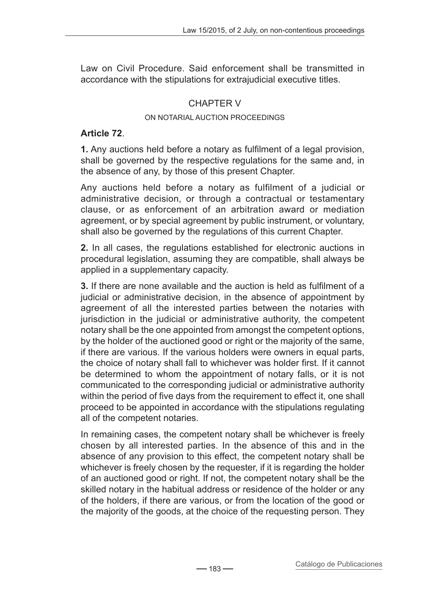Law on Civil Procedure. Said enforcement shall be transmitted in accordance with the stipulations for extrajudicial executive titles.

## CHAPTER V

#### On notarial auction proceedings

### **Article 72**.

**1.** Any auctions held before a notary as fulfilment of a legal provision, shall be governed by the respective regulations for the same and, in the absence of any, by those of this present Chapter.

Any auctions held before a notary as fulfilment of a judicial or administrative decision, or through a contractual or testamentary clause, or as enforcement of an arbitration award or mediation agreement, or by special agreement by public instrument, or voluntary, shall also be governed by the regulations of this current Chapter.

**2.** In all cases, the regulations established for electronic auctions in procedural legislation, assuming they are compatible, shall always be applied in a supplementary capacity.

**3.** If there are none available and the auction is held as fulfilment of a judicial or administrative decision, in the absence of appointment by agreement of all the interested parties between the notaries with jurisdiction in the judicial or administrative authority, the competent notary shall be the one appointed from amongst the competent options, by the holder of the auctioned good or right or the majority of the same, if there are various. If the various holders were owners in equal parts, the choice of notary shall fall to whichever was holder first. If it cannot be determined to whom the appointment of notary falls, or it is not communicated to the corresponding judicial or administrative authority within the period of five days from the requirement to effect it, one shall proceed to be appointed in accordance with the stipulations regulating all of the competent notaries.

In remaining cases, the competent notary shall be whichever is freely chosen by all interested parties. In the absence of this and in the absence of any provision to this effect, the competent notary shall be whichever is freely chosen by the requester, if it is regarding the holder of an auctioned good or right. If not, the competent notary shall be the skilled notary in the habitual address or residence of the holder or any of the holders, if there are various, or from the location of the good or the majority of the goods, at the choice of the requesting person. They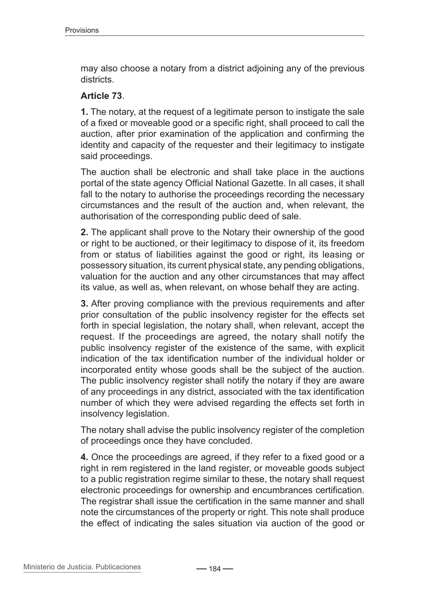may also choose a notary from a district adjoining any of the previous districts.

### **Article 73**.

**1.** The notary, at the request of a legitimate person to instigate the sale of a fixed or moveable good or a specific right, shall proceed to call the auction, after prior examination of the application and confirming the identity and capacity of the requester and their legitimacy to instigate said proceedings.

The auction shall be electronic and shall take place in the auctions portal of the state agency Official National Gazette. In all cases, it shall fall to the notary to authorise the proceedings recording the necessary circumstances and the result of the auction and, when relevant, the authorisation of the corresponding public deed of sale.

**2.** The applicant shall prove to the Notary their ownership of the good or right to be auctioned, or their legitimacy to dispose of it, its freedom from or status of liabilities against the good or right, its leasing or possessory situation, its current physical state, any pending obligations, valuation for the auction and any other circumstances that may affect its value, as well as, when relevant, on whose behalf they are acting.

**3.** After proving compliance with the previous requirements and after prior consultation of the public insolvency register for the effects set forth in special legislation, the notary shall, when relevant, accept the request. If the proceedings are agreed, the notary shall notify the public insolvency register of the existence of the same, with explicit indication of the tax identification number of the individual holder or incorporated entity whose goods shall be the subject of the auction. The public insolvency register shall notify the notary if they are aware of any proceedings in any district, associated with the tax identification number of which they were advised regarding the effects set forth in insolvency legislation.

The notary shall advise the public insolvency register of the completion of proceedings once they have concluded.

**4.** Once the proceedings are agreed, if they refer to a fixed good or a right in rem registered in the land register, or moveable goods subject to a public registration regime similar to these, the notary shall request electronic proceedings for ownership and encumbrances certification. The registrar shall issue the certification in the same manner and shall note the circumstances of the property or right. This note shall produce the effect of indicating the sales situation via auction of the good or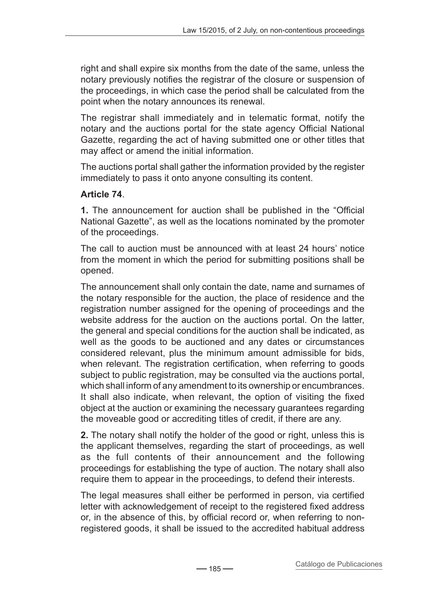right and shall expire six months from the date of the same, unless the notary previously notifies the registrar of the closure or suspension of the proceedings, in which case the period shall be calculated from the point when the notary announces its renewal.

The registrar shall immediately and in telematic format, notify the notary and the auctions portal for the state agency Official National Gazette, regarding the act of having submitted one or other titles that may affect or amend the initial information.

The auctions portal shall gather the information provided by the register immediately to pass it onto anyone consulting its content.

# **Article 74**.

**1.** The announcement for auction shall be published in the "Official National Gazette", as well as the locations nominated by the promoter of the proceedings.

The call to auction must be announced with at least 24 hours' notice from the moment in which the period for submitting positions shall be opened.

The announcement shall only contain the date, name and surnames of the notary responsible for the auction, the place of residence and the registration number assigned for the opening of proceedings and the website address for the auction on the auctions portal. On the latter, the general and special conditions for the auction shall be indicated, as well as the goods to be auctioned and any dates or circumstances considered relevant, plus the minimum amount admissible for bids, when relevant. The registration certification, when referring to goods subject to public registration, may be consulted via the auctions portal, which shall inform of any amendment to its ownership or encumbrances. It shall also indicate, when relevant, the option of visiting the fixed object at the auction or examining the necessary guarantees regarding the moveable good or accrediting titles of credit, if there are any.

**2.** The notary shall notify the holder of the good or right, unless this is the applicant themselves, regarding the start of proceedings, as well as the full contents of their announcement and the following proceedings for establishing the type of auction. The notary shall also require them to appear in the proceedings, to defend their interests.

The legal measures shall either be performed in person, via certified letter with acknowledgement of receipt to the registered fixed address or, in the absence of this, by official record or, when referring to nonregistered goods, it shall be issued to the accredited habitual address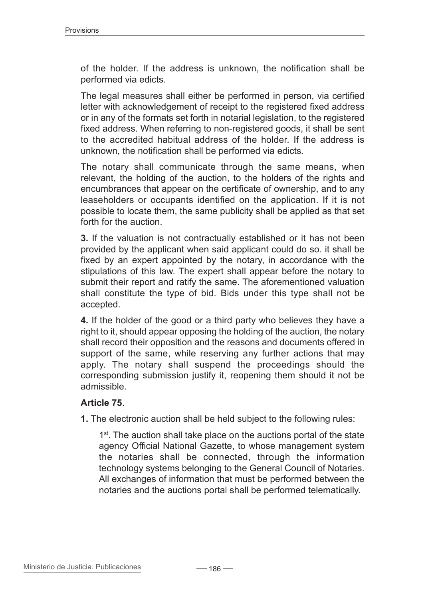of the holder. If the address is unknown, the notification shall be performed via edicts.

The legal measures shall either be performed in person, via certified letter with acknowledgement of receipt to the registered fixed address or in any of the formats set forth in notarial legislation, to the registered fixed address. When referring to non-registered goods, it shall be sent to the accredited habitual address of the holder. If the address is unknown, the notification shall be performed via edicts.

The notary shall communicate through the same means, when relevant, the holding of the auction, to the holders of the rights and encumbrances that appear on the certificate of ownership, and to any leaseholders or occupants identified on the application. If it is not possible to locate them, the same publicity shall be applied as that set forth for the auction.

**3.** If the valuation is not contractually established or it has not been provided by the applicant when said applicant could do so. it shall be fixed by an expert appointed by the notary, in accordance with the stipulations of this law. The expert shall appear before the notary to submit their report and ratify the same. The aforementioned valuation shall constitute the type of bid. Bids under this type shall not be accepted.

**4.** If the holder of the good or a third party who believes they have a right to it, should appear opposing the holding of the auction, the notary shall record their opposition and the reasons and documents offered in support of the same, while reserving any further actions that may apply. The notary shall suspend the proceedings should the corresponding submission justify it, reopening them should it not be admissible.

### **Article 75**.

**1.** The electronic auction shall be held subject to the following rules:

1<sup>st</sup>. The auction shall take place on the auctions portal of the state agency Official National Gazette, to whose management system the notaries shall be connected, through the information technology systems belonging to the General Council of Notaries. All exchanges of information that must be performed between the notaries and the auctions portal shall be performed telematically.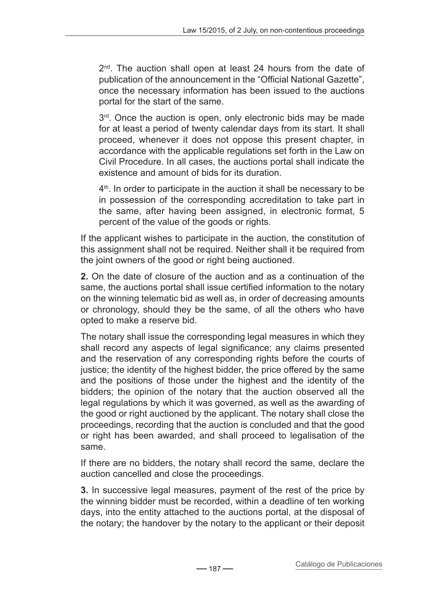$2<sup>nd</sup>$ . The auction shall open at least 24 hours from the date of publication of the announcement in the "Official National Gazette", once the necessary information has been issued to the auctions portal for the start of the same.

 $3<sup>rd</sup>$ . Once the auction is open, only electronic bids may be made for at least a period of twenty calendar days from its start. It shall proceed, whenever it does not oppose this present chapter, in accordance with the applicable regulations set forth in the Law on Civil Procedure. In all cases, the auctions portal shall indicate the existence and amount of bids for its duration.

 $4<sup>th</sup>$ . In order to participate in the auction it shall be necessary to be in possession of the corresponding accreditation to take part in the same, after having been assigned, in electronic format, 5 percent of the value of the goods or rights.

If the applicant wishes to participate in the auction, the constitution of this assignment shall not be required. Neither shall it be required from the joint owners of the good or right being auctioned.

**2.** On the date of closure of the auction and as a continuation of the same, the auctions portal shall issue certified information to the notary on the winning telematic bid as well as, in order of decreasing amounts or chronology, should they be the same, of all the others who have opted to make a reserve bid.

The notary shall issue the corresponding legal measures in which they shall record any aspects of legal significance; any claims presented and the reservation of any corresponding rights before the courts of justice; the identity of the highest bidder, the price offered by the same and the positions of those under the highest and the identity of the bidders; the opinion of the notary that the auction observed all the legal regulations by which it was governed, as well as the awarding of the good or right auctioned by the applicant. The notary shall close the proceedings, recording that the auction is concluded and that the good or right has been awarded, and shall proceed to legalisation of the same.

If there are no bidders, the notary shall record the same, declare the auction cancelled and close the proceedings.

**3.** In successive legal measures, payment of the rest of the price by the winning bidder must be recorded, within a deadline of ten working days, into the entity attached to the auctions portal, at the disposal of the notary; the handover by the notary to the applicant or their deposit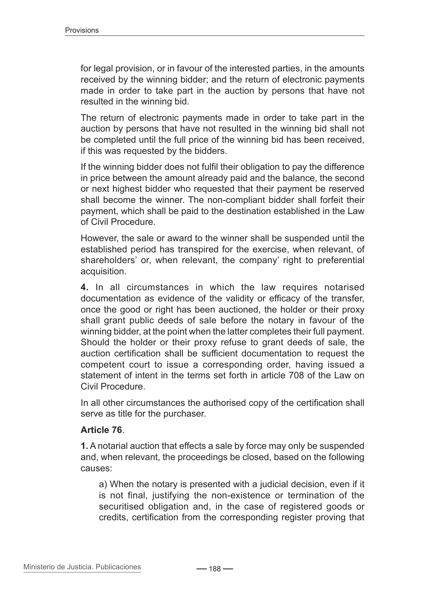for legal provision, or in favour of the interested parties, in the amounts received by the winning bidder; and the return of electronic payments made in order to take part in the auction by persons that have not resulted in the winning bid.

The return of electronic payments made in order to take part in the auction by persons that have not resulted in the winning bid shall not be completed until the full price of the winning bid has been received, if this was requested by the bidders.

If the winning bidder does not fulfil their obligation to pay the difference in price between the amount already paid and the balance, the second or next highest bidder who requested that their payment be reserved shall become the winner. The non-compliant bidder shall forfeit their payment, which shall be paid to the destination established in the Law of Civil Procedure.

However, the sale or award to the winner shall be suspended until the established period has transpired for the exercise, when relevant, of shareholders' or, when relevant, the company' right to preferential acquisition.

**4.** In all circumstances in which the law requires notarised documentation as evidence of the validity or efficacy of the transfer, once the good or right has been auctioned, the holder or their proxy shall grant public deeds of sale before the notary in favour of the winning bidder, at the point when the latter completes their full payment. Should the holder or their proxy refuse to grant deeds of sale, the auction certification shall be sufficient documentation to request the competent court to issue a corresponding order, having issued a statement of intent in the terms set forth in article 708 of the Law on Civil Procedure.

In all other circumstances the authorised copy of the certification shall serve as title for the purchaser.

### **Article 76**.

**1.** A notarial auction that effects a sale by force may only be suspended and, when relevant, the proceedings be closed, based on the following causes:

a) When the notary is presented with a judicial decision, even if it is not final, justifying the non-existence or termination of the securitised obligation and, in the case of registered goods or credits, certification from the corresponding register proving that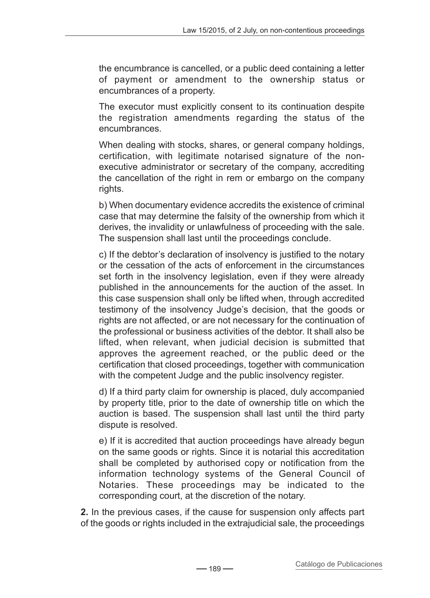the encumbrance is cancelled, or a public deed containing a letter of payment or amendment to the ownership status or encumbrances of a property.

The executor must explicitly consent to its continuation despite the registration amendments regarding the status of the encumbrances.

When dealing with stocks, shares, or general company holdings, certification, with legitimate notarised signature of the nonexecutive administrator or secretary of the company, accrediting the cancellation of the right in rem or embargo on the company rights.

b) When documentary evidence accredits the existence of criminal case that may determine the falsity of the ownership from which it derives, the invalidity or unlawfulness of proceeding with the sale. The suspension shall last until the proceedings conclude.

c) If the debtor's declaration of insolvency is justified to the notary or the cessation of the acts of enforcement in the circumstances set forth in the insolvency legislation, even if they were already published in the announcements for the auction of the asset. In this case suspension shall only be lifted when, through accredited testimony of the insolvency Judge's decision, that the goods or rights are not affected, or are not necessary for the continuation of the professional or business activities of the debtor. It shall also be lifted, when relevant, when judicial decision is submitted that approves the agreement reached, or the public deed or the certification that closed proceedings, together with communication with the competent Judge and the public insolvency register.

d) If a third party claim for ownership is placed, duly accompanied by property title, prior to the date of ownership title on which the auction is based. The suspension shall last until the third party dispute is resolved.

e) If it is accredited that auction proceedings have already begun on the same goods or rights. Since it is notarial this accreditation shall be completed by authorised copy or notification from the information technology systems of the General Council of Notaries. These proceedings may be indicated to the corresponding court, at the discretion of the notary.

**2.** In the previous cases, if the cause for suspension only affects part of the goods or rights included in the extrajudicial sale, the proceedings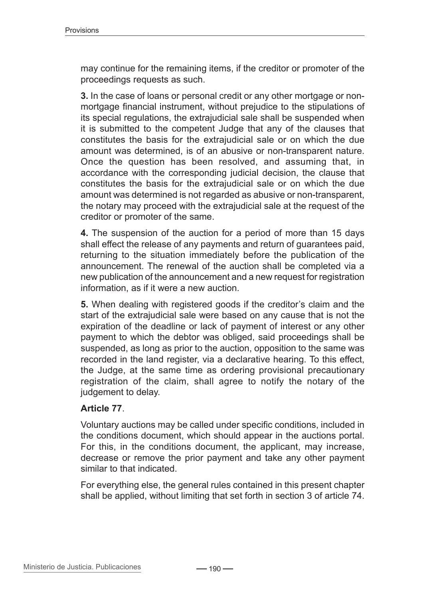may continue for the remaining items, if the creditor or promoter of the proceedings requests as such.

**3.** In the case of loans or personal credit or any other mortgage or nonmortgage financial instrument, without prejudice to the stipulations of its special regulations, the extrajudicial sale shall be suspended when it is submitted to the competent Judge that any of the clauses that constitutes the basis for the extrajudicial sale or on which the due amount was determined, is of an abusive or non-transparent nature. Once the question has been resolved, and assuming that, in accordance with the corresponding judicial decision, the clause that constitutes the basis for the extrajudicial sale or on which the due amount was determined is not regarded as abusive or non-transparent, the notary may proceed with the extrajudicial sale at the request of the creditor or promoter of the same.

**4.** The suspension of the auction for a period of more than 15 days shall effect the release of any payments and return of guarantees paid, returning to the situation immediately before the publication of the announcement. The renewal of the auction shall be completed via a new publication of the announcement and a new request for registration information, as if it were a new auction.

**5.** When dealing with registered goods if the creditor's claim and the start of the extrajudicial sale were based on any cause that is not the expiration of the deadline or lack of payment of interest or any other payment to which the debtor was obliged, said proceedings shall be suspended, as long as prior to the auction, opposition to the same was recorded in the land register, via a declarative hearing. To this effect, the Judge, at the same time as ordering provisional precautionary registration of the claim, shall agree to notify the notary of the judgement to delay.

### **Article 77**.

Voluntary auctions may be called under specific conditions, included in the conditions document, which should appear in the auctions portal. For this, in the conditions document, the applicant, may increase, decrease or remove the prior payment and take any other payment similar to that indicated.

For everything else, the general rules contained in this present chapter shall be applied, without limiting that set forth in section 3 of article 74.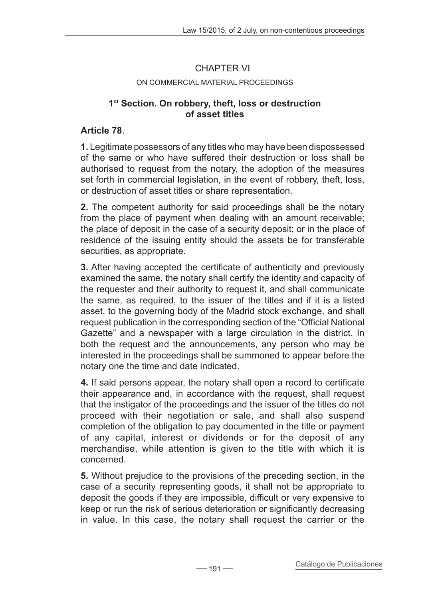## CHAPTER VI

#### On commercial material proceedings

### **1st Section. On robbery, theft, loss or destruction of asset titles**

### **Article 78**.

**1.** Legitimate possessors of any titles who may have been dispossessed of the same or who have suffered their destruction or loss shall be authorised to request from the notary, the adoption of the measures set forth in commercial legislation, in the event of robbery, theft, loss, or destruction of asset titles or share representation.

**2.** The competent authority for said proceedings shall be the notary from the place of payment when dealing with an amount receivable; the place of deposit in the case of a security deposit; or in the place of residence of the issuing entity should the assets be for transferable securities, as appropriate.

**3.** After having accepted the certificate of authenticity and previously examined the same, the notary shall certify the identity and capacity of the requester and their authority to request it, and shall communicate the same, as required, to the issuer of the titles and if it is a listed asset, to the governing body of the Madrid stock exchange, and shall request publication in the corresponding section of the "Official National Gazette" and a newspaper with a large circulation in the district. In both the request and the announcements, any person who may be interested in the proceedings shall be summoned to appear before the notary one the time and date indicated.

**4.** If said persons appear, the notary shall open a record to certificate their appearance and, in accordance with the request, shall request that the instigator of the proceedings and the issuer of the titles do not proceed with their negotiation or sale, and shall also suspend completion of the obligation to pay documented in the title or payment of any capital, interest or dividends or for the deposit of any merchandise, while attention is given to the title with which it is concerned.

**5.** Without prejudice to the provisions of the preceding section, in the case of a security representing goods, it shall not be appropriate to deposit the goods if they are impossible, difficult or very expensive to keep or run the risk of serious deterioration or significantly decreasing in value. In this case, the notary shall request the carrier or the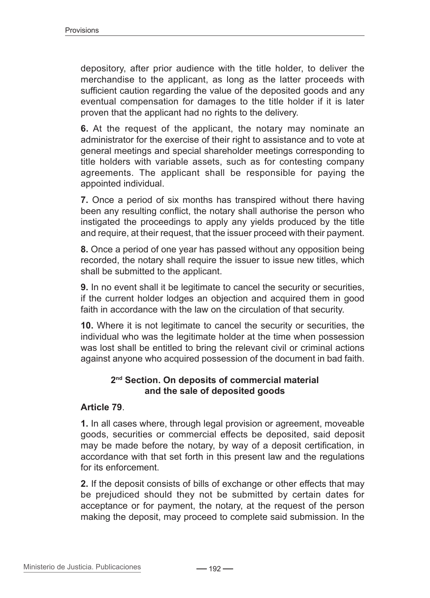depository, after prior audience with the title holder, to deliver the merchandise to the applicant, as long as the latter proceeds with sufficient caution regarding the value of the deposited goods and any eventual compensation for damages to the title holder if it is later proven that the applicant had no rights to the delivery.

**6.** At the request of the applicant, the notary may nominate an administrator for the exercise of their right to assistance and to vote at general meetings and special shareholder meetings corresponding to title holders with variable assets, such as for contesting company agreements. The applicant shall be responsible for paying the appointed individual.

**7.** Once a period of six months has transpired without there having been any resulting conflict, the notary shall authorise the person who instigated the proceedings to apply any yields produced by the title and require, at their request, that the issuer proceed with their payment.

**8.** Once a period of one year has passed without any opposition being recorded, the notary shall require the issuer to issue new titles, which shall be submitted to the applicant.

**9.** In no event shall it be legitimate to cancel the security or securities, if the current holder lodges an objection and acquired them in good faith in accordance with the law on the circulation of that security.

**10.** Where it is not legitimate to cancel the security or securities, the individual who was the legitimate holder at the time when possession was lost shall be entitled to bring the relevant civil or criminal actions against anyone who acquired possession of the document in bad faith.

### **2nd Section. On deposits of commercial material and the sale of deposited goods**

### **Article 79**.

**1.** In all cases where, through legal provision or agreement, moveable goods, securities or commercial effects be deposited, said deposit may be made before the notary, by way of a deposit certification, in accordance with that set forth in this present law and the regulations for its enforcement.

**2.** If the deposit consists of bills of exchange or other effects that may be prejudiced should they not be submitted by certain dates for acceptance or for payment, the notary, at the request of the person making the deposit, may proceed to complete said submission. In the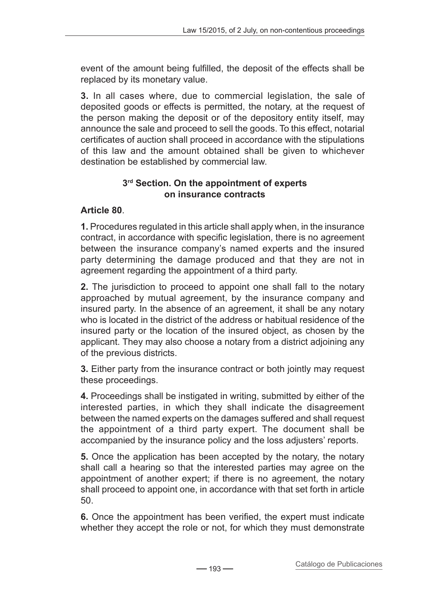event of the amount being fulfilled, the deposit of the effects shall be replaced by its monetary value.

**3.** In all cases where, due to commercial legislation, the sale of deposited goods or effects is permitted, the notary, at the request of the person making the deposit or of the depository entity itself, may announce the sale and proceed to sell the goods. To this effect, notarial certificates of auction shall proceed in accordance with the stipulations of this law and the amount obtained shall be given to whichever destination be established by commercial law.

## **3rd Section. On the appointment of experts on insurance contracts**

# **Article 80**.

**1.** Procedures regulated in this article shall apply when, in the insurance contract, in accordance with specific legislation, there is no agreement between the insurance company's named experts and the insured party determining the damage produced and that they are not in agreement regarding the appointment of a third party.

**2.** The jurisdiction to proceed to appoint one shall fall to the notary approached by mutual agreement, by the insurance company and insured party. In the absence of an agreement, it shall be any notary who is located in the district of the address or habitual residence of the insured party or the location of the insured object, as chosen by the applicant. They may also choose a notary from a district adjoining any of the previous districts.

**3.** Either party from the insurance contract or both jointly may request these proceedings.

**4.** Proceedings shall be instigated in writing, submitted by either of the interested parties, in which they shall indicate the disagreement between the named experts on the damages suffered and shall request the appointment of a third party expert. The document shall be accompanied by the insurance policy and the loss adjusters' reports.

**5.** Once the application has been accepted by the notary, the notary shall call a hearing so that the interested parties may agree on the appointment of another expert; if there is no agreement, the notary shall proceed to appoint one, in accordance with that set forth in article 50.

**6.** Once the appointment has been verified, the expert must indicate whether they accept the role or not, for which they must demonstrate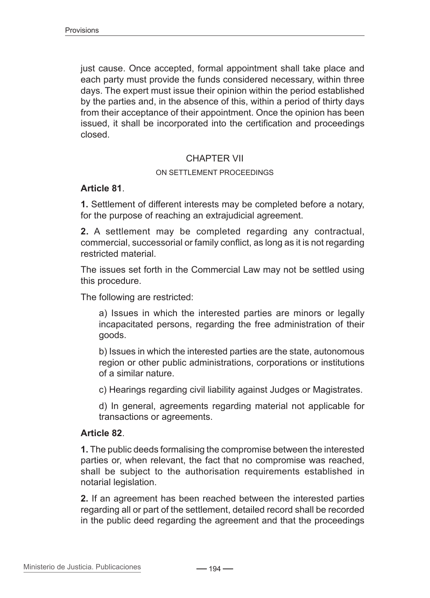just cause. Once accepted, formal appointment shall take place and each party must provide the funds considered necessary, within three days. The expert must issue their opinion within the period established by the parties and, in the absence of this, within a period of thirty days from their acceptance of their appointment. Once the opinion has been issued, it shall be incorporated into the certification and proceedings closed.

### CHAPTER VII

#### On settlement proceedings

#### **Article 81**.

**1.** Settlement of different interests may be completed before a notary, for the purpose of reaching an extrajudicial agreement.

**2.** A settlement may be completed regarding any contractual, commercial, successorial or family conflict, as long as it is not regarding restricted material.

The issues set forth in the Commercial Law may not be settled using this procedure.

The following are restricted:

a) Issues in which the interested parties are minors or legally incapacitated persons, regarding the free administration of their goods.

b) Issues in which the interested parties are the state, autonomous region or other public administrations, corporations or institutions of a similar nature.

c) Hearings regarding civil liability against Judges or Magistrates.

d) In general, agreements regarding material not applicable for transactions or agreements.

### **Article 82**.

**1.** The public deeds formalising the compromise between the interested parties or, when relevant, the fact that no compromise was reached, shall be subject to the authorisation requirements established in notarial legislation.

**2.** If an agreement has been reached between the interested parties regarding all or part of the settlement, detailed record shall be recorded in the public deed regarding the agreement and that the proceedings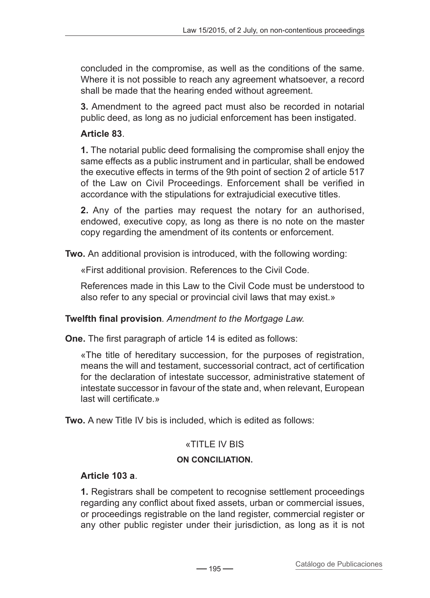concluded in the compromise, as well as the conditions of the same. Where it is not possible to reach any agreement whatsoever, a record shall be made that the hearing ended without agreement.

**3.** Amendment to the agreed pact must also be recorded in notarial public deed, as long as no judicial enforcement has been instigated.

# **Article 83**.

**1.** The notarial public deed formalising the compromise shall enjoy the same effects as a public instrument and in particular, shall be endowed the executive effects in terms of the 9th point of section 2 of article 517 of the Law on Civil Proceedings. Enforcement shall be verified in accordance with the stipulations for extrajudicial executive titles.

**2.** Any of the parties may request the notary for an authorised, endowed, executive copy, as long as there is no note on the master copy regarding the amendment of its contents or enforcement.

**Two.** An additional provision is introduced, with the following wording:

«First additional provision. References to the Civil Code.

References made in this Law to the Civil Code must be understood to also refer to any special or provincial civil laws that may exist.»

# **Twelfth final provision***. Amendment to the Mortgage Law.*

**One.** The first paragraph of article 14 is edited as follows:

«The title of hereditary succession, for the purposes of registration, means the will and testament, successorial contract, act of certification for the declaration of intestate successor, administrative statement of intestate successor in favour of the state and, when relevant, European last will certificate.»

**Two.** A new Title IV bis is included, which is edited as follows:

# «TITLE IV BIS

# **On conciliation.**

# **Article 103 a**.

**1.** Registrars shall be competent to recognise settlement proceedings regarding any conflict about fixed assets, urban or commercial issues, or proceedings registrable on the land register, commercial register or any other public register under their jurisdiction, as long as it is not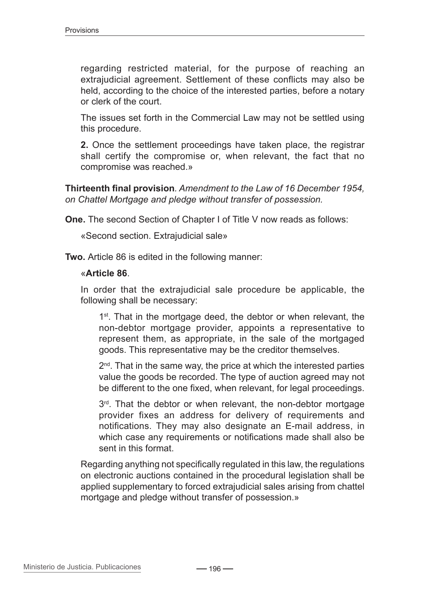regarding restricted material, for the purpose of reaching an extrajudicial agreement. Settlement of these conflicts may also be held, according to the choice of the interested parties, before a notary or clerk of the court.

The issues set forth in the Commercial Law may not be settled using this procedure.

**2.** Once the settlement proceedings have taken place, the registrar shall certify the compromise or, when relevant, the fact that no compromise was reached.»

**Thirteenth final provision***. Amendment to the Law of 16 December 1954, on Chattel Mortgage and pledge without transfer of possession.*

**One.** The second Section of Chapter I of Title V now reads as follows:

«Second section. Extrajudicial sale»

**Two.** Article 86 is edited in the following manner:

#### «**Article 86**.

In order that the extrajudicial sale procedure be applicable, the following shall be necessary:

1<sup>st</sup>. That in the mortgage deed, the debtor or when relevant, the non-debtor mortgage provider, appoints a representative to represent them, as appropriate, in the sale of the mortgaged goods. This representative may be the creditor themselves.

 $2<sup>nd</sup>$ . That in the same way, the price at which the interested parties value the goods be recorded. The type of auction agreed may not be different to the one fixed, when relevant, for legal proceedings.

3rd. That the debtor or when relevant, the non-debtor mortgage provider fixes an address for delivery of requirements and notifications. They may also designate an E-mail address, in which case any requirements or notifications made shall also be sent in this format.

Regarding anything not specifically regulated in this law, the regulations on electronic auctions contained in the procedural legislation shall be applied supplementary to forced extrajudicial sales arising from chattel mortgage and pledge without transfer of possession.»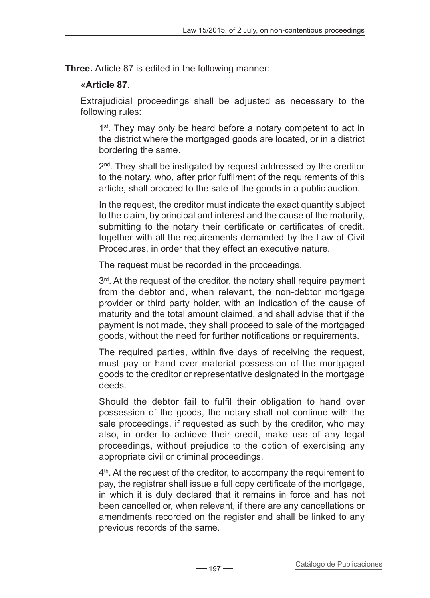**Three.** Article 87 is edited in the following manner:

## «**Article 87**.

Extrajudicial proceedings shall be adjusted as necessary to the following rules:

1<sup>st</sup>. They may only be heard before a notary competent to act in the district where the mortgaged goods are located, or in a district bordering the same.

2<sup>nd</sup>. They shall be instigated by request addressed by the creditor to the notary, who, after prior fulfilment of the requirements of this article, shall proceed to the sale of the goods in a public auction.

In the request, the creditor must indicate the exact quantity subject to the claim, by principal and interest and the cause of the maturity, submitting to the notary their certificate or certificates of credit, together with all the requirements demanded by the Law of Civil Procedures, in order that they effect an executive nature.

The request must be recorded in the proceedings.

 $3<sup>rd</sup>$ . At the request of the creditor, the notary shall require payment from the debtor and, when relevant, the non-debtor mortgage provider or third party holder, with an indication of the cause of maturity and the total amount claimed, and shall advise that if the payment is not made, they shall proceed to sale of the mortgaged goods, without the need for further notifications or requirements.

The required parties, within five days of receiving the request, must pay or hand over material possession of the mortgaged goods to the creditor or representative designated in the mortgage deeds.

Should the debtor fail to fulfil their obligation to hand over possession of the goods, the notary shall not continue with the sale proceedings, if requested as such by the creditor, who may also, in order to achieve their credit, make use of any legal proceedings, without prejudice to the option of exercising any appropriate civil or criminal proceedings.

4<sup>th</sup>. At the request of the creditor, to accompany the requirement to pay, the registrar shall issue a full copy certificate of the mortgage, in which it is duly declared that it remains in force and has not been cancelled or, when relevant, if there are any cancellations or amendments recorded on the register and shall be linked to any previous records of the same.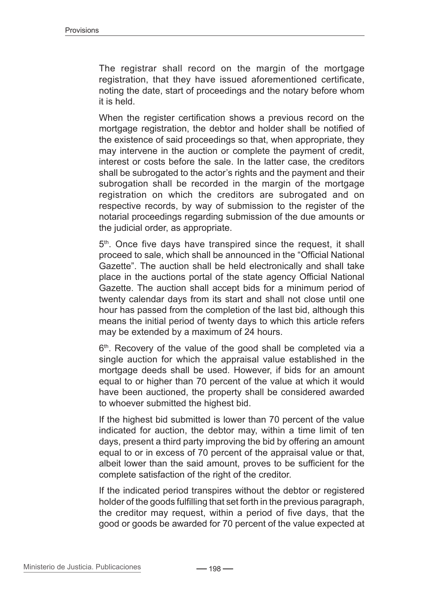The registrar shall record on the margin of the mortgage registration, that they have issued aforementioned certificate, noting the date, start of proceedings and the notary before whom it is held.

When the register certification shows a previous record on the mortgage registration, the debtor and holder shall be notified of the existence of said proceedings so that, when appropriate, they may intervene in the auction or complete the payment of credit, interest or costs before the sale. In the latter case, the creditors shall be subrogated to the actor's rights and the payment and their subrogation shall be recorded in the margin of the mortgage registration on which the creditors are subrogated and on respective records, by way of submission to the register of the notarial proceedings regarding submission of the due amounts or the judicial order, as appropriate.

5<sup>th</sup>. Once five days have transpired since the request, it shall proceed to sale, which shall be announced in the "Official National Gazette". The auction shall be held electronically and shall take place in the auctions portal of the state agency Official National Gazette. The auction shall accept bids for a minimum period of twenty calendar days from its start and shall not close until one hour has passed from the completion of the last bid, although this means the initial period of twenty days to which this article refers may be extended by a maximum of 24 hours.

6<sup>th</sup>. Recovery of the value of the good shall be completed via a single auction for which the appraisal value established in the mortgage deeds shall be used. However, if bids for an amount equal to or higher than 70 percent of the value at which it would have been auctioned, the property shall be considered awarded to whoever submitted the highest bid.

If the highest bid submitted is lower than 70 percent of the value indicated for auction, the debtor may, within a time limit of ten days, present a third party improving the bid by offering an amount equal to or in excess of 70 percent of the appraisal value or that, albeit lower than the said amount, proves to be sufficient for the complete satisfaction of the right of the creditor.

If the indicated period transpires without the debtor or registered holder of the goods fulfilling that set forth in the previous paragraph, the creditor may request, within a period of five days, that the good or goods be awarded for 70 percent of the value expected at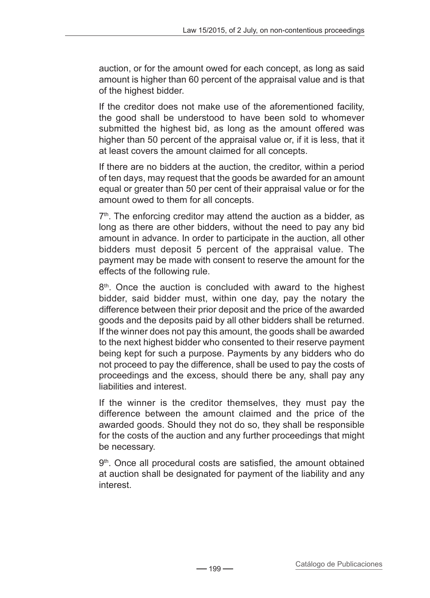auction, or for the amount owed for each concept, as long as said amount is higher than 60 percent of the appraisal value and is that of the highest bidder.

If the creditor does not make use of the aforementioned facility, the good shall be understood to have been sold to whomever submitted the highest bid, as long as the amount offered was higher than 50 percent of the appraisal value or, if it is less, that it at least covers the amount claimed for all concepts.

If there are no bidders at the auction, the creditor, within a period of ten days, may request that the goods be awarded for an amount equal or greater than 50 per cent of their appraisal value or for the amount owed to them for all concepts.

 $7<sup>th</sup>$ . The enforcing creditor may attend the auction as a bidder, as long as there are other bidders, without the need to pay any bid amount in advance. In order to participate in the auction, all other bidders must deposit 5 percent of the appraisal value. The payment may be made with consent to reserve the amount for the effects of the following rule.

8<sup>th</sup>. Once the auction is concluded with award to the highest bidder, said bidder must, within one day, pay the notary the difference between their prior deposit and the price of the awarded goods and the deposits paid by all other bidders shall be returned. If the winner does not pay this amount, the goods shall be awarded to the next highest bidder who consented to their reserve payment being kept for such a purpose. Payments by any bidders who do not proceed to pay the difference, shall be used to pay the costs of proceedings and the excess, should there be any, shall pay any liabilities and interest.

If the winner is the creditor themselves, they must pay the difference between the amount claimed and the price of the awarded goods. Should they not do so, they shall be responsible for the costs of the auction and any further proceedings that might be necessary.

9<sup>th</sup>. Once all procedural costs are satisfied, the amount obtained at auction shall be designated for payment of the liability and any interest.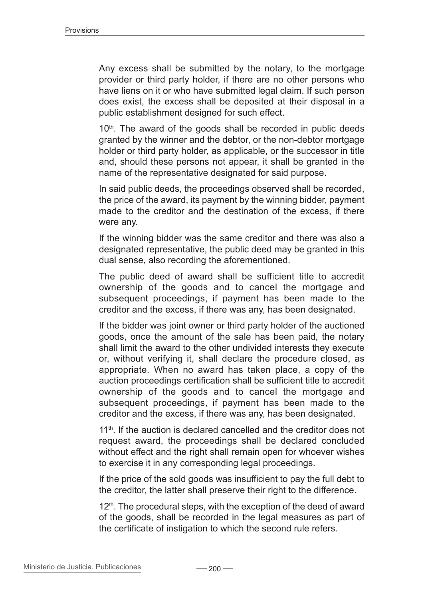Any excess shall be submitted by the notary, to the mortgage provider or third party holder, if there are no other persons who have liens on it or who have submitted legal claim. If such person does exist, the excess shall be deposited at their disposal in a public establishment designed for such effect.

10<sup>th</sup>. The award of the goods shall be recorded in public deeds granted by the winner and the debtor, or the non-debtor mortgage holder or third party holder, as applicable, or the successor in title and, should these persons not appear, it shall be granted in the name of the representative designated for said purpose.

In said public deeds, the proceedings observed shall be recorded, the price of the award, its payment by the winning bidder, payment made to the creditor and the destination of the excess, if there were any.

If the winning bidder was the same creditor and there was also a designated representative, the public deed may be granted in this dual sense, also recording the aforementioned.

The public deed of award shall be sufficient title to accredit ownership of the goods and to cancel the mortgage and subsequent proceedings, if payment has been made to the creditor and the excess, if there was any, has been designated.

If the bidder was joint owner or third party holder of the auctioned goods, once the amount of the sale has been paid, the notary shall limit the award to the other undivided interests they execute or, without verifying it, shall declare the procedure closed, as appropriate. When no award has taken place, a copy of the auction proceedings certification shall be sufficient title to accredit ownership of the goods and to cancel the mortgage and subsequent proceedings, if payment has been made to the creditor and the excess, if there was any, has been designated.

11<sup>th</sup>. If the auction is declared cancelled and the creditor does not request award, the proceedings shall be declared concluded without effect and the right shall remain open for whoever wishes to exercise it in any corresponding legal proceedings.

If the price of the sold goods was insufficient to pay the full debt to the creditor, the latter shall preserve their right to the difference.

 $12<sup>th</sup>$ . The procedural steps, with the exception of the deed of award of the goods, shall be recorded in the legal measures as part of the certificate of instigation to which the second rule refers.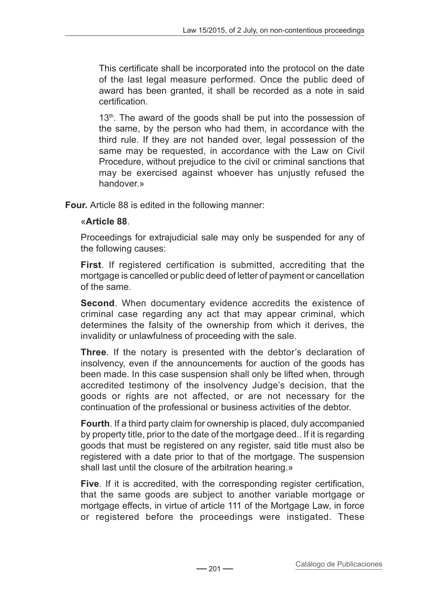This certificate shall be incorporated into the protocol on the date of the last legal measure performed. Once the public deed of award has been granted, it shall be recorded as a note in said certification.

13<sup>th</sup>. The award of the goods shall be put into the possession of the same, by the person who had them, in accordance with the third rule. If they are not handed over, legal possession of the same may be requested, in accordance with the Law on Civil Procedure, without prejudice to the civil or criminal sanctions that may be exercised against whoever has unjustly refused the handover.»

**Four.** Article 88 is edited in the following manner:

## «**Article 88**.

Proceedings for extrajudicial sale may only be suspended for any of the following causes:

**First**. If registered certification is submitted, accrediting that the mortgage is cancelled or public deed of letter of payment or cancellation of the same.

**Second**. When documentary evidence accredits the existence of criminal case regarding any act that may appear criminal, which determines the falsity of the ownership from which it derives, the invalidity or unlawfulness of proceeding with the sale.

**Three**. If the notary is presented with the debtor's declaration of insolvency, even if the announcements for auction of the goods has been made. In this case suspension shall only be lifted when, through accredited testimony of the insolvency Judge's decision, that the goods or rights are not affected, or are not necessary for the continuation of the professional or business activities of the debtor.

**Fourth**. If a third party claim for ownership is placed, duly accompanied by property title, prior to the date of the mortgage deed.. If it is regarding goods that must be registered on any register, said title must also be registered with a date prior to that of the mortgage. The suspension shall last until the closure of the arbitration hearing.»

**Five**. If it is accredited, with the corresponding register certification, that the same goods are subject to another variable mortgage or mortgage effects, in virtue of article 111 of the Mortgage Law, in force or registered before the proceedings were instigated. These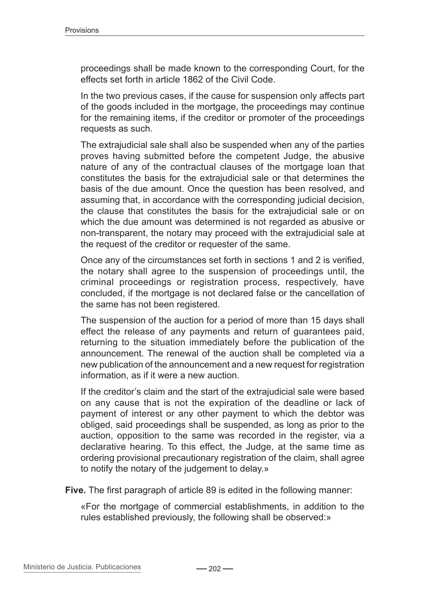proceedings shall be made known to the corresponding Court, for the effects set forth in article 1862 of the Civil Code.

In the two previous cases, if the cause for suspension only affects part of the goods included in the mortgage, the proceedings may continue for the remaining items, if the creditor or promoter of the proceedings requests as such.

The extrajudicial sale shall also be suspended when any of the parties proves having submitted before the competent Judge, the abusive nature of any of the contractual clauses of the mortgage loan that constitutes the basis for the extrajudicial sale or that determines the basis of the due amount. Once the question has been resolved, and assuming that, in accordance with the corresponding judicial decision, the clause that constitutes the basis for the extrajudicial sale or on which the due amount was determined is not regarded as abusive or non-transparent, the notary may proceed with the extrajudicial sale at the request of the creditor or requester of the same.

Once any of the circumstances set forth in sections 1 and 2 is verified, the notary shall agree to the suspension of proceedings until, the criminal proceedings or registration process, respectively, have concluded, if the mortgage is not declared false or the cancellation of the same has not been registered.

The suspension of the auction for a period of more than 15 days shall effect the release of any payments and return of guarantees paid, returning to the situation immediately before the publication of the announcement. The renewal of the auction shall be completed via a new publication of the announcement and a new request for registration information, as if it were a new auction.

If the creditor's claim and the start of the extrajudicial sale were based on any cause that is not the expiration of the deadline or lack of payment of interest or any other payment to which the debtor was obliged, said proceedings shall be suspended, as long as prior to the auction, opposition to the same was recorded in the register, via a declarative hearing. To this effect, the Judge, at the same time as ordering provisional precautionary registration of the claim, shall agree to notify the notary of the judgement to delay.»

**Five.** The first paragraph of article 89 is edited in the following manner:

«For the mortgage of commercial establishments, in addition to the rules established previously, the following shall be observed:»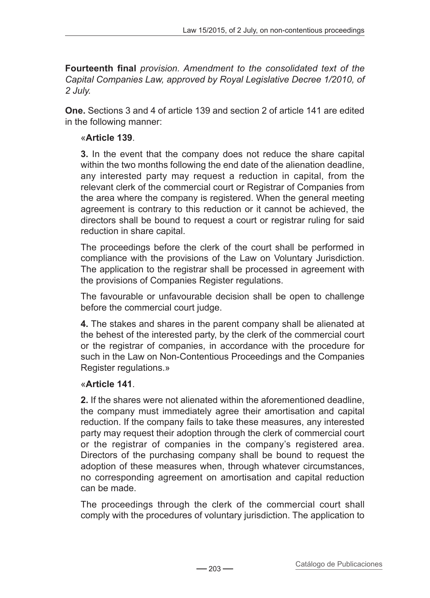**Fourteenth final** *provision. Amendment to the consolidated text of the Capital Companies Law, approved by Royal Legislative Decree 1/2010, of 2 July.*

**One.** Sections 3 and 4 of article 139 and section 2 of article 141 are edited in the following manner:

## «**Article 139**.

**3.** In the event that the company does not reduce the share capital within the two months following the end date of the alienation deadline, any interested party may request a reduction in capital, from the relevant clerk of the commercial court or Registrar of Companies from the area where the company is registered. When the general meeting agreement is contrary to this reduction or it cannot be achieved, the directors shall be bound to request a court or registrar ruling for said reduction in share capital.

The proceedings before the clerk of the court shall be performed in compliance with the provisions of the Law on Voluntary Jurisdiction. The application to the registrar shall be processed in agreement with the provisions of Companies Register regulations.

The favourable or unfavourable decision shall be open to challenge before the commercial court judge.

**4.** The stakes and shares in the parent company shall be alienated at the behest of the interested party, by the clerk of the commercial court or the registrar of companies, in accordance with the procedure for such in the Law on Non-Contentious Proceedings and the Companies Register regulations.»

### «**Article 141**.

**2.** If the shares were not alienated within the aforementioned deadline, the company must immediately agree their amortisation and capital reduction. If the company fails to take these measures, any interested party may request their adoption through the clerk of commercial court or the registrar of companies in the company's registered area. Directors of the purchasing company shall be bound to request the adoption of these measures when, through whatever circumstances, no corresponding agreement on amortisation and capital reduction can be made.

The proceedings through the clerk of the commercial court shall comply with the procedures of voluntary jurisdiction. The application to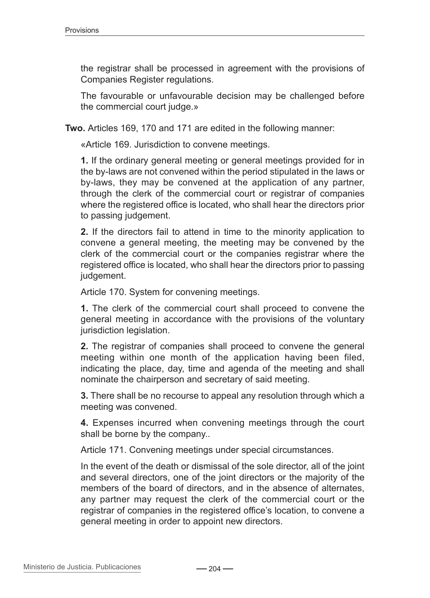the registrar shall be processed in agreement with the provisions of Companies Register regulations.

The favourable or unfavourable decision may be challenged before the commercial court judge.»

**Two.** Articles 169, 170 and 171 are edited in the following manner:

«Article 169. Jurisdiction to convene meetings.

**1.** If the ordinary general meeting or general meetings provided for in the by-laws are not convened within the period stipulated in the laws or by-laws, they may be convened at the application of any partner, through the clerk of the commercial court or registrar of companies where the registered office is located, who shall hear the directors prior to passing judgement.

**2.** If the directors fail to attend in time to the minority application to convene a general meeting, the meeting may be convened by the clerk of the commercial court or the companies registrar where the registered office is located, who shall hear the directors prior to passing judgement.

Article 170. System for convening meetings.

**1.** The clerk of the commercial court shall proceed to convene the general meeting in accordance with the provisions of the voluntary jurisdiction legislation.

**2.** The registrar of companies shall proceed to convene the general meeting within one month of the application having been filed, indicating the place, day, time and agenda of the meeting and shall nominate the chairperson and secretary of said meeting.

**3.** There shall be no recourse to appeal any resolution through which a meeting was convened.

**4.** Expenses incurred when convening meetings through the court shall be borne by the company..

Article 171. Convening meetings under special circumstances.

In the event of the death or dismissal of the sole director, all of the joint and several directors, one of the joint directors or the majority of the members of the board of directors, and in the absence of alternates, any partner may request the clerk of the commercial court or the registrar of companies in the registered office's location, to convene a general meeting in order to appoint new directors.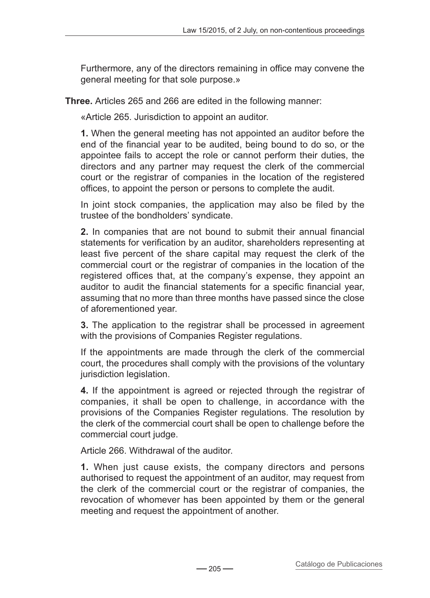Furthermore, any of the directors remaining in office may convene the general meeting for that sole purpose.»

**Three.** Articles 265 and 266 are edited in the following manner:

«Article 265. Jurisdiction to appoint an auditor.

**1.** When the general meeting has not appointed an auditor before the end of the financial year to be audited, being bound to do so, or the appointee fails to accept the role or cannot perform their duties, the directors and any partner may request the clerk of the commercial court or the registrar of companies in the location of the registered offices, to appoint the person or persons to complete the audit.

In joint stock companies, the application may also be filed by the trustee of the bondholders' syndicate.

**2.** In companies that are not bound to submit their annual financial statements for verification by an auditor, shareholders representing at least five percent of the share capital may request the clerk of the commercial court or the registrar of companies in the location of the registered offices that, at the company's expense, they appoint an auditor to audit the financial statements for a specific financial year, assuming that no more than three months have passed since the close of aforementioned year.

**3.** The application to the registrar shall be processed in agreement with the provisions of Companies Register regulations.

If the appointments are made through the clerk of the commercial court, the procedures shall comply with the provisions of the voluntary jurisdiction legislation.

**4.** If the appointment is agreed or rejected through the registrar of companies, it shall be open to challenge, in accordance with the provisions of the Companies Register regulations. The resolution by the clerk of the commercial court shall be open to challenge before the commercial court judge.

Article 266. Withdrawal of the auditor.

**1.** When just cause exists, the company directors and persons authorised to request the appointment of an auditor, may request from the clerk of the commercial court or the registrar of companies, the revocation of whomever has been appointed by them or the general meeting and request the appointment of another.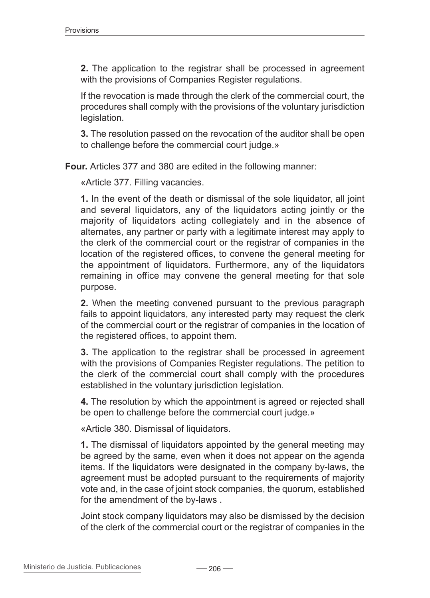**2.** The application to the registrar shall be processed in agreement with the provisions of Companies Register regulations.

If the revocation is made through the clerk of the commercial court, the procedures shall comply with the provisions of the voluntary jurisdiction legislation.

**3.** The resolution passed on the revocation of the auditor shall be open to challenge before the commercial court judge.»

**Four.** Articles 377 and 380 are edited in the following manner:

«Article 377. Filling vacancies.

**1.** In the event of the death or dismissal of the sole liquidator, all joint and several liquidators, any of the liquidators acting jointly or the majority of liquidators acting collegiately and in the absence of alternates, any partner or party with a legitimate interest may apply to the clerk of the commercial court or the registrar of companies in the location of the registered offices, to convene the general meeting for the appointment of liquidators. Furthermore, any of the liquidators remaining in office may convene the general meeting for that sole purpose.

**2.** When the meeting convened pursuant to the previous paragraph fails to appoint liquidators, any interested party may request the clerk of the commercial court or the registrar of companies in the location of the registered offices, to appoint them.

**3.** The application to the registrar shall be processed in agreement with the provisions of Companies Register regulations. The petition to the clerk of the commercial court shall comply with the procedures established in the voluntary jurisdiction legislation.

**4.** The resolution by which the appointment is agreed or rejected shall be open to challenge before the commercial court judge.»

«Article 380. Dismissal of liquidators.

**1.** The dismissal of liquidators appointed by the general meeting may be agreed by the same, even when it does not appear on the agenda items. If the liquidators were designated in the company by-laws, the agreement must be adopted pursuant to the requirements of majority vote and, in the case of joint stock companies, the quorum, established for the amendment of the by-laws .

Joint stock company liquidators may also be dismissed by the decision of the clerk of the commercial court or the registrar of companies in the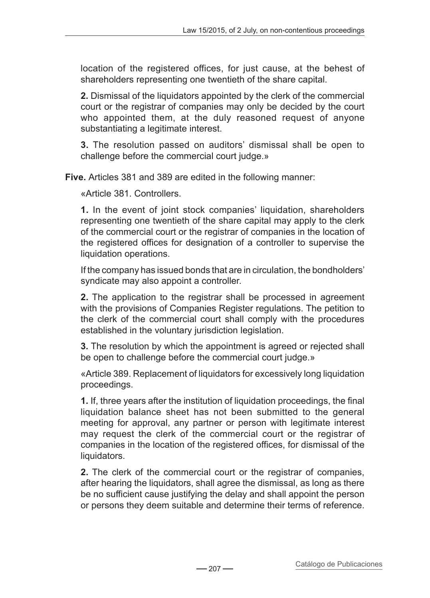location of the registered offices, for just cause, at the behest of shareholders representing one twentieth of the share capital.

**2.** Dismissal of the liquidators appointed by the clerk of the commercial court or the registrar of companies may only be decided by the court who appointed them, at the duly reasoned request of anyone substantiating a legitimate interest.

**3.** The resolution passed on auditors' dismissal shall be open to challenge before the commercial court judge.»

**Five.** Articles 381 and 389 are edited in the following manner:

«Article 381. Controllers.

**1.** In the event of joint stock companies' liquidation, shareholders representing one twentieth of the share capital may apply to the clerk of the commercial court or the registrar of companies in the location of the registered offices for designation of a controller to supervise the liquidation operations.

If the company has issued bonds that are in circulation, the bondholders' syndicate may also appoint a controller.

**2.** The application to the registrar shall be processed in agreement with the provisions of Companies Register regulations. The petition to the clerk of the commercial court shall comply with the procedures established in the voluntary jurisdiction legislation.

**3.** The resolution by which the appointment is agreed or rejected shall be open to challenge before the commercial court judge.»

«Article 389. Replacement of liquidators for excessively long liquidation proceedings.

**1.** If, three years after the institution of liquidation proceedings, the final liquidation balance sheet has not been submitted to the general meeting for approval, any partner or person with legitimate interest may request the clerk of the commercial court or the registrar of companies in the location of the registered offices, for dismissal of the liquidators.

**2.** The clerk of the commercial court or the registrar of companies, after hearing the liquidators, shall agree the dismissal, as long as there be no sufficient cause justifying the delay and shall appoint the person or persons they deem suitable and determine their terms of reference.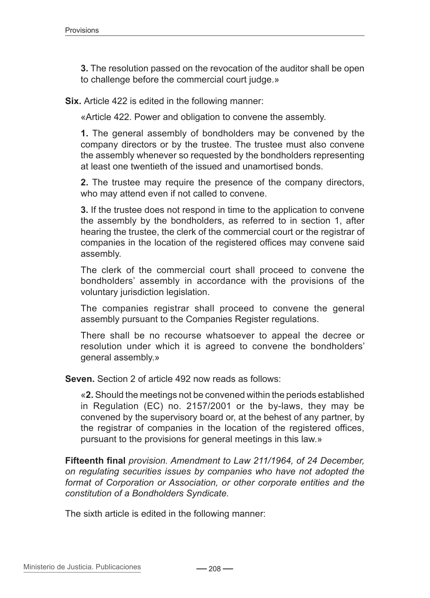**3.** The resolution passed on the revocation of the auditor shall be open to challenge before the commercial court judge.»

**Six.** Article 422 is edited in the following manner:

«Article 422. Power and obligation to convene the assembly.

**1.** The general assembly of bondholders may be convened by the company directors or by the trustee. The trustee must also convene the assembly whenever so requested by the bondholders representing at least one twentieth of the issued and unamortised bonds.

**2.** The trustee may require the presence of the company directors, who may attend even if not called to convene.

**3.** If the trustee does not respond in time to the application to convene the assembly by the bondholders, as referred to in section 1, after hearing the trustee, the clerk of the commercial court or the registrar of companies in the location of the registered offices may convene said assembly.

The clerk of the commercial court shall proceed to convene the bondholders' assembly in accordance with the provisions of the voluntary jurisdiction legislation.

The companies registrar shall proceed to convene the general assembly pursuant to the Companies Register regulations.

There shall be no recourse whatsoever to appeal the decree or resolution under which it is agreed to convene the bondholders' general assembly.»

**Seven.** Section 2 of article 492 now reads as follows:

«**2.** Should the meetings not be convened within the periods established in Regulation (EC) no. 2157/2001 or the by-laws, they may be convened by the supervisory board or, at the behest of any partner, by the registrar of companies in the location of the registered offices, pursuant to the provisions for general meetings in this law.»

**Fifteenth final** *provision. Amendment to Law 211/1964, of 24 December, on regulating securities issues by companies who have not adopted the format of Corporation or Association, or other corporate entities and the constitution of a Bondholders Syndicate.*

The sixth article is edited in the following manner: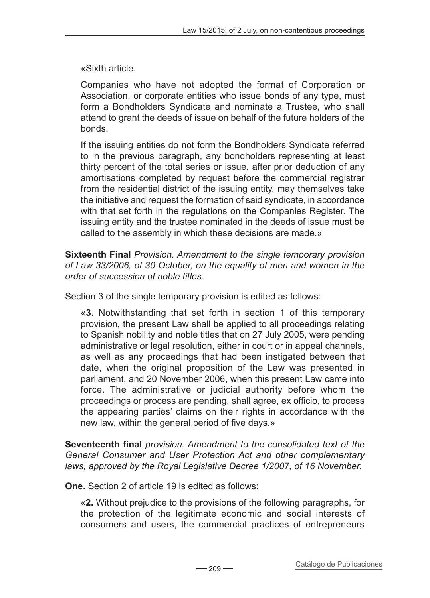«Sixth article.

Companies who have not adopted the format of Corporation or Association, or corporate entities who issue bonds of any type, must form a Bondholders Syndicate and nominate a Trustee, who shall attend to grant the deeds of issue on behalf of the future holders of the bonds.

If the issuing entities do not form the Bondholders Syndicate referred to in the previous paragraph, any bondholders representing at least thirty percent of the total series or issue, after prior deduction of any amortisations completed by request before the commercial registrar from the residential district of the issuing entity, may themselves take the initiative and request the formation of said syndicate, in accordance with that set forth in the regulations on the Companies Register. The issuing entity and the trustee nominated in the deeds of issue must be called to the assembly in which these decisions are made.»

**Sixteenth Final** *Provision. Amendment to the single temporary provision of Law 33/2006, of 30 October, on the equality of men and women in the order of succession of noble titles.*

Section 3 of the single temporary provision is edited as follows:

«**3.** Notwithstanding that set forth in section 1 of this temporary provision, the present Law shall be applied to all proceedings relating to Spanish nobility and noble titles that on 27 July 2005, were pending administrative or legal resolution, either in court or in appeal channels, as well as any proceedings that had been instigated between that date, when the original proposition of the Law was presented in parliament, and 20 November 2006, when this present Law came into force. The administrative or judicial authority before whom the proceedings or process are pending, shall agree, ex officio, to process the appearing parties' claims on their rights in accordance with the new law, within the general period of five days.»

**Seventeenth final** *provision. Amendment to the consolidated text of the General Consumer and User Protection Act and other complementary laws, approved by the Royal Legislative Decree 1/2007, of 16 November.*

**One.** Section 2 of article 19 is edited as follows:

«**2.** Without prejudice to the provisions of the following paragraphs, for the protection of the legitimate economic and social interests of consumers and users, the commercial practices of entrepreneurs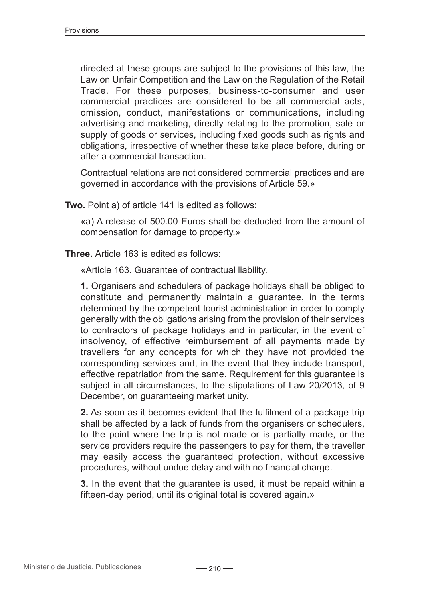directed at these groups are subject to the provisions of this law, the Law on Unfair Competition and the Law on the Regulation of the Retail Trade. For these purposes, business-to-consumer and user commercial practices are considered to be all commercial acts, omission, conduct, manifestations or communications, including advertising and marketing, directly relating to the promotion, sale or supply of goods or services, including fixed goods such as rights and obligations, irrespective of whether these take place before, during or after a commercial transaction.

Contractual relations are not considered commercial practices and are governed in accordance with the provisions of Article 59.»

**Two.** Point a) of article 141 is edited as follows:

«a) A release of 500.00 Euros shall be deducted from the amount of compensation for damage to property.»

**Three.** Article 163 is edited as follows:

«Article 163. Guarantee of contractual liability.

**1.** Organisers and schedulers of package holidays shall be obliged to constitute and permanently maintain a guarantee, in the terms determined by the competent tourist administration in order to comply generally with the obligations arising from the provision of their services to contractors of package holidays and in particular, in the event of insolvency, of effective reimbursement of all payments made by travellers for any concepts for which they have not provided the corresponding services and, in the event that they include transport, effective repatriation from the same. Requirement for this guarantee is subject in all circumstances, to the stipulations of Law 20/2013, of 9 December, on guaranteeing market unity.

**2.** As soon as it becomes evident that the fulfilment of a package trip shall be affected by a lack of funds from the organisers or schedulers, to the point where the trip is not made or is partially made, or the service providers require the passengers to pay for them, the traveller may easily access the guaranteed protection, without excessive procedures, without undue delay and with no financial charge.

**3.** In the event that the guarantee is used, it must be repaid within a fifteen-day period, until its original total is covered again.»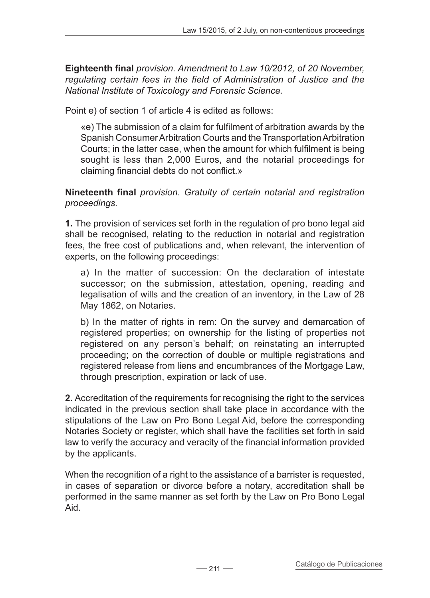**Eighteenth final** *provision. Amendment to Law 10/2012, of 20 November, regulating certain fees in the field of Administration of Justice and the National Institute of Toxicology and Forensic Science.*

Point e) of section 1 of article 4 is edited as follows:

«e) The submission of a claim for fulfilment of arbitration awards by the Spanish Consumer Arbitration Courts and the Transportation Arbitration Courts; in the latter case, when the amount for which fulfilment is being sought is less than 2,000 Euros, and the notarial proceedings for claiming financial debts do not conflict.»

### **Nineteenth final** *provision. Gratuity of certain notarial and registration proceedings.*

**1.** The provision of services set forth in the regulation of pro bono legal aid shall be recognised, relating to the reduction in notarial and registration fees, the free cost of publications and, when relevant, the intervention of experts, on the following proceedings:

a) In the matter of succession: On the declaration of intestate successor; on the submission, attestation, opening, reading and legalisation of wills and the creation of an inventory, in the Law of 28 May 1862, on Notaries.

b) In the matter of rights in rem: On the survey and demarcation of registered properties; on ownership for the listing of properties not registered on any person's behalf; on reinstating an interrupted proceeding; on the correction of double or multiple registrations and registered release from liens and encumbrances of the Mortgage Law, through prescription, expiration or lack of use.

**2.** Accreditation of the requirements for recognising the right to the services indicated in the previous section shall take place in accordance with the stipulations of the Law on Pro Bono Legal Aid, before the corresponding Notaries Society or register, which shall have the facilities set forth in said law to verify the accuracy and veracity of the financial information provided by the applicants.

When the recognition of a right to the assistance of a barrister is requested, in cases of separation or divorce before a notary, accreditation shall be performed in the same manner as set forth by the Law on Pro Bono Legal Aid.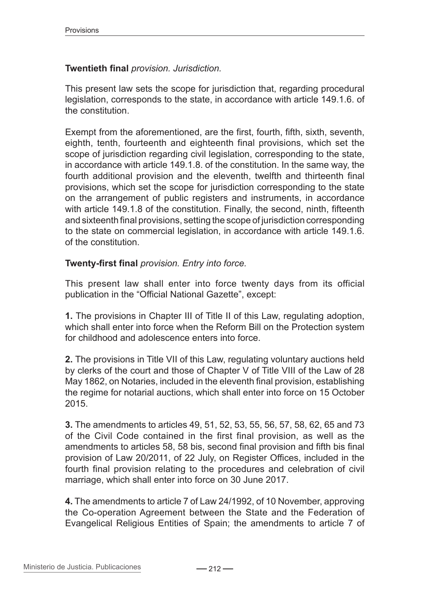## **Twentieth final** *provision. Jurisdiction.*

This present law sets the scope for jurisdiction that, regarding procedural legislation, corresponds to the state, in accordance with article 149.1.6. of the constitution.

Exempt from the aforementioned, are the first, fourth, fifth, sixth, seventh, eighth, tenth, fourteenth and eighteenth final provisions, which set the scope of jurisdiction regarding civil legislation, corresponding to the state, in accordance with article 149.1.8. of the constitution. In the same way, the fourth additional provision and the eleventh, twelfth and thirteenth final provisions, which set the scope for jurisdiction corresponding to the state on the arrangement of public registers and instruments, in accordance with article 149.1.8 of the constitution. Finally, the second, ninth, fifteenth and sixteenth final provisions, setting the scope of jurisdiction corresponding to the state on commercial legislation, in accordance with article 149.1.6. of the constitution.

# **Twenty-first final** *provision. Entry into force.*

This present law shall enter into force twenty days from its official publication in the "Official National Gazette", except:

**1.** The provisions in Chapter III of Title II of this Law, regulating adoption, which shall enter into force when the Reform Bill on the Protection system for childhood and adolescence enters into force.

**2.** The provisions in Title VII of this Law, regulating voluntary auctions held by clerks of the court and those of Chapter V of Title VIII of the Law of 28 May 1862, on Notaries, included in the eleventh final provision, establishing the regime for notarial auctions, which shall enter into force on 15 October 2015.

**3.** The amendments to articles 49, 51, 52, 53, 55, 56, 57, 58, 62, 65 and 73 of the Civil Code contained in the first final provision, as well as the amendments to articles 58, 58 bis, second final provision and fifth bis final provision of Law 20/2011, of 22 July, on Register Offices, included in the fourth final provision relating to the procedures and celebration of civil marriage, which shall enter into force on 30 June 2017.

**4.** The amendments to article 7 of Law 24/1992, of 10 November, approving the Co-operation Agreement between the State and the Federation of Evangelical Religious Entities of Spain; the amendments to article 7 of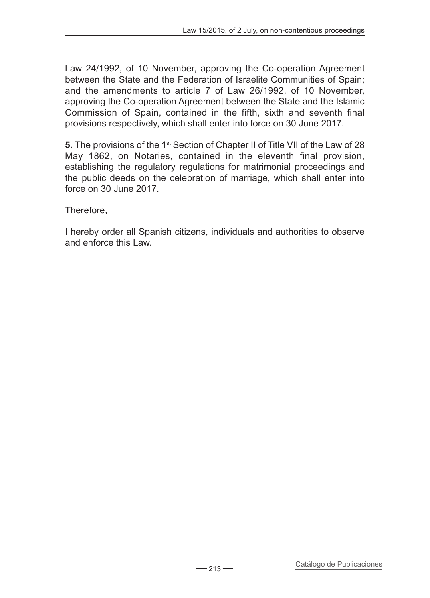Law 24/1992, of 10 November, approving the Co-operation Agreement between the State and the Federation of Israelite Communities of Spain; and the amendments to article 7 of Law 26/1992, of 10 November, approving the Co-operation Agreement between the State and the Islamic Commission of Spain, contained in the fifth, sixth and seventh final provisions respectively, which shall enter into force on 30 June 2017.

**5.** The provisions of the 1<sup>st</sup> Section of Chapter II of Title VII of the Law of 28 May 1862, on Notaries, contained in the eleventh final provision, establishing the regulatory regulations for matrimonial proceedings and the public deeds on the celebration of marriage, which shall enter into force on 30 June 2017.

Therefore,

I hereby order all Spanish citizens, individuals and authorities to observe and enforce this Law.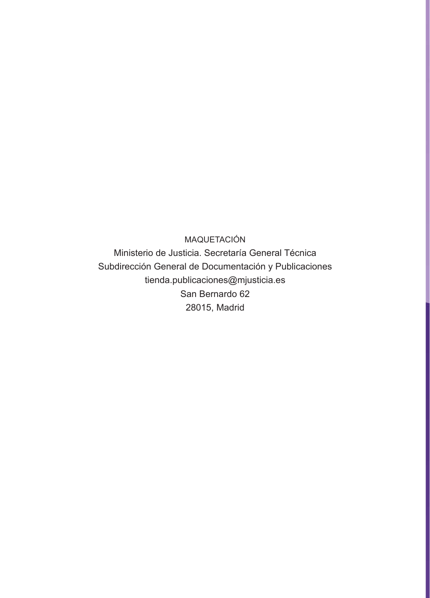MAQUETACIÓN

Ministerio de Justicia. Secretaría General Técnica Subdirección General de Documentación y Publicaciones tienda.publicaciones@mjusticia.es San Bernardo 62 28015, Madrid